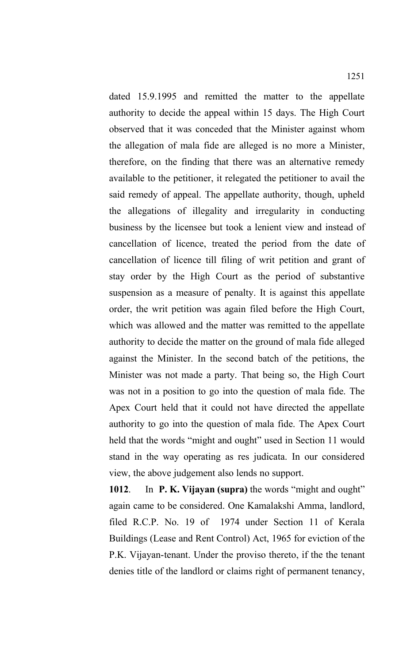dated 15.9.1995 and remitted the matter to the appellate authority to decide the appeal within 15 days. The High Court observed that it was conceded that the Minister against whom the allegation of mala fide are alleged is no more a Minister, therefore, on the finding that there was an alternative remedy available to the petitioner, it relegated the petitioner to avail the said remedy of appeal. The appellate authority, though, upheld the allegations of illegality and irregularity in conducting business by the licensee but took a lenient view and instead of cancellation of licence, treated the period from the date of cancellation of licence till filing of writ petition and grant of stay order by the High Court as the period of substantive suspension as a measure of penalty. It is against this appellate order, the writ petition was again filed before the High Court, which was allowed and the matter was remitted to the appellate authority to decide the matter on the ground of mala fide alleged against the Minister. In the second batch of the petitions, the Minister was not made a party. That being so, the High Court was not in a position to go into the question of mala fide. The Apex Court held that it could not have directed the appellate authority to go into the question of mala fide. The Apex Court held that the words "might and ought" used in Section 11 would stand in the way operating as res judicata. In our considered view, the above judgement also lends no support.

**1012**. In **P. K. Vijayan (supra)** the words "might and ought" again came to be considered. One Kamalakshi Amma, landlord, filed R.C.P. No. 19 of 1974 under Section 11 of Kerala Buildings (Lease and Rent Control) Act, 1965 for eviction of the P.K. Vijayan-tenant. Under the proviso thereto, if the the tenant denies title of the landlord or claims right of permanent tenancy,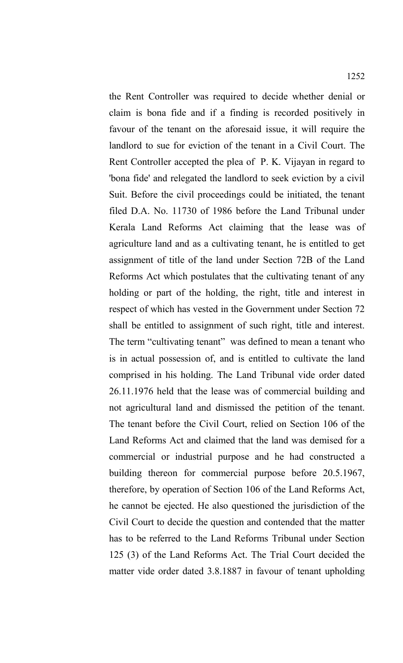the Rent Controller was required to decide whether denial or claim is bona fide and if a finding is recorded positively in favour of the tenant on the aforesaid issue, it will require the landlord to sue for eviction of the tenant in a Civil Court. The Rent Controller accepted the plea of P. K. Vijayan in regard to 'bona fide' and relegated the landlord to seek eviction by a civil Suit. Before the civil proceedings could be initiated, the tenant filed D.A. No. 11730 of 1986 before the Land Tribunal under Kerala Land Reforms Act claiming that the lease was of agriculture land and as a cultivating tenant, he is entitled to get assignment of title of the land under Section 72B of the Land Reforms Act which postulates that the cultivating tenant of any holding or part of the holding, the right, title and interest in respect of which has vested in the Government under Section 72 shall be entitled to assignment of such right, title and interest. The term "cultivating tenant" was defined to mean a tenant who is in actual possession of, and is entitled to cultivate the land comprised in his holding. The Land Tribunal vide order dated 26.11.1976 held that the lease was of commercial building and not agricultural land and dismissed the petition of the tenant. The tenant before the Civil Court, relied on Section 106 of the Land Reforms Act and claimed that the land was demised for a commercial or industrial purpose and he had constructed a building thereon for commercial purpose before 20.5.1967, therefore, by operation of Section 106 of the Land Reforms Act, he cannot be ejected. He also questioned the jurisdiction of the Civil Court to decide the question and contended that the matter has to be referred to the Land Reforms Tribunal under Section 125 (3) of the Land Reforms Act. The Trial Court decided the

matter vide order dated 3.8.1887 in favour of tenant upholding

1252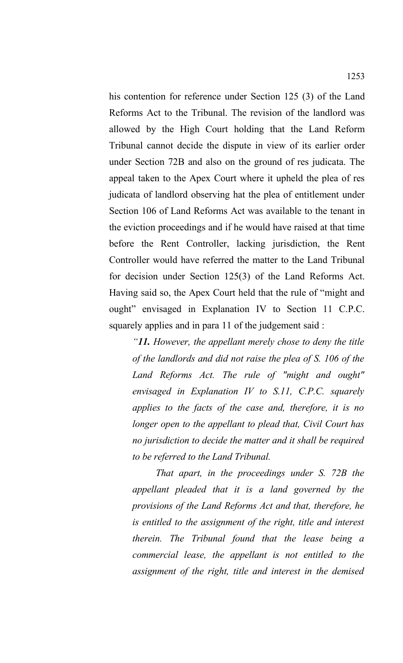his contention for reference under Section 125 (3) of the Land Reforms Act to the Tribunal. The revision of the landlord was allowed by the High Court holding that the Land Reform Tribunal cannot decide the dispute in view of its earlier order under Section 72B and also on the ground of res judicata. The appeal taken to the Apex Court where it upheld the plea of res judicata of landlord observing hat the plea of entitlement under Section 106 of Land Reforms Act was available to the tenant in the eviction proceedings and if he would have raised at that time before the Rent Controller, lacking jurisdiction, the Rent Controller would have referred the matter to the Land Tribunal for decision under Section 125(3) of the Land Reforms Act. Having said so, the Apex Court held that the rule of "might and ought" envisaged in Explanation IV to Section 11 C.P.C. squarely applies and in para 11 of the judgement said :

*"11. However, the appellant merely chose to deny the title of the landlords and did not raise the plea of S. 106 of the Land Reforms Act. The rule of "might and ought" envisaged in Explanation IV to S.11, C.P.C. squarely applies to the facts of the case and, therefore, it is no longer open to the appellant to plead that, Civil Court has no jurisdiction to decide the matter and it shall be required to be referred to the Land Tribunal.*

*That apart, in the proceedings under S. 72B the appellant pleaded that it is a land governed by the provisions of the Land Reforms Act and that, therefore, he is entitled to the assignment of the right, title and interest therein. The Tribunal found that the lease being a commercial lease, the appellant is not entitled to the assignment of the right, title and interest in the demised*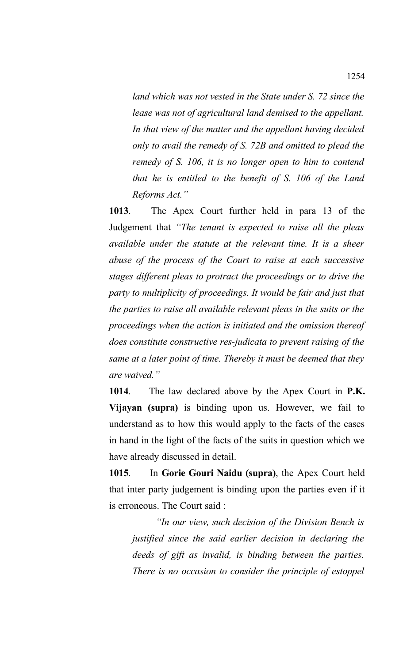*land which was not vested in the State under S. 72 since the lease was not of agricultural land demised to the appellant. In that view of the matter and the appellant having decided only to avail the remedy of S. 72B and omitted to plead the remedy of S. 106, it is no longer open to him to contend that he is entitled to the benefit of S. 106 of the Land Reforms Act."*

**1013**. The Apex Court further held in para 13 of the Judgement that *"The tenant is expected to raise all the pleas available under the statute at the relevant time. It is a sheer abuse of the process of the Court to raise at each successive stages different pleas to protract the proceedings or to drive the party to multiplicity of proceedings. It would be fair and just that the parties to raise all available relevant pleas in the suits or the proceedings when the action is initiated and the omission thereof does constitute constructive res-judicata to prevent raising of the same at a later point of time. Thereby it must be deemed that they are waived."*

**1014**.The law declared above by the Apex Court in **P.K. Vijayan (supra)** is binding upon us. However, we fail to understand as to how this would apply to the facts of the cases in hand in the light of the facts of the suits in question which we have already discussed in detail.

**1015**. In **Gorie Gouri Naidu (supra)**, the Apex Court held that inter party judgement is binding upon the parties even if it is erroneous. The Court said :

*"In our view, such decision of the Division Bench is justified since the said earlier decision in declaring the deeds of gift as invalid, is binding between the parties. There is no occasion to consider the principle of estoppel*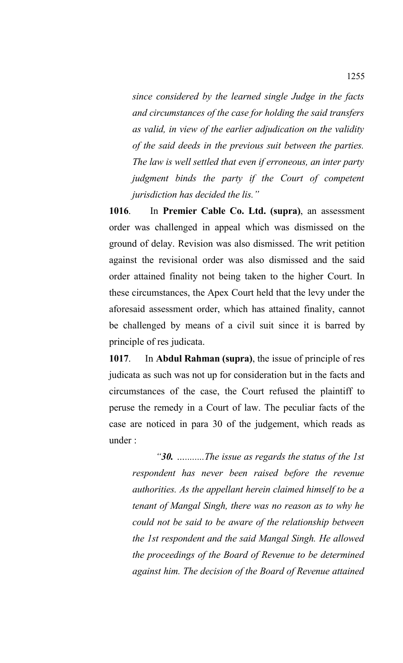*since considered by the learned single Judge in the facts and circumstances of the case for holding the said transfers as valid, in view of the earlier adjudication on the validity of the said deeds in the previous suit between the parties. The law is well settled that even if erroneous, an inter party judgment binds the party if the Court of competent jurisdiction has decided the lis."*

**1016**.In **Premier Cable Co. Ltd. (supra)**, an assessment order was challenged in appeal which was dismissed on the ground of delay. Revision was also dismissed. The writ petition against the revisional order was also dismissed and the said order attained finality not being taken to the higher Court. In these circumstances, the Apex Court held that the levy under the aforesaid assessment order, which has attained finality, cannot be challenged by means of a civil suit since it is barred by principle of res judicata.

**1017**. In **Abdul Rahman (supra)**, the issue of principle of res judicata as such was not up for consideration but in the facts and circumstances of the case, the Court refused the plaintiff to peruse the remedy in a Court of law. The peculiar facts of the case are noticed in para 30 of the judgement, which reads as under :

*"30. …........The issue as regards the status of the 1st respondent has never been raised before the revenue authorities. As the appellant herein claimed himself to be a tenant of Mangal Singh, there was no reason as to why he could not be said to be aware of the relationship between the 1st respondent and the said Mangal Singh. He allowed the proceedings of the Board of Revenue to be determined against him. The decision of the Board of Revenue attained*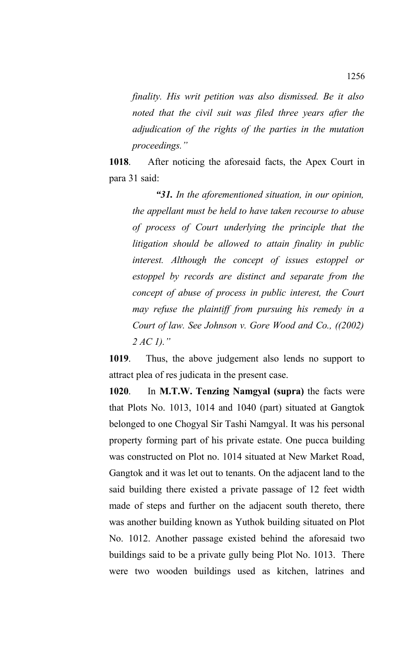*finality. His writ petition was also dismissed. Be it also noted that the civil suit was filed three years after the adjudication of the rights of the parties in the mutation proceedings."*

**1018**. After noticing the aforesaid facts, the Apex Court in para 31 said:

*"31. In the aforementioned situation, in our opinion, the appellant must be held to have taken recourse to abuse of process of Court underlying the principle that the litigation should be allowed to attain finality in public interest. Although the concept of issues estoppel or estoppel by records are distinct and separate from the concept of abuse of process in public interest, the Court may refuse the plaintiff from pursuing his remedy in a Court of law. See Johnson v. Gore Wood and Co., ((2002) 2 AC 1)."*

**1019**. Thus, the above judgement also lends no support to attract plea of res judicata in the present case.

**1020**. In **M.T.W. Tenzing Namgyal (supra)** the facts were that Plots No. 1013, 1014 and 1040 (part) situated at Gangtok belonged to one Chogyal Sir Tashi Namgyal. It was his personal property forming part of his private estate. One pucca building was constructed on Plot no. 1014 situated at New Market Road, Gangtok and it was let out to tenants. On the adjacent land to the said building there existed a private passage of 12 feet width made of steps and further on the adjacent south thereto, there was another building known as Yuthok building situated on Plot No. 1012. Another passage existed behind the aforesaid two buildings said to be a private gully being Plot No. 1013. There were two wooden buildings used as kitchen, latrines and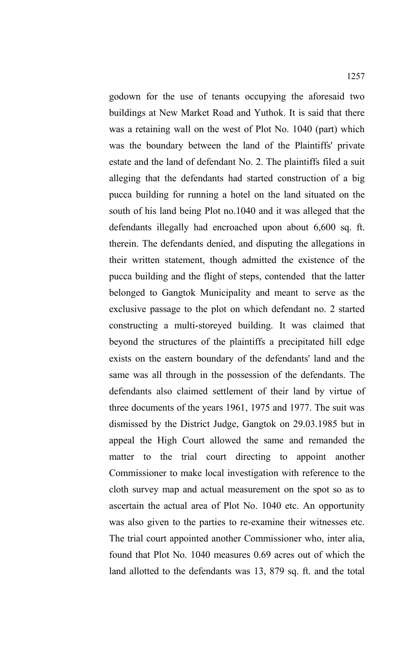godown for the use of tenants occupying the aforesaid two buildings at New Market Road and Yuthok. It is said that there was a retaining wall on the west of Plot No. 1040 (part) which was the boundary between the land of the Plaintiffs' private estate and the land of defendant No. 2. The plaintiffs filed a suit alleging that the defendants had started construction of a big pucca building for running a hotel on the land situated on the south of his land being Plot no.1040 and it was alleged that the defendants illegally had encroached upon about 6,600 sq. ft. therein. The defendants denied, and disputing the allegations in their written statement, though admitted the existence of the pucca building and the flight of steps, contended that the latter belonged to Gangtok Municipality and meant to serve as the exclusive passage to the plot on which defendant no. 2 started constructing a multi-storeyed building. It was claimed that beyond the structures of the plaintiffs a precipitated hill edge exists on the eastern boundary of the defendants' land and the same was all through in the possession of the defendants. The defendants also claimed settlement of their land by virtue of three documents of the years 1961, 1975 and 1977. The suit was dismissed by the District Judge, Gangtok on 29.03.1985 but in appeal the High Court allowed the same and remanded the matter to the trial court directing to appoint another Commissioner to make local investigation with reference to the cloth survey map and actual measurement on the spot so as to ascertain the actual area of Plot No. 1040 etc. An opportunity was also given to the parties to re-examine their witnesses etc. The trial court appointed another Commissioner who, inter alia, found that Plot No. 1040 measures 0.69 acres out of which the land allotted to the defendants was 13, 879 sq. ft. and the total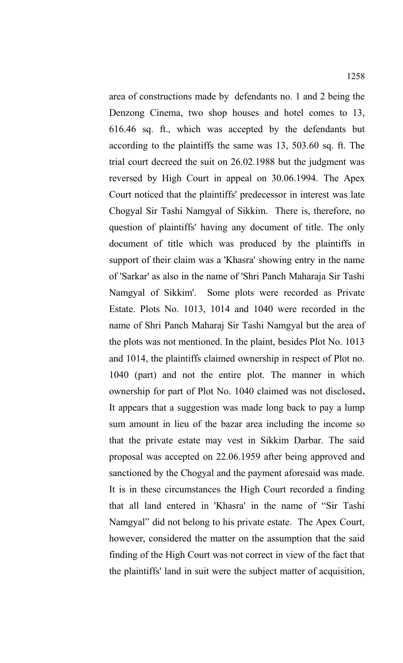area of constructions made by defendants no. 1 and 2 being the Denzong Cinema, two shop houses and hotel comes to 13, 616.46 sq. ft., which was accepted by the defendants but according to the plaintiffs the same was 13, 503.60 sq. ft. The trial court decreed the suit on 26.02.1988 but the judgment was reversed by High Court in appeal on 30.06.1994. The Apex Court noticed that the plaintiffs' predecessor in interest was late Chogyal Sir Tashi Namgyal of Sikkim. There is, therefore, no question of plaintiffs' having any document of title. The only document of title which was produced by the plaintiffs in support of their claim was a 'Khasra' showing entry in the name of 'Sarkar' as also in the name of 'Shri Panch Maharaja Sir Tashi Namgyal of Sikkim'. Some plots were recorded as Private Estate. Plots No. 1013, 1014 and 1040 were recorded in the name of Shri Panch Maharaj Sir Tashi Namgyal but the area of the plots was not mentioned. In the plaint, besides Plot No. 1013 and 1014, the plaintiffs claimed ownership in respect of Plot no. 1040 (part) and not the entire plot. The manner in which ownership for part of Plot No. 1040 claimed was not disclosed**.** It appears that a suggestion was made long back to pay a lump sum amount in lieu of the bazar area including the income so that the private estate may vest in Sikkim Darbar. The said proposal was accepted on 22.06.1959 after being approved and sanctioned by the Chogyal and the payment aforesaid was made. It is in these circumstances the High Court recorded a finding that all land entered in 'Khasra' in the name of "Sir Tashi Namgyal" did not belong to his private estate. The Apex Court, however, considered the matter on the assumption that the said

finding of the High Court was not correct in view of the fact that the plaintiffs' land in suit were the subject matter of acquisition,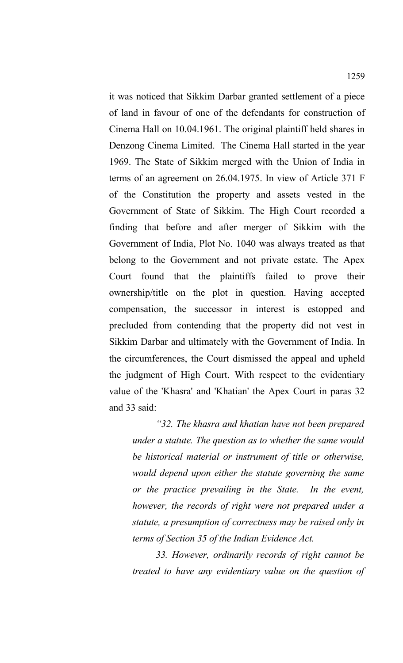it was noticed that Sikkim Darbar granted settlement of a piece of land in favour of one of the defendants for construction of Cinema Hall on 10.04.1961. The original plaintiff held shares in Denzong Cinema Limited. The Cinema Hall started in the year 1969. The State of Sikkim merged with the Union of India in terms of an agreement on 26.04.1975. In view of Article 371 F of the Constitution the property and assets vested in the Government of State of Sikkim. The High Court recorded a finding that before and after merger of Sikkim with the Government of India, Plot No. 1040 was always treated as that belong to the Government and not private estate. The Apex Court found that the plaintiffs failed to prove their ownership/title on the plot in question. Having accepted compensation, the successor in interest is estopped and precluded from contending that the property did not vest in Sikkim Darbar and ultimately with the Government of India. In the circumferences, the Court dismissed the appeal and upheld the judgment of High Court. With respect to the evidentiary

value of the 'Khasra' and 'Khatian' the Apex Court in paras 32 and 33 said: *"32. The khasra and khatian have not been prepared*

*under a statute. The question as to whether the same would be historical material or instrument of title or otherwise, would depend upon either the statute governing the same or the practice prevailing in the State. In the event, however, the records of right were not prepared under a statute, a presumption of correctness may be raised only in terms of Section 35 of the Indian Evidence Act.*

*33. However, ordinarily records of right cannot be treated to have any evidentiary value on the question of*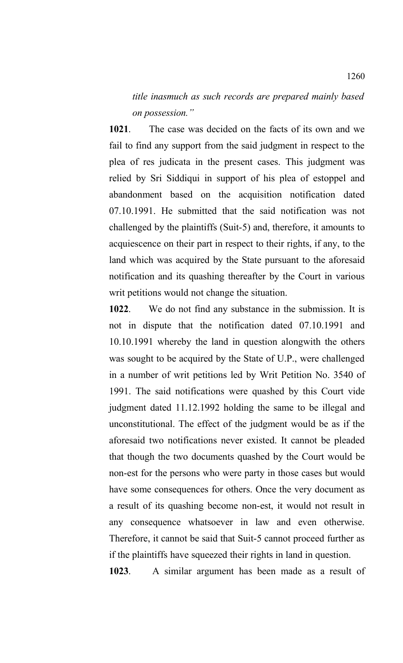*title inasmuch as such records are prepared mainly based on possession."* 

**1021**. The case was decided on the facts of its own and we fail to find any support from the said judgment in respect to the plea of res judicata in the present cases. This judgment was relied by Sri Siddiqui in support of his plea of estoppel and abandonment based on the acquisition notification dated 07.10.1991. He submitted that the said notification was not challenged by the plaintiffs (Suit-5) and, therefore, it amounts to acquiescence on their part in respect to their rights, if any, to the land which was acquired by the State pursuant to the aforesaid notification and its quashing thereafter by the Court in various writ petitions would not change the situation.

**1022**. We do not find any substance in the submission. It is not in dispute that the notification dated 07.10.1991 and 10.10.1991 whereby the land in question alongwith the others was sought to be acquired by the State of U.P., were challenged in a number of writ petitions led by Writ Petition No. 3540 of 1991. The said notifications were quashed by this Court vide judgment dated 11.12.1992 holding the same to be illegal and unconstitutional. The effect of the judgment would be as if the aforesaid two notifications never existed. It cannot be pleaded that though the two documents quashed by the Court would be non-est for the persons who were party in those cases but would have some consequences for others. Once the very document as a result of its quashing become non-est, it would not result in any consequence whatsoever in law and even otherwise. Therefore, it cannot be said that Suit-5 cannot proceed further as if the plaintiffs have squeezed their rights in land in question.

**1023**. A similar argument has been made as a result of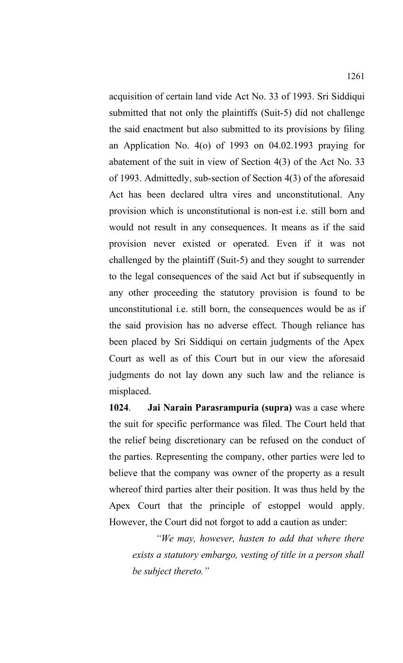acquisition of certain land vide Act No. 33 of 1993. Sri Siddiqui submitted that not only the plaintiffs (Suit-5) did not challenge the said enactment but also submitted to its provisions by filing an Application No. 4(o) of 1993 on 04.02.1993 praying for abatement of the suit in view of Section 4(3) of the Act No. 33 of 1993. Admittedly, sub-section of Section 4(3) of the aforesaid Act has been declared ultra vires and unconstitutional. Any provision which is unconstitutional is non-est i.e. still born and would not result in any consequences. It means as if the said provision never existed or operated. Even if it was not challenged by the plaintiff (Suit-5) and they sought to surrender to the legal consequences of the said Act but if subsequently in any other proceeding the statutory provision is found to be unconstitutional i.e. still born, the consequences would be as if the said provision has no adverse effect. Though reliance has been placed by Sri Siddiqui on certain judgments of the Apex Court as well as of this Court but in our view the aforesaid judgments do not lay down any such law and the reliance is misplaced.

**1024**. **Jai Narain Parasrampuria (supra)** was a case where the suit for specific performance was filed. The Court held that the relief being discretionary can be refused on the conduct of the parties. Representing the company, other parties were led to believe that the company was owner of the property as a result whereof third parties alter their position. It was thus held by the Apex Court that the principle of estoppel would apply. However, the Court did not forgot to add a caution as under:

*"We may, however, hasten to add that where there exists a statutory embargo, vesting of title in a person shall be subject thereto."*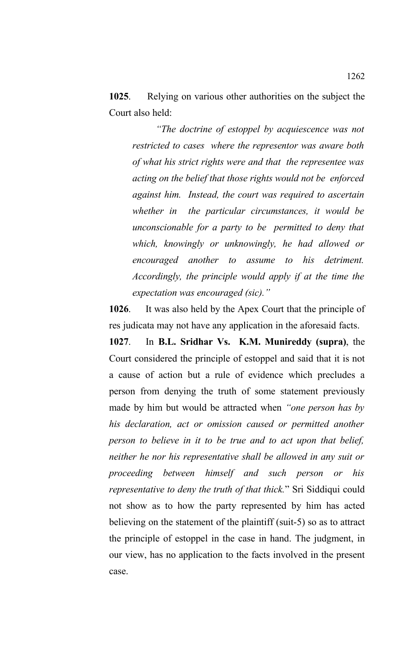**1025**. Relying on various other authorities on the subject the Court also held:

*"The doctrine of estoppel by acquiescence was not restricted to cases where the representor was aware both of what his strict rights were and that the representee was acting on the belief that those rights would not be enforced against him. Instead, the court was required to ascertain whether in the particular circumstances, it would be unconscionable for a party to be permitted to deny that which, knowingly or unknowingly, he had allowed or encouraged another to assume to his detriment. Accordingly, the principle would apply if at the time the expectation was encouraged (sic)."*

**1026**. It was also held by the Apex Court that the principle of res judicata may not have any application in the aforesaid facts.

**1027**. In **B.L. Sridhar Vs. K.M. Munireddy (supra)**, the Court considered the principle of estoppel and said that it is not a cause of action but a rule of evidence which precludes a person from denying the truth of some statement previously made by him but would be attracted when *"one person has by his declaration, act or omission caused or permitted another person to believe in it to be true and to act upon that belief, neither he nor his representative shall be allowed in any suit or proceeding between himself and such person or his representative to deny the truth of that thick.*" Sri Siddiqui could not show as to how the party represented by him has acted believing on the statement of the plaintiff (suit-5) so as to attract the principle of estoppel in the case in hand. The judgment, in our view, has no application to the facts involved in the present case.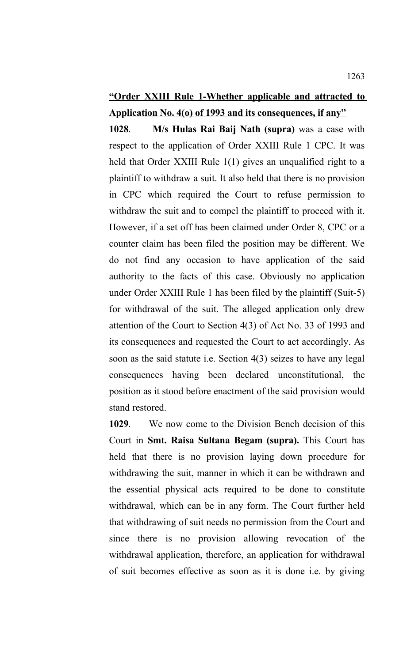## **"Order XXIII Rule 1-Whether applicable and attracted to Application No. 4(o) of 1993 and its consequences, if any"**

**1028**. **M/s Hulas Rai Baij Nath (supra)** was a case with respect to the application of Order XXIII Rule 1 CPC. It was held that Order XXIII Rule 1(1) gives an unqualified right to a plaintiff to withdraw a suit. It also held that there is no provision in CPC which required the Court to refuse permission to withdraw the suit and to compel the plaintiff to proceed with it. However, if a set off has been claimed under Order 8, CPC or a counter claim has been filed the position may be different. We do not find any occasion to have application of the said authority to the facts of this case. Obviously no application under Order XXIII Rule 1 has been filed by the plaintiff (Suit-5) for withdrawal of the suit. The alleged application only drew attention of the Court to Section 4(3) of Act No. 33 of 1993 and its consequences and requested the Court to act accordingly. As soon as the said statute i.e. Section 4(3) seizes to have any legal consequences having been declared unconstitutional, the position as it stood before enactment of the said provision would stand restored.

**1029**. We now come to the Division Bench decision of this Court in **Smt. Raisa Sultana Begam (supra).** This Court has held that there is no provision laying down procedure for withdrawing the suit, manner in which it can be withdrawn and the essential physical acts required to be done to constitute withdrawal, which can be in any form. The Court further held that withdrawing of suit needs no permission from the Court and since there is no provision allowing revocation of the withdrawal application, therefore, an application for withdrawal of suit becomes effective as soon as it is done i.e. by giving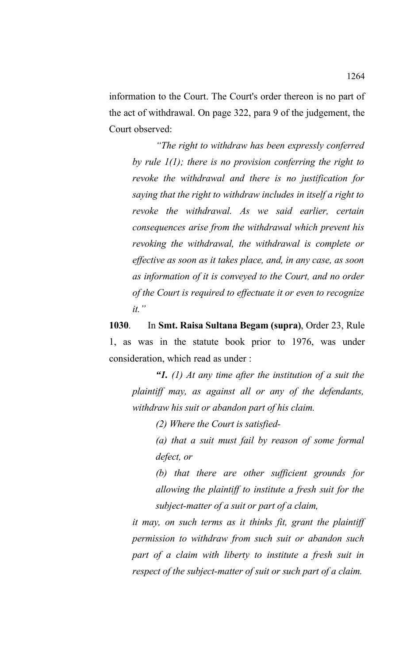information to the Court. The Court's order thereon is no part of the act of withdrawal. On page 322, para 9 of the judgement, the Court observed:

*"The right to withdraw has been expressly conferred by rule 1(1); there is no provision conferring the right to revoke the withdrawal and there is no justification for saying that the right to withdraw includes in itself a right to revoke the withdrawal. As we said earlier, certain consequences arise from the withdrawal which prevent his revoking the withdrawal, the withdrawal is complete or effective as soon as it takes place, and, in any case, as soon as information of it is conveyed to the Court, and no order of the Court is required to effectuate it or even to recognize it."*

**1030**. In **Smt. Raisa Sultana Begam (supra)**, Order 23, Rule 1, as was in the statute book prior to 1976, was under consideration, which read as under :

*"1. (1) At any time after the institution of a suit the plaintiff may, as against all or any of the defendants, withdraw his suit or abandon part of his claim.*

*(2) Where the Court is satisfied-*

*(a) that a suit must fail by reason of some formal defect, or* 

*(b) that there are other sufficient grounds for allowing the plaintiff to institute a fresh suit for the subject-matter of a suit or part of a claim,* 

*it may, on such terms as it thinks fit, grant the plaintiff permission to withdraw from such suit or abandon such part of a claim with liberty to institute a fresh suit in respect of the subject-matter of suit or such part of a claim.*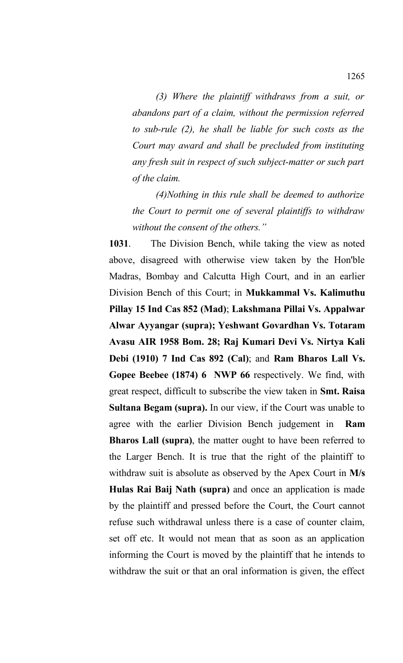*(3) Where the plaintiff withdraws from a suit, or abandons part of a claim, without the permission referred to sub-rule (2), he shall be liable for such costs as the Court may award and shall be precluded from instituting any fresh suit in respect of such subject-matter or such part of the claim.* 

*(4)Nothing in this rule shall be deemed to authorize the Court to permit one of several plaintiffs to withdraw without the consent of the others."*

**1031**. The Division Bench, while taking the view as noted above, disagreed with otherwise view taken by the Hon'ble Madras, Bombay and Calcutta High Court, and in an earlier Division Bench of this Court; in **Mukkammal Vs. Kalimuthu Pillay 15 Ind Cas 852 (Mad)**; **Lakshmana Pillai Vs. Appalwar Alwar Ayyangar (supra); Yeshwant Govardhan Vs. Totaram Avasu AIR 1958 Bom. 28; Raj Kumari Devi Vs. Nirtya Kali Debi (1910) 7 Ind Cas 892 (Cal)**; and **Ram Bharos Lall Vs. Gopee Beebee (1874) 6 NWP 66** respectively. We find, with great respect, difficult to subscribe the view taken in **Smt. Raisa Sultana Begam (supra).** In our view, if the Court was unable to agree with the earlier Division Bench judgement in **Ram Bharos Lall (supra)**, the matter ought to have been referred to the Larger Bench. It is true that the right of the plaintiff to withdraw suit is absolute as observed by the Apex Court in **M/s Hulas Rai Baij Nath (supra)** and once an application is made by the plaintiff and pressed before the Court, the Court cannot refuse such withdrawal unless there is a case of counter claim, set off etc. It would not mean that as soon as an application informing the Court is moved by the plaintiff that he intends to withdraw the suit or that an oral information is given, the effect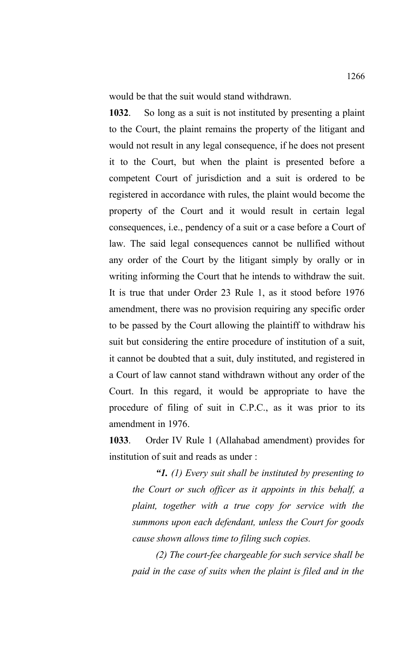would be that the suit would stand withdrawn.

**1032**. So long as a suit is not instituted by presenting a plaint to the Court, the plaint remains the property of the litigant and would not result in any legal consequence, if he does not present it to the Court, but when the plaint is presented before a competent Court of jurisdiction and a suit is ordered to be registered in accordance with rules, the plaint would become the property of the Court and it would result in certain legal consequences, i.e., pendency of a suit or a case before a Court of law. The said legal consequences cannot be nullified without any order of the Court by the litigant simply by orally or in writing informing the Court that he intends to withdraw the suit. It is true that under Order 23 Rule 1, as it stood before 1976 amendment, there was no provision requiring any specific order to be passed by the Court allowing the plaintiff to withdraw his suit but considering the entire procedure of institution of a suit, it cannot be doubted that a suit, duly instituted, and registered in a Court of law cannot stand withdrawn without any order of the Court. In this regard, it would be appropriate to have the procedure of filing of suit in C.P.C., as it was prior to its amendment in 1976.

**1033**. Order IV Rule 1 (Allahabad amendment) provides for institution of suit and reads as under :

*"1. (1) Every suit shall be instituted by presenting to the Court or such officer as it appoints in this behalf, a plaint, together with a true copy for service with the summons upon each defendant, unless the Court for goods cause shown allows time to filing such copies.*

*(2) The court-fee chargeable for such service shall be paid in the case of suits when the plaint is filed and in the*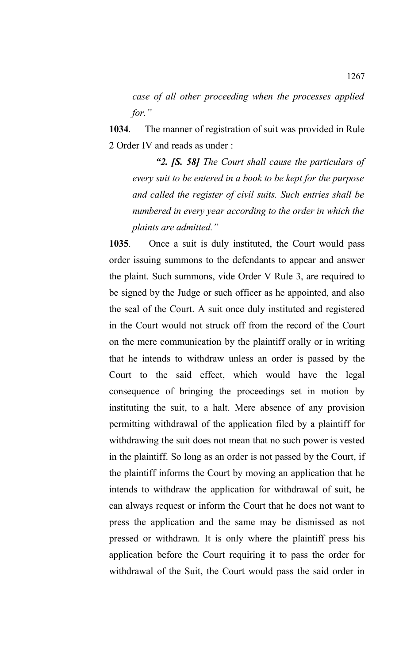*case of all other proceeding when the processes applied for."*

**1034**. The manner of registration of suit was provided in Rule 2 Order IV and reads as under :

*"2. [S. 58] The Court shall cause the particulars of every suit to be entered in a book to be kept for the purpose and called the register of civil suits. Such entries shall be numbered in every year according to the order in which the plaints are admitted."*

**1035**. Once a suit is duly instituted, the Court would pass order issuing summons to the defendants to appear and answer the plaint. Such summons, vide Order V Rule 3, are required to be signed by the Judge or such officer as he appointed, and also the seal of the Court. A suit once duly instituted and registered in the Court would not struck off from the record of the Court on the mere communication by the plaintiff orally or in writing that he intends to withdraw unless an order is passed by the Court to the said effect, which would have the legal consequence of bringing the proceedings set in motion by instituting the suit, to a halt. Mere absence of any provision permitting withdrawal of the application filed by a plaintiff for withdrawing the suit does not mean that no such power is vested in the plaintiff. So long as an order is not passed by the Court, if the plaintiff informs the Court by moving an application that he intends to withdraw the application for withdrawal of suit, he can always request or inform the Court that he does not want to press the application and the same may be dismissed as not pressed or withdrawn. It is only where the plaintiff press his application before the Court requiring it to pass the order for withdrawal of the Suit, the Court would pass the said order in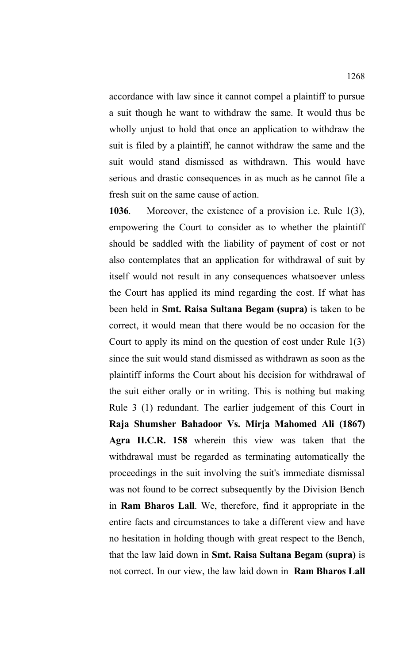accordance with law since it cannot compel a plaintiff to pursue a suit though he want to withdraw the same. It would thus be wholly unjust to hold that once an application to withdraw the suit is filed by a plaintiff, he cannot withdraw the same and the suit would stand dismissed as withdrawn. This would have serious and drastic consequences in as much as he cannot file a fresh suit on the same cause of action.

**1036**. Moreover, the existence of a provision i.e. Rule 1(3), empowering the Court to consider as to whether the plaintiff should be saddled with the liability of payment of cost or not also contemplates that an application for withdrawal of suit by itself would not result in any consequences whatsoever unless the Court has applied its mind regarding the cost. If what has been held in **Smt. Raisa Sultana Begam (supra)** is taken to be correct, it would mean that there would be no occasion for the Court to apply its mind on the question of cost under Rule 1(3) since the suit would stand dismissed as withdrawn as soon as the plaintiff informs the Court about his decision for withdrawal of the suit either orally or in writing. This is nothing but making Rule 3 (1) redundant. The earlier judgement of this Court in **Raja Shumsher Bahadoor Vs. Mirja Mahomed Ali (1867) Agra H.C.R. 158** wherein this view was taken that the withdrawal must be regarded as terminating automatically the proceedings in the suit involving the suit's immediate dismissal was not found to be correct subsequently by the Division Bench in **Ram Bharos Lall**. We, therefore, find it appropriate in the entire facts and circumstances to take a different view and have no hesitation in holding though with great respect to the Bench, that the law laid down in **Smt. Raisa Sultana Begam (supra)** is not correct. In our view, the law laid down in **Ram Bharos Lall**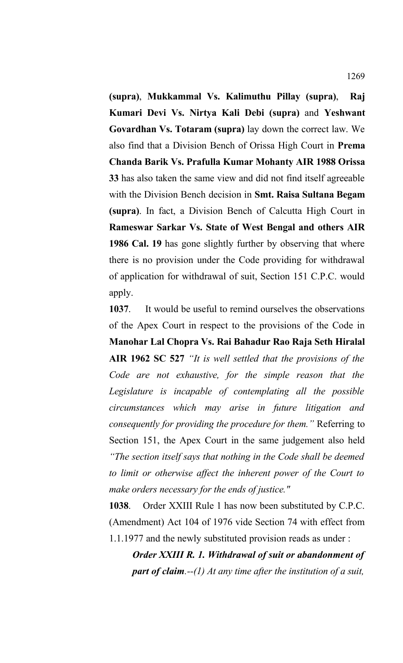**(supra)**, **Mukkammal Vs. Kalimuthu Pillay (supra)**, **Raj Kumari Devi Vs. Nirtya Kali Debi (supra)** and **Yeshwant Govardhan Vs. Totaram (supra)** lay down the correct law. We also find that a Division Bench of Orissa High Court in **Prema Chanda Barik Vs. Prafulla Kumar Mohanty AIR 1988 Orissa 33** has also taken the same view and did not find itself agreeable with the Division Bench decision in **Smt. Raisa Sultana Begam (supra)**. In fact, a Division Bench of Calcutta High Court in **Rameswar Sarkar Vs. State of West Bengal and others AIR 1986 Cal. 19** has gone slightly further by observing that where there is no provision under the Code providing for withdrawal of application for withdrawal of suit, Section 151 C.P.C. would apply.

**1037**. It would be useful to remind ourselves the observations of the Apex Court in respect to the provisions of the Code in **Manohar Lal Chopra Vs. Rai Bahadur Rao Raja Seth Hiralal AIR 1962 SC 527** *"It is well settled that the provisions of the Code are not exhaustive, for the simple reason that the Legislature is incapable of contemplating all the possible circumstances which may arise in future litigation and consequently for providing the procedure for them."* Referring to Section 151, the Apex Court in the same judgement also held *"The section itself says that nothing in the Code shall be deemed to limit or otherwise affect the inherent power of the Court to make orders necessary for the ends of justice."*

**1038**. Order XXIII Rule 1 has now been substituted by C.P.C. (Amendment) Act 104 of 1976 vide Section 74 with effect from 1.1.1977 and the newly substituted provision reads as under :

*Order XXIII R. 1. Withdrawal of suit or abandonment of part of claim.--(1) At any time after the institution of a suit,*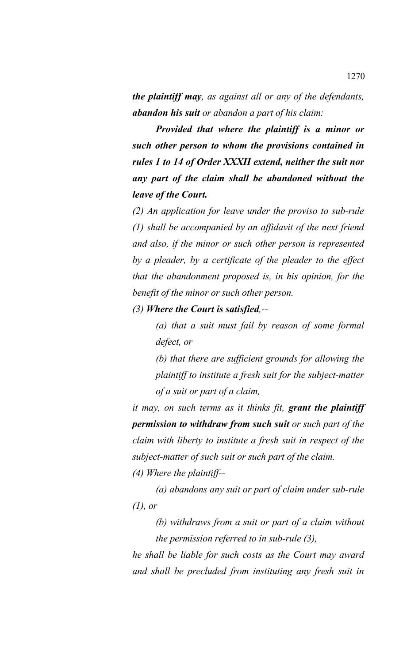*the plaintiff may, as against all or any of the defendants, abandon his suit or abandon a part of his claim:*

*Provided that where the plaintiff is a minor or such other person to whom the provisions contained in rules 1 to 14 of Order XXXII extend, neither the suit nor any part of the claim shall be abandoned without the leave of the Court.* 

*(2) An application for leave under the proviso to sub-rule (1) shall be accompanied by an affidavit of the next friend and also, if the minor or such other person is represented by a pleader, by a certificate of the pleader to the effect that the abandonment proposed is, in his opinion, for the benefit of the minor or such other person.*

*(3) Where the Court is satisfied,--*

*(a) that a suit must fail by reason of some formal defect, or* 

*(b) that there are sufficient grounds for allowing the plaintiff to institute a fresh suit for the subject-matter of a suit or part of a claim,* 

*it may, on such terms as it thinks fit, grant the plaintiff permission to withdraw from such suit or such part of the claim with liberty to institute a fresh suit in respect of the subject-matter of such suit or such part of the claim.*

*(4) Where the plaintiff--*

*(a) abandons any suit or part of claim under sub-rule (1), or*

*(b) withdraws from a suit or part of a claim without the permission referred to in sub-rule (3),* 

*he shall be liable for such costs as the Court may award and shall be precluded from instituting any fresh suit in*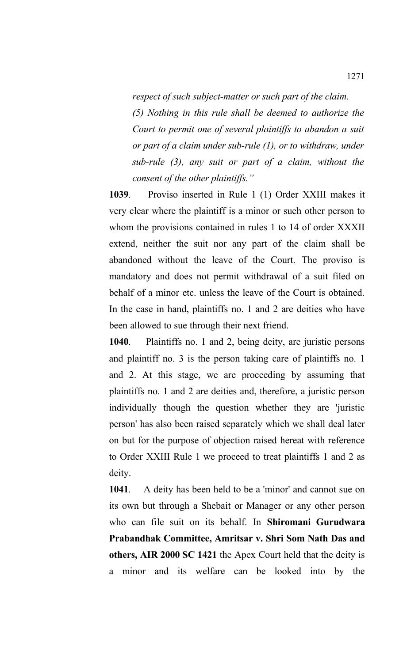*respect of such subject-matter or such part of the claim. (5) Nothing in this rule shall be deemed to authorize the Court to permit one of several plaintiffs to abandon a suit or part of a claim under sub-rule (1), or to withdraw, under sub-rule (3), any suit or part of a claim, without the consent of the other plaintiffs."*

**1039**. Proviso inserted in Rule 1 (1) Order XXIII makes it very clear where the plaintiff is a minor or such other person to whom the provisions contained in rules 1 to 14 of order XXXII extend, neither the suit nor any part of the claim shall be abandoned without the leave of the Court. The proviso is mandatory and does not permit withdrawal of a suit filed on behalf of a minor etc. unless the leave of the Court is obtained. In the case in hand, plaintiffs no. 1 and 2 are deities who have been allowed to sue through their next friend.

**1040**. Plaintiffs no. 1 and 2, being deity, are juristic persons and plaintiff no. 3 is the person taking care of plaintiffs no. 1 and 2. At this stage, we are proceeding by assuming that plaintiffs no. 1 and 2 are deities and, therefore, a juristic person individually though the question whether they are 'juristic person' has also been raised separately which we shall deal later on but for the purpose of objection raised hereat with reference to Order XXIII Rule 1 we proceed to treat plaintiffs 1 and 2 as deity.

**1041**. A deity has been held to be a 'minor' and cannot sue on its own but through a Shebait or Manager or any other person who can file suit on its behalf. In **Shiromani Gurudwara Prabandhak Committee, Amritsar v. Shri Som Nath Das and others, AIR 2000 SC 1421** the Apex Court held that the deity is a minor and its welfare can be looked into by the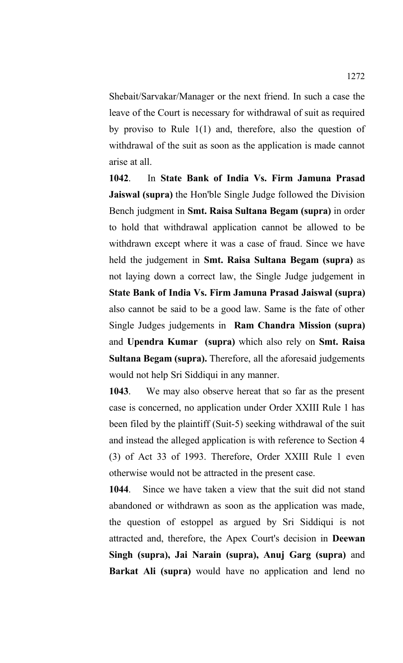Shebait/Sarvakar/Manager or the next friend. In such a case the leave of the Court is necessary for withdrawal of suit as required by proviso to Rule 1(1) and, therefore, also the question of withdrawal of the suit as soon as the application is made cannot arise at all.

**1042**. In **State Bank of India Vs. Firm Jamuna Prasad Jaiswal (supra)** the Hon'ble Single Judge followed the Division Bench judgment in **Smt. Raisa Sultana Begam (supra)** in order to hold that withdrawal application cannot be allowed to be withdrawn except where it was a case of fraud. Since we have held the judgement in **Smt. Raisa Sultana Begam (supra)** as not laying down a correct law, the Single Judge judgement in **State Bank of India Vs. Firm Jamuna Prasad Jaiswal (supra)** also cannot be said to be a good law. Same is the fate of other Single Judges judgements in **Ram Chandra Mission (supra)** and **Upendra Kumar (supra)** which also rely on **Smt. Raisa Sultana Begam (supra).** Therefore, all the aforesaid judgements would not help Sri Siddiqui in any manner.

**1043**. We may also observe hereat that so far as the present case is concerned, no application under Order XXIII Rule 1 has been filed by the plaintiff (Suit-5) seeking withdrawal of the suit and instead the alleged application is with reference to Section 4 (3) of Act 33 of 1993. Therefore, Order XXIII Rule 1 even otherwise would not be attracted in the present case.

**1044**. Since we have taken a view that the suit did not stand abandoned or withdrawn as soon as the application was made, the question of estoppel as argued by Sri Siddiqui is not attracted and, therefore, the Apex Court's decision in **Deewan Singh (supra), Jai Narain (supra), Anuj Garg (supra)** and **Barkat Ali (supra)** would have no application and lend no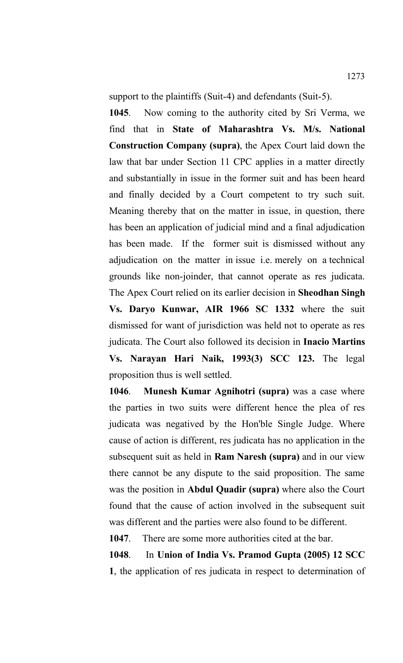support to the plaintiffs (Suit-4) and defendants (Suit-5).

**1045**. Now coming to the authority cited by Sri Verma, we find that in **State of Maharashtra Vs. M/s. National Construction Company (supra)**, the Apex Court laid down the law that bar under Section 11 CPC applies in a matter directly and substantially in issue in the former suit and has been heard and finally decided by a Court competent to try such suit. Meaning thereby that on the matter in issue, in question, there has been an application of judicial mind and a final adjudication has been made. If the former suit is dismissed without any adjudication on the matter in issue i.e. merely on a technical grounds like non-joinder, that cannot operate as res judicata. The Apex Court relied on its earlier decision in **Sheodhan Singh Vs. Daryo Kunwar, AIR 1966 SC 1332** where the suit dismissed for want of jurisdiction was held not to operate as res judicata. The Court also followed its decision in **Inacio Martins Vs. Narayan Hari Naik, 1993(3) SCC 123.** The legal proposition thus is well settled.

**1046**. **Munesh Kumar Agnihotri (supra)** was a case where the parties in two suits were different hence the plea of res judicata was negatived by the Hon'ble Single Judge. Where cause of action is different, res judicata has no application in the subsequent suit as held in **Ram Naresh (supra)** and in our view there cannot be any dispute to the said proposition. The same was the position in **Abdul Quadir (supra)** where also the Court found that the cause of action involved in the subsequent suit was different and the parties were also found to be different.

**1047**. There are some more authorities cited at the bar.

**1048**. In **Union of India Vs. Pramod Gupta (2005) 12 SCC 1**, the application of res judicata in respect to determination of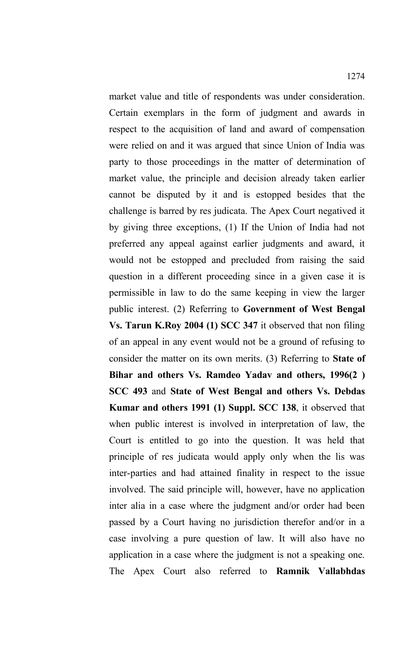market value and title of respondents was under consideration. Certain exemplars in the form of judgment and awards in respect to the acquisition of land and award of compensation were relied on and it was argued that since Union of India was party to those proceedings in the matter of determination of market value, the principle and decision already taken earlier cannot be disputed by it and is estopped besides that the challenge is barred by res judicata. The Apex Court negatived it by giving three exceptions, (1) If the Union of India had not preferred any appeal against earlier judgments and award, it would not be estopped and precluded from raising the said question in a different proceeding since in a given case it is permissible in law to do the same keeping in view the larger public interest. (2) Referring to **Government of West Bengal Vs. Tarun K.Roy 2004 (1) SCC 347** it observed that non filing of an appeal in any event would not be a ground of refusing to consider the matter on its own merits. (3) Referring to **State of Bihar and others Vs. Ramdeo Yadav and others, 1996(2 ) SCC 493** and **State of West Bengal and others Vs. Debdas Kumar and others 1991 (1) Suppl. SCC 138**, it observed that when public interest is involved in interpretation of law, the Court is entitled to go into the question. It was held that principle of res judicata would apply only when the lis was inter-parties and had attained finality in respect to the issue involved. The said principle will, however, have no application inter alia in a case where the judgment and/or order had been passed by a Court having no jurisdiction therefor and/or in a case involving a pure question of law. It will also have no application in a case where the judgment is not a speaking one. The Apex Court also referred to **Ramnik Vallabhdas**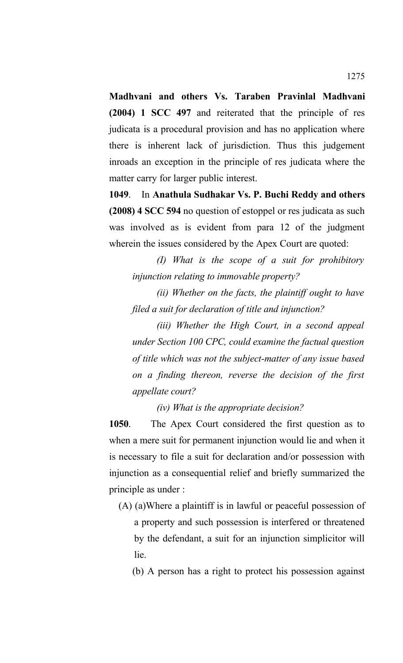**Madhvani and others Vs. Taraben Pravinlal Madhvani (2004) 1 SCC 497** and reiterated that the principle of res judicata is a procedural provision and has no application where there is inherent lack of jurisdiction. Thus this judgement inroads an exception in the principle of res judicata where the matter carry for larger public interest.

**1049**. In **Anathula Sudhakar Vs. P. Buchi Reddy and others (2008) 4 SCC 594** no question of estoppel or res judicata as such was involved as is evident from para 12 of the judgment wherein the issues considered by the Apex Court are quoted:

*(I) What is the scope of a suit for prohibitory injunction relating to immovable property?*

*(ii) Whether on the facts, the plaintiff ought to have filed a suit for declaration of title and injunction?*

*(iii) Whether the High Court, in a second appeal under Section 100 CPC, could examine the factual question of title which was not the subject-matter of any issue based on a finding thereon, reverse the decision of the first appellate court?*

*(iv) What is the appropriate decision?*

**1050**. The Apex Court considered the first question as to when a mere suit for permanent injunction would lie and when it is necessary to file a suit for declaration and/or possession with injunction as a consequential relief and briefly summarized the principle as under :

- (A) (a)Where a plaintiff is in lawful or peaceful possession of a property and such possession is interfered or threatened by the defendant, a suit for an injunction simplicitor will lie.
	- (b) A person has a right to protect his possession against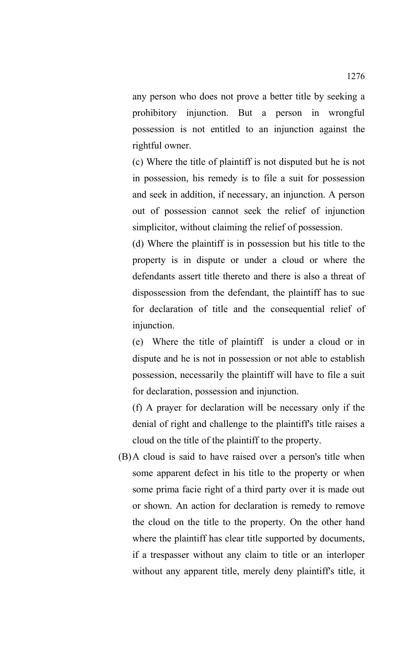any person who does not prove a better title by seeking a prohibitory injunction. But a person in wrongful possession is not entitled to an injunction against the rightful owner.

(c) Where the title of plaintiff is not disputed but he is not in possession, his remedy is to file a suit for possession and seek in addition, if necessary, an injunction. A person out of possession cannot seek the relief of injunction simplicitor, without claiming the relief of possession.

(d) Where the plaintiff is in possession but his title to the property is in dispute or under a cloud or where the defendants assert title thereto and there is also a threat of dispossession from the defendant, the plaintiff has to sue for declaration of title and the consequential relief of injunction.

(e) Where the title of plaintiff is under a cloud or in dispute and he is not in possession or not able to establish possession, necessarily the plaintiff will have to file a suit for declaration, possession and injunction.

(f) A prayer for declaration will be necessary only if the denial of right and challenge to the plaintiff's title raises a cloud on the title of the plaintiff to the property.

(B)A cloud is said to have raised over a person's title when some apparent defect in his title to the property or when some prima facie right of a third party over it is made out or shown. An action for declaration is remedy to remove the cloud on the title to the property. On the other hand where the plaintiff has clear title supported by documents, if a trespasser without any claim to title or an interloper without any apparent title, merely deny plaintiff's title, it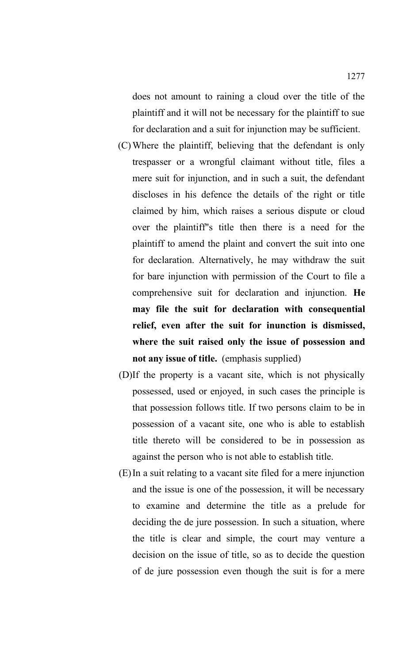does not amount to raining a cloud over the title of the plaintiff and it will not be necessary for the plaintiff to sue for declaration and a suit for injunction may be sufficient.

- (C)Where the plaintiff, believing that the defendant is only trespasser or a wrongful claimant without title, files a mere suit for injunction, and in such a suit, the defendant discloses in his defence the details of the right or title claimed by him, which raises a serious dispute or cloud over the plaintiff''s title then there is a need for the plaintiff to amend the plaint and convert the suit into one for declaration. Alternatively, he may withdraw the suit for bare injunction with permission of the Court to file a comprehensive suit for declaration and injunction. **He may file the suit for declaration with consequential relief, even after the suit for inunction is dismissed, where the suit raised only the issue of possession and not any issue of title.** (emphasis supplied)
- (D)If the property is a vacant site, which is not physically possessed, used or enjoyed, in such cases the principle is that possession follows title. If two persons claim to be in possession of a vacant site, one who is able to establish title thereto will be considered to be in possession as against the person who is not able to establish title.
- (E)In a suit relating to a vacant site filed for a mere injunction and the issue is one of the possession, it will be necessary to examine and determine the title as a prelude for deciding the de jure possession. In such a situation, where the title is clear and simple, the court may venture a decision on the issue of title, so as to decide the question of de jure possession even though the suit is for a mere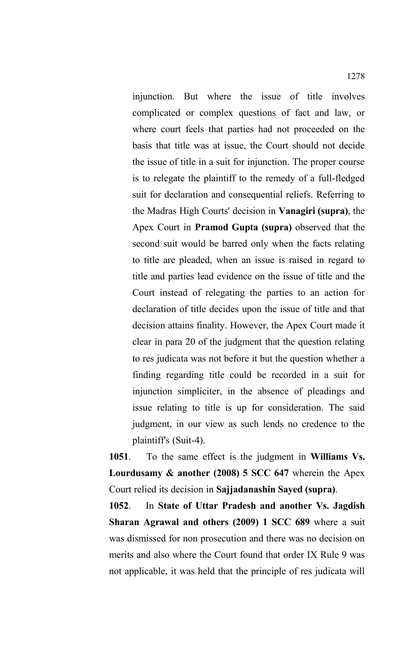injunction. But where the issue of title involves complicated or complex questions of fact and law, or where court feels that parties had not proceeded on the basis that title was at issue, the Court should not decide the issue of title in a suit for injunction. The proper course is to relegate the plaintiff to the remedy of a full-fledged suit for declaration and consequential reliefs. Referring to the Madras High Courts' decision in **Vanagiri (supra)**, the Apex Court in **Pramod Gupta (supra)** observed that the second suit would be barred only when the facts relating to title are pleaded, when an issue is raised in regard to title and parties lead evidence on the issue of title and the Court instead of relegating the parties to an action for declaration of title decides upon the issue of title and that decision attains finality. However, the Apex Court made it clear in para 20 of the judgment that the question relating to res judicata was not before it but the question whether a finding regarding title could be recorded in a suit for injunction simpliciter, in the absence of pleadings and issue relating to title is up for consideration. The said judgment, in our view as such lends no credence to the plaintiff's (Suit-4).

**1051**. To the same effect is the judgment in **Williams Vs. Lourdusamy & another (2008) 5 SCC 647** wherein the Apex Court relied its decision in **Sajjadanashin Sayed (supra)**.

**1052**. In **State of Uttar Pradesh and another Vs. Jagdish Sharan Agrawal and others (2009) 1 SCC 689** where a suit was dismissed for non prosecution and there was no decision on merits and also where the Court found that order IX Rule 9 was not applicable, it was held that the principle of res judicata will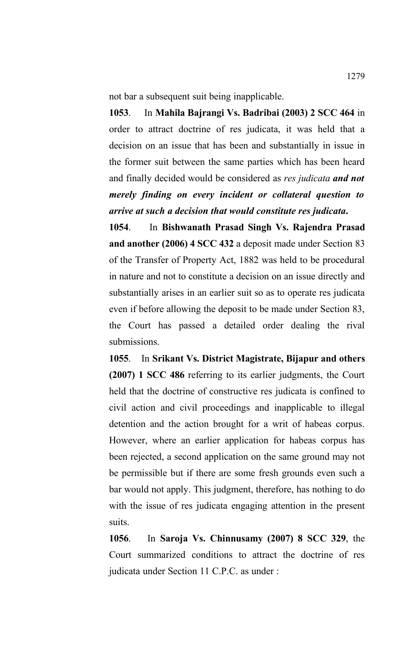not bar a subsequent suit being inapplicable.

**1053**. In **Mahila Bajrangi Vs. Badribai (2003) 2 SCC 464** in order to attract doctrine of res judicata, it was held that a decision on an issue that has been and substantially in issue in the former suit between the same parties which has been heard and finally decided would be considered as *res judicata and not merely finding on every incident or collateral question to arrive at such a decision that would constitute res judicata***.**

**1054**. In **Bishwanath Prasad Singh Vs. Rajendra Prasad and another (2006) 4 SCC 432** a deposit made under Section 83 of the Transfer of Property Act, 1882 was held to be procedural in nature and not to constitute a decision on an issue directly and substantially arises in an earlier suit so as to operate res judicata even if before allowing the deposit to be made under Section 83, the Court has passed a detailed order dealing the rival submissions.

**1055**. In **Srikant Vs. District Magistrate, Bijapur and others (2007) 1 SCC 486** referring to its earlier judgments, the Court held that the doctrine of constructive res judicata is confined to civil action and civil proceedings and inapplicable to illegal detention and the action brought for a writ of habeas corpus. However, where an earlier application for habeas corpus has been rejected, a second application on the same ground may not be permissible but if there are some fresh grounds even such a bar would not apply. This judgment, therefore, has nothing to do with the issue of res judicata engaging attention in the present suits.

**1056**. In **Saroja Vs. Chinnusamy (2007) 8 SCC 329**, the Court summarized conditions to attract the doctrine of res judicata under Section 11 C.P.C. as under :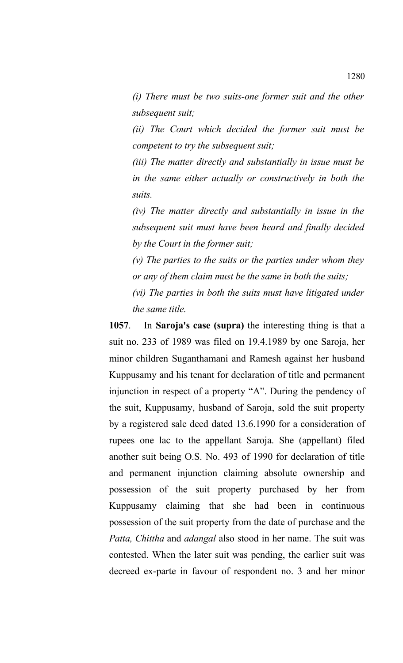*(i) There must be two suits-one former suit and the other subsequent suit;*

*(ii) The Court which decided the former suit must be competent to try the subsequent suit;*

*(iii) The matter directly and substantially in issue must be in the same either actually or constructively in both the suits.*

*(iv) The matter directly and substantially in issue in the subsequent suit must have been heard and finally decided by the Court in the former suit;*

*(v) The parties to the suits or the parties under whom they or any of them claim must be the same in both the suits;*

*(vi) The parties in both the suits must have litigated under the same title.*

**1057**. In **Saroja's case (supra)** the interesting thing is that a suit no. 233 of 1989 was filed on 19.4.1989 by one Saroja, her minor children Suganthamani and Ramesh against her husband Kuppusamy and his tenant for declaration of title and permanent injunction in respect of a property "A". During the pendency of the suit, Kuppusamy, husband of Saroja, sold the suit property by a registered sale deed dated 13.6.1990 for a consideration of rupees one lac to the appellant Saroja. She (appellant) filed another suit being O.S. No. 493 of 1990 for declaration of title and permanent injunction claiming absolute ownership and possession of the suit property purchased by her from Kuppusamy claiming that she had been in continuous possession of the suit property from the date of purchase and the *Patta, Chittha* and *adangal* also stood in her name. The suit was contested. When the later suit was pending, the earlier suit was decreed ex-parte in favour of respondent no. 3 and her minor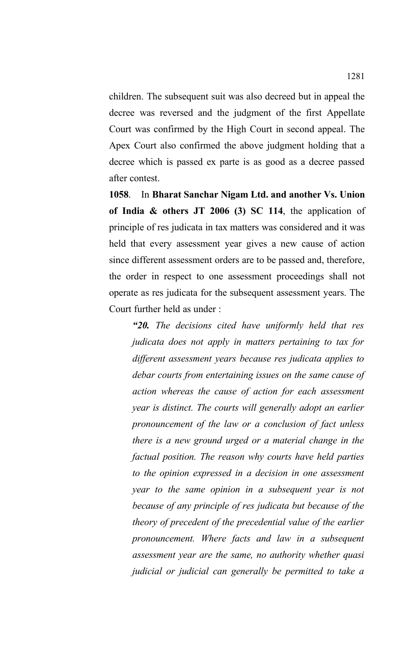children. The subsequent suit was also decreed but in appeal the decree was reversed and the judgment of the first Appellate Court was confirmed by the High Court in second appeal. The Apex Court also confirmed the above judgment holding that a decree which is passed ex parte is as good as a decree passed after contest.

**1058**. In **Bharat Sanchar Nigam Ltd. and another Vs. Union of India & others JT 2006 (3) SC 114**, the application of principle of res judicata in tax matters was considered and it was held that every assessment year gives a new cause of action since different assessment orders are to be passed and, therefore, the order in respect to one assessment proceedings shall not operate as res judicata for the subsequent assessment years. The Court further held as under :

*"20. The decisions cited have uniformly held that res judicata does not apply in matters pertaining to tax for different assessment years because res judicata applies to debar courts from entertaining issues on the same cause of action whereas the cause of action for each assessment year is distinct. The courts will generally adopt an earlier pronouncement of the law or a conclusion of fact unless there is a new ground urged or a material change in the factual position. The reason why courts have held parties to the opinion expressed in a decision in one assessment year to the same opinion in a subsequent year is not because of any principle of res judicata but because of the theory of precedent of the precedential value of the earlier pronouncement. Where facts and law in a subsequent assessment year are the same, no authority whether quasi judicial or judicial can generally be permitted to take a*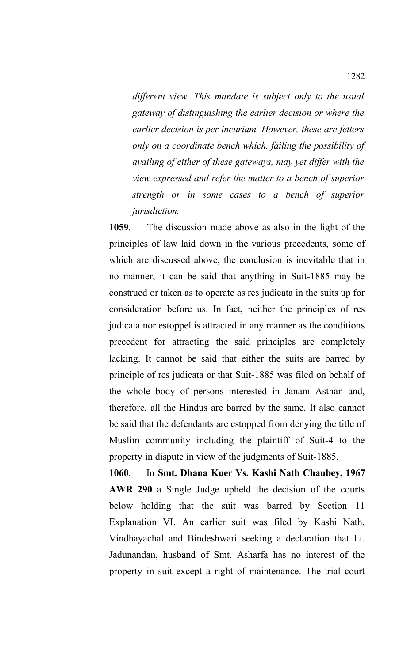*different view. This mandate is subject only to the usual gateway of distinguishing the earlier decision or where the earlier decision is per incuriam. However, these are fetters only on a coordinate bench which, failing the possibility of availing of either of these gateways, may yet differ with the view expressed and refer the matter to a bench of superior strength or in some cases to a bench of superior jurisdiction.* 

**1059**. The discussion made above as also in the light of the principles of law laid down in the various precedents, some of which are discussed above, the conclusion is inevitable that in no manner, it can be said that anything in Suit-1885 may be construed or taken as to operate as res judicata in the suits up for consideration before us. In fact, neither the principles of res judicata nor estoppel is attracted in any manner as the conditions precedent for attracting the said principles are completely lacking. It cannot be said that either the suits are barred by principle of res judicata or that Suit-1885 was filed on behalf of the whole body of persons interested in Janam Asthan and, therefore, all the Hindus are barred by the same. It also cannot be said that the defendants are estopped from denying the title of Muslim community including the plaintiff of Suit-4 to the property in dispute in view of the judgments of Suit-1885.

**1060**. In **Smt. Dhana Kuer Vs. Kashi Nath Chaubey, 1967 AWR 290** a Single Judge upheld the decision of the courts below holding that the suit was barred by Section 11 Explanation VI. An earlier suit was filed by Kashi Nath, Vindhayachal and Bindeshwari seeking a declaration that Lt. Jadunandan, husband of Smt. Asharfa has no interest of the property in suit except a right of maintenance. The trial court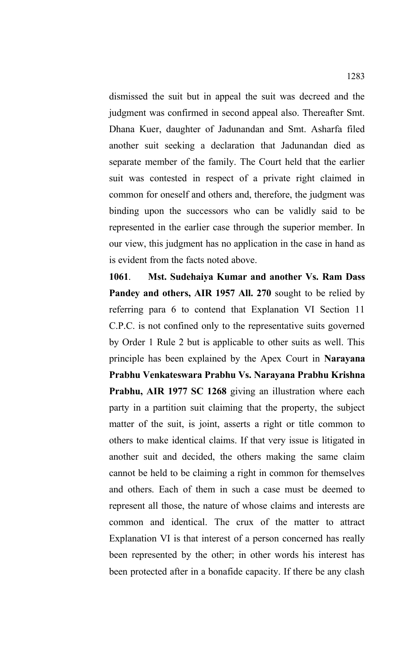dismissed the suit but in appeal the suit was decreed and the judgment was confirmed in second appeal also. Thereafter Smt. Dhana Kuer, daughter of Jadunandan and Smt. Asharfa filed another suit seeking a declaration that Jadunandan died as separate member of the family. The Court held that the earlier suit was contested in respect of a private right claimed in common for oneself and others and, therefore, the judgment was binding upon the successors who can be validly said to be represented in the earlier case through the superior member. In our view, this judgment has no application in the case in hand as is evident from the facts noted above.

**1061**. **Mst. Sudehaiya Kumar and another Vs. Ram Dass Pandey and others, AIR 1957 All. 270** sought to be relied by referring para 6 to contend that Explanation VI Section 11 C.P.C. is not confined only to the representative suits governed by Order 1 Rule 2 but is applicable to other suits as well. This principle has been explained by the Apex Court in **Narayana Prabhu Venkateswara Prabhu Vs. Narayana Prabhu Krishna Prabhu, AIR 1977 SC 1268** giving an illustration where each party in a partition suit claiming that the property, the subject matter of the suit, is joint, asserts a right or title common to others to make identical claims. If that very issue is litigated in another suit and decided, the others making the same claim cannot be held to be claiming a right in common for themselves and others. Each of them in such a case must be deemed to represent all those, the nature of whose claims and interests are common and identical. The crux of the matter to attract Explanation VI is that interest of a person concerned has really been represented by the other; in other words his interest has been protected after in a bonafide capacity. If there be any clash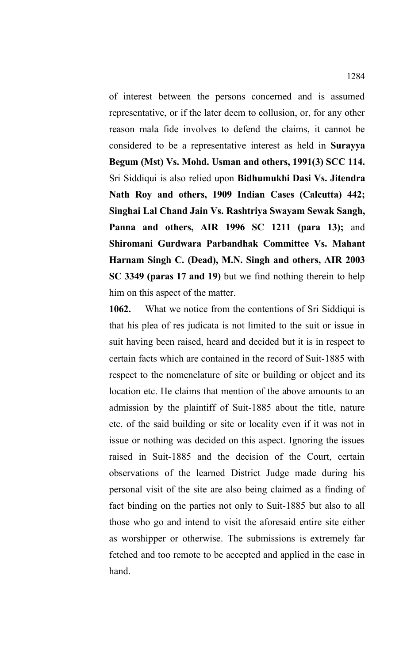of interest between the persons concerned and is assumed representative, or if the later deem to collusion, or, for any other reason mala fide involves to defend the claims, it cannot be considered to be a representative interest as held in **Surayya Begum (Mst) Vs. Mohd. Usman and others, 1991(3) SCC 114.** Sri Siddiqui is also relied upon **Bidhumukhi Dasi Vs. Jitendra Nath Roy and others, 1909 Indian Cases (Calcutta) 442; Singhai Lal Chand Jain Vs. Rashtriya Swayam Sewak Sangh, Panna and others, AIR 1996 SC 1211 (para 13);** and **Shiromani Gurdwara Parbandhak Committee Vs. Mahant Harnam Singh C. (Dead), M.N. Singh and others, AIR 2003 SC 3349 (paras 17 and 19)** but we find nothing therein to help him on this aspect of the matter.

**1062.** What we notice from the contentions of Sri Siddiqui is that his plea of res judicata is not limited to the suit or issue in suit having been raised, heard and decided but it is in respect to certain facts which are contained in the record of Suit-1885 with respect to the nomenclature of site or building or object and its location etc. He claims that mention of the above amounts to an admission by the plaintiff of Suit-1885 about the title, nature etc. of the said building or site or locality even if it was not in issue or nothing was decided on this aspect. Ignoring the issues raised in Suit-1885 and the decision of the Court, certain observations of the learned District Judge made during his personal visit of the site are also being claimed as a finding of fact binding on the parties not only to Suit-1885 but also to all those who go and intend to visit the aforesaid entire site either as worshipper or otherwise. The submissions is extremely far fetched and too remote to be accepted and applied in the case in hand.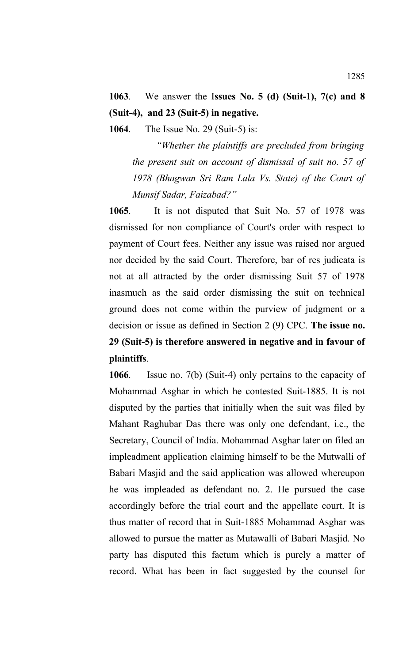**1063**. We answer the I**ssues No. 5 (d) (Suit-1), 7(c) and 8 (Suit-4), and 23 (Suit-5) in negative.** 

**1064**. The Issue No. 29 (Suit-5) is:

*"Whether the plaintiffs are precluded from bringing the present suit on account of dismissal of suit no. 57 of 1978 (Bhagwan Sri Ram Lala Vs. State) of the Court of Munsif Sadar, Faizabad?"*

**1065**. It is not disputed that Suit No. 57 of 1978 was dismissed for non compliance of Court's order with respect to payment of Court fees. Neither any issue was raised nor argued nor decided by the said Court. Therefore, bar of res judicata is not at all attracted by the order dismissing Suit 57 of 1978 inasmuch as the said order dismissing the suit on technical ground does not come within the purview of judgment or a decision or issue as defined in Section 2 (9) CPC. **The issue no. 29 (Suit-5) is therefore answered in negative and in favour of plaintiffs**.

**1066**. Issue no. 7(b) (Suit-4) only pertains to the capacity of Mohammad Asghar in which he contested Suit-1885. It is not disputed by the parties that initially when the suit was filed by Mahant Raghubar Das there was only one defendant, i.e., the Secretary, Council of India. Mohammad Asghar later on filed an impleadment application claiming himself to be the Mutwalli of Babari Masjid and the said application was allowed whereupon he was impleaded as defendant no. 2. He pursued the case accordingly before the trial court and the appellate court. It is thus matter of record that in Suit-1885 Mohammad Asghar was allowed to pursue the matter as Mutawalli of Babari Masjid. No party has disputed this factum which is purely a matter of record. What has been in fact suggested by the counsel for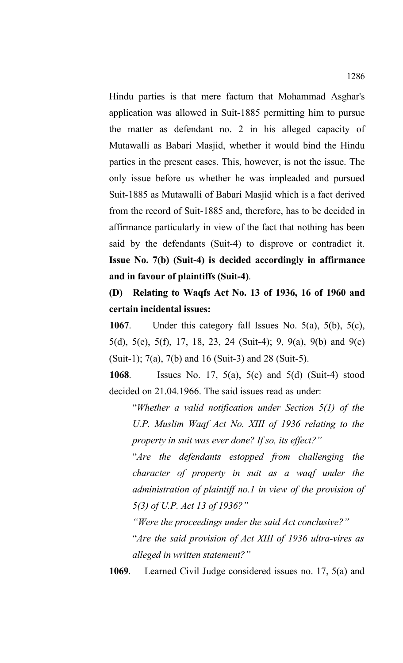Hindu parties is that mere factum that Mohammad Asghar's application was allowed in Suit-1885 permitting him to pursue the matter as defendant no. 2 in his alleged capacity of Mutawalli as Babari Masjid, whether it would bind the Hindu parties in the present cases. This, however, is not the issue. The only issue before us whether he was impleaded and pursued Suit-1885 as Mutawalli of Babari Masjid which is a fact derived from the record of Suit-1885 and, therefore, has to be decided in affirmance particularly in view of the fact that nothing has been said by the defendants (Suit-4) to disprove or contradict it. **Issue No. 7(b) (Suit-4) is decided accordingly in affirmance and in favour of plaintiffs (Suit-4)**.

**(D) Relating to Waqfs Act No. 13 of 1936, 16 of 1960 and certain incidental issues:** 

**1067**. Under this category fall Issues No. 5(a), 5(b), 5(c), 5(d), 5(e), 5(f), 17, 18, 23, 24 (Suit-4); 9, 9(a), 9(b) and 9(c) (Suit-1); 7(a), 7(b) and 16 (Suit-3) and 28 (Suit-5).

**1068**. Issues No. 17, 5(a), 5(c) and 5(d) (Suit-4) stood decided on 21.04.1966. The said issues read as under:

"*Whether a valid notification under Section 5(1) of the U.P. Muslim Waqf Act No. XIII of 1936 relating to the property in suit was ever done? If so, its effect?"* 

"*Are the defendants estopped from challenging the character of property in suit as a waqf under the administration of plaintiff no.1 in view of the provision of 5(3) of U.P. Act 13 of 1936?"*

*"Were the proceedings under the said Act conclusive?"* 

"*Are the said provision of Act XIII of 1936 ultra-vires as alleged in written statement?"* 

**1069**. Learned Civil Judge considered issues no. 17, 5(a) and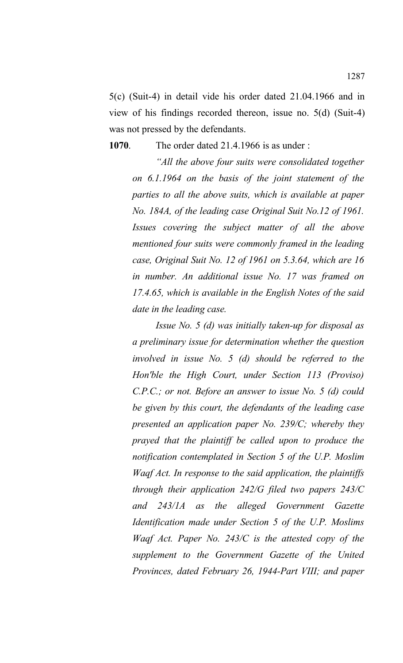5(c) (Suit-4) in detail vide his order dated 21.04.1966 and in view of his findings recorded thereon, issue no. 5(d) (Suit-4) was not pressed by the defendants.

**1070**. The order dated 21.4.1966 is as under :

*"All the above four suits were consolidated together on 6.1.1964 on the basis of the joint statement of the parties to all the above suits, which is available at paper No. 184A, of the leading case Original Suit No.12 of 1961. Issues covering the subject matter of all the above mentioned four suits were commonly framed in the leading case, Original Suit No. 12 of 1961 on 5.3.64, which are 16 in number. An additional issue No. 17 was framed on 17.4.65, which is available in the English Notes of the said date in the leading case.* 

*Issue No. 5 (d) was initially taken-up for disposal as a preliminary issue for determination whether the question involved in issue No. 5 (d) should be referred to the Hon'ble the High Court, under Section 113 (Proviso) C.P.C.; or not. Before an answer to issue No. 5 (d) could be given by this court, the defendants of the leading case presented an application paper No. 239/C; whereby they prayed that the plaintiff be called upon to produce the notification contemplated in Section 5 of the U.P. Moslim Waqf Act. In response to the said application, the plaintiffs through their application 242/G filed two papers 243/C and 243/1A as the alleged Government Gazette Identification made under Section 5 of the U.P. Moslims Waqf Act. Paper No. 243/C is the attested copy of the supplement to the Government Gazette of the United Provinces, dated February 26, 1944-Part VIII; and paper*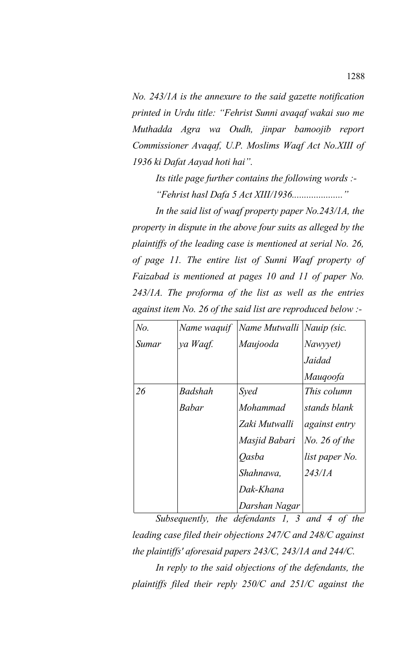*No. 243/1A is the annexure to the said gazette notification printed in Urdu title: "Fehrist Sunni avaqaf wakai suo me Muthadda Agra wa Oudh, jinpar bamoojib report Commissioner Avaqaf, U.P. Moslims Waqf Act No.XIII of 1936 ki Dafat Aayad hoti hai".*

*Its title page further contains the following words :- "Fehrist hasl Dafa 5 Act XIII/1936....................."*

*In the said list of waqf property paper No.243/1A, the property in dispute in the above four suits as alleged by the plaintiffs of the leading case is mentioned at serial No. 26, of page 11. The entire list of Sunni Waqf property of Faizabad is mentioned at pages 10 and 11 of paper No. 243/1A. The proforma of the list as well as the entries against item No. 26 of the said list are reproduced below :-*

| $No$ . | Name waquif  | Name Mutwalli | Nauip (sic.          |
|--------|--------------|---------------|----------------------|
| Sumar  | ya Waqf.     | Maujooda      | Nawyyet)             |
|        |              |               | Jaidad               |
|        |              |               | Mauqoofa             |
| 26     | Badshah      | <b>Syed</b>   | <i>This column</i>   |
|        | <b>Babar</b> | Mohammad      | stands blank         |
|        |              | Zaki Mutwalli | <i>against entry</i> |
|        |              | Masjid Babari | No. 26 of the        |
|        |              | Qasba         | list paper No.       |
|        |              | Shahnawa,     | 243/IA               |
|        |              | Dak-Khana     |                      |
|        |              | Darshan Nagar |                      |

*Subsequently, the defendants 1, 3 and 4 of the leading case filed their objections 247/C and 248/C against the plaintiffs' aforesaid papers 243/C, 243/1A and 244/C.*

*In reply to the said objections of the defendants, the plaintiffs filed their reply 250/C and 251/C against the*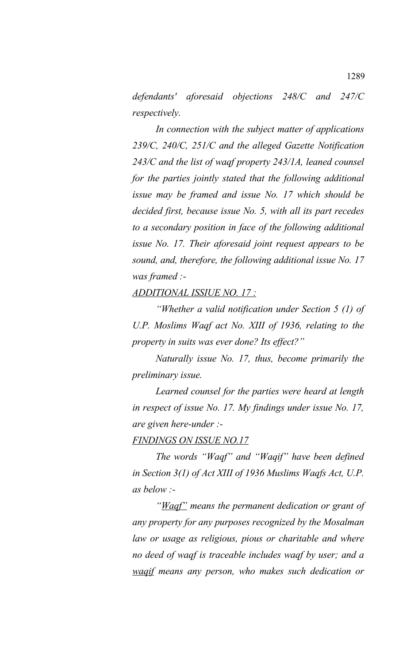*defendants' aforesaid objections 248/C and 247/C respectively.* 

*In connection with the subject matter of applications 239/C, 240/C, 251/C and the alleged Gazette Notification 243/C and the list of waqf property 243/1A, leaned counsel for the parties jointly stated that the following additional issue may be framed and issue No. 17 which should be decided first, because issue No. 5, with all its part recedes to a secondary position in face of the following additional issue No. 17. Their aforesaid joint request appears to be sound, and, therefore, the following additional issue No. 17 was framed :-*

*ADDITIONAL ISSIUE NO. 17 :*

*"Whether a valid notification under Section 5 (1) of U.P. Moslims Waqf act No. XIII of 1936, relating to the property in suits was ever done? Its effect?"*

*Naturally issue No. 17, thus, become primarily the preliminary issue.*

*Learned counsel for the parties were heard at length in respect of issue No. 17. My findings under issue No. 17, are given here-under :-*

*FINDINGS ON ISSUE NO.17*

*The words "Waqf" and "Waqif" have been defined in Section 3(1) of Act XIII of 1936 Muslims Waqfs Act, U.P. as below :-*

*"Waqf" means the permanent dedication or grant of any property for any purposes recognized by the Mosalman law or usage as religious, pious or charitable and where no deed of waqf is traceable includes waqf by user; and a waqif means any person, who makes such dedication or*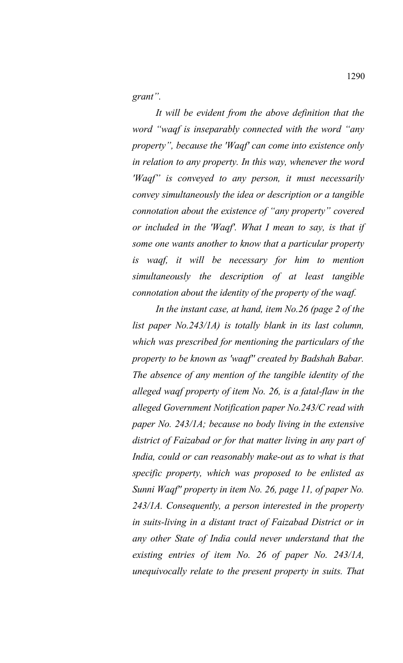*grant".*

*It will be evident from the above definition that the word "waqf is inseparably connected with the word "any property", because the 'Waqf' can come into existence only in relation to any property. In this way, whenever the word 'Waqf" is conveyed to any person, it must necessarily convey simultaneously the idea or description or a tangible connotation about the existence of "any property" covered or included in the 'Waqf'. What I mean to say, is that if some one wants another to know that a particular property is waqf, it will be necessary for him to mention simultaneously the description of at least tangible connotation about the identity of the property of the waqf.* 

*In the instant case, at hand, item No.26 (page 2 of the list paper No.243/1A) is totally blank in its last column, which was prescribed for mentioning the particulars of the property to be known as 'waqf'' created by Badshah Babar. The absence of any mention of the tangible identity of the alleged waqf property of item No. 26, is a fatal-flaw in the alleged Government Notification paper No.243/C read with paper No. 243/1A; because no body living in the extensive district of Faizabad or for that matter living in any part of India, could or can reasonably make-out as to what is that specific property, which was proposed to be enlisted as Sunni Waqf'' property in item No. 26, page 11, of paper No. 243/1A. Consequently, a person interested in the property in suits-living in a distant tract of Faizabad District or in any other State of India could never understand that the existing entries of item No. 26 of paper No. 243/1A, unequivocally relate to the present property in suits. That*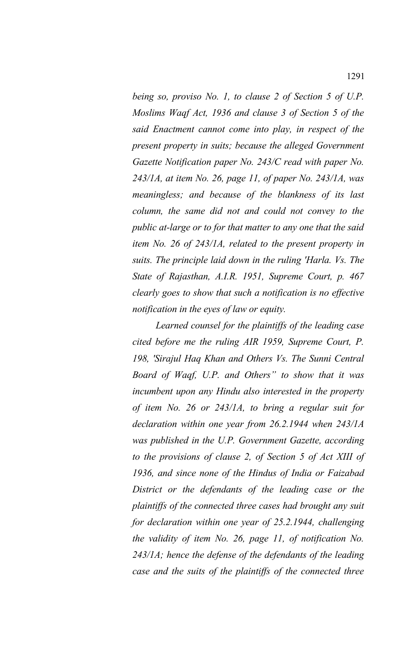*being so, proviso No. 1, to clause 2 of Section 5 of U.P. Moslims Waqf Act, 1936 and clause 3 of Section 5 of the said Enactment cannot come into play, in respect of the present property in suits; because the alleged Government Gazette Notification paper No. 243/C read with paper No. 243/1A, at item No. 26, page 11, of paper No. 243/1A, was meaningless; and because of the blankness of its last column, the same did not and could not convey to the public at-large or to for that matter to any one that the said item No. 26 of 243/1A, related to the present property in suits. The principle laid down in the ruling 'Harla. Vs. The State of Rajasthan, A.I.R. 1951, Supreme Court, p. 467 clearly goes to show that such a notification is no effective notification in the eyes of law or equity.* 

*Learned counsel for the plaintiffs of the leading case cited before me the ruling AIR 1959, Supreme Court, P. 198, 'Sirajul Haq Khan and Others Vs. The Sunni Central Board of Waqf, U.P. and Others" to show that it was incumbent upon any Hindu also interested in the property of item No. 26 or 243/1A, to bring a regular suit for declaration within one year from 26.2.1944 when 243/1A was published in the U.P. Government Gazette, according to the provisions of clause 2, of Section 5 of Act XIII of 1936, and since none of the Hindus of India or Faizabad District or the defendants of the leading case or the plaintiffs of the connected three cases had brought any suit for declaration within one year of 25.2.1944, challenging the validity of item No. 26, page 11, of notification No. 243/1A; hence the defense of the defendants of the leading case and the suits of the plaintiffs of the connected three*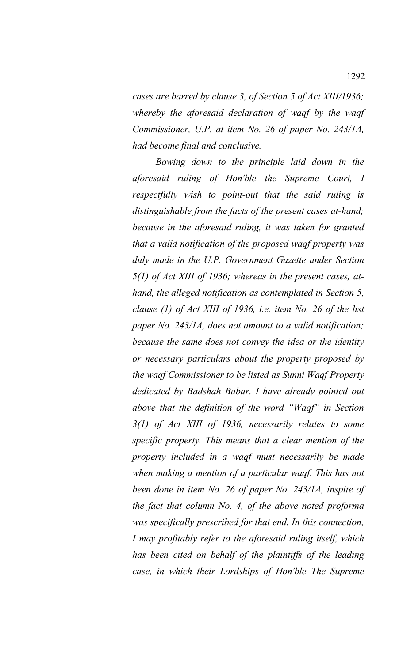*cases are barred by clause 3, of Section 5 of Act XIII/1936; whereby the aforesaid declaration of waqf by the waqf Commissioner, U.P. at item No. 26 of paper No. 243/1A, had become final and conclusive.*

*Bowing down to the principle laid down in the aforesaid ruling of Hon'ble the Supreme Court, I respectfully wish to point-out that the said ruling is distinguishable from the facts of the present cases at-hand; because in the aforesaid ruling, it was taken for granted that a valid notification of the proposed waqf property was duly made in the U.P. Government Gazette under Section 5(1) of Act XIII of 1936; whereas in the present cases, athand, the alleged notification as contemplated in Section 5, clause (1) of Act XIII of 1936, i.e. item No. 26 of the list paper No. 243/1A, does not amount to a valid notification; because the same does not convey the idea or the identity or necessary particulars about the property proposed by the waqf Commissioner to be listed as Sunni Waqf Property dedicated by Badshah Babar. I have already pointed out above that the definition of the word "Waqf" in Section 3(1) of Act XIII of 1936, necessarily relates to some specific property. This means that a clear mention of the property included in a waqf must necessarily be made when making a mention of a particular waqf. This has not been done in item No. 26 of paper No. 243/1A, inspite of the fact that column No. 4, of the above noted proforma was specifically prescribed for that end. In this connection, I may profitably refer to the aforesaid ruling itself, which has been cited on behalf of the plaintiffs of the leading case, in which their Lordships of Hon'ble The Supreme*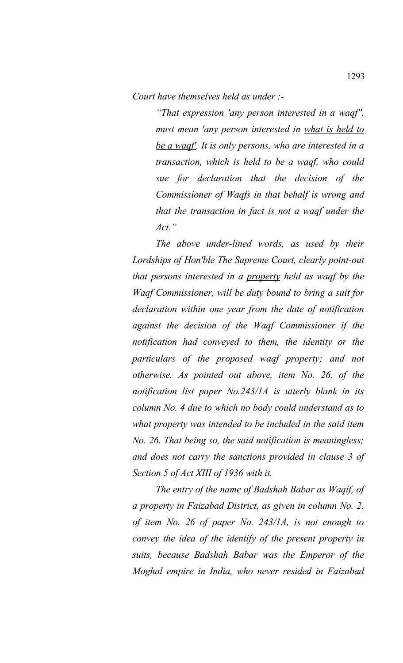*Court have themselves held as under :-*

*"That expression 'any person interested in a waqf'', must mean 'any person interested in what is held to be a waqf'. It is only persons, who are interested in a transaction, which is held to be a waqf, who could sue for declaration that the decision of the Commissioner of Waqfs in that behalf is wrong and that the transaction in fact is not a waqf under the Act."*

*The above under-lined words, as used by their Lordships of Hon'ble The Supreme Court, clearly point-out that persons interested in a property held as waqf by the Waqf Commissioner, will be duty bound to bring a suit for declaration within one year from the date of notification against the decision of the Waqf Commissioner if the notification had conveyed to them, the identity or the particulars of the proposed waqf property; and not otherwise. As pointed out above, item No. 26, of the notification list paper No.243/1A is utterly blank in its column No. 4 due to which no body could understand as to what property was intended to be included in the said item No. 26. That being so, the said notification is meaningless; and does not carry the sanctions provided in clause 3 of Section 5 of Act XIII of 1936 with it.*

*The entry of the name of Badshah Babar as Waqif, of a property in Faizabad District, as given in column No. 2, of item No. 26 of paper No. 243/1A, is not enough to convey the idea of the identify of the present property in suits, because Badshah Babar was the Emperor of the Moghal empire in India, who never resided in Faizabad*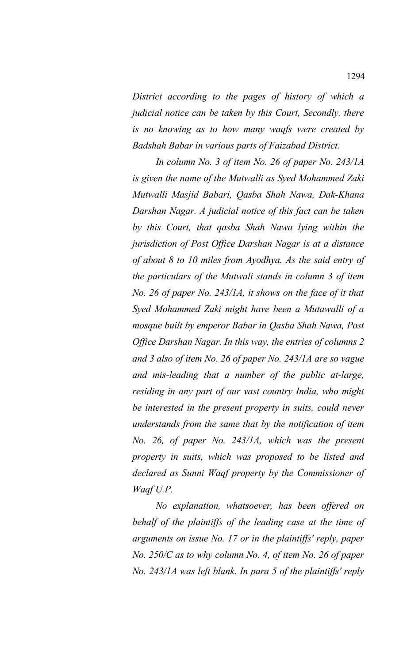*District according to the pages of history of which a judicial notice can be taken by this Court, Secondly, there is no knowing as to how many waqfs were created by Badshah Babar in various parts of Faizabad District.* 

*In column No. 3 of item No. 26 of paper No. 243/1A is given the name of the Mutwalli as Syed Mohammed Zaki Mutwalli Masjid Babari, Qasba Shah Nawa, Dak-Khana Darshan Nagar. A judicial notice of this fact can be taken by this Court, that qasba Shah Nawa lying within the jurisdiction of Post Office Darshan Nagar is at a distance of about 8 to 10 miles from Ayodhya. As the said entry of the particulars of the Mutwali stands in column 3 of item No. 26 of paper No. 243/1A, it shows on the face of it that Syed Mohammed Zaki might have been a Mutawalli of a mosque built by emperor Babar in Qasba Shah Nawa, Post Office Darshan Nagar. In this way, the entries of columns 2 and 3 also of item No. 26 of paper No. 243/1A are so vague and mis-leading that a number of the public at-large, residing in any part of our vast country India, who might be interested in the present property in suits, could never understands from the same that by the notification of item No. 26, of paper No. 243/1A, which was the present property in suits, which was proposed to be listed and declared as Sunni Waqf property by the Commissioner of Waqf U.P.*

*No explanation, whatsoever, has been offered on behalf of the plaintiffs of the leading case at the time of arguments on issue No. 17 or in the plaintiffs' reply, paper No. 250/C as to why column No. 4, of item No. 26 of paper No. 243/1A was left blank. In para 5 of the plaintiffs' reply*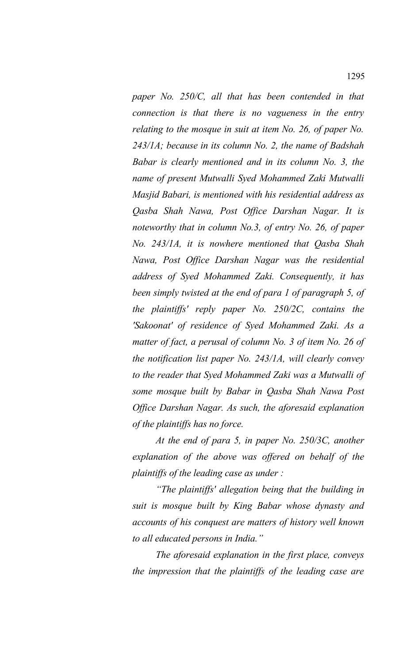*paper No. 250/C, all that has been contended in that connection is that there is no vagueness in the entry relating to the mosque in suit at item No. 26, of paper No. 243/1A; because in its column No. 2, the name of Badshah Babar is clearly mentioned and in its column No. 3, the name of present Mutwalli Syed Mohammed Zaki Mutwalli Masjid Babari, is mentioned with his residential address as Qasba Shah Nawa, Post Office Darshan Nagar. It is noteworthy that in column No.3, of entry No. 26, of paper No. 243/1A, it is nowhere mentioned that Qasba Shah Nawa, Post Office Darshan Nagar was the residential address of Syed Mohammed Zaki. Consequently, it has been simply twisted at the end of para 1 of paragraph 5, of the plaintiffs' reply paper No. 250/2C, contains the 'Sakoonat' of residence of Syed Mohammed Zaki. As a matter of fact, a perusal of column No. 3 of item No. 26 of the notification list paper No. 243/1A, will clearly convey to the reader that Syed Mohammed Zaki was a Mutwalli of some mosque built by Babar in Qasba Shah Nawa Post Office Darshan Nagar. As such, the aforesaid explanation of the plaintiffs has no force.* 

*At the end of para 5, in paper No. 250/3C, another explanation of the above was offered on behalf of the plaintiffs of the leading case as under :* 

*"The plaintiffs' allegation being that the building in suit is mosque built by King Babar whose dynasty and accounts of his conquest are matters of history well known to all educated persons in India."*

*The aforesaid explanation in the first place, conveys the impression that the plaintiffs of the leading case are*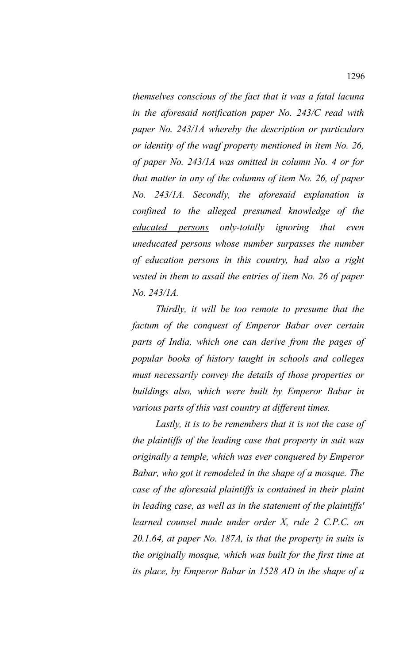*themselves conscious of the fact that it was a fatal lacuna in the aforesaid notification paper No. 243/C read with paper No. 243/1A whereby the description or particulars or identity of the waqf property mentioned in item No. 26, of paper No. 243/1A was omitted in column No. 4 or for that matter in any of the columns of item No. 26, of paper No. 243/1A. Secondly, the aforesaid explanation is confined to the alleged presumed knowledge of the educated persons only-totally ignoring that even uneducated persons whose number surpasses the number of education persons in this country, had also a right vested in them to assail the entries of item No. 26 of paper No. 243/1A.* 

*Thirdly, it will be too remote to presume that the factum of the conquest of Emperor Babar over certain parts of India, which one can derive from the pages of popular books of history taught in schools and colleges must necessarily convey the details of those properties or buildings also, which were built by Emperor Babar in various parts of this vast country at different times.*

*Lastly, it is to be remembers that it is not the case of the plaintiffs of the leading case that property in suit was originally a temple, which was ever conquered by Emperor Babar, who got it remodeled in the shape of a mosque. The case of the aforesaid plaintiffs is contained in their plaint in leading case, as well as in the statement of the plaintiffs' learned counsel made under order X, rule 2 C.P.C. on 20.1.64, at paper No. 187A, is that the property in suits is the originally mosque, which was built for the first time at its place, by Emperor Babar in 1528 AD in the shape of a*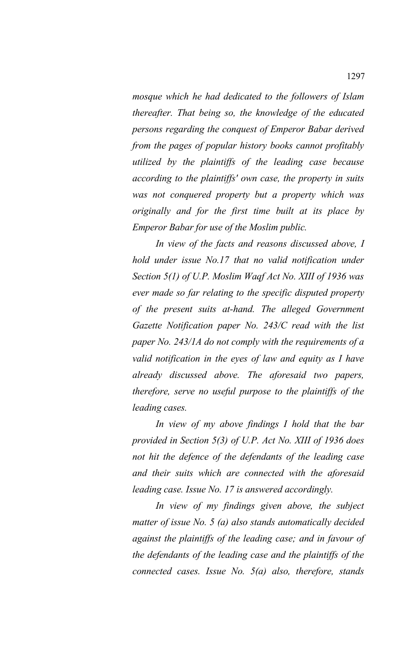*mosque which he had dedicated to the followers of Islam thereafter. That being so, the knowledge of the educated persons regarding the conquest of Emperor Babar derived from the pages of popular history books cannot profitably utilized by the plaintiffs of the leading case because according to the plaintiffs' own case, the property in suits was not conquered property but a property which was originally and for the first time built at its place by Emperor Babar for use of the Moslim public.* 

*In view of the facts and reasons discussed above, I hold under issue No.17 that no valid notification under Section 5(1) of U.P. Moslim Waqf Act No. XIII of 1936 was ever made so far relating to the specific disputed property of the present suits at-hand. The alleged Government Gazette Notification paper No. 243/C read with the list paper No. 243/1A do not comply with the requirements of a valid notification in the eyes of law and equity as I have already discussed above. The aforesaid two papers, therefore, serve no useful purpose to the plaintiffs of the leading cases.* 

*In view of my above findings I hold that the bar provided in Section 5(3) of U.P. Act No. XIII of 1936 does not hit the defence of the defendants of the leading case and their suits which are connected with the aforesaid leading case. Issue No. 17 is answered accordingly.*

*In view of my findings given above, the subject matter of issue No. 5 (a) also stands automatically decided against the plaintiffs of the leading case; and in favour of the defendants of the leading case and the plaintiffs of the connected cases. Issue No. 5(a) also, therefore, stands*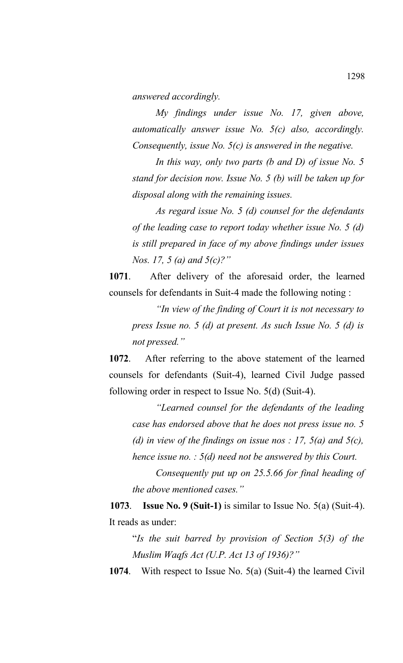*answered accordingly.*

*My findings under issue No. 17, given above, automatically answer issue No. 5(c) also, accordingly. Consequently, issue No. 5(c) is answered in the negative.*

*In this way, only two parts (b and D) of issue No. 5 stand for decision now. Issue No. 5 (b) will be taken up for disposal along with the remaining issues.*

*As regard issue No. 5 (d) counsel for the defendants of the leading case to report today whether issue No. 5 (d) is still prepared in face of my above findings under issues Nos. 17, 5 (a) and 5(c)?"*

**1071**. After delivery of the aforesaid order, the learned counsels for defendants in Suit-4 made the following noting :

*"In view of the finding of Court it is not necessary to press Issue no. 5 (d) at present. As such Issue No. 5 (d) is not pressed."*

**1072**. After referring to the above statement of the learned counsels for defendants (Suit-4), learned Civil Judge passed following order in respect to Issue No. 5(d) (Suit-4).

*"Learned counsel for the defendants of the leading case has endorsed above that he does not press issue no. 5 (d) in view of the findings on issue nos : 17, 5(a) and 5(c), hence issue no. : 5(d) need not be answered by this Court.*

*Consequently put up on 25.5.66 for final heading of the above mentioned cases."*

**1073**. **Issue No. 9 (Suit-1)** is similar to Issue No. 5(a) (Suit-4). It reads as under:

"*Is the suit barred by provision of Section 5(3) of the Muslim Waqfs Act (U.P. Act 13 of 1936)?"*

**1074**. With respect to Issue No. 5(a) (Suit-4) the learned Civil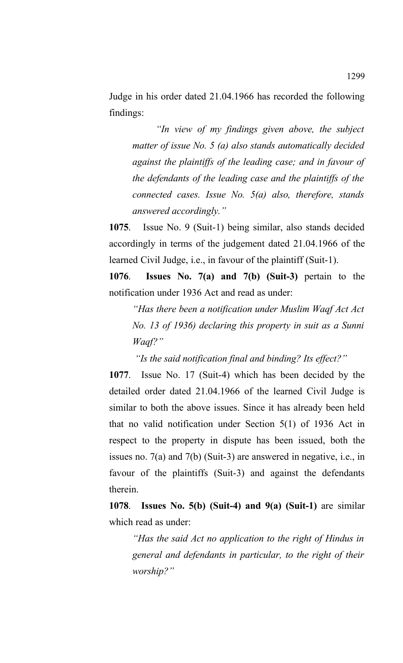Judge in his order dated 21.04.1966 has recorded the following findings:

*"In view of my findings given above, the subject matter of issue No. 5 (a) also stands automatically decided against the plaintiffs of the leading case; and in favour of the defendants of the leading case and the plaintiffs of the connected cases. Issue No. 5(a) also, therefore, stands answered accordingly."*

**1075**. Issue No. 9 (Suit-1) being similar, also stands decided accordingly in terms of the judgement dated 21.04.1966 of the learned Civil Judge, i.e., in favour of the plaintiff (Suit-1).

**1076**. **Issues No. 7(a) and 7(b) (Suit-3)** pertain to the notification under 1936 Act and read as under:

*"Has there been a notification under Muslim Waqf Act Act No. 13 of 1936) declaring this property in suit as a Sunni Waqf?"*

*"Is the said notification final and binding? Its effect?"*

**1077**. Issue No. 17 (Suit-4) which has been decided by the detailed order dated 21.04.1966 of the learned Civil Judge is similar to both the above issues. Since it has already been held that no valid notification under Section 5(1) of 1936 Act in respect to the property in dispute has been issued, both the issues no. 7(a) and 7(b) (Suit-3) are answered in negative, i.e., in favour of the plaintiffs (Suit-3) and against the defendants therein.

**1078**. **Issues No. 5(b) (Suit-4) and 9(a) (Suit-1)** are similar which read as under:

*"Has the said Act no application to the right of Hindus in general and defendants in particular, to the right of their worship?"*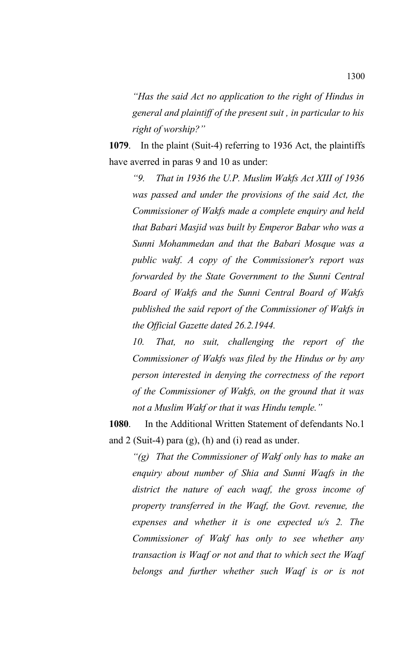*"Has the said Act no application to the right of Hindus in general and plaintiff of the present suit , in particular to his right of worship?"*

**1079**. In the plaint (Suit-4) referring to 1936 Act, the plaintiffs have averred in paras 9 and 10 as under:

*"9. That in 1936 the U.P. Muslim Wakfs Act XIII of 1936 was passed and under the provisions of the said Act, the Commissioner of Wakfs made a complete enquiry and held that Babari Masjid was built by Emperor Babar who was a Sunni Mohammedan and that the Babari Mosque was a public wakf. A copy of the Commissioner's report was forwarded by the State Government to the Sunni Central Board of Wakfs and the Sunni Central Board of Wakfs published the said report of the Commissioner of Wakfs in the Official Gazette dated 26.2.1944.*

*10. That, no suit, challenging the report of the Commissioner of Wakfs was filed by the Hindus or by any person interested in denying the correctness of the report of the Commissioner of Wakfs, on the ground that it was not a Muslim Wakf or that it was Hindu temple."*

**1080**. In the Additional Written Statement of defendants No.1 and  $2$  (Suit-4) para  $(g)$ ,  $(h)$  and  $(i)$  read as under.

*"(g) That the Commissioner of Wakf only has to make an enquiry about number of Shia and Sunni Waqfs in the district the nature of each waqf, the gross income of property transferred in the Waqf, the Govt. revenue, the expenses and whether it is one expected u/s 2. The Commissioner of Wakf has only to see whether any transaction is Waqf or not and that to which sect the Waqf belongs and further whether such Waqf is or is not*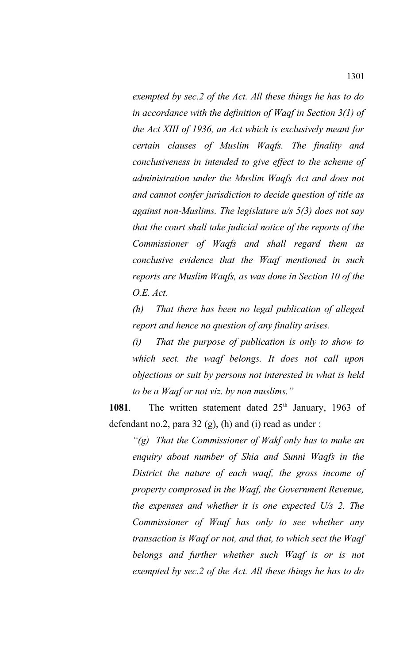*exempted by sec.2 of the Act. All these things he has to do in accordance with the definition of Waqf in Section 3(1) of the Act XIII of 1936, an Act which is exclusively meant for certain clauses of Muslim Waqfs. The finality and conclusiveness in intended to give effect to the scheme of administration under the Muslim Waqfs Act and does not and cannot confer jurisdiction to decide question of title as against non-Muslims. The legislature u/s 5(3) does not say that the court shall take judicial notice of the reports of the Commissioner of Waqfs and shall regard them as conclusive evidence that the Waqf mentioned in such reports are Muslim Waqfs, as was done in Section 10 of the O.E. Act.*

*(h) That there has been no legal publication of alleged report and hence no question of any finality arises.*

*(i) That the purpose of publication is only to show to which sect. the waqf belongs. It does not call upon objections or suit by persons not interested in what is held to be a Waqf or not viz. by non muslims."*

1081. The written statement dated 25<sup>th</sup> January, 1963 of defendant no.2, para 32 (g), (h) and (i) read as under :

*"(g) That the Commissioner of Wakf only has to make an enquiry about number of Shia and Sunni Waqfs in the District the nature of each waqf, the gross income of property comprosed in the Waqf, the Government Revenue, the expenses and whether it is one expected U/s 2. The Commissioner of Waqf has only to see whether any transaction is Waqf or not, and that, to which sect the Waqf belongs and further whether such Waqf is or is not exempted by sec.2 of the Act. All these things he has to do*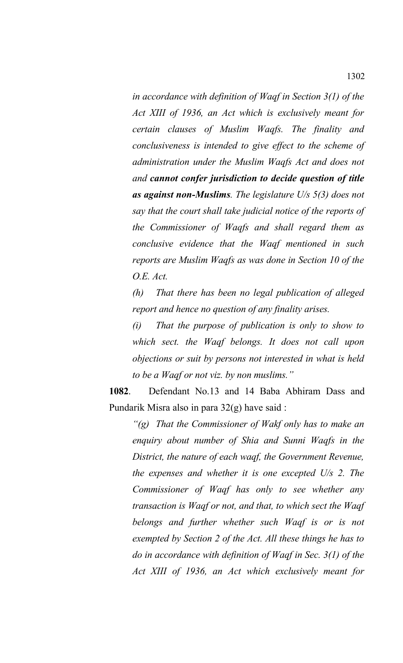*in accordance with definition of Waqf in Section 3(1) of the Act XIII of 1936, an Act which is exclusively meant for certain clauses of Muslim Waqfs. The finality and conclusiveness is intended to give effect to the scheme of administration under the Muslim Waqfs Act and does not and cannot confer jurisdiction to decide question of title as against non-Muslims. The legislature U/s 5(3) does not say that the court shall take judicial notice of the reports of the Commissioner of Waqfs and shall regard them as conclusive evidence that the Waqf mentioned in such reports are Muslim Waqfs as was done in Section 10 of the O.E. Act.*

*(h) That there has been no legal publication of alleged report and hence no question of any finality arises.*

*(i) That the purpose of publication is only to show to which sect. the Waqf belongs. It does not call upon objections or suit by persons not interested in what is held to be a Waqf or not viz. by non muslims."*

**1082**. Defendant No.13 and 14 Baba Abhiram Dass and Pundarik Misra also in para 32(g) have said :

*"(g) That the Commissioner of Wakf only has to make an enquiry about number of Shia and Sunni Waqfs in the District, the nature of each waqf, the Government Revenue, the expenses and whether it is one excepted U/s 2. The Commissioner of Waqf has only to see whether any transaction is Waqf or not, and that, to which sect the Waqf belongs and further whether such Waqf is or is not exempted by Section 2 of the Act. All these things he has to do in accordance with definition of Waqf in Sec. 3(1) of the Act XIII of 1936, an Act which exclusively meant for*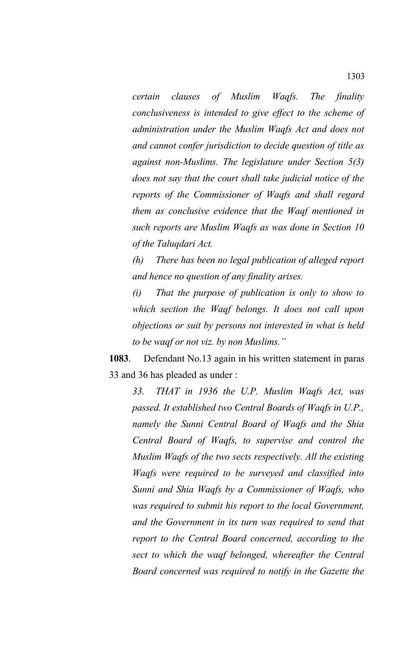*certain clauses of Muslim Waqfs. The finality conclusiveness is intended to give effect to the scheme of administration under the Muslim Waqfs Act and does not and cannot confer jurisdiction to decide question of title as against non-Muslims. The legislature under Section 5(3) does not say that the court shall take judicial notice of the reports of the Commissioner of Waqfs and shall regard them as conclusive evidence that the Waqf mentioned in such reports are Muslim Waqfs as was done in Section 10 of the Taluqdari Act.*

*(h) There has been no legal publication of alleged report and hence no question of any finality arises.*

*(i) That the purpose of publication is only to show to which section the Waqf belongs. It does not call upon objections or suit by persons not interested in what is held to be waqf or not viz. by non Muslims."*

**1083**. Defendant No.13 again in his written statement in paras 33 and 36 has pleaded as under :

*33. THAT in 1936 the U.P. Muslim Waqfs Act, was passed. It established two Central Boards of Waqfs in U.P., namely the Sunni Central Board of Waqfs and the Shia Central Board of Waqfs, to supervise and control the Muslim Waqfs of the two sects respectively. All the existing Waqfs were required to be surveyed and classified into Sunni and Shia Waqfs by a Commissioner of Waqfs, who was required to submit his report to the local Government, and the Government in its turn was required to send that report to the Central Board concerned, according to the sect to which the waqf belonged, whereafter the Central Board concerned was required to notify in the Gazette the*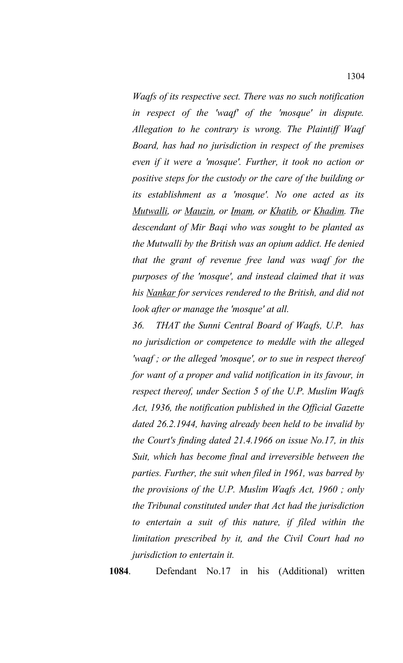*Waqfs of its respective sect. There was no such notification in respect of the 'waqf' of the 'mosque' in dispute. Allegation to he contrary is wrong. The Plaintiff Waqf Board, has had no jurisdiction in respect of the premises even if it were a 'mosque'. Further, it took no action or positive steps for the custody or the care of the building or its establishment as a 'mosque'. No one acted as its Mutwalli, or Mauzin, or Imam, or Khatib, or Khadim. The descendant of Mir Baqi who was sought to be planted as the Mutwalli by the British was an opium addict. He denied that the grant of revenue free land was waqf for the purposes of the 'mosque', and instead claimed that it was his Nankar for services rendered to the British, and did not look after or manage the 'mosque' at all.*

*36. THAT the Sunni Central Board of Waqfs, U.P. has no jurisdiction or competence to meddle with the alleged 'waqf ; or the alleged 'mosque', or to sue in respect thereof for want of a proper and valid notification in its favour, in respect thereof, under Section 5 of the U.P. Muslim Waqfs Act, 1936, the notification published in the Official Gazette dated 26.2.1944, having already been held to be invalid by the Court's finding dated 21.4.1966 on issue No.17, in this Suit, which has become final and irreversible between the parties. Further, the suit when filed in 1961, was barred by the provisions of the U.P. Muslim Waqfs Act, 1960 ; only the Tribunal constituted under that Act had the jurisdiction to entertain a suit of this nature, if filed within the limitation prescribed by it, and the Civil Court had no jurisdiction to entertain it.*

**1084**. Defendant No.17 in his (Additional) written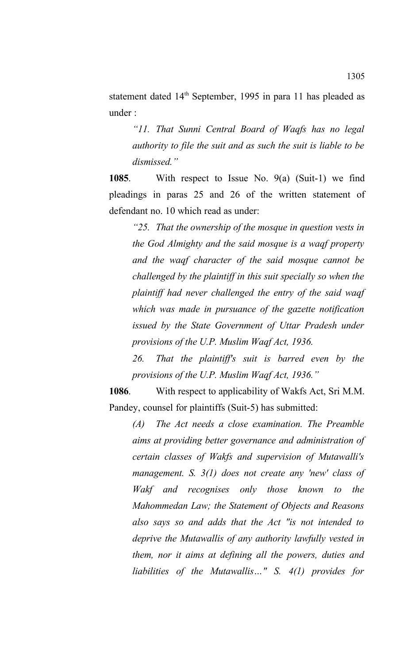statement dated 14<sup>th</sup> September, 1995 in para 11 has pleaded as under :

*"11. That Sunni Central Board of Waqfs has no legal authority to file the suit and as such the suit is liable to be dismissed."*

**1085**. With respect to Issue No. 9(a) (Suit-1) we find pleadings in paras 25 and 26 of the written statement of defendant no. 10 which read as under:

*"25. That the ownership of the mosque in question vests in the God Almighty and the said mosque is a waqf property and the waqf character of the said mosque cannot be challenged by the plaintiff in this suit specially so when the plaintiff had never challenged the entry of the said waqf which was made in pursuance of the gazette notification issued by the State Government of Uttar Pradesh under provisions of the U.P. Muslim Waqf Act, 1936.*

*26. That the plaintiff's suit is barred even by the provisions of the U.P. Muslim Waqf Act, 1936."*

**1086**. With respect to applicability of Wakfs Act, Sri M.M. Pandey, counsel for plaintiffs (Suit-5) has submitted:

*(A) The Act needs a close examination. The Preamble aims at providing better governance and administration of certain classes of Wakfs and supervision of Mutawalli's management. S. 3(1) does not create any 'new' class of Wakf and recognises only those known to the Mahommedan Law; the Statement of Objects and Reasons also says so and adds that the Act "is not intended to deprive the Mutawallis of any authority lawfully vested in them, nor it aims at defining all the powers, duties and liabilities of the Mutawallis…" S. 4(1) provides for*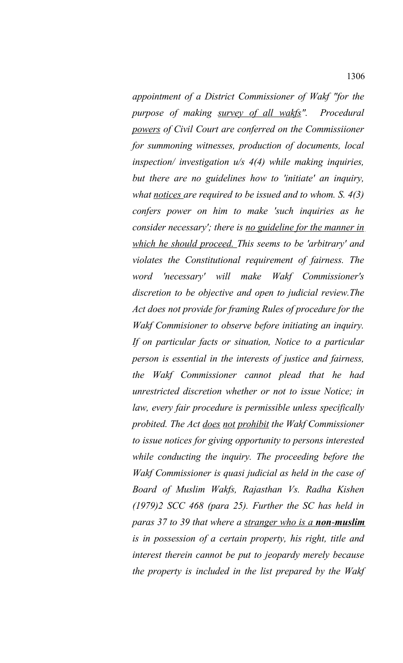*appointment of a District Commissioner of Wakf "for the purpose of making survey of all wakfs". Procedural powers of Civil Court are conferred on the Commissiioner for summoning witnesses, production of documents, local inspection/ investigation u/s 4(4) while making inquiries, but there are no guidelines how to 'initiate' an inquiry, what notices are required to be issued and to whom. S. 4(3) confers power on him to make 'such inquiries as he consider necessary'; there is no guideline for the manner in which he should proceed. This seems to be 'arbitrary' and violates the Constitutional requirement of fairness. The word 'necessary' will make Wakf Commissioner's discretion to be objective and open to judicial review.The Act does not provide for framing Rules of procedure for the Wakf Commisioner to observe before initiating an inquiry. If on particular facts or situation, Notice to a particular person is essential in the interests of justice and fairness, the Wakf Commissioner cannot plead that he had unrestricted discretion whether or not to issue Notice; in law, every fair procedure is permissible unless specifically probited. The Act does not prohibit the Wakf Commissioner to issue notices for giving opportunity to persons interested while conducting the inquiry. The proceeding before the Wakf Commissioner is quasi judicial as held in the case of Board of Muslim Wakfs, Rajasthan Vs. Radha Kishen (1979)2 SCC 468 (para 25). Further the SC has held in paras 37 to 39 that where a stranger who is a non - muslim is in possession of a certain property, his right, title and interest therein cannot be put to jeopardy merely because the property is included in the list prepared by the Wakf*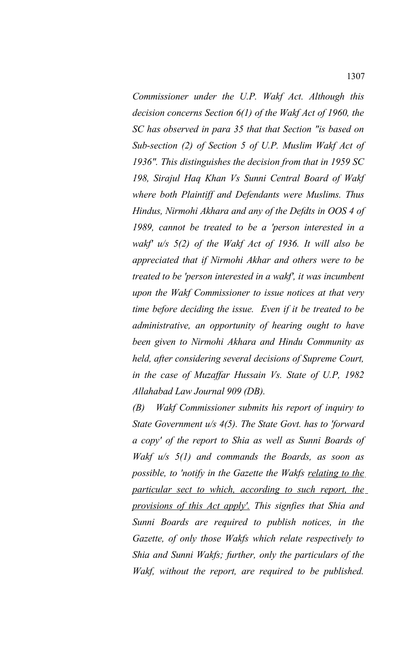*Commissioner under the U.P. Wakf Act. Although this decision concerns Section 6(1) of the Wakf Act of 1960, the SC has observed in para 35 that that Section "is based on Sub-section (2) of Section 5 of U.P. Muslim Wakf Act of 1936". This distinguishes the decision from that in 1959 SC 198, Sirajul Haq Khan Vs Sunni Central Board of Wakf where both Plaintiff and Defendants were Muslims. Thus Hindus, Nirmohi Akhara and any of the Defdts in OOS 4 of 1989, cannot be treated to be a 'person interested in a wakf' u/s 5(2) of the Wakf Act of 1936. It will also be appreciated that if Nirmohi Akhar and others were to be treated to be 'person interested in a wakf', it was incumbent upon the Wakf Commissioner to issue notices at that very time before deciding the issue. Even if it be treated to be administrative, an opportunity of hearing ought to have been given to Nirmohi Akhara and Hindu Community as held, after considering several decisions of Supreme Court, in the case of Muzaffar Hussain Vs. State of U.P, 1982 Allahabad Law Journal 909 (DB).* 

*(B) Wakf Commissioner submits his report of inquiry to State Government u/s 4(5). The State Govt. has to 'forward a copy' of the report to Shia as well as Sunni Boards of Wakf u/s 5(1) and commands the Boards, as soon as possible, to 'notify in the Gazette the Wakfs relating to the particular sect to which, according to such report, the provisions of this Act apply'. This signfies that Shia and Sunni Boards are required to publish notices, in the Gazette, of only those Wakfs which relate respectively to Shia and Sunni Wakfs; further, only the particulars of the Wakf, without the report, are required to be published.*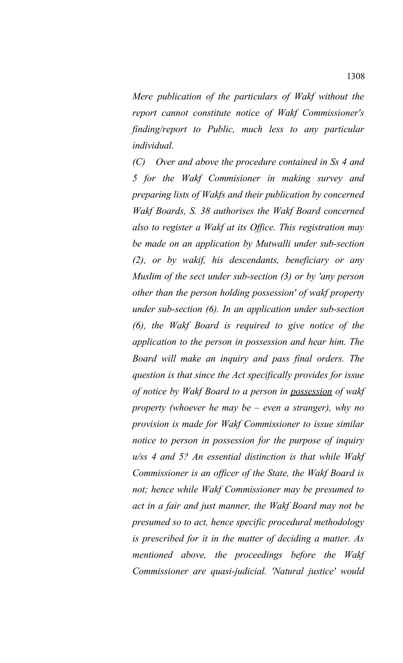*Mere publication of the particulars of Wakf without the report cannot constitute notice of Wakf Commissioner's finding/report to Public, much less to any particular individual.*

*(C) Over and above the procedure contained in Ss 4 and 5 for the Wakf Commisioner in making survey and preparing lists of Wakfs and their publication by concerned Wakf Boards, S. 38 authorises the Wakf Board concerned also to register a Wakf at its Office. This registration may be made on an application by Mutwalli under sub-section (2), or by wakif, his descendants, beneficiary or any Muslim of the sect under sub-section (3) or by 'any person other than the person holding possession' of wakf property under sub-section (6). In an application under sub-section (6), the Wakf Board is required to give notice of the application to the person in possession and hear him. The Board will make an inquiry and pass final orders. The question is that since the Act specifically provides for issue of notice by Wakf Board to a person in possession of wakf property (whoever he may be – even a stranger), why no provision is made for Wakf Commissioner to issue similar notice to person in possession for the purpose of inquiry u/ss 4 and 5? An essential distinction is that while Wakf Commissioner is an officer of the State, the Wakf Board is not; hence while Wakf Commissioner may be presumed to act in a fair and just manner, the Wakf Board may not be presumed so to act, hence specific procedural methodology is prescribed for it in the matter of deciding a matter. As mentioned above, the proceedings before the Wakf Commissioner are quasi-judicial. 'Natural justice' would*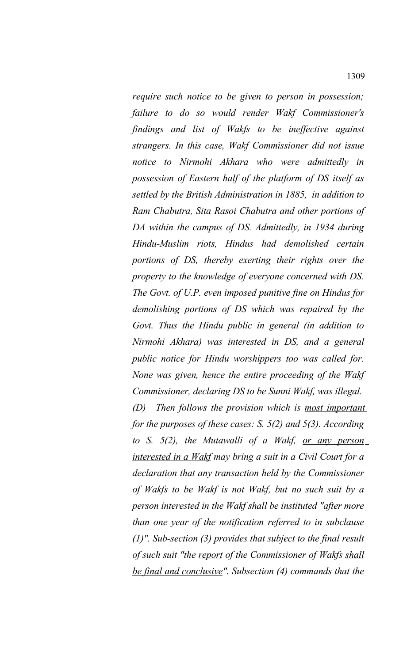*require such notice to be given to person in possession; failure to do so would render Wakf Commissioner's findings and list of Wakfs to be ineffective against strangers. In this case, Wakf Commissioner did not issue notice to Nirmohi Akhara who were admittedly in possession of Eastern half of the platform of DS itself as settled by the British Administration in 1885, in addition to Ram Chabutra, Sita Rasoi Chabutra and other portions of DA within the campus of DS. Admittedly, in 1934 during Hindu-Muslim riots, Hindus had demolished certain portions of DS, thereby exerting their rights over the property to the knowledge of everyone concerned with DS. The Govt. of U.P. even imposed punitive fine on Hindus for demolishing portions of DS which was repaired by the Govt. Thus the Hindu public in general (in addition to Nirmohi Akhara) was interested in DS, and a general public notice for Hindu worshippers too was called for. None was given, hence the entire proceeding of the Wakf Commissioner, declaring DS to be Sunni Wakf, was illegal. (D) Then follows the provision which is most important for the purposes of these cases: S. 5(2) and 5(3). According to S. 5(2), the Mutawalli of a Wakf, or any person interested in a Wakf may bring a suit in a Civil Court for a declaration that any transaction held by the Commissioner of Wakfs to be Wakf is not Wakf, but no such suit by a person interested in the Wakf shall be instituted "after more than one year of the notification referred to in subclause (1)". Sub-section (3) provides that subject to the final result of such suit "the report of the Commissioner of Wakfs shall be final and conclusive". Subsection (4) commands that the*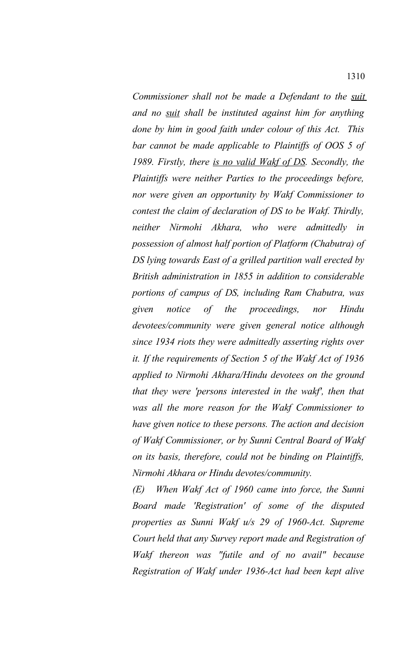*Commissioner shall not be made a Defendant to the suit and no suit shall be instituted against him for anything done by him in good faith under colour of this Act. This bar cannot be made applicable to Plaintiffs of OOS 5 of 1989. Firstly, there is no valid Wakf of DS. Secondly, the Plaintiffs were neither Parties to the proceedings before, nor were given an opportunity by Wakf Commissioner to contest the claim of declaration of DS to be Wakf. Thirdly, neither Nirmohi Akhara, who were admittedly in possession of almost half portion of Platform (Chabutra) of DS lying towards East of a grilled partition wall erected by British administration in 1855 in addition to considerable portions of campus of DS, including Ram Chabutra, was given notice of the proceedings, nor Hindu devotees/community were given general notice although since 1934 riots they were admittedly asserting rights over it. If the requirements of Section 5 of the Wakf Act of 1936 applied to Nirmohi Akhara/Hindu devotees on the ground that they were 'persons interested in the wakf', then that was all the more reason for the Wakf Commissioner to have given notice to these persons. The action and decision of Wakf Commissioner, or by Sunni Central Board of Wakf on its basis, therefore, could not be binding on Plaintiffs, Nirmohi Akhara or Hindu devotes/community.*

*(E) When Wakf Act of 1960 came into force, the Sunni Board made 'Registration' of some of the disputed properties as Sunni Wakf u/s 29 of 1960-Act. Supreme Court held that any Survey report made and Registration of Wakf thereon was "futile and of no avail" because Registration of Wakf under 1936-Act had been kept alive*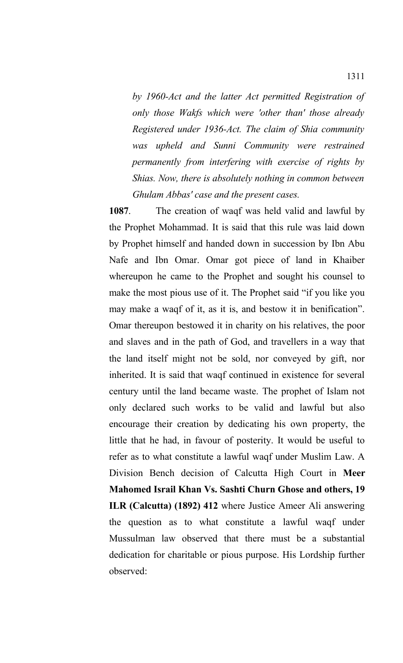*by 1960-Act and the latter Act permitted Registration of only those Wakfs which were 'other than' those already Registered under 1936-Act. The claim of Shia community was upheld and Sunni Community were restrained permanently from interfering with exercise of rights by Shias. Now, there is absolutely nothing in common between Ghulam Abbas' case and the present cases.* 

**1087**. The creation of waqf was held valid and lawful by the Prophet Mohammad. It is said that this rule was laid down by Prophet himself and handed down in succession by Ibn Abu Nafe and Ibn Omar. Omar got piece of land in Khaiber whereupon he came to the Prophet and sought his counsel to make the most pious use of it. The Prophet said "if you like you may make a waqf of it, as it is, and bestow it in benification". Omar thereupon bestowed it in charity on his relatives, the poor and slaves and in the path of God, and travellers in a way that the land itself might not be sold, nor conveyed by gift, nor inherited. It is said that waqf continued in existence for several century until the land became waste. The prophet of Islam not only declared such works to be valid and lawful but also encourage their creation by dedicating his own property, the little that he had, in favour of posterity. It would be useful to refer as to what constitute a lawful waqf under Muslim Law. A Division Bench decision of Calcutta High Court in **Meer Mahomed Israil Khan Vs. Sashti Churn Ghose and others, 19 ILR (Calcutta) (1892) 412** where Justice Ameer Ali answering the question as to what constitute a lawful waqf under Mussulman law observed that there must be a substantial dedication for charitable or pious purpose. His Lordship further observed: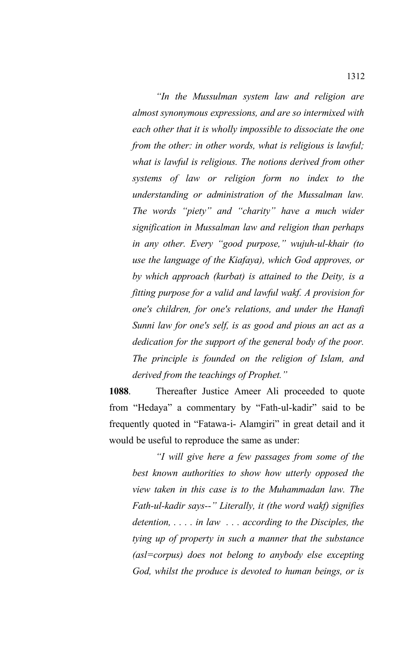*"In the Mussulman system law and religion are almost synonymous expressions, and are so intermixed with each other that it is wholly impossible to dissociate the one from the other: in other words, what is religious is lawful; what is lawful is religious. The notions derived from other systems of law or religion form no index to the understanding or administration of the Mussalman law. The words "piety" and "charity" have a much wider signification in Mussalman law and religion than perhaps in any other. Every "good purpose," wujuh-ul-khair (to use the language of the Kiafaya), which God approves, or by which approach (kurbat) is attained to the Deity, is a fitting purpose for a valid and lawful wakf. A provision for one's children, for one's relations, and under the Hanafi Sunni law for one's self, is as good and pious an act as a dedication for the support of the general body of the poor. The principle is founded on the religion of Islam, and derived from the teachings of Prophet."*

**1088**. Thereafter Justice Ameer Ali proceeded to quote from "Hedaya" a commentary by "Fath-ul-kadir" said to be frequently quoted in "Fatawa-i- Alamgiri" in great detail and it would be useful to reproduce the same as under:

*"I will give here a few passages from some of the best known authorities to show how utterly opposed the view taken in this case is to the Muhammadan law. The Fath-ul-kadir says--" Literally, it (the word wakf) signifies detention, . . . . in law . . . according to the Disciples, the tying up of property in such a manner that the substance (asl=corpus) does not belong to anybody else excepting God, whilst the produce is devoted to human beings, or is*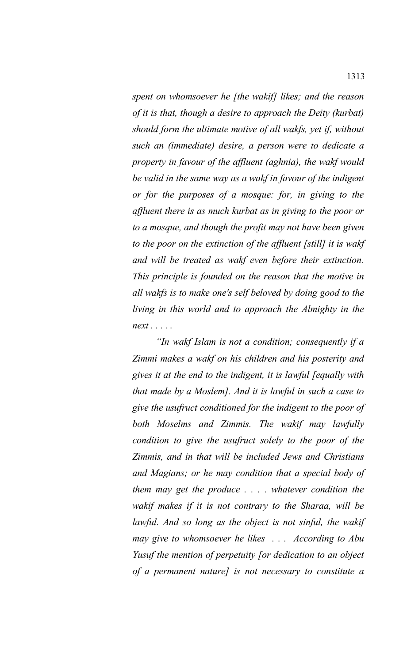*spent on whomsoever he [the wakif] likes; and the reason of it is that, though a desire to approach the Deity (kurbat) should form the ultimate motive of all wakfs, yet if, without such an (immediate) desire, a person were to dedicate a property in favour of the affluent (aghnia), the wakf would be valid in the same way as a wakf in favour of the indigent or for the purposes of a mosque: for, in giving to the affluent there is as much kurbat as in giving to the poor or to a mosque, and though the profit may not have been given to the poor on the extinction of the affluent [still] it is wakf and will be treated as wakf even before their extinction. This principle is founded on the reason that the motive in all wakfs is to make one's self beloved by doing good to the living in this world and to approach the Almighty in the next . . . . .*

*"In wakf Islam is not a condition; consequently if a Zimmi makes a wakf on his children and his posterity and gives it at the end to the indigent, it is lawful [equally with that made by a Moslem]. And it is lawful in such a case to give the usufruct conditioned for the indigent to the poor of both Moselms and Zimmis. The wakif may lawfully condition to give the usufruct solely to the poor of the Zimmis, and in that will be included Jews and Christians and Magians; or he may condition that a special body of them may get the produce . . . . whatever condition the wakif makes if it is not contrary to the Sharaa, will be lawful. And so long as the object is not sinful, the wakif may give to whomsoever he likes . . . According to Abu Yusuf the mention of perpetuity [or dedication to an object of a permanent nature] is not necessary to constitute a*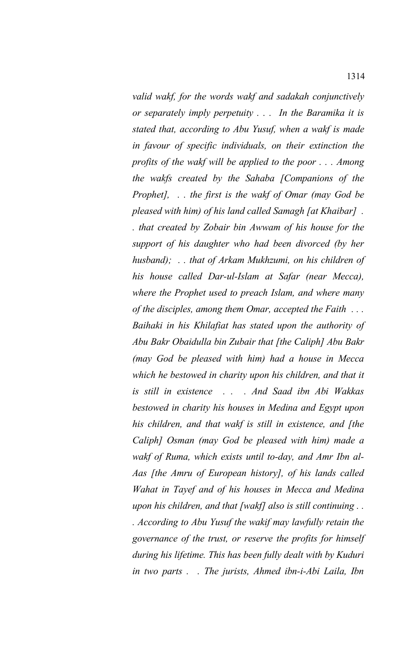*valid wakf, for the words wakf and sadakah conjunctively or separately imply perpetuity . . . In the Baramika it is stated that, according to Abu Yusuf, when a wakf is made in favour of specific individuals, on their extinction the profits of the wakf will be applied to the poor . . . Among the wakfs created by the Sahaba [Companions of the Prophet], . . the first is the wakf of Omar (may God be pleased with him) of his land called Samagh [at Khaibar] . . that created by Zobair bin Awwam of his house for the support of his daughter who had been divorced (by her husband); . . that of Arkam Mukhzumi, on his children of his house called Dar-ul-Islam at Safar (near Mecca), where the Prophet used to preach Islam, and where many of the disciples, among them Omar, accepted the Faith . . . Baihaki in his Khilafiat has stated upon the authority of Abu Bakr Obaidulla bin Zubair that [the Caliph] Abu Bakr (may God be pleased with him) had a house in Mecca which he bestowed in charity upon his children, and that it is still in existence . . . And Saad ibn Abi Wakkas bestowed in charity his houses in Medina and Egypt upon his children, and that wakf is still in existence, and [the Caliph] Osman (may God be pleased with him) made a wakf of Ruma, which exists until to-day, and Amr Ibn al-Aas [the Amru of European history], of his lands called Wahat in Tayef and of his houses in Mecca and Medina upon his children, and that [wakf] also is still continuing . . . According to Abu Yusuf the wakif may lawfully retain the governance of the trust, or reserve the profits for himself during his lifetime. This has been fully dealt with by Kuduri in two parts . . The jurists, Ahmed ibn-i-Abi Laila, Ibn*

1314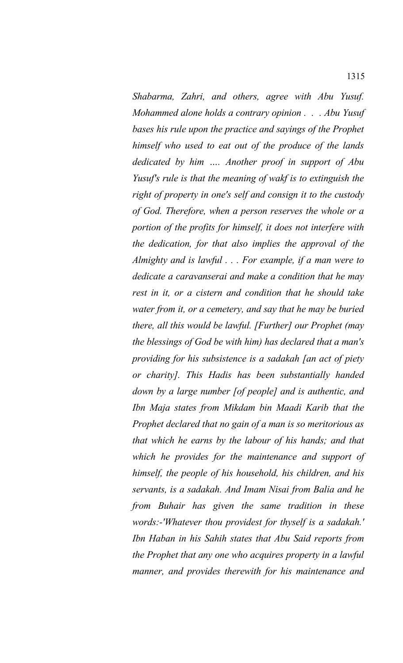*Shabarma, Zahri, and others, agree with Abu Yusuf. Mohammed alone holds a contrary opinion . . . Abu Yusuf bases his rule upon the practice and sayings of the Prophet himself who used to eat out of the produce of the lands dedicated by him …. Another proof in support of Abu Yusuf's rule is that the meaning of wakf is to extinguish the right of property in one's self and consign it to the custody of God. Therefore, when a person reserves the whole or a portion of the profits for himself, it does not interfere with the dedication, for that also implies the approval of the Almighty and is lawful . . . For example, if a man were to dedicate a caravanserai and make a condition that he may rest in it, or a cistern and condition that he should take water from it, or a cemetery, and say that he may be buried there, all this would be lawful. [Further] our Prophet (may the blessings of God be with him) has declared that a man's providing for his subsistence is a sadakah [an act of piety or charity]. This Hadis has been substantially handed down by a large number [of people] and is authentic, and Ibn Maja states from Mikdam bin Maadi Karib that the Prophet declared that no gain of a man is so meritorious as that which he earns by the labour of his hands; and that which he provides for the maintenance and support of himself, the people of his household, his children, and his servants, is a sadakah. And Imam Nisai from Balia and he from Buhair has given the same tradition in these words:-'Whatever thou providest for thyself is a sadakah.' Ibn Haban in his Sahih states that Abu Said reports from the Prophet that any one who acquires property in a lawful manner, and provides therewith for his maintenance and*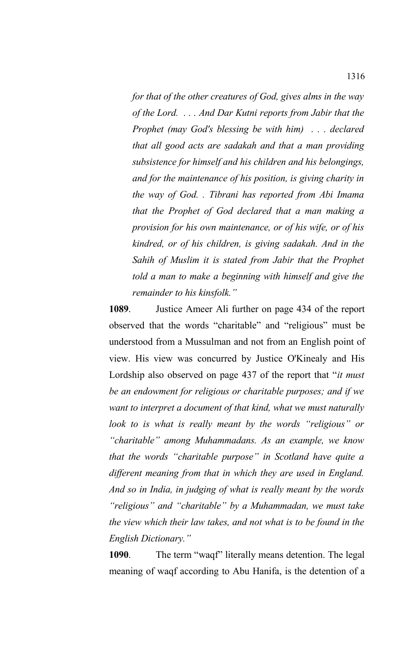*for that of the other creatures of God, gives alms in the way of the Lord. . . . And Dar Kutni reports from Jabir that the Prophet (may God's blessing be with him) . . . declared that all good acts are sadakah and that a man providing subsistence for himself and his children and his belongings, and for the maintenance of his position, is giving charity in the way of God. . Tibrani has reported from Abi Imama that the Prophet of God declared that a man making a provision for his own maintenance, or of his wife, or of his kindred, or of his children, is giving sadakah. And in the Sahih of Muslim it is stated from Jabir that the Prophet told a man to make a beginning with himself and give the remainder to his kinsfolk."* 

**1089**. Justice Ameer Ali further on page 434 of the report observed that the words "charitable" and "religious" must be understood from a Mussulman and not from an English point of view. His view was concurred by Justice O'Kinealy and His Lordship also observed on page 437 of the report that "*it must be an endowment for religious or charitable purposes; and if we want to interpret a document of that kind, what we must naturally look to is what is really meant by the words "religious" or "charitable" among Muhammadans. As an example, we know that the words "charitable purpose" in Scotland have quite a different meaning from that in which they are used in England. And so in India, in judging of what is really meant by the words "religious" and "charitable" by a Muhammadan, we must take the view which their law takes, and not what is to be found in the English Dictionary."*

**1090**. The term "waqf" literally means detention. The legal meaning of waqf according to Abu Hanifa, is the detention of a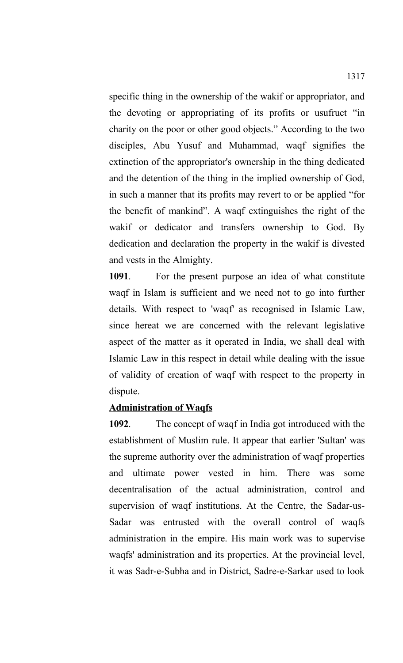specific thing in the ownership of the wakif or appropriator, and the devoting or appropriating of its profits or usufruct "in charity on the poor or other good objects." According to the two disciples, Abu Yusuf and Muhammad, waqf signifies the extinction of the appropriator's ownership in the thing dedicated and the detention of the thing in the implied ownership of God, in such a manner that its profits may revert to or be applied "for the benefit of mankind". A waqf extinguishes the right of the wakif or dedicator and transfers ownership to God. By dedication and declaration the property in the wakif is divested and vests in the Almighty.

**1091**. For the present purpose an idea of what constitute waqf in Islam is sufficient and we need not to go into further details. With respect to 'waqf' as recognised in Islamic Law, since hereat we are concerned with the relevant legislative aspect of the matter as it operated in India, we shall deal with Islamic Law in this respect in detail while dealing with the issue of validity of creation of waqf with respect to the property in dispute.

## **Administration of Waqfs**

**1092**. The concept of waqf in India got introduced with the establishment of Muslim rule. It appear that earlier 'Sultan' was the supreme authority over the administration of waqf properties and ultimate power vested in him. There was some decentralisation of the actual administration, control and supervision of waqf institutions. At the Centre, the Sadar-us-Sadar was entrusted with the overall control of waqfs administration in the empire. His main work was to supervise waqfs' administration and its properties. At the provincial level, it was Sadr-e-Subha and in District, Sadre-e-Sarkar used to look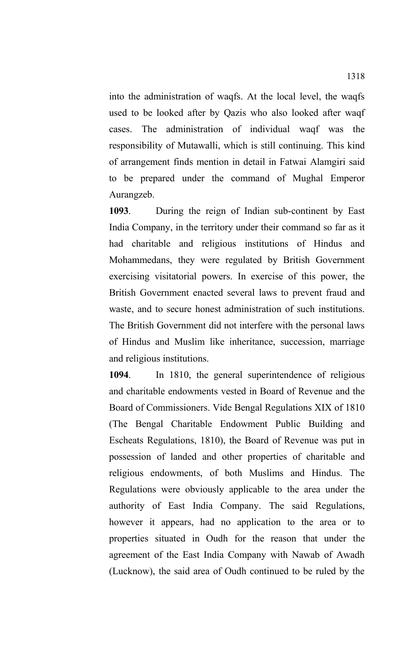into the administration of waqfs. At the local level, the waqfs used to be looked after by Qazis who also looked after waqf cases. The administration of individual waqf was the responsibility of Mutawalli, which is still continuing. This kind of arrangement finds mention in detail in Fatwai Alamgiri said to be prepared under the command of Mughal Emperor Aurangzeb.

**1093**. During the reign of Indian sub-continent by East India Company, in the territory under their command so far as it had charitable and religious institutions of Hindus and Mohammedans, they were regulated by British Government exercising visitatorial powers. In exercise of this power, the British Government enacted several laws to prevent fraud and waste, and to secure honest administration of such institutions. The British Government did not interfere with the personal laws of Hindus and Muslim like inheritance, succession, marriage and religious institutions.

**1094**. In 1810, the general superintendence of religious and charitable endowments vested in Board of Revenue and the Board of Commissioners. Vide Bengal Regulations XIX of 1810 (The Bengal Charitable Endowment Public Building and Escheats Regulations, 1810), the Board of Revenue was put in possession of landed and other properties of charitable and religious endowments, of both Muslims and Hindus. The Regulations were obviously applicable to the area under the authority of East India Company. The said Regulations, however it appears, had no application to the area or to properties situated in Oudh for the reason that under the agreement of the East India Company with Nawab of Awadh (Lucknow), the said area of Oudh continued to be ruled by the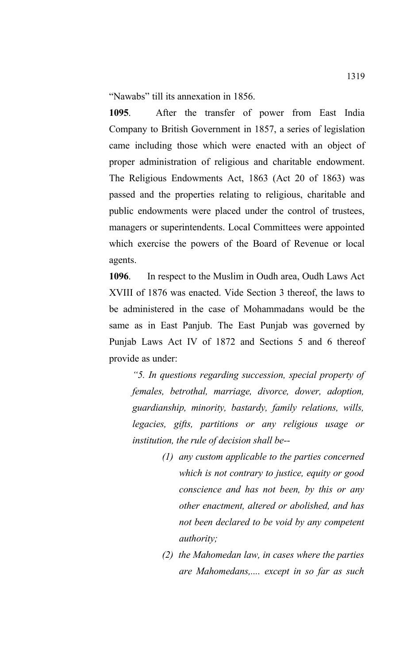"Nawabs" till its annexation in 1856.

**1095**. After the transfer of power from East India Company to British Government in 1857, a series of legislation came including those which were enacted with an object of proper administration of religious and charitable endowment. The Religious Endowments Act, 1863 (Act 20 of 1863) was passed and the properties relating to religious, charitable and public endowments were placed under the control of trustees, managers or superintendents. Local Committees were appointed which exercise the powers of the Board of Revenue or local agents.

**1096**. In respect to the Muslim in Oudh area, Oudh Laws Act XVIII of 1876 was enacted. Vide Section 3 thereof, the laws to be administered in the case of Mohammadans would be the same as in East Panjub. The East Punjab was governed by Punjab Laws Act IV of 1872 and Sections 5 and 6 thereof provide as under:

*"5. In questions regarding succession, special property of females, betrothal, marriage, divorce, dower, adoption, guardianship, minority, bastardy, family relations, wills, legacies, gifts, partitions or any religious usage or institution, the rule of decision shall be--* 

- *(1) any custom applicable to the parties concerned which is not contrary to justice, equity or good conscience and has not been, by this or any other enactment, altered or abolished, and has not been declared to be void by any competent authority;*
- *(2) the Mahomedan law, in cases where the parties are Mahomedans,.... except in so far as such*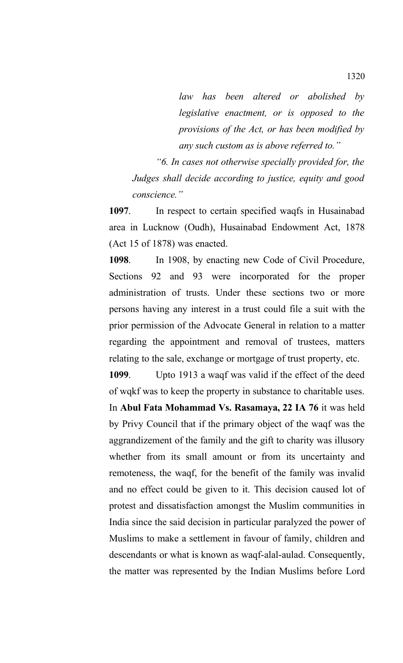*law has been altered or abolished by legislative enactment, or is opposed to the provisions of the Act, or has been modified by any such custom as is above referred to."*

*"6. In cases not otherwise specially provided for, the Judges shall decide according to justice, equity and good conscience."*

**1097**. In respect to certain specified waqfs in Husainabad area in Lucknow (Oudh), Husainabad Endowment Act, 1878 (Act 15 of 1878) was enacted.

**1098**. In 1908, by enacting new Code of Civil Procedure, Sections 92 and 93 were incorporated for the proper administration of trusts. Under these sections two or more persons having any interest in a trust could file a suit with the prior permission of the Advocate General in relation to a matter regarding the appointment and removal of trustees, matters relating to the sale, exchange or mortgage of trust property, etc.

**1099**. Upto 1913 a waqf was valid if the effect of the deed of wqkf was to keep the property in substance to charitable uses. In **Abul Fata Mohammad Vs. Rasamaya, 22 IA 76** it was held by Privy Council that if the primary object of the waqf was the aggrandizement of the family and the gift to charity was illusory whether from its small amount or from its uncertainty and remoteness, the waqf, for the benefit of the family was invalid and no effect could be given to it. This decision caused lot of protest and dissatisfaction amongst the Muslim communities in India since the said decision in particular paralyzed the power of Muslims to make a settlement in favour of family, children and descendants or what is known as waqf-alal-aulad. Consequently, the matter was represented by the Indian Muslims before Lord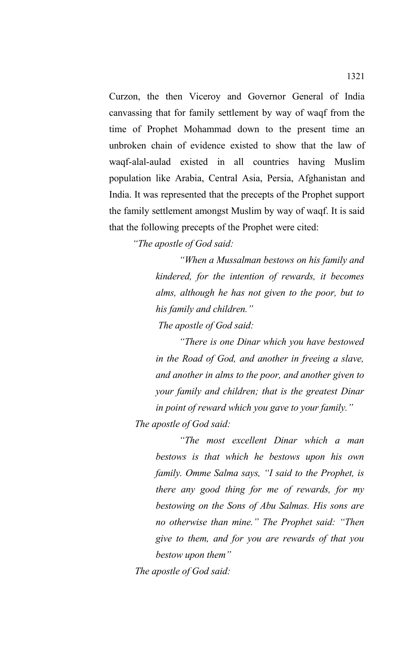Curzon, the then Viceroy and Governor General of India canvassing that for family settlement by way of waqf from the time of Prophet Mohammad down to the present time an unbroken chain of evidence existed to show that the law of waqf-alal-aulad existed in all countries having Muslim population like Arabia, Central Asia, Persia, Afghanistan and India. It was represented that the precepts of the Prophet support the family settlement amongst Muslim by way of waqf. It is said that the following precepts of the Prophet were cited:

*"The apostle of God said:*

*"When a Mussalman bestows on his family and kindered, for the intention of rewards, it becomes alms, although he has not given to the poor, but to his family and children."*

 *The apostle of God said:*

*"There is one Dinar which you have bestowed in the Road of God, and another in freeing a slave, and another in alms to the poor, and another given to your family and children; that is the greatest Dinar in point of reward which you gave to your family."*

 *The apostle of God said:*

*"The most excellent Dinar which a man bestows is that which he bestows upon his own family. Omme Salma says, "I said to the Prophet, is there any good thing for me of rewards, for my bestowing on the Sons of Abu Salmas. His sons are no otherwise than mine." The Prophet said: "Then give to them, and for you are rewards of that you bestow upon them"*

 *The apostle of God said:*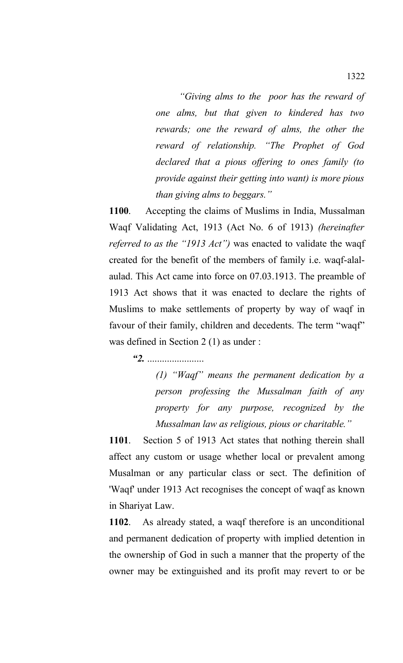*"Giving alms to the poor has the reward of one alms, but that given to kindered has two rewards; one the reward of alms, the other the reward of relationship. "The Prophet of God declared that a pious offering to ones family (to provide against their getting into want) is more pious than giving alms to beggars."*

**1100**. Accepting the claims of Muslims in India, Mussalman Waqf Validating Act, 1913 (Act No. 6 of 1913) *(hereinafter referred to as the "1913 Act")* was enacted to validate the waqf created for the benefit of the members of family i.e. waqf-alalaulad. This Act came into force on 07.03.1913. The preamble of 1913 Act shows that it was enacted to declare the rights of Muslims to make settlements of property by way of waqf in favour of their family, children and decedents. The term "waqf" was defined in Section 2 (1) as under :

*"2.* .......................

*(1) "Waqf" means the permanent dedication by a person professing the Mussalman faith of any property for any purpose, recognized by the Mussalman law as religious, pious or charitable."*

**1101**. Section 5 of 1913 Act states that nothing therein shall affect any custom or usage whether local or prevalent among Musalman or any particular class or sect. The definition of 'Waqf' under 1913 Act recognises the concept of waqf as known in Shariyat Law.

**1102**. As already stated, a waqf therefore is an unconditional and permanent dedication of property with implied detention in the ownership of God in such a manner that the property of the owner may be extinguished and its profit may revert to or be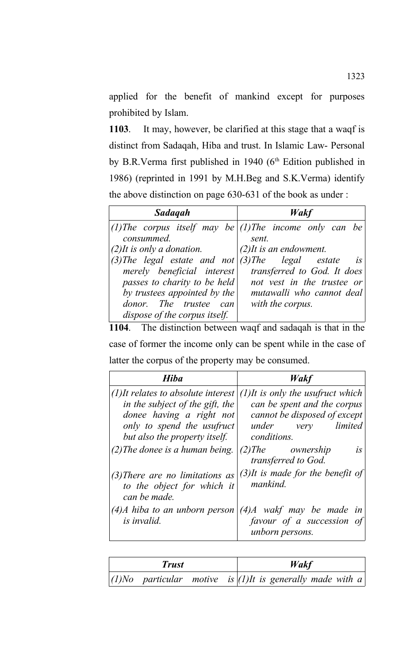applied for the benefit of mankind except for purposes prohibited by Islam.

**1103**. It may, however, be clarified at this stage that a waqf is distinct from Sadaqah, Hiba and trust. In Islamic Law- Personal by B.R.Verma first published in 1940 (6<sup>th</sup> Edition published in 1986) (reprinted in 1991 by M.H.Beg and S.K.Verma) identify the above distinction on page 630-631 of the book as under :

| Sadaqah                       | Wakf                                                    |
|-------------------------------|---------------------------------------------------------|
|                               | (1) The corpus itself may be (1) The income only can be |
| consummed.                    | sent.                                                   |
| $(2)$ It is only a donation.  | $(2)$ It is an endowment.                               |
|                               | (3) The legal estate and not (3) The legal estate is    |
| merely beneficial interest    | transferred to God. It does                             |
| passes to charity to be held  | not vest in the trustee or                              |
| by trustees appointed by the  | mutawalli who cannot deal                               |
| donor. The trustee can        | with the corpus.                                        |
| dispose of the corpus itself. |                                                         |

**1104**. The distinction between waqf and sadaqah is that in the case of former the income only can be spent while in the case of latter the corpus of the property may be consumed.

| <b>Hiba</b>                                                                                                                                                         | Wakf                                                                                                                                                  |
|---------------------------------------------------------------------------------------------------------------------------------------------------------------------|-------------------------------------------------------------------------------------------------------------------------------------------------------|
| $(1)$ It relates to absolute interest<br>in the subject of the gift, the<br>donee having a right not<br>only to spend the usufruct<br>but also the property itself. | $(1)$ It is only the usufruct which<br>can be spent and the corpus<br>cannot be disposed of except<br>under very <i>limited</i><br><i>conditions.</i> |
| (2) The donee is a human being. $\vert$ (2) The ownership                                                                                                           | i <sub>S</sub><br><i>transferred to God.</i>                                                                                                          |
| $(3)$ There are no limitations as<br>to the object for which it<br>can be made.                                                                                     | $(3)$ It is made for the benefit of<br>mankind.                                                                                                       |
| $(4)$ A hiba to an unborn person<br>is invalid.                                                                                                                     | $(4)$ A wakf may be made in<br>favour of a succession of<br>unborn persons.                                                                           |

| <b>Trust</b> |                                                                   | Wakf |  |  |  |  |  |  |  |
|--------------|-------------------------------------------------------------------|------|--|--|--|--|--|--|--|
|              | $ (1)N$ o particular motive is $ (1)$ It is generally made with a |      |  |  |  |  |  |  |  |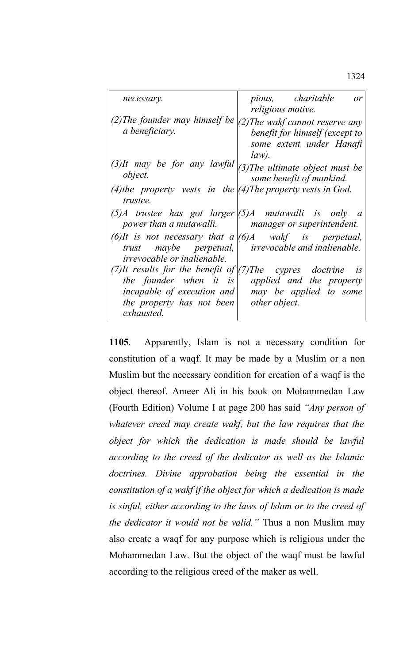| necessary.                                                     | <i>pious, charitable or</i>                                   |
|----------------------------------------------------------------|---------------------------------------------------------------|
|                                                                | <i>religious motive.</i>                                      |
| $(2)$ The founder may himself be                               | $(2)$ The wakf cannot reserve any                             |
| a beneficiary.                                                 |                                                               |
|                                                                | benefit for himself (except to                                |
|                                                                | some extent under Hanafi                                      |
|                                                                | $law)$ .                                                      |
| $(3)$ It may be for any lawful                                 | $(3)$ The ultimate object must be                             |
| object.                                                        |                                                               |
|                                                                | some benefit of mankind.                                      |
| (4) the property vests in the $(4)$ The property vests in God. |                                                               |
| trustee.                                                       |                                                               |
|                                                                |                                                               |
|                                                                | $(5)$ A trustee has got larger $(5)$ A mutawalli is only a    |
|                                                                | power than a mutawalli.   manager or superintendent.          |
|                                                                | (6)It is not necessary that $a (6)A$ wakf is perpetual,       |
|                                                                | trust maybe perpetual, irrevocable and inalienable.           |
|                                                                |                                                               |
| <i>irrevocable or inalienable.</i>                             |                                                               |
|                                                                | (7)It results for the benefit of $(7)$ The cypres doctrine is |
| the founder when it is                                         | applied and the property                                      |
|                                                                | incapable of execution and $\vert$ may be applied to some     |
| the property has not been   other object.                      |                                                               |
|                                                                |                                                               |
| exhausted.                                                     |                                                               |

**1105**. Apparently, Islam is not a necessary condition for constitution of a waqf. It may be made by a Muslim or a non Muslim but the necessary condition for creation of a waqf is the object thereof. Ameer Ali in his book on Mohammedan Law (Fourth Edition) Volume I at page 200 has said *"Any person of whatever creed may create wakf, but the law requires that the object for which the dedication is made should be lawful according to the creed of the dedicator as well as the Islamic doctrines. Divine approbation being the essential in the constitution of a wakf if the object for which a dedication is made is sinful, either according to the laws of Islam or to the creed of the dedicator it would not be valid."* Thus a non Muslim may also create a waqf for any purpose which is religious under the Mohammedan Law. But the object of the waqf must be lawful according to the religious creed of the maker as well.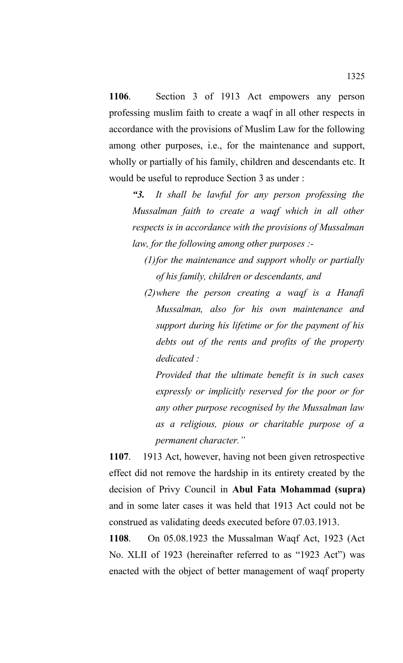**1106**. Section 3 of 1913 Act empowers any person professing muslim faith to create a waqf in all other respects in accordance with the provisions of Muslim Law for the following among other purposes, i.e., for the maintenance and support, wholly or partially of his family, children and descendants etc. It would be useful to reproduce Section 3 as under :

*"3. It shall be lawful for any person professing the Mussalman faith to create a waqf which in all other respects is in accordance with the provisions of Mussalman law, for the following among other purposes :-*

*(1)for the maintenance and support wholly or partially of his family, children or descendants, and*

*(2)where the person creating a waqf is a Hanafi Mussalman, also for his own maintenance and support during his lifetime or for the payment of his debts out of the rents and profits of the property dedicated :*

*Provided that the ultimate benefit is in such cases expressly or implicitly reserved for the poor or for any other purpose recognised by the Mussalman law as a religious, pious or charitable purpose of a permanent character."*

**1107**.1913 Act, however, having not been given retrospective effect did not remove the hardship in its entirety created by the decision of Privy Council in **Abul Fata Mohammad (supra)** and in some later cases it was held that 1913 Act could not be construed as validating deeds executed before 07.03.1913.

**1108**. On 05.08.1923 the Mussalman Waqf Act, 1923 (Act No. XLII of 1923 (hereinafter referred to as "1923 Act") was enacted with the object of better management of waqf property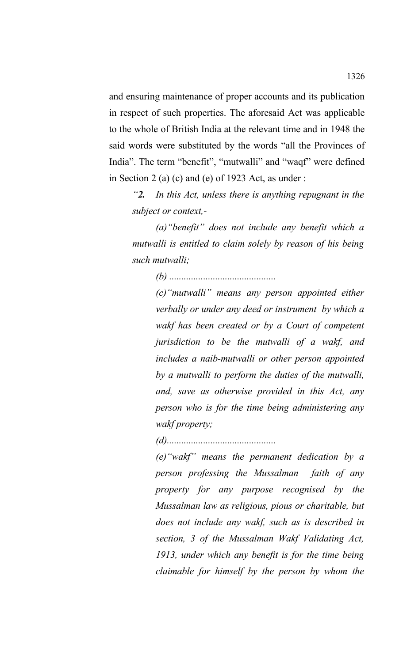and ensuring maintenance of proper accounts and its publication in respect of such properties. The aforesaid Act was applicable to the whole of British India at the relevant time and in 1948 the said words were substituted by the words "all the Provinces of India". The term "benefit", "mutwalli" and "waqf" were defined in Section 2 (a) (c) and (e) of 1923 Act, as under :

*"2. In this Act, unless there is anything repugnant in the subject or context,-*

*(a)"benefit" does not include any benefit which a mutwalli is entitled to claim solely by reason of his being such mutwalli;*

*(b) ............................................*

*(c)"mutwalli" means any person appointed either verbally or under any deed or instrument by which a wakf has been created or by a Court of competent jurisdiction to be the mutwalli of a wakf, and includes a naib-mutwalli or other person appointed by a mutwalli to perform the duties of the mutwalli, and, save as otherwise provided in this Act, any person who is for the time being administering any wakf property;* 

*(d).............................................*

*(e)"wakf" means the permanent dedication by a person professing the Mussalman faith of any property for any purpose recognised by the Mussalman law as religious, pious or charitable, but does not include any wakf, such as is described in section, 3 of the Mussalman Wakf Validating Act, 1913, under which any benefit is for the time being claimable for himself by the person by whom the*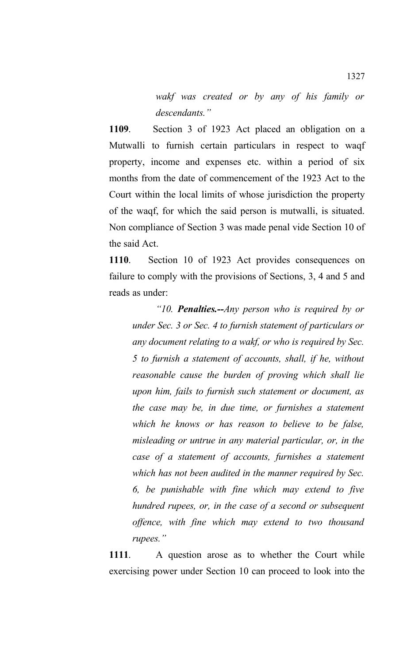*wakf was created or by any of his family or descendants."*

**1109**. Section 3 of 1923 Act placed an obligation on a Mutwalli to furnish certain particulars in respect to waqf property, income and expenses etc. within a period of six months from the date of commencement of the 1923 Act to the Court within the local limits of whose jurisdiction the property of the waqf, for which the said person is mutwalli, is situated. Non compliance of Section 3 was made penal vide Section 10 of the said Act.

**1110**. Section 10 of 1923 Act provides consequences on failure to comply with the provisions of Sections, 3, 4 and 5 and reads as under:

*"10. Penalties.--Any person who is required by or under Sec. 3 or Sec. 4 to furnish statement of particulars or any document relating to a wakf, or who is required by Sec. 5 to furnish a statement of accounts, shall, if he, without reasonable cause the burden of proving which shall lie upon him, fails to furnish such statement or document, as the case may be, in due time, or furnishes a statement which he knows or has reason to believe to be false, misleading or untrue in any material particular, or, in the case of a statement of accounts, furnishes a statement which has not been audited in the manner required by Sec. 6, be punishable with fine which may extend to five hundred rupees, or, in the case of a second or subsequent offence, with fine which may extend to two thousand rupees."*

**1111**. A question arose as to whether the Court while exercising power under Section 10 can proceed to look into the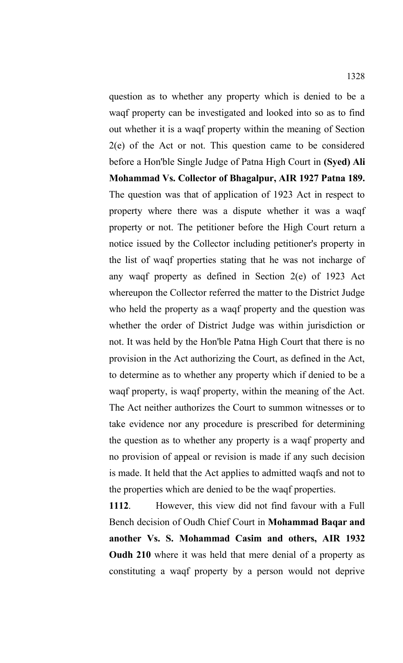question as to whether any property which is denied to be a waqf property can be investigated and looked into so as to find out whether it is a waqf property within the meaning of Section 2(e) of the Act or not. This question came to be considered before a Hon'ble Single Judge of Patna High Court in **(Syed) Ali Mohammad Vs. Collector of Bhagalpur, AIR 1927 Patna 189.** The question was that of application of 1923 Act in respect to property where there was a dispute whether it was a waqf property or not. The petitioner before the High Court return a notice issued by the Collector including petitioner's property in the list of waqf properties stating that he was not incharge of any waqf property as defined in Section 2(e) of 1923 Act whereupon the Collector referred the matter to the District Judge who held the property as a waqf property and the question was whether the order of District Judge was within jurisdiction or not. It was held by the Hon'ble Patna High Court that there is no provision in the Act authorizing the Court, as defined in the Act, to determine as to whether any property which if denied to be a waqf property, is waqf property, within the meaning of the Act. The Act neither authorizes the Court to summon witnesses or to take evidence nor any procedure is prescribed for determining the question as to whether any property is a waqf property and no provision of appeal or revision is made if any such decision is made. It held that the Act applies to admitted waqfs and not to the properties which are denied to be the waqf properties.

**1112**. However, this view did not find favour with a Full Bench decision of Oudh Chief Court in **Mohammad Baqar and another Vs. S. Mohammad Casim and others, AIR 1932 Oudh 210** where it was held that mere denial of a property as constituting a waqf property by a person would not deprive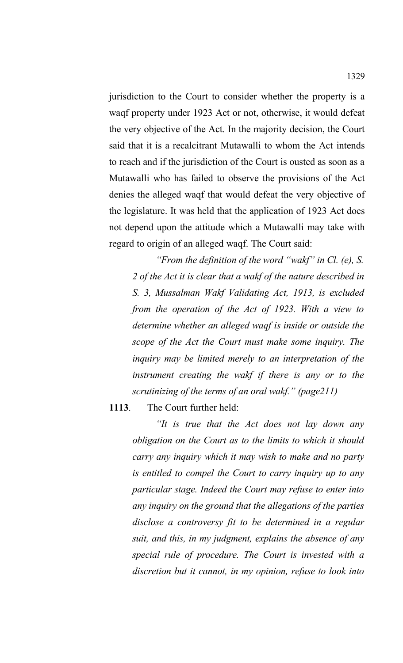jurisdiction to the Court to consider whether the property is a waqf property under 1923 Act or not, otherwise, it would defeat the very objective of the Act. In the majority decision, the Court said that it is a recalcitrant Mutawalli to whom the Act intends to reach and if the jurisdiction of the Court is ousted as soon as a Mutawalli who has failed to observe the provisions of the Act denies the alleged waqf that would defeat the very objective of the legislature. It was held that the application of 1923 Act does not depend upon the attitude which a Mutawalli may take with regard to origin of an alleged waqf. The Court said:

*"From the definition of the word "wakf" in Cl. (e), S. 2 of the Act it is clear that a wakf of the nature described in S. 3, Mussalman Wakf Validating Act, 1913, is excluded from the operation of the Act of 1923. With a view to determine whether an alleged waqf is inside or outside the scope of the Act the Court must make some inquiry. The inquiry may be limited merely to an interpretation of the instrument creating the wakf if there is any or to the scrutinizing of the terms of an oral wakf." (page211)*

## **1113**. The Court further held:

*"It is true that the Act does not lay down any obligation on the Court as to the limits to which it should carry any inquiry which it may wish to make and no party is entitled to compel the Court to carry inquiry up to any particular stage. Indeed the Court may refuse to enter into any inquiry on the ground that the allegations of the parties disclose a controversy fit to be determined in a regular suit, and this, in my judgment, explains the absence of any special rule of procedure. The Court is invested with a discretion but it cannot, in my opinion, refuse to look into*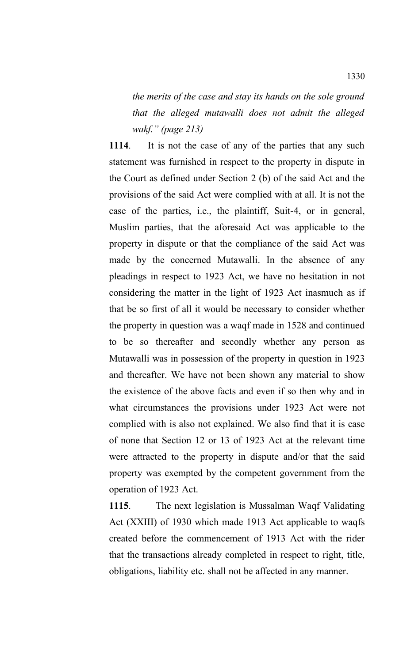*the merits of the case and stay its hands on the sole ground that the alleged mutawalli does not admit the alleged wakf." (page 213)*

**1114**. It is not the case of any of the parties that any such statement was furnished in respect to the property in dispute in the Court as defined under Section 2 (b) of the said Act and the provisions of the said Act were complied with at all. It is not the case of the parties, i.e., the plaintiff, Suit-4, or in general, Muslim parties, that the aforesaid Act was applicable to the property in dispute or that the compliance of the said Act was made by the concerned Mutawalli. In the absence of any pleadings in respect to 1923 Act, we have no hesitation in not considering the matter in the light of 1923 Act inasmuch as if that be so first of all it would be necessary to consider whether the property in question was a waqf made in 1528 and continued to be so thereafter and secondly whether any person as Mutawalli was in possession of the property in question in 1923 and thereafter. We have not been shown any material to show the existence of the above facts and even if so then why and in what circumstances the provisions under 1923 Act were not complied with is also not explained. We also find that it is case of none that Section 12 or 13 of 1923 Act at the relevant time were attracted to the property in dispute and/or that the said property was exempted by the competent government from the operation of 1923 Act.

**1115**. The next legislation is Mussalman Waqf Validating Act (XXIII) of 1930 which made 1913 Act applicable to waqfs created before the commencement of 1913 Act with the rider that the transactions already completed in respect to right, title, obligations, liability etc. shall not be affected in any manner.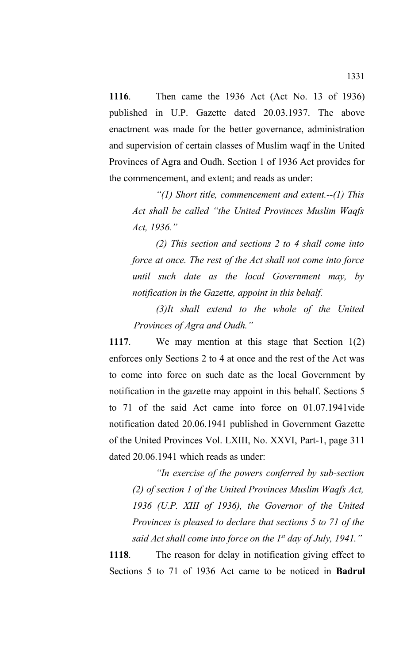**1116**. Then came the 1936 Act (Act No. 13 of 1936) published in U.P. Gazette dated 20.03.1937. The above enactment was made for the better governance, administration and supervision of certain classes of Muslim waqf in the United Provinces of Agra and Oudh. Section 1 of 1936 Act provides for the commencement, and extent; and reads as under:

*"(1) Short title, commencement and extent.--(1) This Act shall be called "the United Provinces Muslim Waqfs Act, 1936."*

*(2) This section and sections 2 to 4 shall come into force at once. The rest of the Act shall not come into force until such date as the local Government may, by notification in the Gazette, appoint in this behalf.* 

*(3)It shall extend to the whole of the United Provinces of Agra and Oudh."*

**1117**. We may mention at this stage that Section 1(2) enforces only Sections 2 to 4 at once and the rest of the Act was to come into force on such date as the local Government by notification in the gazette may appoint in this behalf. Sections 5 to 71 of the said Act came into force on 01.07.1941vide notification dated 20.06.1941 published in Government Gazette of the United Provinces Vol. LXIII, No. XXVI, Part-1, page 311 dated 20.06.1941 which reads as under:

*"In exercise of the powers conferred by sub-section (2) of section 1 of the United Provinces Muslim Waqfs Act, 1936 (U.P. XIII of 1936), the Governor of the United Provinces is pleased to declare that sections 5 to 71 of the said Act shall come into force on the 1st day of July, 1941."*

**1118**. The reason for delay in notification giving effect to Sections 5 to 71 of 1936 Act came to be noticed in **Badrul**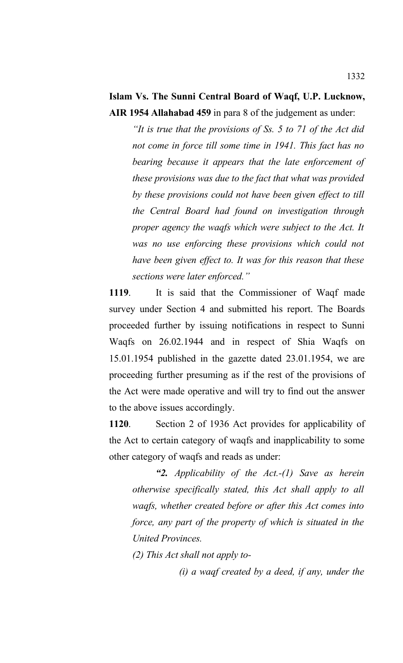## **Islam Vs. The Sunni Central Board of Waqf, U.P. Lucknow, AIR 1954 Allahabad 459** in para 8 of the judgement as under:

*"It is true that the provisions of Ss. 5 to 71 of the Act did not come in force till some time in 1941. This fact has no bearing because it appears that the late enforcement of these provisions was due to the fact that what was provided by these provisions could not have been given effect to till the Central Board had found on investigation through proper agency the waqfs which were subject to the Act. It was no use enforcing these provisions which could not have been given effect to. It was for this reason that these sections were later enforced."*

**1119**. It is said that the Commissioner of Waqf made survey under Section 4 and submitted his report. The Boards proceeded further by issuing notifications in respect to Sunni Waqfs on 26.02.1944 and in respect of Shia Waqfs on 15.01.1954 published in the gazette dated 23.01.1954, we are proceeding further presuming as if the rest of the provisions of the Act were made operative and will try to find out the answer to the above issues accordingly.

**1120**. Section 2 of 1936 Act provides for applicability of the Act to certain category of waqfs and inapplicability to some other category of waqfs and reads as under:

*"2. Applicability of the Act.-(1) Save as herein otherwise specifically stated, this Act shall apply to all waqfs, whether created before or after this Act comes into force, any part of the property of which is situated in the United Provinces.*

*(2) This Act shall not apply to-*

*(i) a waqf created by a deed, if any, under the*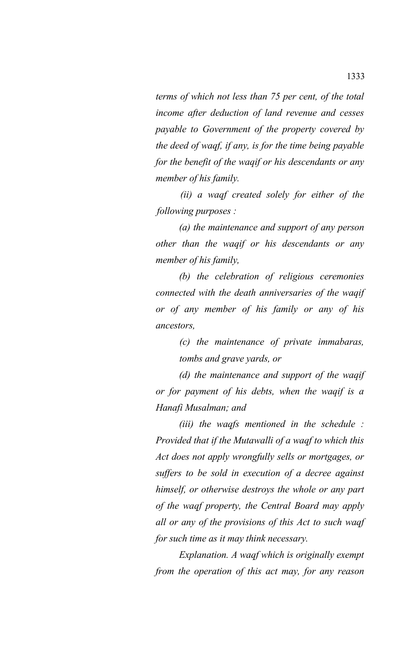*terms of which not less than 75 per cent, of the total income after deduction of land revenue and cesses payable to Government of the property covered by the deed of waqf, if any, is for the time being payable for the benefit of the waqif or his descendants or any member of his family.*

*(ii) a waqf created solely for either of the following purposes :*

*(a) the maintenance and support of any person other than the waqif or his descendants or any member of his family,*

*(b) the celebration of religious ceremonies connected with the death anniversaries of the waqif or of any member of his family or any of his ancestors,*

> *(c) the maintenance of private immabaras, tombs and grave yards, or*

*(d) the maintenance and support of the waqif or for payment of his debts, when the waqif is a Hanafi Musalman; and* 

*(iii) the waqfs mentioned in the schedule : Provided that if the Mutawalli of a waqf to which this Act does not apply wrongfully sells or mortgages, or suffers to be sold in execution of a decree against himself, or otherwise destroys the whole or any part of the waqf property, the Central Board may apply all or any of the provisions of this Act to such waqf for such time as it may think necessary.*

*Explanation. A waqf which is originally exempt from the operation of this act may, for any reason*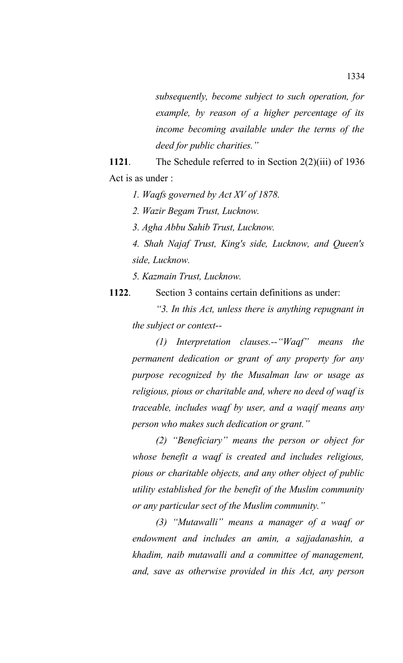*subsequently, become subject to such operation, for example, by reason of a higher percentage of its income becoming available under the terms of the deed for public charities."*

**1121**. The Schedule referred to in Section 2(2)(iii) of 1936 Act is as under :

*1. Waqfs governed by Act XV of 1878.*

*2. Wazir Begam Trust, Lucknow.*

*3. Agha Abbu Sahib Trust, Lucknow.*

*4. Shah Najaf Trust, King's side, Lucknow, and Queen's side, Lucknow.*

*5. Kazmain Trust, Lucknow.*

**1122**. Section 3 contains certain definitions as under:

*"3. In this Act, unless there is anything repugnant in the subject or context--*

*(1) Interpretation clauses.--"Waqf" means the permanent dedication or grant of any property for any purpose recognized by the Musalman law or usage as religious, pious or charitable and, where no deed of waqf is traceable, includes waqf by user, and a waqif means any person who makes such dedication or grant."*

*(2) "Beneficiary" means the person or object for whose benefit a waqf is created and includes religious, pious or charitable objects, and any other object of public utility established for the benefit of the Muslim community or any particular sect of the Muslim community."*

*(3) "Mutawalli" means a manager of a waqf or endowment and includes an amin, a sajjadanashin, a khadim, naib mutawalli and a committee of management, and, save as otherwise provided in this Act, any person*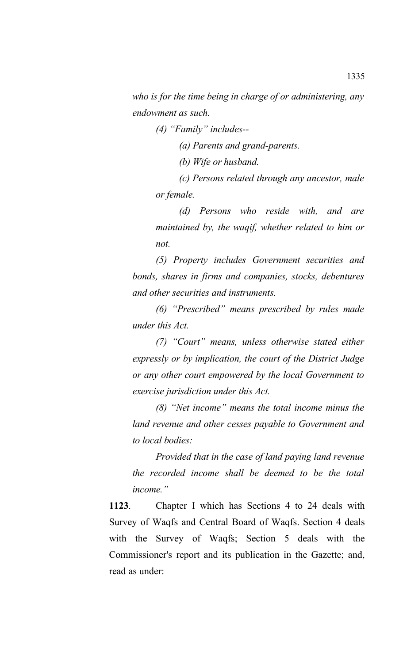*who is for the time being in charge of or administering, any endowment as such.* 

*(4) "Family" includes--*

*(a) Parents and grand-parents.*

*(b) Wife or husband.* 

*(c) Persons related through any ancestor, male or female.* 

*(d) Persons who reside with, and are maintained by, the waqif, whether related to him or not.* 

*(5) Property includes Government securities and bonds, shares in firms and companies, stocks, debentures and other securities and instruments.* 

*(6) "Prescribed" means prescribed by rules made under this Act.* 

*(7) "Court" means, unless otherwise stated either expressly or by implication, the court of the District Judge or any other court empowered by the local Government to exercise jurisdiction under this Act.* 

*(8) "Net income" means the total income minus the land revenue and other cesses payable to Government and to local bodies:*

*Provided that in the case of land paying land revenue the recorded income shall be deemed to be the total income."*

**1123**. Chapter I which has Sections 4 to 24 deals with Survey of Waqfs and Central Board of Waqfs. Section 4 deals with the Survey of Waqfs; Section 5 deals with the Commissioner's report and its publication in the Gazette; and, read as under: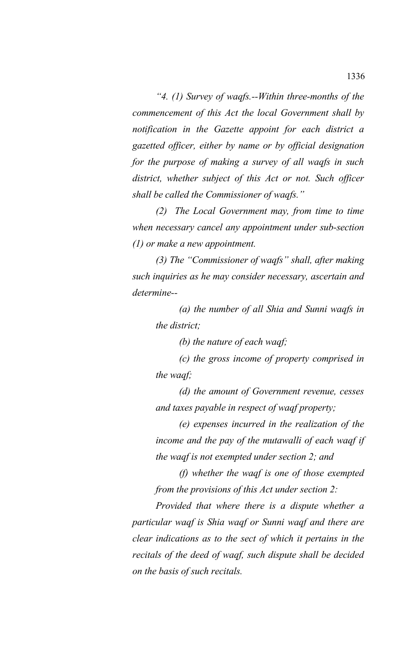*"4. (1) Survey of waqfs.--Within three-months of the commencement of this Act the local Government shall by notification in the Gazette appoint for each district a gazetted officer, either by name or by official designation for the purpose of making a survey of all waqfs in such district, whether subject of this Act or not. Such officer shall be called the Commissioner of waqfs."* 

*(2) The Local Government may, from time to time when necessary cancel any appointment under sub-section (1) or make a new appointment.* 

*(3) The "Commissioner of waqfs" shall, after making such inquiries as he may consider necessary, ascertain and determine--*

*(a) the number of all Shia and Sunni waqfs in the district;* 

*(b) the nature of each waqf;* 

*(c) the gross income of property comprised in the waqf;*

*(d) the amount of Government revenue, cesses and taxes payable in respect of waqf property;*

*(e) expenses incurred in the realization of the income and the pay of the mutawalli of each waqf if the waqf is not exempted under section 2; and* 

*(f) whether the waqf is one of those exempted from the provisions of this Act under section 2:*

*Provided that where there is a dispute whether a particular waqf is Shia waqf or Sunni waqf and there are clear indications as to the sect of which it pertains in the recitals of the deed of waqf, such dispute shall be decided on the basis of such recitals.*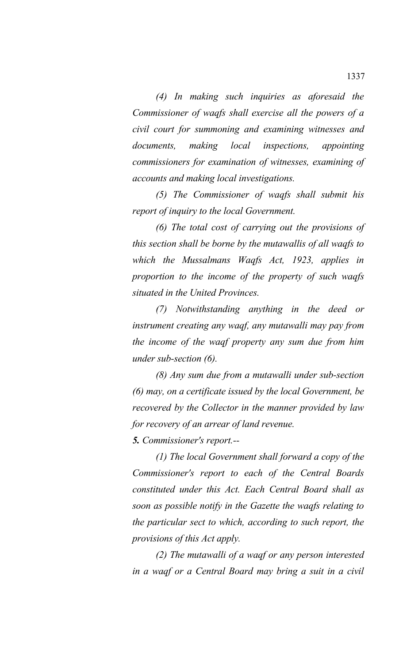*(4) In making such inquiries as aforesaid the Commissioner of waqfs shall exercise all the powers of a civil court for summoning and examining witnesses and documents, making local inspections, appointing commissioners for examination of witnesses, examining of accounts and making local investigations.* 

*(5) The Commissioner of waqfs shall submit his report of inquiry to the local Government.* 

*(6) The total cost of carrying out the provisions of this section shall be borne by the mutawallis of all waqfs to which the Mussalmans Waqfs Act, 1923, applies in proportion to the income of the property of such waqfs situated in the United Provinces.* 

*(7) Notwithstanding anything in the deed or instrument creating any waqf, any mutawalli may pay from the income of the waqf property any sum due from him under sub-section (6).* 

*(8) Any sum due from a mutawalli under sub-section (6) may, on a certificate issued by the local Government, be recovered by the Collector in the manner provided by law for recovery of an arrear of land revenue.* 

*5. Commissioner's report.--*

*(1) The local Government shall forward a copy of the Commissioner's report to each of the Central Boards constituted under this Act. Each Central Board shall as soon as possible notify in the Gazette the waqfs relating to the particular sect to which, according to such report, the provisions of this Act apply.* 

*(2) The mutawalli of a waqf or any person interested in a waqf or a Central Board may bring a suit in a civil*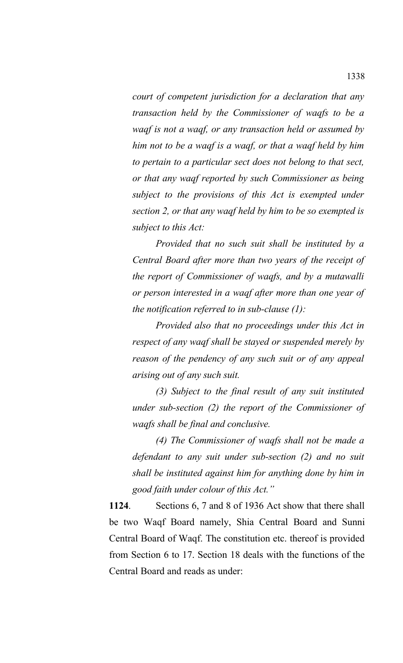*court of competent jurisdiction for a declaration that any transaction held by the Commissioner of waqfs to be a waqf is not a waqf, or any transaction held or assumed by him not to be a waqf is a waqf, or that a waqf held by him to pertain to a particular sect does not belong to that sect, or that any waqf reported by such Commissioner as being subject to the provisions of this Act is exempted under section 2, or that any waqf held by him to be so exempted is subject to this Act:*

*Provided that no such suit shall be instituted by a Central Board after more than two years of the receipt of the report of Commissioner of waqfs, and by a mutawalli or person interested in a waqf after more than one year of the notification referred to in sub-clause (1):* 

*Provided also that no proceedings under this Act in respect of any waqf shall be stayed or suspended merely by reason of the pendency of any such suit or of any appeal arising out of any such suit.* 

*(3) Subject to the final result of any suit instituted under sub-section (2) the report of the Commissioner of waqfs shall be final and conclusive.* 

*(4) The Commissioner of waqfs shall not be made a defendant to any suit under sub-section (2) and no suit shall be instituted against him for anything done by him in good faith under colour of this Act."*

**1124**. Sections 6, 7 and 8 of 1936 Act show that there shall be two Waqf Board namely, Shia Central Board and Sunni Central Board of Waqf. The constitution etc. thereof is provided from Section 6 to 17. Section 18 deals with the functions of the Central Board and reads as under: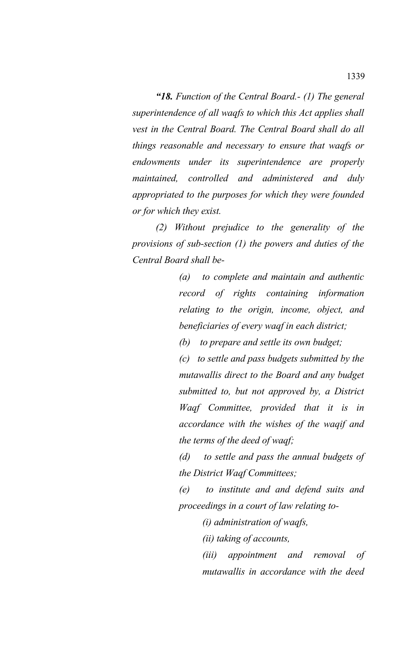*"18. Function of the Central Board.- (1) The general superintendence of all waqfs to which this Act applies shall vest in the Central Board. The Central Board shall do all things reasonable and necessary to ensure that waqfs or endowments under its superintendence are properly maintained, controlled and administered and duly appropriated to the purposes for which they were founded or for which they exist.* 

*(2) Without prejudice to the generality of the provisions of sub-section (1) the powers and duties of the Central Board shall be-*

> *(a) to complete and maintain and authentic record of rights containing information relating to the origin, income, object, and beneficiaries of every waqf in each district;*

*(b) to prepare and settle its own budget;*

*(c) to settle and pass budgets submitted by the mutawallis direct to the Board and any budget submitted to, but not approved by, a District Waqf Committee, provided that it is in accordance with the wishes of the waqif and the terms of the deed of waqf;*

*(d) to settle and pass the annual budgets of the District Waqf Committees;*

*(e) to institute and and defend suits and proceedings in a court of law relating to-*

*(i) administration of waqfs,*

*(ii) taking of accounts,*

*(iii) appointment and removal of mutawallis in accordance with the deed*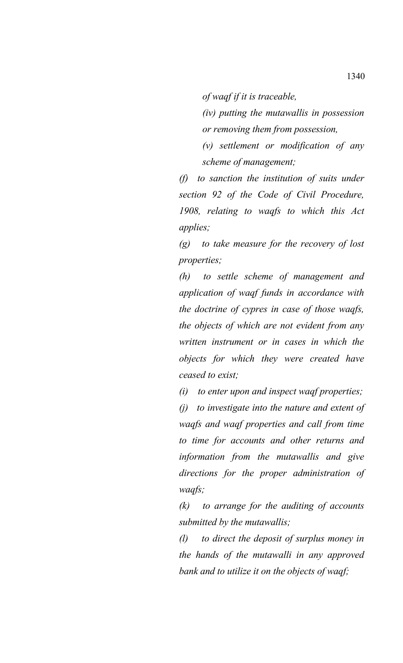*of waqf if it is traceable,*

*(iv) putting the mutawallis in possession or removing them from possession,*

*(v) settlement or modification of any scheme of management;*

*(f) to sanction the institution of suits under section 92 of the Code of Civil Procedure, 1908, relating to waqfs to which this Act applies;*

*(g) to take measure for the recovery of lost properties;*

*(h) to settle scheme of management and application of waqf funds in accordance with the doctrine of cypres in case of those waqfs, the objects of which are not evident from any written instrument or in cases in which the objects for which they were created have ceased to exist;*

*(i) to enter upon and inspect waqf properties;*

*(j) to investigate into the nature and extent of waqfs and waqf properties and call from time to time for accounts and other returns and information from the mutawallis and give directions for the proper administration of waqfs;*

*(k) to arrange for the auditing of accounts submitted by the mutawallis;*

*(l) to direct the deposit of surplus money in the hands of the mutawalli in any approved bank and to utilize it on the objects of waqf;*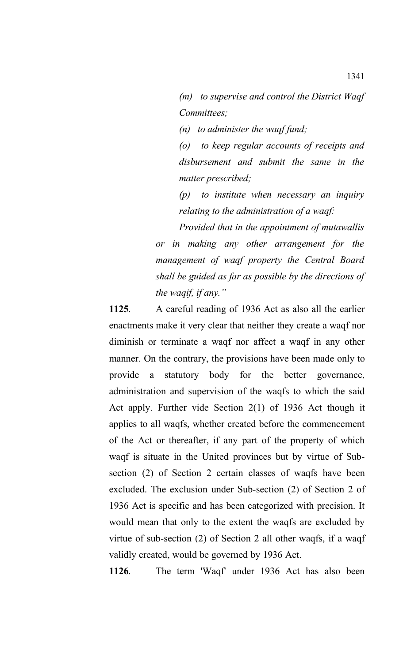*(m) to supervise and control the District Waqf Committees;*

*(n) to administer the waqf fund;*

*(o) to keep regular accounts of receipts and disbursement and submit the same in the matter prescribed;*

*(p) to institute when necessary an inquiry relating to the administration of a waqf:*

*Provided that in the appointment of mutawallis or in making any other arrangement for the management of waqf property the Central Board shall be guided as far as possible by the directions of the waqif, if any."* 

**1125**. A careful reading of 1936 Act as also all the earlier enactments make it very clear that neither they create a waqf nor diminish or terminate a waqf nor affect a waqf in any other manner. On the contrary, the provisions have been made only to provide a statutory body for the better governance, administration and supervision of the waqfs to which the said Act apply. Further vide Section 2(1) of 1936 Act though it applies to all waqfs, whether created before the commencement of the Act or thereafter, if any part of the property of which waqf is situate in the United provinces but by virtue of Subsection (2) of Section 2 certain classes of waqfs have been excluded. The exclusion under Sub-section (2) of Section 2 of 1936 Act is specific and has been categorized with precision. It would mean that only to the extent the waqfs are excluded by virtue of sub-section (2) of Section 2 all other waqfs, if a waqf validly created, would be governed by 1936 Act.

**1126**. The term 'Waqf' under 1936 Act has also been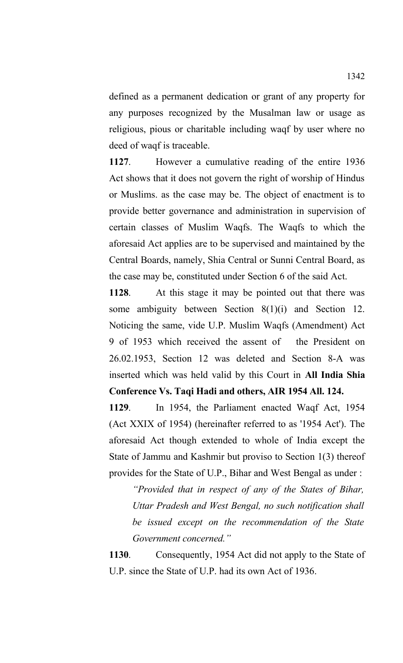defined as a permanent dedication or grant of any property for any purposes recognized by the Musalman law or usage as religious, pious or charitable including waqf by user where no deed of waqf is traceable.

**1127**. However a cumulative reading of the entire 1936 Act shows that it does not govern the right of worship of Hindus or Muslims. as the case may be. The object of enactment is to provide better governance and administration in supervision of certain classes of Muslim Waqfs. The Waqfs to which the aforesaid Act applies are to be supervised and maintained by the Central Boards, namely, Shia Central or Sunni Central Board, as the case may be, constituted under Section 6 of the said Act.

**1128**. At this stage it may be pointed out that there was some ambiguity between Section 8(1)(i) and Section 12. Noticing the same, vide U.P. Muslim Waqfs (Amendment) Act 9 of 1953 which received the assent of the President on 26.02.1953, Section 12 was deleted and Section 8-A was inserted which was held valid by this Court in **All India Shia Conference Vs. Taqi Hadi and others, AIR 1954 All. 124.**

**1129**. In 1954, the Parliament enacted Waqf Act, 1954 (Act XXIX of 1954) (hereinafter referred to as '1954 Act'). The aforesaid Act though extended to whole of India except the State of Jammu and Kashmir but proviso to Section 1(3) thereof provides for the State of U.P., Bihar and West Bengal as under :

*"Provided that in respect of any of the States of Bihar, Uttar Pradesh and West Bengal, no such notification shall be issued except on the recommendation of the State Government concerned."* 

**1130**. Consequently, 1954 Act did not apply to the State of U.P. since the State of U.P. had its own Act of 1936.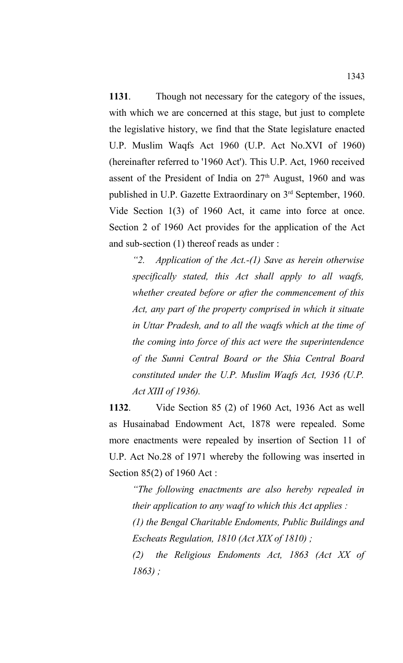**1131**. Though not necessary for the category of the issues, with which we are concerned at this stage, but just to complete the legislative history, we find that the State legislature enacted U.P. Muslim Waqfs Act 1960 (U.P. Act No.XVI of 1960) (hereinafter referred to '1960 Act'). This U.P. Act, 1960 received assent of the President of India on 27<sup>th</sup> August, 1960 and was published in U.P. Gazette Extraordinary on 3rd September, 1960. Vide Section 1(3) of 1960 Act, it came into force at once. Section 2 of 1960 Act provides for the application of the Act and sub-section (1) thereof reads as under :

*"2. Application of the Act.-(1) Save as herein otherwise specifically stated, this Act shall apply to all waqfs, whether created before or after the commencement of this Act, any part of the property comprised in which it situate in Uttar Pradesh, and to all the waqfs which at the time of the coming into force of this act were the superintendence of the Sunni Central Board or the Shia Central Board constituted under the U.P. Muslim Waqfs Act, 1936 (U.P. Act XIII of 1936).*

**1132**. Vide Section 85 (2) of 1960 Act, 1936 Act as well as Husainabad Endowment Act, 1878 were repealed. Some more enactments were repealed by insertion of Section 11 of U.P. Act No.28 of 1971 whereby the following was inserted in Section 85(2) of 1960 Act :

*"The following enactments are also hereby repealed in their application to any waqf to which this Act applies : (1) the Bengal Charitable Endoments, Public Buildings and Escheats Regulation, 1810 (Act XIX of 1810) ;*

*(2) the Religious Endoments Act, 1863 (Act XX of 1863) ;*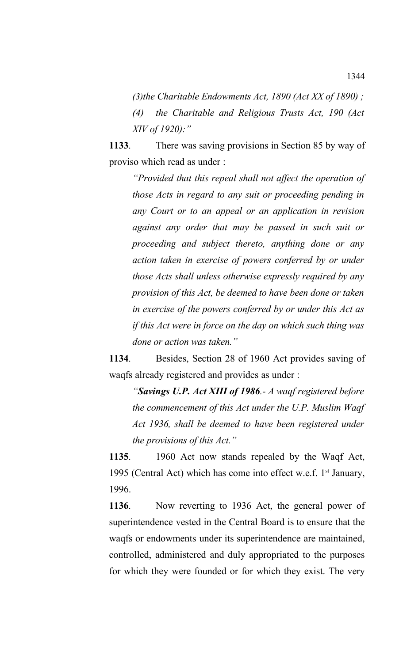*(3)the Charitable Endowments Act, 1890 (Act XX of 1890) ; (4) the Charitable and Religious Trusts Act, 190 (Act XIV of 1920):"*

**1133**. There was saving provisions in Section 85 by way of proviso which read as under :

*"Provided that this repeal shall not affect the operation of those Acts in regard to any suit or proceeding pending in any Court or to an appeal or an application in revision against any order that may be passed in such suit or proceeding and subject thereto, anything done or any action taken in exercise of powers conferred by or under those Acts shall unless otherwise expressly required by any provision of this Act, be deemed to have been done or taken in exercise of the powers conferred by or under this Act as if this Act were in force on the day on which such thing was done or action was taken."*

**1134**. Besides, Section 28 of 1960 Act provides saving of waqfs already registered and provides as under :

*"Savings U.P. Act XIII of 1986.- A waqf registered before the commencement of this Act under the U.P. Muslim Waqf Act 1936, shall be deemed to have been registered under the provisions of this Act."*

**1135**. 1960 Act now stands repealed by the Waqf Act, 1995 (Central Act) which has come into effect w.e.f.  $1<sup>st</sup>$  January, 1996.

**1136**. Now reverting to 1936 Act, the general power of superintendence vested in the Central Board is to ensure that the waqfs or endowments under its superintendence are maintained, controlled, administered and duly appropriated to the purposes for which they were founded or for which they exist. The very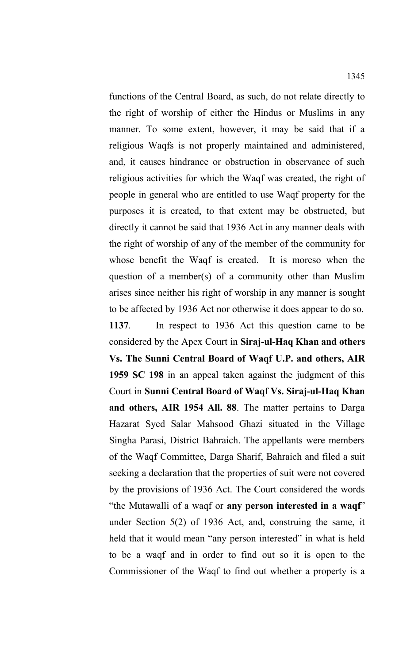functions of the Central Board, as such, do not relate directly to the right of worship of either the Hindus or Muslims in any manner. To some extent, however, it may be said that if a religious Waqfs is not properly maintained and administered, and, it causes hindrance or obstruction in observance of such religious activities for which the Waqf was created, the right of people in general who are entitled to use Waqf property for the purposes it is created, to that extent may be obstructed, but directly it cannot be said that 1936 Act in any manner deals with the right of worship of any of the member of the community for whose benefit the Waqf is created. It is moreso when the question of a member(s) of a community other than Muslim arises since neither his right of worship in any manner is sought to be affected by 1936 Act nor otherwise it does appear to do so.

**1137**. In respect to 1936 Act this question came to be considered by the Apex Court in **Siraj-ul-Haq Khan and others Vs. The Sunni Central Board of Waqf U.P. and others, AIR 1959 SC 198** in an appeal taken against the judgment of this Court in **Sunni Central Board of Waqf Vs. Siraj-ul-Haq Khan and others, AIR 1954 All. 88**. The matter pertains to Darga Hazarat Syed Salar Mahsood Ghazi situated in the Village Singha Parasi, District Bahraich. The appellants were members of the Waqf Committee, Darga Sharif, Bahraich and filed a suit seeking a declaration that the properties of suit were not covered by the provisions of 1936 Act. The Court considered the words "the Mutawalli of a waqf or **any person interested in a waqf**" under Section 5(2) of 1936 Act, and, construing the same, it held that it would mean "any person interested" in what is held to be a waqf and in order to find out so it is open to the Commissioner of the Waqf to find out whether a property is a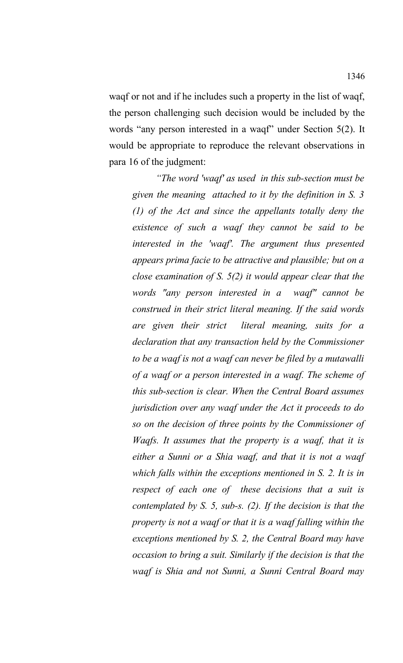waqf or not and if he includes such a property in the list of waqf, the person challenging such decision would be included by the words "any person interested in a waqf" under Section 5(2). It would be appropriate to reproduce the relevant observations in para 16 of the judgment:

*"The word 'waqf' as used in this sub-section must be given the meaning attached to it by the definition in S. 3 (1) of the Act and since the appellants totally deny the existence of such a waqf they cannot be said to be interested in the 'waqf'. The argument thus presented appears prima facie to be attractive and plausible; but on a close examination of S. 5(2) it would appear clear that the words "any person interested in a waqf" cannot be construed in their strict literal meaning. If the said words are given their strict literal meaning, suits for a declaration that any transaction held by the Commissioner to be a waqf is not a waqf can never be filed by a mutawalli of a waqf or a person interested in a waqf. The scheme of this sub-section is clear. When the Central Board assumes jurisdiction over any waqf under the Act it proceeds to do so on the decision of three points by the Commissioner of Waqfs. It assumes that the property is a waqf, that it is either a Sunni or a Shia waqf, and that it is not a waqf which falls within the exceptions mentioned in S. 2. It is in respect of each one of these decisions that a suit is contemplated by S. 5, sub-s. (2). If the decision is that the property is not a waqf or that it is a waqf falling within the exceptions mentioned by S. 2, the Central Board may have occasion to bring a suit. Similarly if the decision is that the waqf is Shia and not Sunni, a Sunni Central Board may*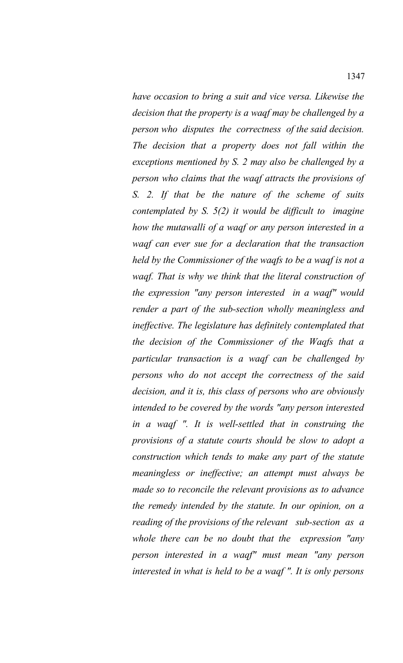*have occasion to bring a suit and vice versa. Likewise the decision that the property is a waqf may be challenged by a person who disputes the correctness of the said decision. The decision that a property does not fall within the exceptions mentioned by S. 2 may also be challenged by a person who claims that the waqf attracts the provisions of S. 2. If that be the nature of the scheme of suits contemplated by S. 5(2) it would be difficult to imagine how the mutawalli of a waqf or any person interested in a waqf can ever sue for a declaration that the transaction held by the Commissioner of the waqfs to be a waqf is not a waqf. That is why we think that the literal construction of the expression "any person interested in a waqf" would render a part of the sub-section wholly meaningless and ineffective. The legislature has definitely contemplated that the decision of the Commissioner of the Waqfs that a particular transaction is a waqf can be challenged by persons who do not accept the correctness of the said decision, and it is, this class of persons who are obviously intended to be covered by the words "any person interested in a waqf ". It is well-settled that in construing the provisions of a statute courts should be slow to adopt a construction which tends to make any part of the statute meaningless or ineffective; an attempt must always be made so to reconcile the relevant provisions as to advance the remedy intended by the statute. In our opinion, on a reading of the provisions of the relevant sub-section as a whole there can be no doubt that the expression "any person interested in a waqf" must mean "any person interested in what is held to be a waqf ". It is only persons*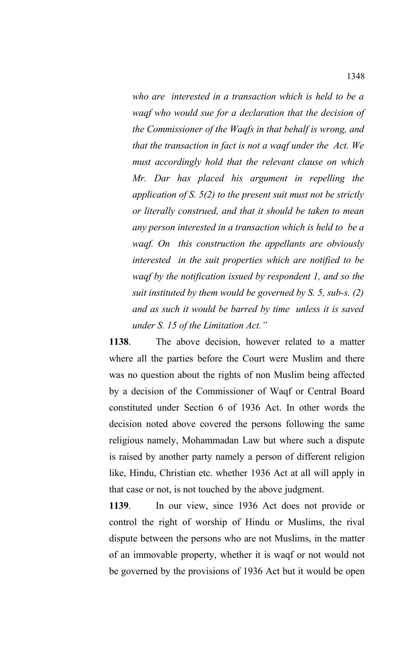*who are interested in a transaction which is held to be a waqf who would sue for a declaration that the decision of the Commissioner of the Waqfs in that behalf is wrong, and that the transaction in fact is not a waqf under the Act. We must accordingly hold that the relevant clause on which Mr. Dar has placed his argument in repelling the application of S. 5(2) to the present suit must not be strictly or literally construed, and that it should be taken to mean any person interested in a transaction which is held to be a waqf. On this construction the appellants are obviously interested in the suit properties which are notified to be waqf by the notification issued by respondent 1, and so the suit instituted by them would be governed by S. 5, sub-s. (2) and as such it would be barred by time unless it is saved under S. 15 of the Limitation Act."*

**1138**. The above decision, however related to a matter where all the parties before the Court were Muslim and there was no question about the rights of non Muslim being affected by a decision of the Commissioner of Waqf or Central Board constituted under Section 6 of 1936 Act. In other words the decision noted above covered the persons following the same religious namely, Mohammadan Law but where such a dispute is raised by another party namely a person of different religion like, Hindu, Christian etc. whether 1936 Act at all will apply in that case or not, is not touched by the above judgment.

**1139**. In our view, since 1936 Act does not provide or control the right of worship of Hindu or Muslims, the rival dispute between the persons who are not Muslims, in the matter of an immovable property, whether it is waqf or not would not be governed by the provisions of 1936 Act but it would be open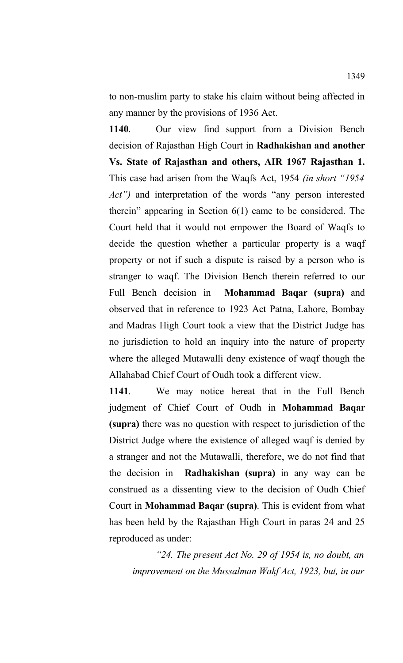to non-muslim party to stake his claim without being affected in any manner by the provisions of 1936 Act.

**1140**. Our view find support from a Division Bench decision of Rajasthan High Court in **Radhakishan and another Vs. State of Rajasthan and others, AIR 1967 Rajasthan 1.** This case had arisen from the Waqfs Act, 1954 *(in short "1954 Act*") and interpretation of the words "any person interested therein" appearing in Section 6(1) came to be considered. The Court held that it would not empower the Board of Waqfs to decide the question whether a particular property is a waqf property or not if such a dispute is raised by a person who is stranger to waqf. The Division Bench therein referred to our Full Bench decision in **Mohammad Baqar (supra)** and observed that in reference to 1923 Act Patna, Lahore, Bombay and Madras High Court took a view that the District Judge has no jurisdiction to hold an inquiry into the nature of property where the alleged Mutawalli deny existence of waqf though the Allahabad Chief Court of Oudh took a different view.

**1141**. We may notice hereat that in the Full Bench judgment of Chief Court of Oudh in **Mohammad Baqar (supra)** there was no question with respect to jurisdiction of the District Judge where the existence of alleged waqf is denied by a stranger and not the Mutawalli, therefore, we do not find that the decision in **Radhakishan (supra)** in any way can be construed as a dissenting view to the decision of Oudh Chief Court in **Mohammad Baqar (supra)**. This is evident from what has been held by the Rajasthan High Court in paras 24 and 25 reproduced as under:

*"24. The present Act No. 29 of 1954 is, no doubt, an improvement on the Mussalman Wakf Act, 1923, but, in our*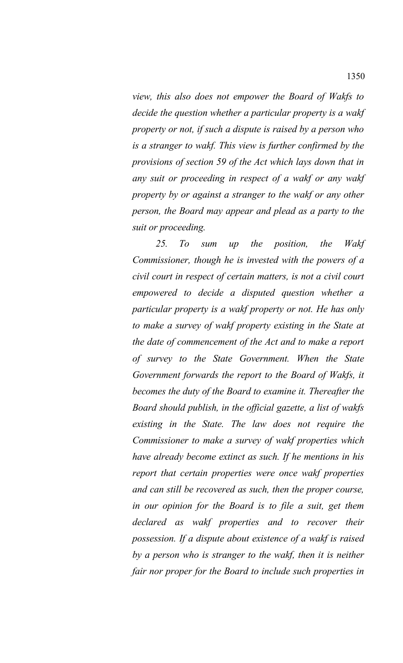*view, this also does not empower the Board of Wakfs to decide the question whether a particular property is a wakf property or not, if such a dispute is raised by a person who is a stranger to wakf. This view is further confirmed by the provisions of section 59 of the Act which lays down that in any suit or proceeding in respect of a wakf or any wakf property by or against a stranger to the wakf or any other person, the Board may appear and plead as a party to the suit or proceeding.* 

*25. To sum up the position, the Wakf Commissioner, though he is invested with the powers of a civil court in respect of certain matters, is not a civil court empowered to decide a disputed question whether a particular property is a wakf property or not. He has only to make a survey of wakf property existing in the State at the date of commencement of the Act and to make a report of survey to the State Government. When the State Government forwards the report to the Board of Wakfs, it becomes the duty of the Board to examine it. Thereafter the Board should publish, in the official gazette, a list of wakfs existing in the State. The law does not require the Commissioner to make a survey of wakf properties which have already become extinct as such. If he mentions in his report that certain properties were once wakf properties and can still be recovered as such, then the proper course, in our opinion for the Board is to file a suit, get them declared as wakf properties and to recover their possession. If a dispute about existence of a wakf is raised by a person who is stranger to the wakf, then it is neither fair nor proper for the Board to include such properties in*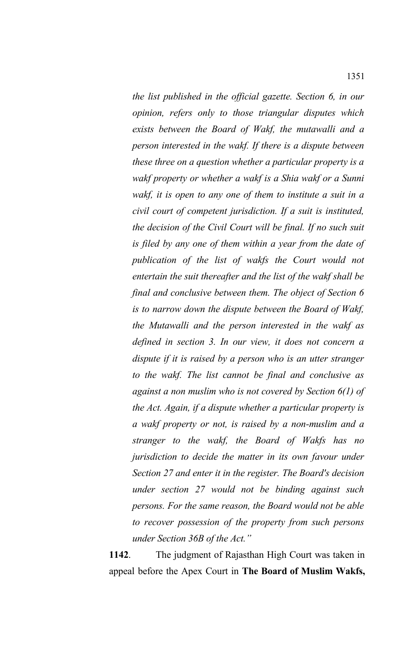*the list published in the official gazette. Section 6, in our opinion, refers only to those triangular disputes which exists between the Board of Wakf, the mutawalli and a person interested in the wakf. If there is a dispute between these three on a question whether a particular property is a wakf property or whether a wakf is a Shia wakf or a Sunni wakf, it is open to any one of them to institute a suit in a civil court of competent jurisdiction. If a suit is instituted, the decision of the Civil Court will be final. If no such suit is filed by any one of them within a year from the date of publication of the list of wakfs the Court would not entertain the suit thereafter and the list of the wakf shall be final and conclusive between them. The object of Section 6 is to narrow down the dispute between the Board of Wakf, the Mutawalli and the person interested in the wakf as defined in section 3. In our view, it does not concern a dispute if it is raised by a person who is an utter stranger to the wakf. The list cannot be final and conclusive as against a non muslim who is not covered by Section 6(1) of the Act. Again, if a dispute whether a particular property is a wakf property or not, is raised by a non-muslim and a stranger to the wakf, the Board of Wakfs has no jurisdiction to decide the matter in its own favour under Section 27 and enter it in the register. The Board's decision under section 27 would not be binding against such persons. For the same reason, the Board would not be able to recover possession of the property from such persons under Section 36B of the Act."* 

**1142**. The judgment of Rajasthan High Court was taken in appeal before the Apex Court in **The Board of Muslim Wakfs,**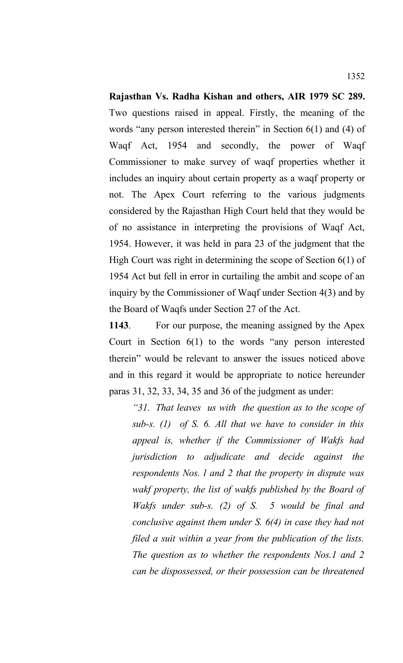**Rajasthan Vs. Radha Kishan and others, AIR 1979 SC 289.** Two questions raised in appeal. Firstly, the meaning of the words "any person interested therein" in Section 6(1) and (4) of Waqf Act, 1954 and secondly, the power of Waqf Commissioner to make survey of waqf properties whether it includes an inquiry about certain property as a waqf property or not. The Apex Court referring to the various judgments considered by the Rajasthan High Court held that they would be of no assistance in interpreting the provisions of Waqf Act, 1954. However, it was held in para 23 of the judgment that the High Court was right in determining the scope of Section 6(1) of 1954 Act but fell in error in curtailing the ambit and scope of an inquiry by the Commissioner of Waqf under Section 4(3) and by the Board of Waqfs under Section 27 of the Act.

**1143**. For our purpose, the meaning assigned by the Apex Court in Section 6(1) to the words "any person interested therein" would be relevant to answer the issues noticed above and in this regard it would be appropriate to notice hereunder paras 31, 32, 33, 34, 35 and 36 of the judgment as under:

*"31. That leaves us with the question as to the scope of sub-s. (1) of S. 6. All that we have to consider in this appeal is, whether if the Commissioner of Wakfs had jurisdiction to adjudicate and decide against the respondents Nos. l and 2 that the property in dispute was wakf property, the list of wakfs published by the Board of Wakfs under sub-s. (2) of S. 5 would be final and conclusive against them under S. 6(4) in case they had not filed a suit within a year from the publication of the lists. The question as to whether the respondents Nos.1 and 2 can be dispossessed, or their possession can be threatened*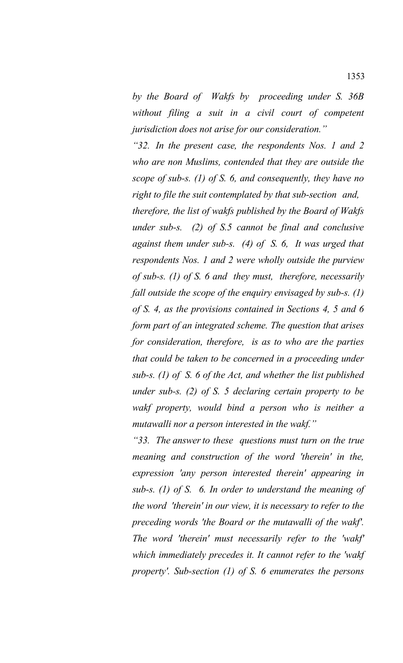*by the Board of Wakfs by proceeding under S. 36B without filing a suit in a civil court of competent jurisdiction does not arise for our consideration."*

*"32. In the present case, the respondents Nos. 1 and 2 who are non Muslims, contended that they are outside the scope of sub-s. (1) of S. 6, and consequently, they have no right to file the suit contemplated by that sub-section and,*

*therefore, the list of wakfs published by the Board of Wakfs under sub-s. (2) of S.5 cannot be final and conclusive against them under sub-s. (4) of S. 6, It was urged that respondents Nos. 1 and 2 were wholly outside the purview of sub-s. (1) of S. 6 and they must, therefore, necessarily fall outside the scope of the enquiry envisaged by sub-s. (1) of S. 4, as the provisions contained in Sections 4, 5 and 6 form part of an integrated scheme. The question that arises for consideration, therefore, is as to who are the parties that could be taken to be concerned in a proceeding under sub-s. (1) of S. 6 of the Act, and whether the list published under sub-s. (2) of S. 5 declaring certain property to be wakf property, would bind a person who is neither a mutawalli nor a person interested in the wakf."*

*"33. The answerto these questions must turn on the true meaning and construction of the word 'therein' in the, expression 'any person interested therein' appearing in sub-s. (1) of S. 6. In order to understand the meaning of the word 'therein' in our view, it is necessary to refer to the preceding words 'the Board or the mutawalli of the wakf'. The word 'therein' must necessarily refer to the 'wakf' which immediately precedes it. It cannot refer to the 'wakf property'. Sub-section (1) of S. 6 enumerates the persons*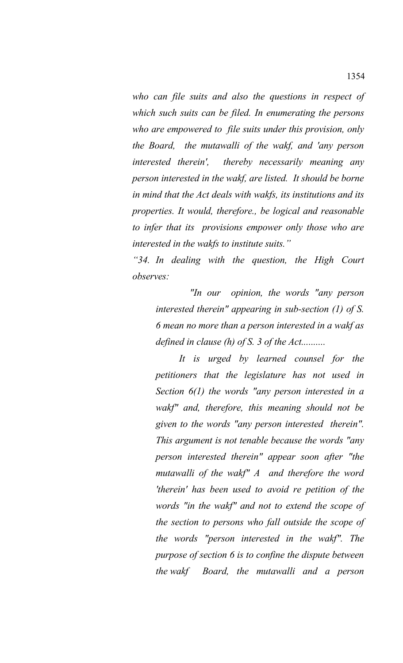*who can file suits and also the questions in respect of which such suits can be filed. In enumerating the persons who are empowered to file suits under this provision, only the Board, the mutawalli of the wakf, and 'any person interested therein', thereby necessarily meaning any person interested in the wakf, are listed. It should be borne in mind that the Act deals with wakfs, its institutions and its properties. It would, therefore., be logical and reasonable to infer that its provisions empower only those who are interested in the wakfs to institute suits."*

*"34. In dealing with the question, the High Court observes:*

 *"In our opinion, the words "any person interested therein" appearing in sub-section (1) of S. 6 mean no more than a person interested in a wakf as defined in clause (h) of S. 3 of the Act..........*

*It is urged by learned counsel for the petitioners that the legislature has not used in Section 6(1) the words "any person interested in a wakf" and, therefore, this meaning should not be given to the words "any person interested therein". This argument is not tenable because the words "any person interested therein" appear soon after "the mutawalli of the wakf" A and therefore the word 'therein' has been used to avoid re petition of the words "in the wakf" and not to extend the scope of the section to persons who fall outside the scope of the words "person interested in the wakf". The purpose of section 6 is to confine the dispute between the wakf Board, the mutawalli and a person*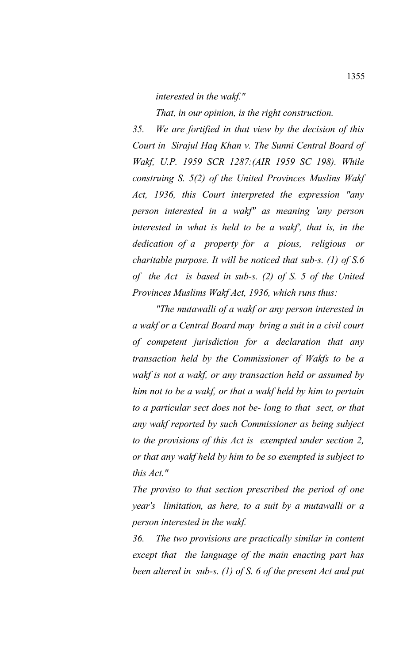*interested in the wakf."* 

*That, in our opinion, is the right construction.* 

*35. We are fortified in that view by the decision of this Court in Sirajul Haq Khan v. The Sunni Central Board of Wakf, U.P. 1959 SCR 1287:(AIR 1959 SC 198). While construing S. 5(2) of the United Provinces Muslins Wakf Act, 1936, this Court interpreted the expression "any person interested in a wakf" as meaning 'any person interested in what is held to be a wakf', that is, in the dedication of a property for a pious, religious or charitable purpose. It will be noticed that sub-s. (1) of S.6 of the Act is based in sub-s. (2) of S. 5 of the United Provinces Muslims Wakf Act, 1936, which runs thus:* 

*"The mutawalli of a wakf or any person interested in a wakf or a Central Board may bring a suit in a civil court of competent jurisdiction for a declaration that any transaction held by the Commissioner of Wakfs to be a wakf is not a wakf, or any transaction held or assumed by him not to be a wakf, or that a wakf held by him to pertain to a particular sect does not be- long to that sect, or that any wakf reported by such Commissioner as being subject to the provisions of this Act is exempted under section 2, or that any wakf held by him to be so exempted is subject to this Act."*

*The proviso to that section prescribed the period of one year's limitation, as here, to a suit by a mutawalli or a person interested in the wakf.* 

*36. The two provisions are practically similar in content except that the language of the main enacting part has been altered in sub-s. (1) of S. 6 of the present Act and put*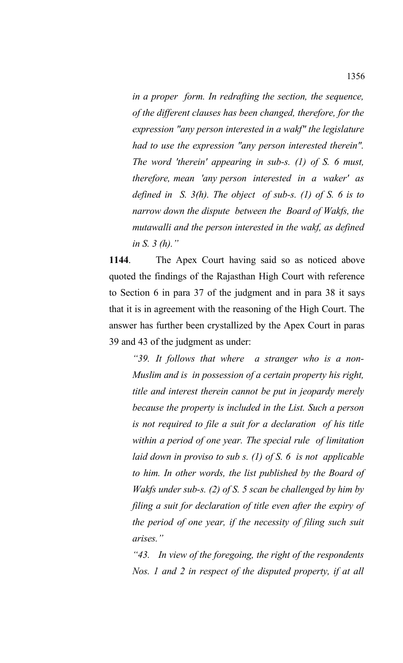*in a proper form. In redrafting the section, the sequence, of the different clauses has been changed, therefore, for the expression "any person interested in a wakf" the legislature had to use the expression "any person interested therein". The word 'therein' appearing in sub-s. (1) of S. 6 must, therefore, mean 'any person interested in a waker' as defined in S. 3(h). The object of sub-s. (1) of S. 6 is to narrow down the dispute between the Board of Wakfs, the mutawalli and the person interested in the wakf, as defined in S. 3 (h)."*

**1144**. The Apex Court having said so as noticed above quoted the findings of the Rajasthan High Court with reference to Section 6 in para 37 of the judgment and in para 38 it says that it is in agreement with the reasoning of the High Court. The answer has further been crystallized by the Apex Court in paras 39 and 43 of the judgment as under:

*"39. It follows that where a stranger who is a non-Muslim and is in possession of a certain property his right, title and interest therein cannot be put in jeopardy merely because the property is included in the List. Such a person is not required to file a suit for a declaration of his title within a period of one year. The special rule of limitation laid down in proviso to sub s. (1) of S. 6 is not applicable to him. In other words, the list published by the Board of Wakfs under sub-s. (2) of S. 5 scan be challenged by him by filing a suit for declaration of title even after the expiry of the period of one year, if the necessity of filing such suit arises."*

*"43. In view of the foregoing, the right of the respondents Nos. 1 and 2 in respect of the disputed property, if at all*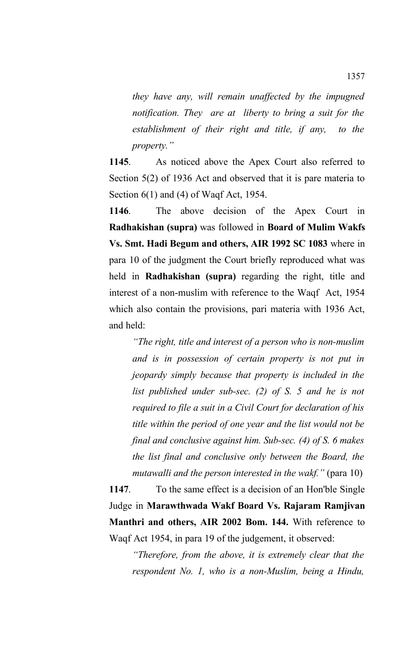*they have any, will remain unaffected by the impugned notification. They are at liberty to bring a suit for the establishment of their right and title, if any, to the property."*

**1145**. As noticed above the Apex Court also referred to Section 5(2) of 1936 Act and observed that it is pare materia to Section 6(1) and (4) of Waqf Act, 1954.

**1146**. The above decision of the Apex Court in **Radhakishan (supra)** was followed in **Board of Mulim Wakfs Vs. Smt. Hadi Begum and others, AIR 1992 SC 1083** where in para 10 of the judgment the Court briefly reproduced what was held in **Radhakishan (supra)** regarding the right, title and interest of a non-muslim with reference to the Waqf Act, 1954 which also contain the provisions, pari materia with 1936 Act, and held:

*"The right, title and interest of a person who is non-muslim and is in possession of certain property is not put in jeopardy simply because that property is included in the list published under sub-sec. (2) of S. 5 and he is not required to file a suit in a Civil Court for declaration of his title within the period of one year and the list would not be final and conclusive against him. Sub-sec. (4) of S. 6 makes the list final and conclusive only between the Board, the mutawalli and the person interested in the wakf."* (para 10)

**1147**. To the same effect is a decision of an Hon'ble Single Judge in **Marawthwada Wakf Board Vs. Rajaram Ramjivan Manthri and others, AIR 2002 Bom. 144.** With reference to Waqf Act 1954, in para 19 of the judgement, it observed:

*"Therefore, from the above, it is extremely clear that the respondent No. 1, who is a non-Muslim, being a Hindu,*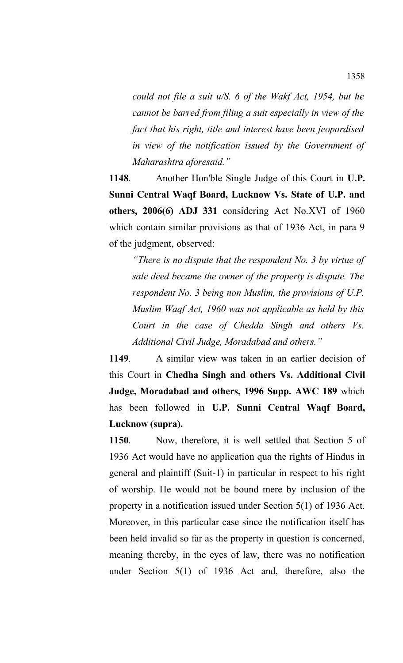*could not file a suit u/S. 6 of the Wakf Act, 1954, but he cannot be barred from filing a suit especially in view of the fact that his right, title and interest have been jeopardised in view of the notification issued by the Government of Maharashtra aforesaid."*

**1148**. Another Hon'ble Single Judge of this Court in **U.P. Sunni Central Waqf Board, Lucknow Vs. State of U.P. and others, 2006(6) ADJ 331** considering Act No.XVI of 1960 which contain similar provisions as that of 1936 Act, in para 9 of the judgment, observed:

*"There is no dispute that the respondent No. 3 by virtue of sale deed became the owner of the property is dispute. The respondent No. 3 being non Muslim, the provisions of U.P. Muslim Waqf Act, 1960 was not applicable as held by this Court in the case of Chedda Singh and others Vs. Additional Civil Judge, Moradabad and others."*

**1149**. A similar view was taken in an earlier decision of this Court in **Chedha Singh and others Vs. Additional Civil Judge, Moradabad and others, 1996 Supp. AWC 189** which has been followed in **U.P. Sunni Central Waqf Board, Lucknow (supra).** 

**1150**. Now, therefore, it is well settled that Section 5 of 1936 Act would have no application qua the rights of Hindus in general and plaintiff (Suit-1) in particular in respect to his right of worship. He would not be bound mere by inclusion of the property in a notification issued under Section 5(1) of 1936 Act. Moreover, in this particular case since the notification itself has been held invalid so far as the property in question is concerned, meaning thereby, in the eyes of law, there was no notification under Section 5(1) of 1936 Act and, therefore, also the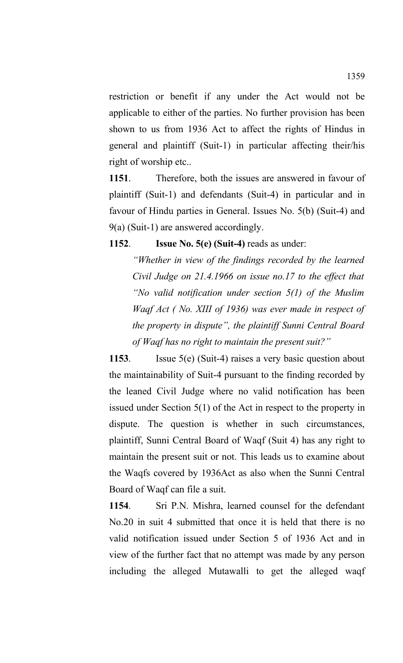restriction or benefit if any under the Act would not be applicable to either of the parties. No further provision has been shown to us from 1936 Act to affect the rights of Hindus in general and plaintiff (Suit-1) in particular affecting their/his right of worship etc..

**1151**. Therefore, both the issues are answered in favour of plaintiff (Suit-1) and defendants (Suit-4) in particular and in favour of Hindu parties in General. Issues No. 5(b) (Suit-4) and 9(a) (Suit-1) are answered accordingly.

## **1152**. **Issue No. 5(e) (Suit-4)** reads as under:

*"Whether in view of the findings recorded by the learned Civil Judge on 21.4.1966 on issue no.17 to the effect that "No valid notification under section 5(1) of the Muslim Waqf Act ( No. XIII of 1936) was ever made in respect of the property in dispute", the plaintiff Sunni Central Board of Waqf has no right to maintain the present suit?"*

**1153**. Issue 5(e) (Suit-4) raises a very basic question about the maintainability of Suit-4 pursuant to the finding recorded by the leaned Civil Judge where no valid notification has been issued under Section 5(1) of the Act in respect to the property in dispute. The question is whether in such circumstances, plaintiff, Sunni Central Board of Waqf (Suit 4) has any right to maintain the present suit or not. This leads us to examine about the Waqfs covered by 1936Act as also when the Sunni Central Board of Waqf can file a suit.

**1154**. Sri P.N. Mishra, learned counsel for the defendant No.20 in suit 4 submitted that once it is held that there is no valid notification issued under Section 5 of 1936 Act and in view of the further fact that no attempt was made by any person including the alleged Mutawalli to get the alleged waqf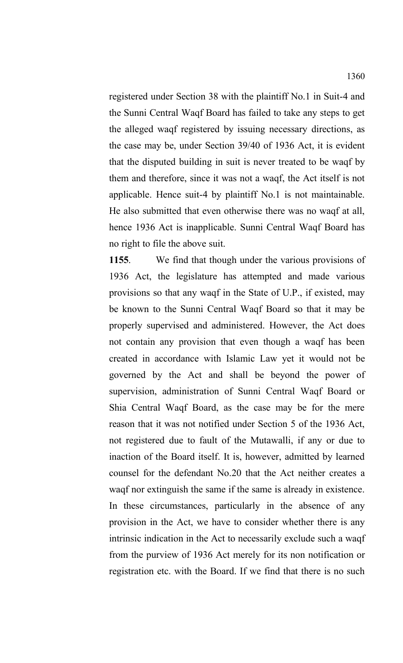registered under Section 38 with the plaintiff No.1 in Suit-4 and the Sunni Central Waqf Board has failed to take any steps to get the alleged waqf registered by issuing necessary directions, as the case may be, under Section 39/40 of 1936 Act, it is evident that the disputed building in suit is never treated to be waqf by them and therefore, since it was not a waqf, the Act itself is not applicable. Hence suit-4 by plaintiff No.1 is not maintainable. He also submitted that even otherwise there was no waqf at all, hence 1936 Act is inapplicable. Sunni Central Waqf Board has no right to file the above suit.

**1155**. We find that though under the various provisions of 1936 Act, the legislature has attempted and made various provisions so that any waqf in the State of U.P., if existed, may be known to the Sunni Central Waqf Board so that it may be properly supervised and administered. However, the Act does not contain any provision that even though a waqf has been created in accordance with Islamic Law yet it would not be governed by the Act and shall be beyond the power of supervision, administration of Sunni Central Waqf Board or Shia Central Waqf Board, as the case may be for the mere reason that it was not notified under Section 5 of the 1936 Act, not registered due to fault of the Mutawalli, if any or due to inaction of the Board itself. It is, however, admitted by learned counsel for the defendant No.20 that the Act neither creates a waqf nor extinguish the same if the same is already in existence. In these circumstances, particularly in the absence of any provision in the Act, we have to consider whether there is any intrinsic indication in the Act to necessarily exclude such a waqf from the purview of 1936 Act merely for its non notification or registration etc. with the Board. If we find that there is no such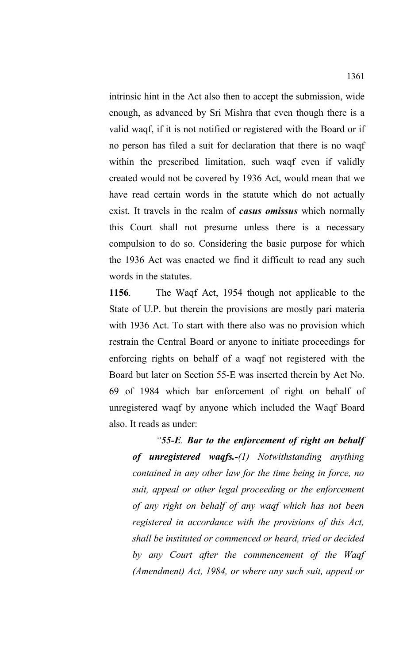intrinsic hint in the Act also then to accept the submission, wide enough, as advanced by Sri Mishra that even though there is a valid waqf, if it is not notified or registered with the Board or if no person has filed a suit for declaration that there is no waqf within the prescribed limitation, such waqf even if validly created would not be covered by 1936 Act, would mean that we have read certain words in the statute which do not actually exist. It travels in the realm of *casus omissus* which normally this Court shall not presume unless there is a necessary compulsion to do so. Considering the basic purpose for which the 1936 Act was enacted we find it difficult to read any such words in the statutes.

**1156**. The Waqf Act, 1954 though not applicable to the State of U.P. but therein the provisions are mostly pari materia with 1936 Act. To start with there also was no provision which restrain the Central Board or anyone to initiate proceedings for enforcing rights on behalf of a waqf not registered with the Board but later on Section 55-E was inserted therein by Act No. 69 of 1984 which bar enforcement of right on behalf of unregistered waqf by anyone which included the Waqf Board also. It reads as under:

*"55-E. Bar to the enforcement of right on behalf of unregistered waqfs.-(1) Notwithstanding anything contained in any other law for the time being in force, no suit, appeal or other legal proceeding or the enforcement of any right on behalf of any waqf which has not been registered in accordance with the provisions of this Act, shall be instituted or commenced or heard, tried or decided by any Court after the commencement of the Waqf (Amendment) Act, 1984, or where any such suit, appeal or*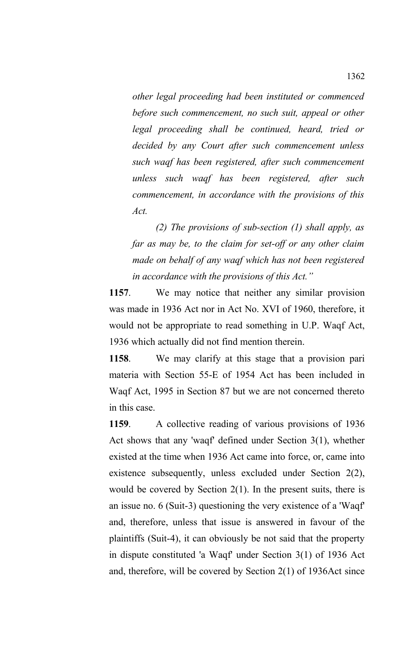*other legal proceeding had been instituted or commenced before such commencement, no such suit, appeal or other legal proceeding shall be continued, heard, tried or decided by any Court after such commencement unless such waqf has been registered, after such commencement unless such waqf has been registered, after such commencement, in accordance with the provisions of this Act.* 

*(2) The provisions of sub-section (1) shall apply, as far as may be, to the claim for set-off or any other claim made on behalf of any waqf which has not been registered in accordance with the provisions of this Act."*

**1157**. We may notice that neither any similar provision was made in 1936 Act nor in Act No. XVI of 1960, therefore, it would not be appropriate to read something in U.P. Waqf Act, 1936 which actually did not find mention therein.

**1158**. We may clarify at this stage that a provision pari materia with Section 55-E of 1954 Act has been included in Waqf Act, 1995 in Section 87 but we are not concerned thereto in this case.

**1159**. A collective reading of various provisions of 1936 Act shows that any 'waqf' defined under Section 3(1), whether existed at the time when 1936 Act came into force, or, came into existence subsequently, unless excluded under Section 2(2), would be covered by Section 2(1). In the present suits, there is an issue no. 6 (Suit-3) questioning the very existence of a 'Waqf' and, therefore, unless that issue is answered in favour of the plaintiffs (Suit-4), it can obviously be not said that the property in dispute constituted 'a Waqf' under Section 3(1) of 1936 Act and, therefore, will be covered by Section 2(1) of 1936Act since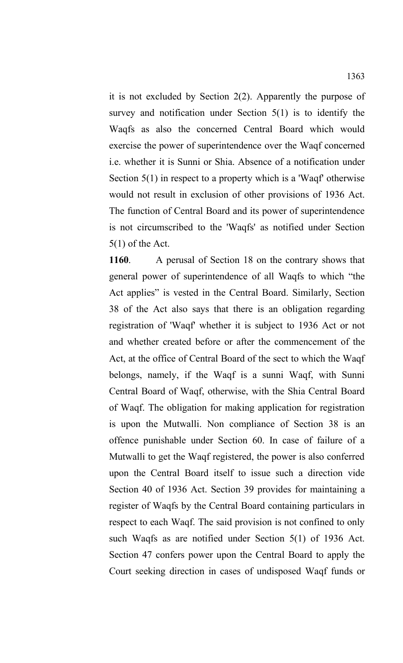it is not excluded by Section 2(2). Apparently the purpose of survey and notification under Section 5(1) is to identify the Waqfs as also the concerned Central Board which would exercise the power of superintendence over the Waqf concerned i.e. whether it is Sunni or Shia. Absence of a notification under Section 5(1) in respect to a property which is a 'Waqf' otherwise would not result in exclusion of other provisions of 1936 Act. The function of Central Board and its power of superintendence is not circumscribed to the 'Waqfs' as notified under Section 5(1) of the Act.

**1160**. A perusal of Section 18 on the contrary shows that general power of superintendence of all Waqfs to which "the Act applies" is vested in the Central Board. Similarly, Section 38 of the Act also says that there is an obligation regarding registration of 'Waqf' whether it is subject to 1936 Act or not and whether created before or after the commencement of the Act, at the office of Central Board of the sect to which the Waqf belongs, namely, if the Waqf is a sunni Waqf, with Sunni Central Board of Waqf, otherwise, with the Shia Central Board of Waqf. The obligation for making application for registration is upon the Mutwalli. Non compliance of Section 38 is an offence punishable under Section 60. In case of failure of a Mutwalli to get the Waqf registered, the power is also conferred upon the Central Board itself to issue such a direction vide Section 40 of 1936 Act. Section 39 provides for maintaining a register of Waqfs by the Central Board containing particulars in respect to each Waqf. The said provision is not confined to only such Waqfs as are notified under Section 5(1) of 1936 Act. Section 47 confers power upon the Central Board to apply the Court seeking direction in cases of undisposed Waqf funds or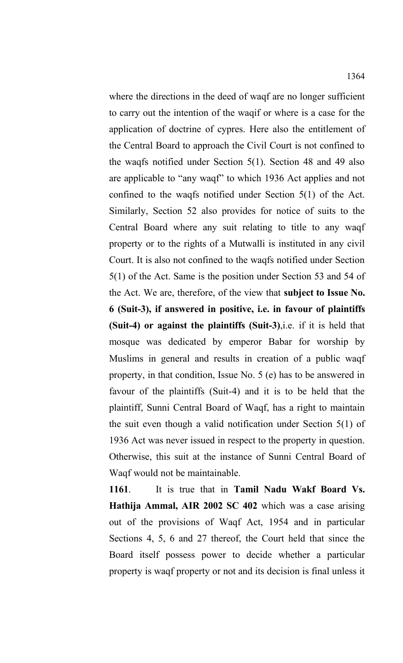where the directions in the deed of waqf are no longer sufficient to carry out the intention of the waqif or where is a case for the application of doctrine of cypres. Here also the entitlement of the Central Board to approach the Civil Court is not confined to the waqfs notified under Section 5(1). Section 48 and 49 also are applicable to "any waqf" to which 1936 Act applies and not confined to the waqfs notified under Section 5(1) of the Act. Similarly, Section 52 also provides for notice of suits to the Central Board where any suit relating to title to any waqf property or to the rights of a Mutwalli is instituted in any civil Court. It is also not confined to the waqfs notified under Section 5(1) of the Act. Same is the position under Section 53 and 54 of the Act. We are, therefore, of the view that **subject to Issue No. 6 (Suit-3), if answered in positive, i.e. in favour of plaintiffs (Suit-4) or against the plaintiffs (Suit-3)**,i.e. if it is held that mosque was dedicated by emperor Babar for worship by Muslims in general and results in creation of a public waqf property, in that condition, Issue No. 5 (e) has to be answered in favour of the plaintiffs (Suit-4) and it is to be held that the plaintiff, Sunni Central Board of Waqf, has a right to maintain the suit even though a valid notification under Section 5(1) of 1936 Act was never issued in respect to the property in question. Otherwise, this suit at the instance of Sunni Central Board of Waqf would not be maintainable.

**1161**. It is true that in **Tamil Nadu Wakf Board Vs. Hathija Ammal, AIR 2002 SC 402** which was a case arising out of the provisions of Waqf Act, 1954 and in particular Sections 4, 5, 6 and 27 thereof, the Court held that since the Board itself possess power to decide whether a particular property is waqf property or not and its decision is final unless it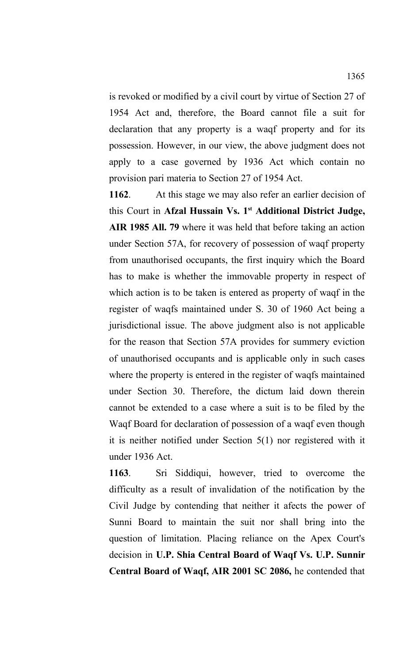is revoked or modified by a civil court by virtue of Section 27 of 1954 Act and, therefore, the Board cannot file a suit for declaration that any property is a waqf property and for its possession. However, in our view, the above judgment does not apply to a case governed by 1936 Act which contain no provision pari materia to Section 27 of 1954 Act.

**1162**. At this stage we may also refer an earlier decision of this Court in **Afzal Hussain Vs. 1st Additional District Judge, AIR 1985 All. 79** where it was held that before taking an action under Section 57A, for recovery of possession of waqf property from unauthorised occupants, the first inquiry which the Board has to make is whether the immovable property in respect of which action is to be taken is entered as property of waqf in the register of waqfs maintained under S. 30 of 1960 Act being a jurisdictional issue. The above judgment also is not applicable for the reason that Section 57A provides for summery eviction of unauthorised occupants and is applicable only in such cases where the property is entered in the register of waqfs maintained under Section 30. Therefore, the dictum laid down therein cannot be extended to a case where a suit is to be filed by the Waqf Board for declaration of possession of a waqf even though it is neither notified under Section 5(1) nor registered with it under 1936 Act.

**1163**. Sri Siddiqui, however, tried to overcome the difficulty as a result of invalidation of the notification by the Civil Judge by contending that neither it afects the power of Sunni Board to maintain the suit nor shall bring into the question of limitation. Placing reliance on the Apex Court's decision in **U.P. Shia Central Board of Waqf Vs. U.P. Sunnir Central Board of Waqf, AIR 2001 SC 2086,** he contended that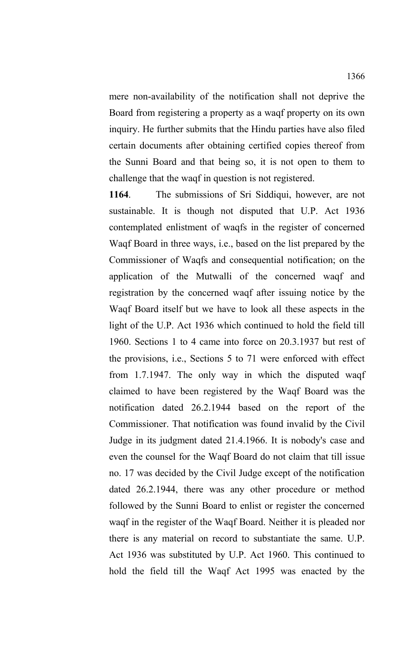mere non-availability of the notification shall not deprive the Board from registering a property as a waqf property on its own inquiry. He further submits that the Hindu parties have also filed certain documents after obtaining certified copies thereof from the Sunni Board and that being so, it is not open to them to challenge that the waqf in question is not registered.

**1164**. The submissions of Sri Siddiqui, however, are not sustainable. It is though not disputed that U.P. Act 1936 contemplated enlistment of waqfs in the register of concerned Waqf Board in three ways, i.e., based on the list prepared by the Commissioner of Waqfs and consequential notification; on the application of the Mutwalli of the concerned waqf and registration by the concerned waqf after issuing notice by the Waqf Board itself but we have to look all these aspects in the light of the U.P. Act 1936 which continued to hold the field till 1960. Sections 1 to 4 came into force on 20.3.1937 but rest of the provisions, i.e., Sections 5 to 71 were enforced with effect from 1.7.1947. The only way in which the disputed waqf claimed to have been registered by the Waqf Board was the notification dated 26.2.1944 based on the report of the Commissioner. That notification was found invalid by the Civil Judge in its judgment dated 21.4.1966. It is nobody's case and even the counsel for the Waqf Board do not claim that till issue no. 17 was decided by the Civil Judge except of the notification dated 26.2.1944, there was any other procedure or method followed by the Sunni Board to enlist or register the concerned waqf in the register of the Waqf Board. Neither it is pleaded nor there is any material on record to substantiate the same. U.P. Act 1936 was substituted by U.P. Act 1960. This continued to hold the field till the Waqf Act 1995 was enacted by the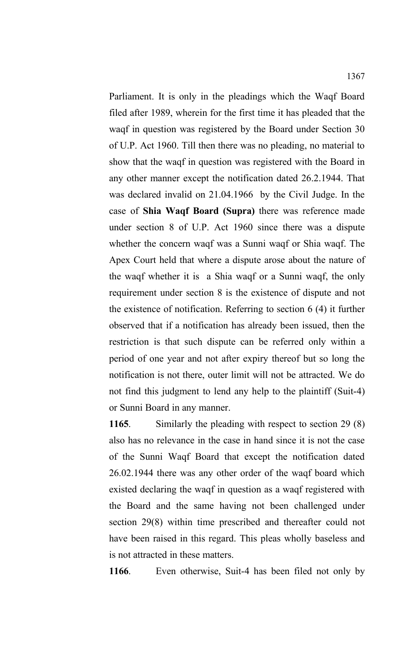Parliament. It is only in the pleadings which the Waqf Board filed after 1989, wherein for the first time it has pleaded that the waqf in question was registered by the Board under Section 30 of U.P. Act 1960. Till then there was no pleading, no material to show that the waqf in question was registered with the Board in any other manner except the notification dated 26.2.1944. That was declared invalid on 21.04.1966 by the Civil Judge. In the case of **Shia Waqf Board (Supra)** there was reference made under section 8 of U.P. Act 1960 since there was a dispute whether the concern waqf was a Sunni waqf or Shia waqf. The Apex Court held that where a dispute arose about the nature of the waqf whether it is a Shia waqf or a Sunni waqf, the only requirement under section 8 is the existence of dispute and not the existence of notification. Referring to section 6 (4) it further observed that if a notification has already been issued, then the restriction is that such dispute can be referred only within a period of one year and not after expiry thereof but so long the notification is not there, outer limit will not be attracted. We do not find this judgment to lend any help to the plaintiff (Suit-4) or Sunni Board in any manner.

**1165**. Similarly the pleading with respect to section 29 (8) also has no relevance in the case in hand since it is not the case of the Sunni Waqf Board that except the notification dated 26.02.1944 there was any other order of the waqf board which existed declaring the waqf in question as a waqf registered with the Board and the same having not been challenged under section 29(8) within time prescribed and thereafter could not have been raised in this regard. This pleas wholly baseless and is not attracted in these matters.

**1166**. Even otherwise, Suit-4 has been filed not only by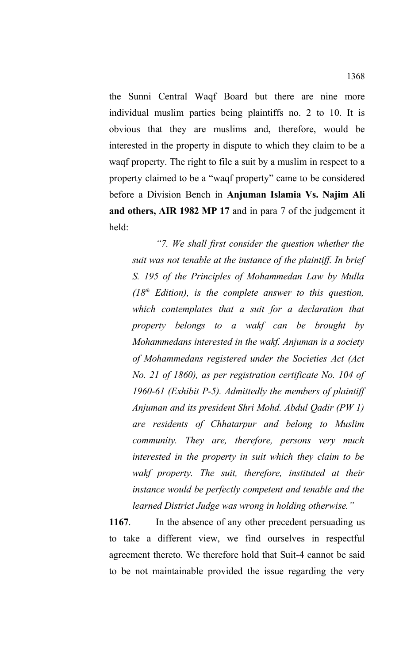the Sunni Central Waqf Board but there are nine more individual muslim parties being plaintiffs no. 2 to 10. It is obvious that they are muslims and, therefore, would be interested in the property in dispute to which they claim to be a waqf property. The right to file a suit by a muslim in respect to a property claimed to be a "waqf property" came to be considered before a Division Bench in **Anjuman Islamia Vs. Najim Ali and others, AIR 1982 MP 17** and in para 7 of the judgement it held:

*"7. We shall first consider the question whether the suit was not tenable at the instance of the plaintiff. In brief S. 195 of the Principles of Mohammedan Law by Mulla (18th Edition), is the complete answer to this question, which contemplates that a suit for a declaration that property belongs to a wakf can be brought by Mohammedans interested in the wakf. Anjuman is a society of Mohammedans registered under the Societies Act (Act No. 21 of 1860), as per registration certificate No. 104 of 1960-61 (Exhibit P-5). Admittedly the members of plaintiff Anjuman and its president Shri Mohd. Abdul Qadir (PW 1) are residents of Chhatarpur and belong to Muslim community. They are, therefore, persons very much interested in the property in suit which they claim to be wakf property. The suit, therefore, instituted at their instance would be perfectly competent and tenable and the learned District Judge was wrong in holding otherwise."*

**1167**. In the absence of any other precedent persuading us to take a different view, we find ourselves in respectful agreement thereto. We therefore hold that Suit-4 cannot be said to be not maintainable provided the issue regarding the very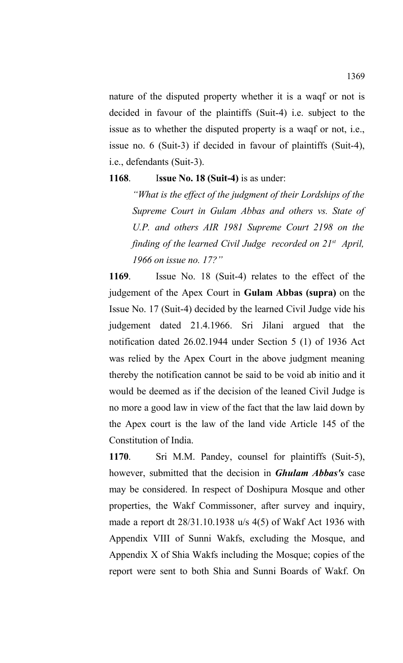nature of the disputed property whether it is a waqf or not is decided in favour of the plaintiffs (Suit-4) i.e. subject to the issue as to whether the disputed property is a waqf or not, i.e., issue no. 6 (Suit-3) if decided in favour of plaintiffs (Suit-4), i.e., defendants (Suit-3).

## **1168**. I**ssue No. 18 (Suit-4)** is as under:

*"What is the effect of the judgment of their Lordships of the Supreme Court in Gulam Abbas and others vs. State of U.P. and others AIR 1981 Supreme Court 2198 on the finding of the learned Civil Judge recorded on 21st April, 1966 on issue no. 17?"*

**1169**. Issue No. 18 (Suit-4) relates to the effect of the judgement of the Apex Court in **Gulam Abbas (supra)** on the Issue No. 17 (Suit-4) decided by the learned Civil Judge vide his judgement dated 21.4.1966. Sri Jilani argued that the notification dated 26.02.1944 under Section 5 (1) of 1936 Act was relied by the Apex Court in the above judgment meaning thereby the notification cannot be said to be void ab initio and it would be deemed as if the decision of the leaned Civil Judge is no more a good law in view of the fact that the law laid down by the Apex court is the law of the land vide Article 145 of the Constitution of India.

**1170**. Sri M.M. Pandey, counsel for plaintiffs (Suit-5), however, submitted that the decision in *Ghulam Abbas's* case may be considered. In respect of Doshipura Mosque and other properties, the Wakf Commissoner, after survey and inquiry, made a report dt 28/31.10.1938 u/s 4(5) of Wakf Act 1936 with Appendix VIII of Sunni Wakfs, excluding the Mosque, and Appendix X of Shia Wakfs including the Mosque; copies of the report were sent to both Shia and Sunni Boards of Wakf. On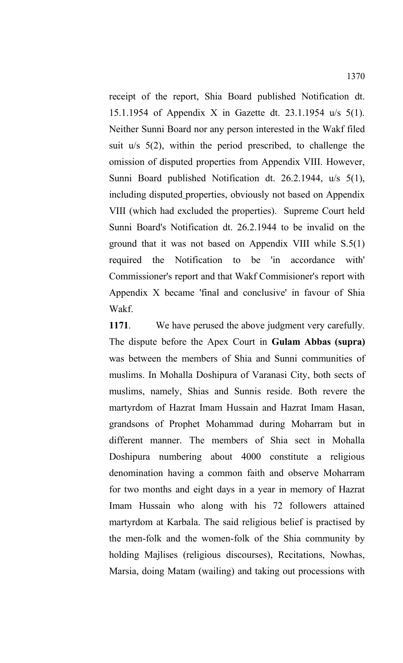receipt of the report, Shia Board published Notification dt. 15.1.1954 of Appendix X in Gazette dt. 23.1.1954 u/s 5(1). Neither Sunni Board nor any person interested in the Wakf filed suit u/s 5(2), within the period prescribed, to challenge the omission of disputed properties from Appendix VIII. However, Sunni Board published Notification dt. 26.2.1944, u/s 5(1), including disputed properties, obviously not based on Appendix VIII (which had excluded the properties). Supreme Court held Sunni Board's Notification dt. 26.2.1944 to be invalid on the ground that it was not based on Appendix VIII while S.5(1) required the Notification to be 'in accordance with' Commissioner's report and that Wakf Commisioner's report with Appendix X became 'final and conclusive' in favour of Shia Wakf.

**1171**. We have perused the above judgment very carefully. The dispute before the Apex Court in **Gulam Abbas (supra)** was between the members of Shia and Sunni communities of muslims. In Mohalla Doshipura of Varanasi City, both sects of muslims, namely, Shias and Sunnis reside. Both revere the martyrdom of Hazrat Imam Hussain and Hazrat Imam Hasan, grandsons of Prophet Mohammad during Moharram but in different manner. The members of Shia sect in Mohalla Doshipura numbering about 4000 constitute a religious denomination having a common faith and observe Moharram for two months and eight days in a year in memory of Hazrat Imam Hussain who along with his 72 followers attained martyrdom at Karbala. The said religious belief is practised by the men-folk and the women-folk of the Shia community by holding Majlises (religious discourses), Recitations, Nowhas, Marsia, doing Matam (wailing) and taking out processions with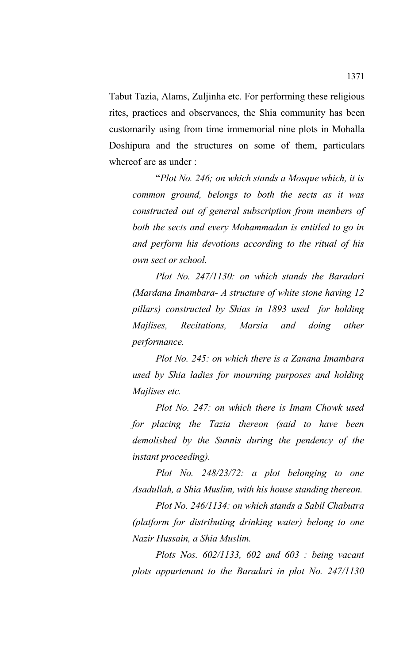Tabut Tazia, Alams, Zuljinha etc. For performing these religious rites, practices and observances, the Shia community has been customarily using from time immemorial nine plots in Mohalla Doshipura and the structures on some of them, particulars whereof are as under :

"*Plot No. 246; on which stands a Mosque which, it is common ground, belongs to both the sects as it was constructed out of general subscription from members of both the sects and every Mohammadan is entitled to go in and perform his devotions according to the ritual of his own sect or school.* 

*Plot No. 247/1130: on which stands the Baradari (Mardana Imambara- A structure of white stone having 12 pillars) constructed by Shias in 1893 used for holding Majlises, Recitations, Marsia and doing other performance.*

*Plot No. 245: on which there is a Zanana Imambara used by Shia ladies for mourning purposes and holding Majlises etc.*

*Plot No. 247: on which there is Imam Chowk used for placing the Tazia thereon (said to have been demolished by the Sunnis during the pendency of the instant proceeding).*

*Plot No. 248/23/72: a plot belonging to one Asadullah, a Shia Muslim, with his house standing thereon.*

*Plot No. 246/1134: on which stands a Sabil Chabutra (platform for distributing drinking water) belong to one Nazir Hussain, a Shia Muslim.*

*Plots Nos. 602/1133, 602 and 603 : being vacant plots appurtenant to the Baradari in plot No. 247/1130*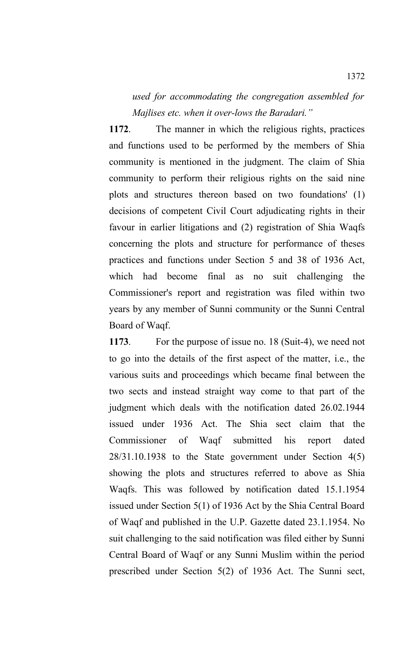*used for accommodating the congregation assembled for Majlises etc. when it over-lows the Baradari."*

**1172**. The manner in which the religious rights, practices and functions used to be performed by the members of Shia community is mentioned in the judgment. The claim of Shia community to perform their religious rights on the said nine plots and structures thereon based on two foundations' (1) decisions of competent Civil Court adjudicating rights in their favour in earlier litigations and (2) registration of Shia Waqfs concerning the plots and structure for performance of theses practices and functions under Section 5 and 38 of 1936 Act, which had become final as no suit challenging the Commissioner's report and registration was filed within two years by any member of Sunni community or the Sunni Central Board of Waqf.

**1173**. For the purpose of issue no. 18 (Suit-4), we need not to go into the details of the first aspect of the matter, i.e., the various suits and proceedings which became final between the two sects and instead straight way come to that part of the judgment which deals with the notification dated 26.02.1944 issued under 1936 Act. The Shia sect claim that the Commissioner of Waqf submitted his report dated 28/31.10.1938 to the State government under Section 4(5) showing the plots and structures referred to above as Shia Waqfs. This was followed by notification dated 15.1.1954 issued under Section 5(1) of 1936 Act by the Shia Central Board of Waqf and published in the U.P. Gazette dated 23.1.1954. No suit challenging to the said notification was filed either by Sunni Central Board of Waqf or any Sunni Muslim within the period prescribed under Section 5(2) of 1936 Act. The Sunni sect,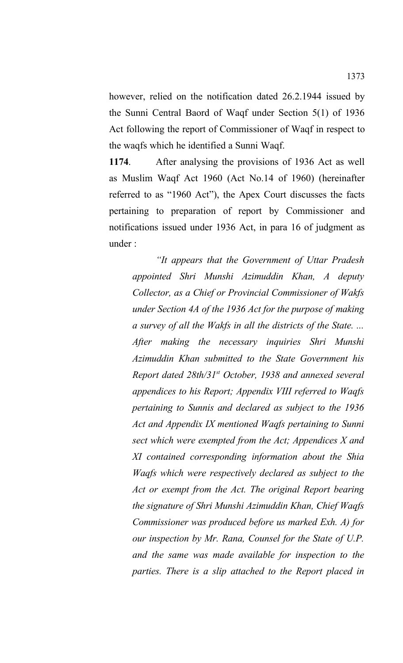however, relied on the notification dated 26.2.1944 issued by the Sunni Central Baord of Waqf under Section 5(1) of 1936 Act following the report of Commissioner of Waqf in respect to the waqfs which he identified a Sunni Waqf.

**1174**. After analysing the provisions of 1936 Act as well as Muslim Waqf Act 1960 (Act No.14 of 1960) (hereinafter referred to as "1960 Act"), the Apex Court discusses the facts pertaining to preparation of report by Commissioner and notifications issued under 1936 Act, in para 16 of judgment as under :

*"It appears that the Government of Uttar Pradesh appointed Shri Munshi Azimuddin Khan, A deputy Collector, as a Chief or Provincial Commissioner of Wakfs under Section 4A of the 1936 Act for the purpose of making a survey of all the Wakfs in all the districts of the State. ... After making the necessary inquiries Shri Munshi Azimuddin Khan submitted to the State Government his Report dated 28th/31st October, 1938 and annexed several appendices to his Report; Appendix VIII referred to Waqfs pertaining to Sunnis and declared as subject to the 1936 Act and Appendix IX mentioned Waqfs pertaining to Sunni sect which were exempted from the Act; Appendices X and XI contained corresponding information about the Shia Waqfs which were respectively declared as subject to the Act or exempt from the Act. The original Report bearing the signature of Shri Munshi Azimuddin Khan, Chief Waqfs Commissioner was produced before us marked Exh. A) for our inspection by Mr. Rana, Counsel for the State of U.P. and the same was made available for inspection to the parties. There is a slip attached to the Report placed in*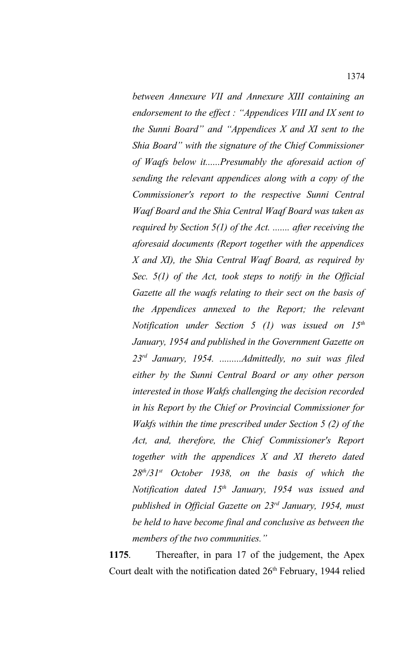*between Annexure VII and Annexure XIII containing an endorsement to the effect : "Appendices VIII and IX sent to the Sunni Board" and "Appendices X and XI sent to the Shia Board" with the signature of the Chief Commissioner of Waqfs below it......Presumably the aforesaid action of sending the relevant appendices along with a copy of the Commissioner's report to the respective Sunni Central Waqf Board and the Shia Central Waqf Board was taken as required by Section 5(1) of the Act. ....... after receiving the aforesaid documents (Report together with the appendices X and XI), the Shia Central Waqf Board, as required by Sec. 5(1) of the Act, took steps to notify in the Official Gazette all the waqfs relating to their sect on the basis of the Appendices annexed to the Report; the relevant Notification under Section 5 (1) was issued on 15th January, 1954 and published in the Government Gazette on 23rd January, 1954. .........Admittedly, no suit was filed either by the Sunni Central Board or any other person interested in those Wakfs challenging the decision recorded in his Report by the Chief or Provincial Commissioner for Wakfs within the time prescribed under Section 5 (2) of the Act, and, therefore, the Chief Commissioner's Report together with the appendices X and XI thereto dated 28th/31st October 1938, on the basis of which the Notification dated 15th January, 1954 was issued and published in Official Gazette on 23rd January, 1954, must be held to have become final and conclusive as between the members of the two communities."*

**1175**. Thereafter, in para 17 of the judgement, the Apex Court dealt with the notification dated  $26<sup>th</sup>$  February, 1944 relied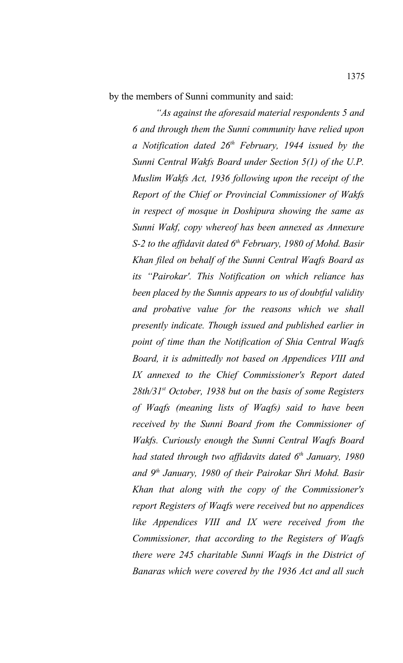by the members of Sunni community and said:

*"As against the aforesaid material respondents 5 and 6 and through them the Sunni community have relied upon a Notification dated 26th February, 1944 issued by the Sunni Central Wakfs Board under Section 5(1) of the U.P. Muslim Wakfs Act, 1936 following upon the receipt of the Report of the Chief or Provincial Commissioner of Wakfs in respect of mosque in Doshipura showing the same as Sunni Wakf, copy whereof has been annexed as Annexure S-2 to the affidavit dated 6th February, 1980 of Mohd. Basir Khan filed on behalf of the Sunni Central Waqfs Board as its "Pairokar'. This Notification on which reliance has been placed by the Sunnis appears to us of doubtful validity and probative value for the reasons which we shall presently indicate. Though issued and published earlier in point of time than the Notification of Shia Central Waqfs Board, it is admittedly not based on Appendices VIII and IX annexed to the Chief Commissioner's Report dated 28th/31st October, 1938 but on the basis of some Registers of Waqfs (meaning lists of Waqfs) said to have been received by the Sunni Board from the Commissioner of Wakfs. Curiously enough the Sunni Central Waqfs Board had stated through two affidavits dated 6th January, 1980 and 9th January, 1980 of their Pairokar Shri Mohd. Basir Khan that along with the copy of the Commissioner's report Registers of Waqfs were received but no appendices like Appendices VIII and IX were received from the Commissioner, that according to the Registers of Waqfs there were 245 charitable Sunni Waqfs in the District of Banaras which were covered by the 1936 Act and all such*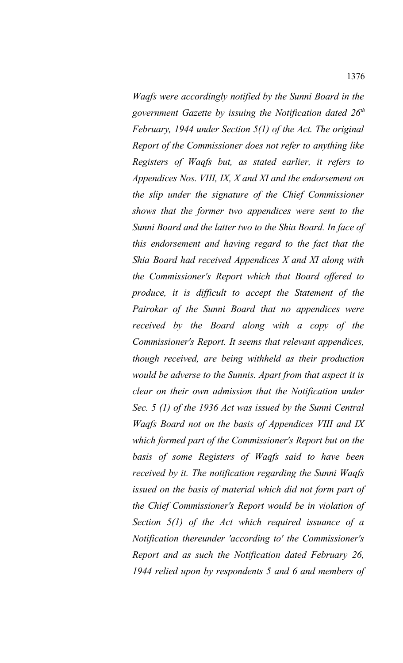*Waqfs were accordingly notified by the Sunni Board in the government Gazette by issuing the Notification dated 26th February, 1944 under Section 5(1) of the Act. The original Report of the Commissioner does not refer to anything like Registers of Waqfs but, as stated earlier, it refers to Appendices Nos. VIII, IX, X and XI and the endorsement on the slip under the signature of the Chief Commissioner shows that the former two appendices were sent to the Sunni Board and the latter two to the Shia Board. In face of this endorsement and having regard to the fact that the Shia Board had received Appendices X and XI along with the Commissioner's Report which that Board offered to produce, it is difficult to accept the Statement of the Pairokar of the Sunni Board that no appendices were received by the Board along with a copy of the Commissioner's Report. It seems that relevant appendices, though received, are being withheld as their production would be adverse to the Sunnis. Apart from that aspect it is clear on their own admission that the Notification under Sec. 5 (1) of the 1936 Act was issued by the Sunni Central Waqfs Board not on the basis of Appendices VIII and IX which formed part of the Commissioner's Report but on the basis of some Registers of Waqfs said to have been received by it. The notification regarding the Sunni Waqfs issued on the basis of material which did not form part of the Chief Commissioner's Report would be in violation of Section 5(1) of the Act which required issuance of a Notification thereunder 'according to' the Commissioner's Report and as such the Notification dated February 26, 1944 relied upon by respondents 5 and 6 and members of*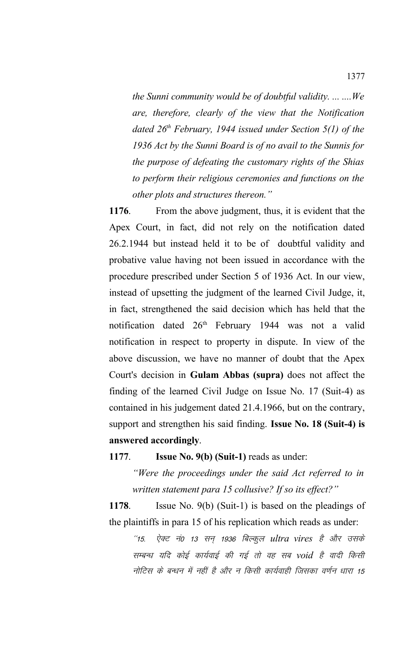*the Sunni community would be of doubtful validity. ... ....We are, therefore, clearly of the view that the Notification dated 26th February, 1944 issued under Section 5(1) of the 1936 Act by the Sunni Board is of no avail to the Sunnis for the purpose of defeating the customary rights of the Shias to perform their religious ceremonies and functions on the other plots and structures thereon."*

**1176**. From the above judgment, thus, it is evident that the Apex Court, in fact, did not rely on the notification dated 26.2.1944 but instead held it to be of doubtful validity and probative value having not been issued in accordance with the procedure prescribed under Section 5 of 1936 Act. In our view, instead of upsetting the judgment of the learned Civil Judge, it, in fact, strengthened the said decision which has held that the notification dated 26<sup>th</sup> February 1944 was not a valid notification in respect to property in dispute. In view of the above discussion, we have no manner of doubt that the Apex Court's decision in **Gulam Abbas (supra)** does not affect the finding of the learned Civil Judge on Issue No. 17 (Suit-4) as contained in his judgement dated 21.4.1966, but on the contrary, support and strengthen his said finding. **Issue No. 18 (Suit-4) is answered accordingly**.

**1177**. **Issue No. 9(b) (Suit-1)** reads as under:

*"Were the proceedings under the said Act referred to in written statement para 15 collusive? If so its effect?"*

**1178**. Issue No. 9(b) (Suit-1) is based on the pleadings of the plaintiffs in para 15 of his replication which reads as under:

 $^{\prime\prime}$ 15. ऐक्ट नं0 13 सन् 1936 बिल्कूल ultra vires है और उसके सम्बन्ध यदि कोई कार्यवाई की गई तो वह सब void है वादी किसी नोटिस के बन्धन में नहीं है और न किसी कार्यवाही जिसका वर्णन धारा 15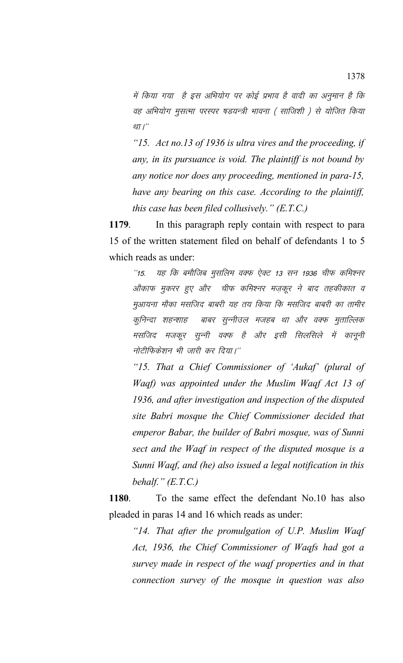में किया गया है इस अभियोग पर कोई प्रभाव है वादी का अनुमान है कि वह अभियोग मुसत्मा परस्पर षडयन्त्री भावना ( साजिशी ) से योजित किया था $\pi$ ′′

*"15. Act no.13 of 1936 is ultra vires and the proceeding, if any, in its pursuance is void. The plaintiff is not bound by any notice nor does any proceeding, mentioned in para-15, have any bearing on this case. According to the plaintiff, this case has been filed collusively." (E.T.C.)*

**1179**. In this paragraph reply contain with respect to para 15 of the written statement filed on behalf of defendants 1 to 5 which reads as under:

 $^{\prime\prime}$ 15. यह कि बमौजिब मुसलिम वक्फ ऐक्ट 13 सन 1936 चीफ कमिश्नर ओंकाफ मुकरर हुए और चीफ कमिश्नर मज़कूर ने बाद तहकीकात व मुआयना मौका मसजिद बाबरी यह तय किया कि मसजिद बाबरी का तामीर कूनिन्दा शहन्शाह बाबर सून्नीउल मजहब था और वक्फ मुताल्लिक मसजिद मजकूर सुन्नी वक्फ है और इसी सिलसिले में कानूनी नोटीफिकेशन भी जारी कर दिया।''

*"15. That a Chief Commissioner of 'Aukaf' (plural of Waqf) was appointed under the Muslim Waqf Act 13 of 1936, and after investigation and inspection of the disputed site Babri mosque the Chief Commissioner decided that emperor Babar, the builder of Babri mosque, was of Sunni sect and the Waqf in respect of the disputed mosque is a Sunni Waqf, and (he) also issued a legal notification in this behalf." (E.T.C.)*

**1180**. To the same effect the defendant No.10 has also pleaded in paras 14 and 16 which reads as under:

*"14. That after the promulgation of U.P. Muslim Waqf Act, 1936, the Chief Commissioner of Waqfs had got a survey made in respect of the waqf properties and in that connection survey of the mosque in question was also*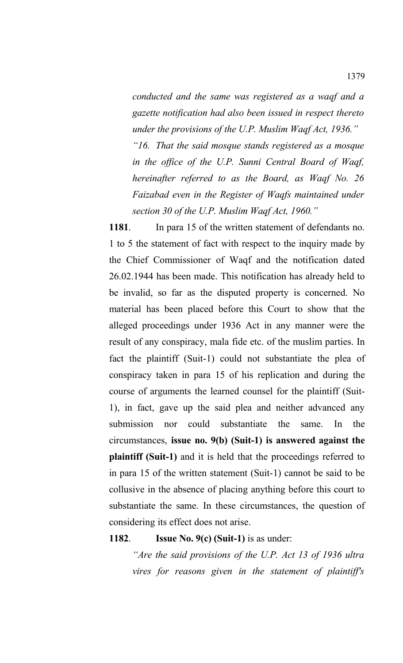*conducted and the same was registered as a waqf and a gazette notification had also been issued in respect thereto under the provisions of the U.P. Muslim Waqf Act, 1936."*

*"16. That the said mosque stands registered as a mosque in the office of the U.P. Sunni Central Board of Waqf, hereinafter referred to as the Board, as Waqf No. 26 Faizabad even in the Register of Waqfs maintained under section 30 of the U.P. Muslim Waqf Act, 1960."*

**1181**. In para 15 of the written statement of defendants no. 1 to 5 the statement of fact with respect to the inquiry made by the Chief Commissioner of Waqf and the notification dated 26.02.1944 has been made. This notification has already held to be invalid, so far as the disputed property is concerned. No material has been placed before this Court to show that the alleged proceedings under 1936 Act in any manner were the result of any conspiracy, mala fide etc. of the muslim parties. In fact the plaintiff (Suit-1) could not substantiate the plea of conspiracy taken in para 15 of his replication and during the course of arguments the learned counsel for the plaintiff (Suit-1), in fact, gave up the said plea and neither advanced any submission nor could substantiate the same. In the circumstances, **issue no. 9(b) (Suit-1) is answered against the plaintiff (Suit-1)** and it is held that the proceedings referred to in para 15 of the written statement (Suit-1) cannot be said to be collusive in the absence of placing anything before this court to substantiate the same. In these circumstances, the question of considering its effect does not arise.

**1182**. **Issue No. 9(c) (Suit-1)** is as under:

*"Are the said provisions of the U.P. Act 13 of 1936 ultra vires for reasons given in the statement of plaintiff's*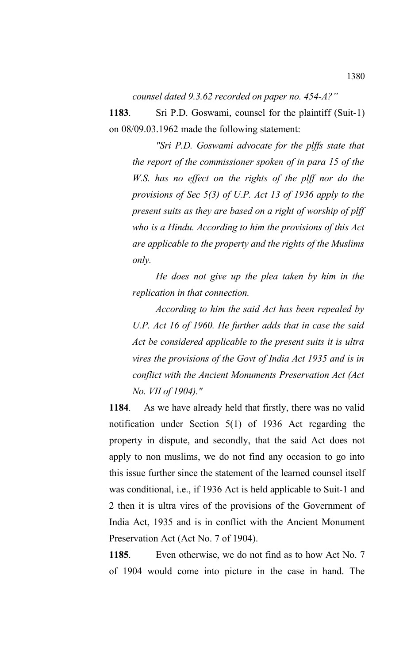*counsel dated 9.3.62 recorded on paper no. 454-A?"*

**1183**. Sri P.D. Goswami, counsel for the plaintiff (Suit-1) on 08/09.03.1962 made the following statement:

*"Sri P.D. Goswami advocate for the plffs state that the report of the commissioner spoken of in para 15 of the W.S. has no effect on the rights of the plff nor do the provisions of Sec 5(3) of U.P. Act 13 of 1936 apply to the present suits as they are based on a right of worship of plff who is a Hindu. According to him the provisions of this Act are applicable to the property and the rights of the Muslims only.* 

*He does not give up the plea taken by him in the replication in that connection.* 

*According to him the said Act has been repealed by U.P. Act 16 of 1960. He further adds that in case the said Act be considered applicable to the present suits it is ultra vires the provisions of the Govt of India Act 1935 and is in conflict with the Ancient Monuments Preservation Act (Act No. VII of 1904)."*

**1184**. As we have already held that firstly, there was no valid notification under Section 5(1) of 1936 Act regarding the property in dispute, and secondly, that the said Act does not apply to non muslims, we do not find any occasion to go into this issue further since the statement of the learned counsel itself was conditional, i.e., if 1936 Act is held applicable to Suit-1 and 2 then it is ultra vires of the provisions of the Government of India Act, 1935 and is in conflict with the Ancient Monument Preservation Act (Act No. 7 of 1904).

**1185**. Even otherwise, we do not find as to how Act No. 7 of 1904 would come into picture in the case in hand. The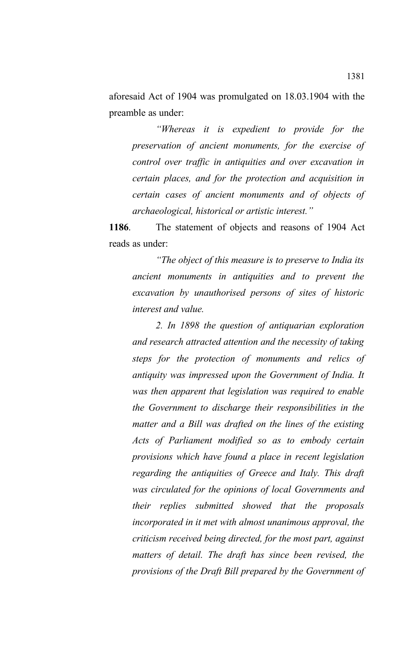aforesaid Act of 1904 was promulgated on 18.03.1904 with the preamble as under:

*"Whereas it is expedient to provide for the preservation of ancient monuments, for the exercise of control over traffic in antiquities and over excavation in certain places, and for the protection and acquisition in certain cases of ancient monuments and of objects of archaeological, historical or artistic interest."*

**1186**. The statement of objects and reasons of 1904 Act reads as under:

*"The object of this measure is to preserve to India its ancient monuments in antiquities and to prevent the excavation by unauthorised persons of sites of historic interest and value.* 

*2. In 1898 the question of antiquarian exploration and research attracted attention and the necessity of taking steps for the protection of monuments and relics of antiquity was impressed upon the Government of India. It was then apparent that legislation was required to enable the Government to discharge their responsibilities in the matter and a Bill was drafted on the lines of the existing Acts of Parliament modified so as to embody certain provisions which have found a place in recent legislation regarding the antiquities of Greece and Italy. This draft was circulated for the opinions of local Governments and their replies submitted showed that the proposals incorporated in it met with almost unanimous approval, the criticism received being directed, for the most part, against matters of detail. The draft has since been revised, the provisions of the Draft Bill prepared by the Government of*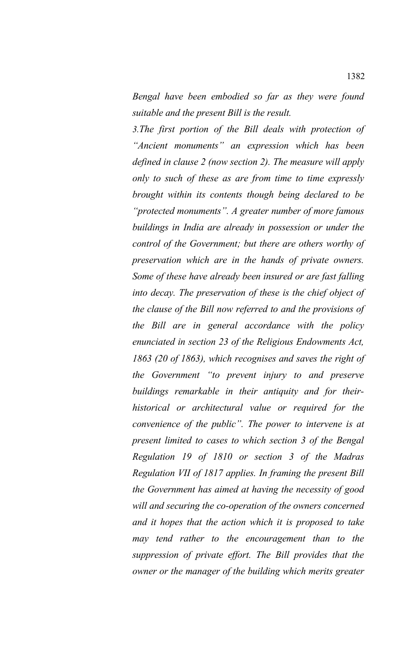*Bengal have been embodied so far as they were found suitable and the present Bill is the result.* 

*3.The first portion of the Bill deals with protection of "Ancient monuments" an expression which has been defined in clause 2 (now section 2). The measure will apply only to such of these as are from time to time expressly brought within its contents though being declared to be "protected monuments". A greater number of more famous buildings in India are already in possession or under the control of the Government; but there are others worthy of preservation which are in the hands of private owners. Some of these have already been insured or are fast falling into decay. The preservation of these is the chief object of the clause of the Bill now referred to and the provisions of the Bill are in general accordance with the policy enunciated in section 23 of the Religious Endowments Act, 1863 (20 of 1863), which recognises and saves the right of the Government "to prevent injury to and preserve buildings remarkable in their antiquity and for theirhistorical or architectural value or required for the convenience of the public". The power to intervene is at present limited to cases to which section 3 of the Bengal Regulation 19 of 1810 or section 3 of the Madras Regulation VII of 1817 applies. In framing the present Bill the Government has aimed at having the necessity of good will and securing the co-operation of the owners concerned and it hopes that the action which it is proposed to take may tend rather to the encouragement than to the suppression of private effort. The Bill provides that the owner or the manager of the building which merits greater*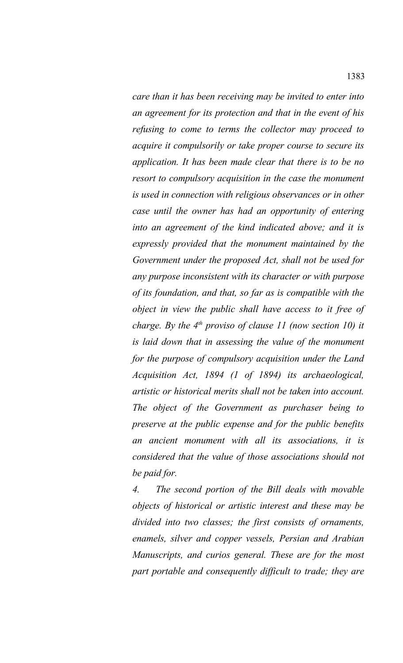*care than it has been receiving may be invited to enter into an agreement for its protection and that in the event of his refusing to come to terms the collector may proceed to acquire it compulsorily or take proper course to secure its application. It has been made clear that there is to be no resort to compulsory acquisition in the case the monument is used in connection with religious observances or in other case until the owner has had an opportunity of entering into an agreement of the kind indicated above; and it is expressly provided that the monument maintained by the Government under the proposed Act, shall not be used for any purpose inconsistent with its character or with purpose of its foundation, and that, so far as is compatible with the object in view the public shall have access to it free of charge. By the 4th proviso of clause 11 (now section 10) it is laid down that in assessing the value of the monument for the purpose of compulsory acquisition under the Land Acquisition Act, 1894 (1 of 1894) its archaeological, artistic or historical merits shall not be taken into account. The object of the Government as purchaser being to preserve at the public expense and for the public benefits an ancient monument with all its associations, it is considered that the value of those associations should not be paid for.*

*4. The second portion of the Bill deals with movable objects of historical or artistic interest and these may be divided into two classes; the first consists of ornaments, enamels, silver and copper vessels, Persian and Arabian Manuscripts, and curios general. These are for the most part portable and consequently difficult to trade; they are*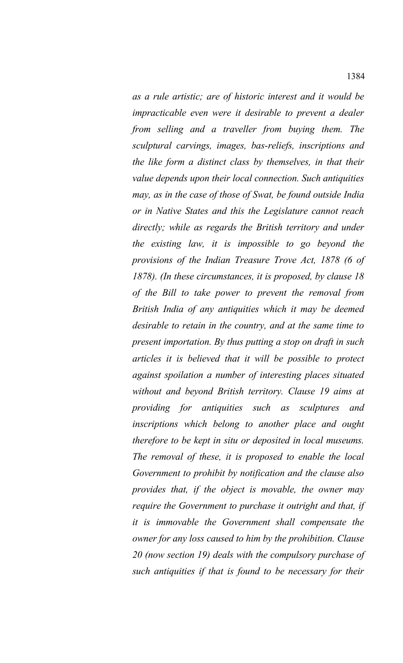*as a rule artistic; are of historic interest and it would be impracticable even were it desirable to prevent a dealer from selling and a traveller from buying them. The sculptural carvings, images, bas-reliefs, inscriptions and the like form a distinct class by themselves, in that their value depends upon their local connection. Such antiquities may, as in the case of those of Swat, be found outside India or in Native States and this the Legislature cannot reach directly; while as regards the British territory and under the existing law, it is impossible to go beyond the provisions of the Indian Treasure Trove Act, 1878 (6 of 1878). (In these circumstances, it is proposed, by clause 18 of the Bill to take power to prevent the removal from British India of any antiquities which it may be deemed desirable to retain in the country, and at the same time to present importation. By thus putting a stop on draft in such articles it is believed that it will be possible to protect against spoilation a number of interesting places situated without and beyond British territory. Clause 19 aims at providing for antiquities such as sculptures and inscriptions which belong to another place and ought therefore to be kept in situ or deposited in local museums. The removal of these, it is proposed to enable the local Government to prohibit by notification and the clause also provides that, if the object is movable, the owner may require the Government to purchase it outright and that, if it is immovable the Government shall compensate the owner for any loss caused to him by the prohibition. Clause 20 (now section 19) deals with the compulsory purchase of such antiquities if that is found to be necessary for their*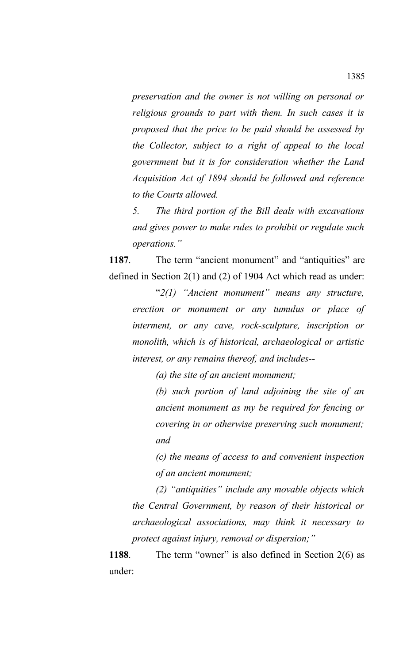*preservation and the owner is not willing on personal or religious grounds to part with them. In such cases it is proposed that the price to be paid should be assessed by the Collector, subject to a right of appeal to the local government but it is for consideration whether the Land Acquisition Act of 1894 should be followed and reference to the Courts allowed.*

*5. The third portion of the Bill deals with excavations and gives power to make rules to prohibit or regulate such operations."*

**1187.** The term "ancient monument" and "antiquities" are defined in Section 2(1) and (2) of 1904 Act which read as under:

"*2(1) "Ancient monument" means any structure, erection or monument or any tumulus or place of interment, or any cave, rock-sculpture, inscription or monolith, which is of historical, archaeological or artistic interest, or any remains thereof, and includes--*

*(a) the site of an ancient monument;*

*(b) such portion of land adjoining the site of an ancient monument as my be required for fencing or covering in or otherwise preserving such monument; and* 

*(c) the means of access to and convenient inspection of an ancient monument;*

*(2) "antiquities" include any movable objects which the Central Government, by reason of their historical or archaeological associations, may think it necessary to protect against injury, removal or dispersion;"*

**1188.** The term "owner" is also defined in Section 2(6) as under: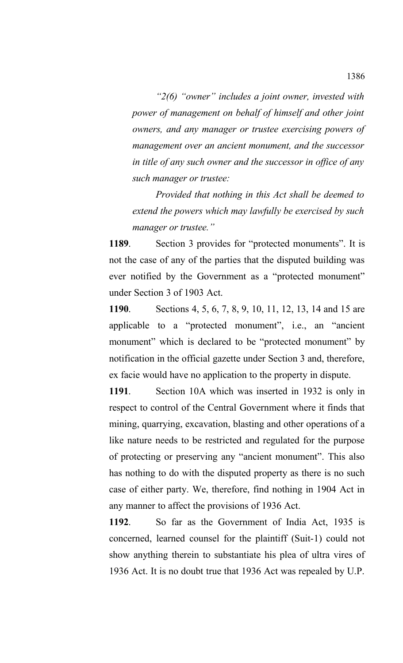*"2(6) "owner" includes a joint owner, invested with power of management on behalf of himself and other joint owners, and any manager or trustee exercising powers of management over an ancient monument, and the successor in title of any such owner and the successor in office of any such manager or trustee:*

*Provided that nothing in this Act shall be deemed to extend the powers which may lawfully be exercised by such manager or trustee."*

**1189**. Section 3 provides for "protected monuments". It is not the case of any of the parties that the disputed building was ever notified by the Government as a "protected monument" under Section 3 of 1903 Act.

**1190**. Sections 4, 5, 6, 7, 8, 9, 10, 11, 12, 13, 14 and 15 are applicable to a "protected monument", i.e., an "ancient monument" which is declared to be "protected monument" by notification in the official gazette under Section 3 and, therefore, ex facie would have no application to the property in dispute.

**1191**. Section 10A which was inserted in 1932 is only in respect to control of the Central Government where it finds that mining, quarrying, excavation, blasting and other operations of a like nature needs to be restricted and regulated for the purpose of protecting or preserving any "ancient monument". This also has nothing to do with the disputed property as there is no such case of either party. We, therefore, find nothing in 1904 Act in any manner to affect the provisions of 1936 Act.

**1192**. So far as the Government of India Act, 1935 is concerned, learned counsel for the plaintiff (Suit-1) could not show anything therein to substantiate his plea of ultra vires of 1936 Act. It is no doubt true that 1936 Act was repealed by U.P.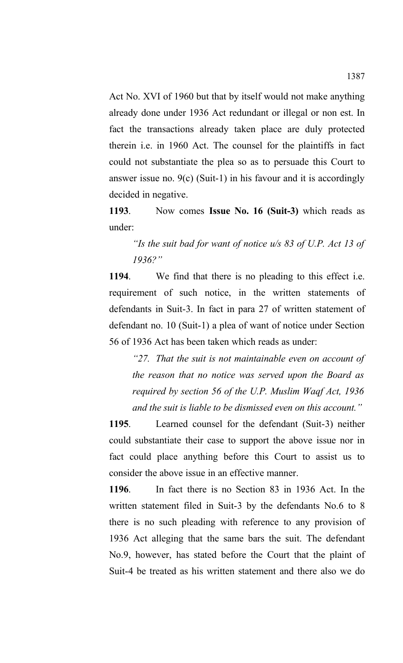Act No. XVI of 1960 but that by itself would not make anything already done under 1936 Act redundant or illegal or non est. In fact the transactions already taken place are duly protected therein i.e. in 1960 Act. The counsel for the plaintiffs in fact could not substantiate the plea so as to persuade this Court to answer issue no.  $9(c)$  (Suit-1) in his favour and it is accordingly decided in negative.

**1193**. Now comes **Issue No. 16 (Suit-3)** which reads as under:

*"Is the suit bad for want of notice u/s 83 of U.P. Act 13 of 1936?"* 

**1194**. We find that there is no pleading to this effect i.e. requirement of such notice, in the written statements of defendants in Suit-3. In fact in para 27 of written statement of defendant no. 10 (Suit-1) a plea of want of notice under Section 56 of 1936 Act has been taken which reads as under:

*"27. That the suit is not maintainable even on account of the reason that no notice was served upon the Board as required by section 56 of the U.P. Muslim Waqf Act, 1936 and the suit is liable to be dismissed even on this account."*

**1195**. Learned counsel for the defendant (Suit-3) neither could substantiate their case to support the above issue nor in fact could place anything before this Court to assist us to consider the above issue in an effective manner.

**1196**. In fact there is no Section 83 in 1936 Act. In the written statement filed in Suit-3 by the defendants No.6 to 8 there is no such pleading with reference to any provision of 1936 Act alleging that the same bars the suit. The defendant No.9, however, has stated before the Court that the plaint of Suit-4 be treated as his written statement and there also we do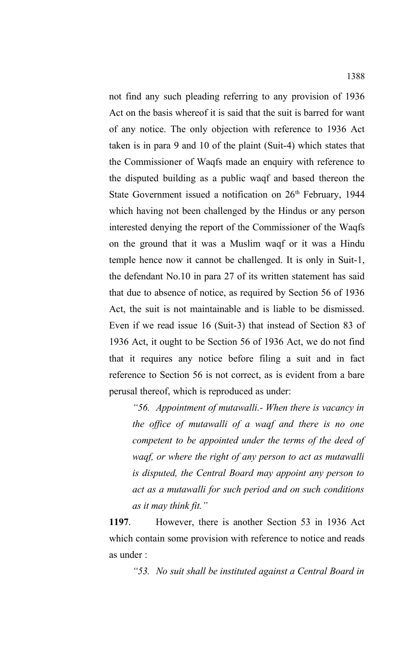not find any such pleading referring to any provision of 1936 Act on the basis whereof it is said that the suit is barred for want of any notice. The only objection with reference to 1936 Act taken is in para 9 and 10 of the plaint (Suit-4) which states that the Commissioner of Waqfs made an enquiry with reference to the disputed building as a public waqf and based thereon the State Government issued a notification on  $26<sup>th</sup>$  February, 1944 which having not been challenged by the Hindus or any person interested denying the report of the Commissioner of the Waqfs on the ground that it was a Muslim waqf or it was a Hindu temple hence now it cannot be challenged. It is only in Suit-1, the defendant No.10 in para 27 of its written statement has said that due to absence of notice, as required by Section 56 of 1936 Act, the suit is not maintainable and is liable to be dismissed. Even if we read issue 16 (Suit-3) that instead of Section 83 of 1936 Act, it ought to be Section 56 of 1936 Act, we do not find that it requires any notice before filing a suit and in fact reference to Section 56 is not correct, as is evident from a bare perusal thereof, which is reproduced as under:

*"56. Appointment of mutawalli.- When there is vacancy in the office of mutawalli of a waqf and there is no one competent to be appointed under the terms of the deed of waqf, or where the right of any person to act as mutawalli is disputed, the Central Board may appoint any person to act as a mutawalli for such period and on such conditions as it may think fit."*

**1197**. However, there is another Section 53 in 1936 Act which contain some provision with reference to notice and reads as under :

*"53. No suit shall be instituted against a Central Board in*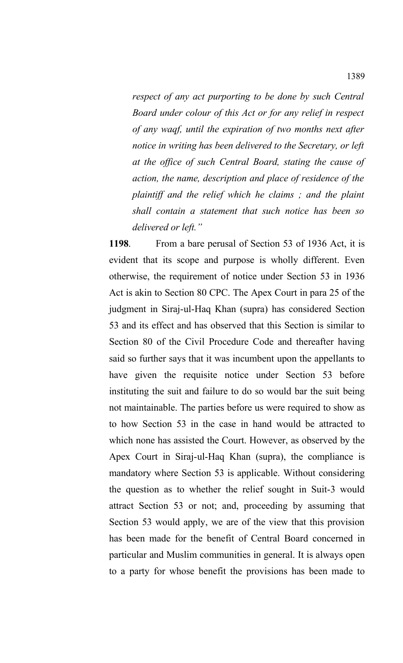*respect of any act purporting to be done by such Central Board under colour of this Act or for any relief in respect of any waqf, until the expiration of two months next after notice in writing has been delivered to the Secretary, or left at the office of such Central Board, stating the cause of action, the name, description and place of residence of the plaintiff and the relief which he claims ; and the plaint shall contain a statement that such notice has been so delivered or left."*

**1198**. From a bare perusal of Section 53 of 1936 Act, it is evident that its scope and purpose is wholly different. Even otherwise, the requirement of notice under Section 53 in 1936 Act is akin to Section 80 CPC. The Apex Court in para 25 of the judgment in Siraj-ul-Haq Khan (supra) has considered Section 53 and its effect and has observed that this Section is similar to Section 80 of the Civil Procedure Code and thereafter having said so further says that it was incumbent upon the appellants to have given the requisite notice under Section 53 before instituting the suit and failure to do so would bar the suit being not maintainable. The parties before us were required to show as to how Section 53 in the case in hand would be attracted to which none has assisted the Court. However, as observed by the Apex Court in Siraj-ul-Haq Khan (supra), the compliance is mandatory where Section 53 is applicable. Without considering the question as to whether the relief sought in Suit-3 would attract Section 53 or not; and, proceeding by assuming that Section 53 would apply, we are of the view that this provision has been made for the benefit of Central Board concerned in particular and Muslim communities in general. It is always open to a party for whose benefit the provisions has been made to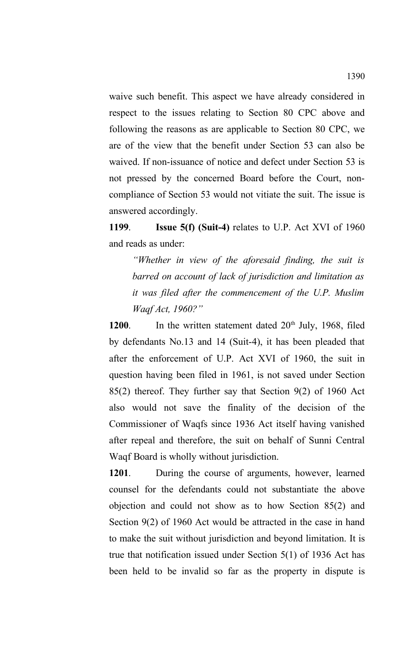waive such benefit. This aspect we have already considered in respect to the issues relating to Section 80 CPC above and following the reasons as are applicable to Section 80 CPC, we are of the view that the benefit under Section 53 can also be waived. If non-issuance of notice and defect under Section 53 is not pressed by the concerned Board before the Court, noncompliance of Section 53 would not vitiate the suit. The issue is answered accordingly.

**1199**. **Issue 5(f) (Suit-4)** relates to U.P. Act XVI of 1960 and reads as under:

*"Whether in view of the aforesaid finding, the suit is barred on account of lack of jurisdiction and limitation as it was filed after the commencement of the U.P. Muslim Waqf Act, 1960?"*

**1200**. In the written statement dated 20<sup>th</sup> July, 1968, filed by defendants No.13 and 14 (Suit-4), it has been pleaded that after the enforcement of U.P. Act XVI of 1960, the suit in question having been filed in 1961, is not saved under Section 85(2) thereof. They further say that Section 9(2) of 1960 Act also would not save the finality of the decision of the Commissioner of Waqfs since 1936 Act itself having vanished after repeal and therefore, the suit on behalf of Sunni Central Waqf Board is wholly without jurisdiction.

**1201**. During the course of arguments, however, learned counsel for the defendants could not substantiate the above objection and could not show as to how Section 85(2) and Section 9(2) of 1960 Act would be attracted in the case in hand to make the suit without jurisdiction and beyond limitation. It is true that notification issued under Section 5(1) of 1936 Act has been held to be invalid so far as the property in dispute is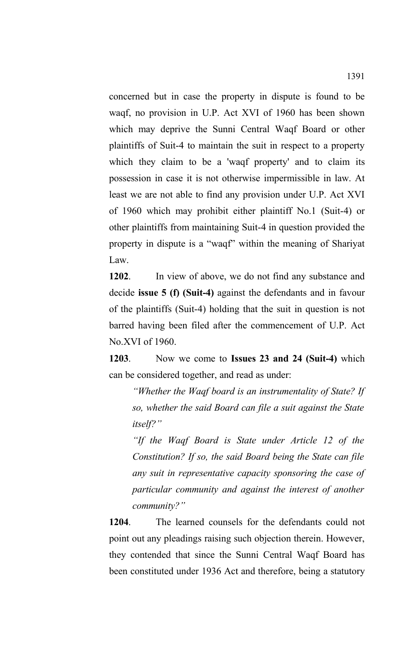concerned but in case the property in dispute is found to be waqf, no provision in U.P. Act XVI of 1960 has been shown which may deprive the Sunni Central Waqf Board or other plaintiffs of Suit-4 to maintain the suit in respect to a property which they claim to be a 'waqf property' and to claim its possession in case it is not otherwise impermissible in law. At least we are not able to find any provision under U.P. Act XVI of 1960 which may prohibit either plaintiff No.1 (Suit-4) or other plaintiffs from maintaining Suit-4 in question provided the property in dispute is a "waqf" within the meaning of Shariyat Law.

**1202**. In view of above, we do not find any substance and decide **issue 5 (f) (Suit-4)** against the defendants and in favour of the plaintiffs (Suit-4) holding that the suit in question is not barred having been filed after the commencement of U.P. Act No.XVI of 1960.

**1203**. Now we come to **Issues 23 and 24 (Suit-4)** which can be considered together, and read as under:

*"Whether the Waqf board is an instrumentality of State? If so, whether the said Board can file a suit against the State itself?"*

*"If the Waqf Board is State under Article 12 of the Constitution? If so, the said Board being the State can file any suit in representative capacity sponsoring the case of particular community and against the interest of another community?"*

**1204**. The learned counsels for the defendants could not point out any pleadings raising such objection therein. However, they contended that since the Sunni Central Waqf Board has been constituted under 1936 Act and therefore, being a statutory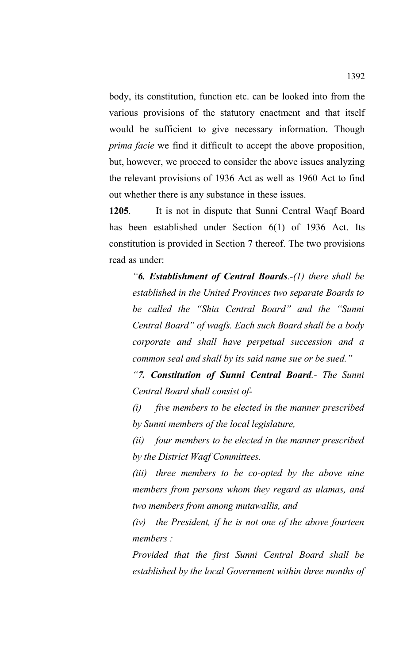body, its constitution, function etc. can be looked into from the various provisions of the statutory enactment and that itself would be sufficient to give necessary information. Though *prima facie* we find it difficult to accept the above proposition, but, however, we proceed to consider the above issues analyzing the relevant provisions of 1936 Act as well as 1960 Act to find out whether there is any substance in these issues.

**1205**. It is not in dispute that Sunni Central Waqf Board has been established under Section 6(1) of 1936 Act. Its constitution is provided in Section 7 thereof. The two provisions read as under:

*"6. Establishment of Central Boards.-(1) there shall be established in the United Provinces two separate Boards to be called the "Shia Central Board" and the "Sunni Central Board" of waqfs. Each such Board shall be a body corporate and shall have perpetual succession and a common seal and shall by its said name sue or be sued."*

*"7. Constitution of Sunni Central Board.- The Sunni Central Board shall consist of-*

*(i) five members to be elected in the manner prescribed by Sunni members of the local legislature,*

*(ii) four members to be elected in the manner prescribed by the District Waqf Committees.*

*(iii) three members to be co-opted by the above nine members from persons whom they regard as ulamas, and two members from among mutawallis, and*

*(iv) the President, if he is not one of the above fourteen members :*

*Provided that the first Sunni Central Board shall be established by the local Government within three months of*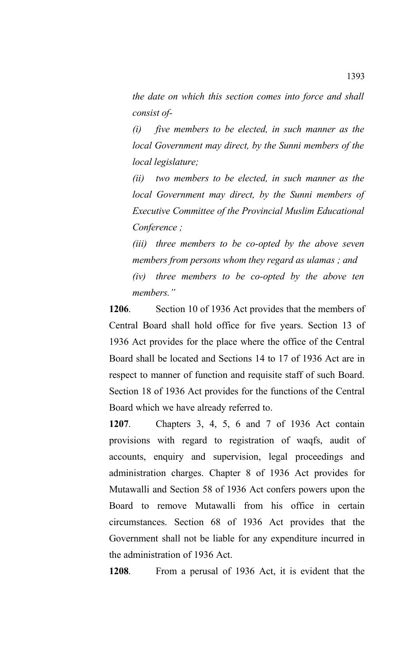*the date on which this section comes into force and shall consist of-*

*(i) five members to be elected, in such manner as the local Government may direct, by the Sunni members of the local legislature;*

*(ii) two members to be elected, in such manner as the local Government may direct, by the Sunni members of Executive Committee of the Provincial Muslim Educational Conference ;*

*(iii) three members to be co-opted by the above seven members from persons whom they regard as ulamas ; and (iv) three members to be co-opted by the above ten members."*

**1206**. Section 10 of 1936 Act provides that the members of Central Board shall hold office for five years. Section 13 of 1936 Act provides for the place where the office of the Central Board shall be located and Sections 14 to 17 of 1936 Act are in respect to manner of function and requisite staff of such Board. Section 18 of 1936 Act provides for the functions of the Central Board which we have already referred to.

**1207**. Chapters 3, 4, 5, 6 and 7 of 1936 Act contain provisions with regard to registration of waqfs, audit of accounts, enquiry and supervision, legal proceedings and administration charges. Chapter 8 of 1936 Act provides for Mutawalli and Section 58 of 1936 Act confers powers upon the Board to remove Mutawalli from his office in certain circumstances. Section 68 of 1936 Act provides that the Government shall not be liable for any expenditure incurred in the administration of 1936 Act.

**1208**. From a perusal of 1936 Act, it is evident that the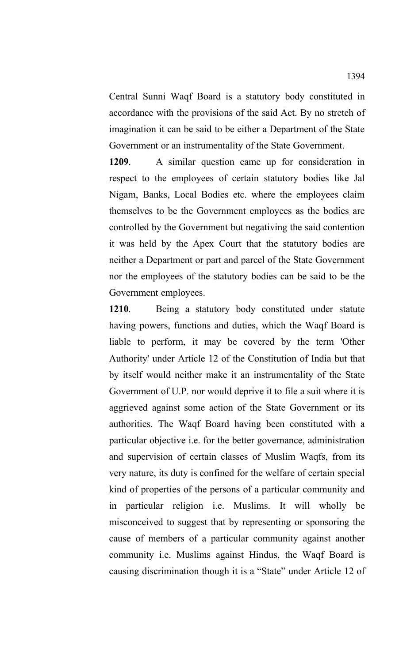Central Sunni Waqf Board is a statutory body constituted in accordance with the provisions of the said Act. By no stretch of imagination it can be said to be either a Department of the State Government or an instrumentality of the State Government.

**1209**. A similar question came up for consideration in respect to the employees of certain statutory bodies like Jal Nigam, Banks, Local Bodies etc. where the employees claim themselves to be the Government employees as the bodies are controlled by the Government but negativing the said contention it was held by the Apex Court that the statutory bodies are neither a Department or part and parcel of the State Government nor the employees of the statutory bodies can be said to be the Government employees.

**1210**. Being a statutory body constituted under statute having powers, functions and duties, which the Waqf Board is liable to perform, it may be covered by the term 'Other Authority' under Article 12 of the Constitution of India but that by itself would neither make it an instrumentality of the State Government of U.P. nor would deprive it to file a suit where it is aggrieved against some action of the State Government or its authorities. The Waqf Board having been constituted with a particular objective i.e. for the better governance, administration and supervision of certain classes of Muslim Waqfs, from its very nature, its duty is confined for the welfare of certain special kind of properties of the persons of a particular community and in particular religion i.e. Muslims. It will wholly be misconceived to suggest that by representing or sponsoring the cause of members of a particular community against another community i.e. Muslims against Hindus, the Waqf Board is causing discrimination though it is a "State" under Article 12 of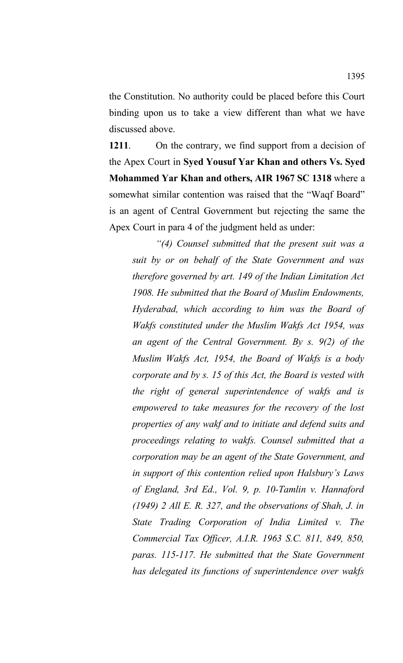the Constitution. No authority could be placed before this Court binding upon us to take a view different than what we have discussed above.

**1211**. On the contrary, we find support from a decision of the Apex Court in **Syed Yousuf Yar Khan and others Vs. Syed Mohammed Yar Khan and others, AIR 1967 SC 1318** where a somewhat similar contention was raised that the "Waqf Board" is an agent of Central Government but rejecting the same the Apex Court in para 4 of the judgment held as under:

*"(4) Counsel submitted that the present suit was a suit by or on behalf of the State Government and was therefore governed by art. 149 of the Indian Limitation Act 1908. He submitted that the Board of Muslim Endowments, Hyderabad, which according to him was the Board of Wakfs constituted under the Muslim Wakfs Act 1954, was an agent of the Central Government. By s. 9(2) of the Muslim Wakfs Act, 1954, the Board of Wakfs is a body corporate and by s. 15 of this Act, the Board is vested with the right of general superintendence of wakfs and is empowered to take measures for the recovery of the lost properties of any wakf and to initiate and defend suits and proceedings relating to wakfs. Counsel submitted that a corporation may be an agent of the State Government, and in support of this contention relied upon Halsbury's Laws of England, 3rd Ed., Vol. 9, p. 10-Tamlin v. Hannaford (1949) 2 All E. R. 327, and the observations of Shah, J. in State Trading Corporation of India Limited v. The Commercial Tax Officer, A.I.R. 1963 S.C. 811, 849, 850, paras. 115-117. He submitted that the State Government has delegated its functions of superintendence over wakfs*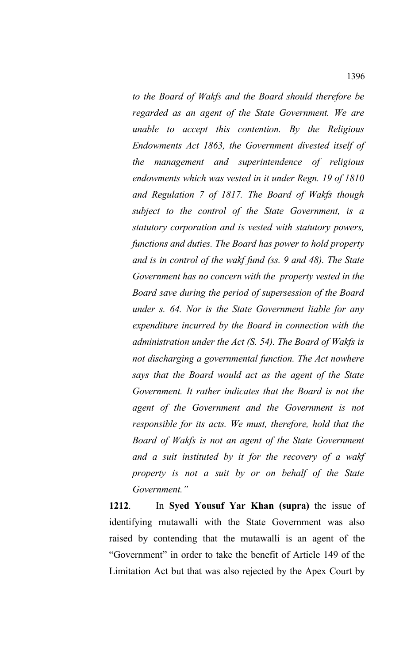*to the Board of Wakfs and the Board should therefore be regarded as an agent of the State Government. We are unable to accept this contention. By the Religious Endowments Act 1863, the Government divested itself of the management and superintendence of religious endowments which was vested in it under Regn. 19 of 1810 and Regulation 7 of 1817. The Board of Wakfs though subject to the control of the State Government, is a statutory corporation and is vested with statutory powers, functions and duties. The Board has power to hold property and is in control of the wakf fund (ss. 9 and 48). The State Government has no concern with the property vested in the Board save during the period of supersession of the Board under s. 64. Nor is the State Government liable for any expenditure incurred by the Board in connection with the administration under the Act (S. 54). The Board of Wakfs is not discharging a governmental function. The Act nowhere says that the Board would act as the agent of the State Government. It rather indicates that the Board is not the agent of the Government and the Government is not responsible for its acts. We must, therefore, hold that the Board of Wakfs is not an agent of the State Government and a suit instituted by it for the recovery of a wakf property is not a suit by or on behalf of the State Government."*

**1212**. In **Syed Yousuf Yar Khan (supra)** the issue of identifying mutawalli with the State Government was also raised by contending that the mutawalli is an agent of the "Government" in order to take the benefit of Article 149 of the Limitation Act but that was also rejected by the Apex Court by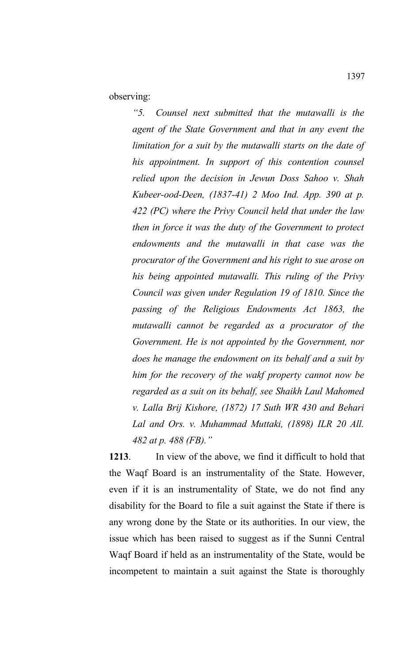observing:

*"5. Counsel next submitted that the mutawalli is the agent of the State Government and that in any event the limitation for a suit by the mutawalli starts on the date of his appointment. In support of this contention counsel relied upon the decision in Jewun Doss Sahoo v. Shah Kubeer-ood-Deen, (1837-41) 2 Moo Ind. App. 390 at p. 422 (PC) where the Privy Council held that under the law then in force it was the duty of the Government to protect endowments and the mutawalli in that case was the procurator of the Government and his right to sue arose on his being appointed mutawalli. This ruling of the Privy Council was given under Regulation 19 of 1810. Since the passing of the Religious Endowments Act 1863, the mutawalli cannot be regarded as a procurator of the Government. He is not appointed by the Government, nor does he manage the endowment on its behalf and a suit by him for the recovery of the wakf property cannot now be regarded as a suit on its behalf, see Shaikh Laul Mahomed v. Lalla Brij Kishore, (1872) 17 Suth WR 430 and Behari Lal and Ors. v. Muhammad Muttaki, (1898) ILR 20 All. 482 at p. 488 (FB)."*

**1213**. In view of the above, we find it difficult to hold that the Waqf Board is an instrumentality of the State. However, even if it is an instrumentality of State, we do not find any disability for the Board to file a suit against the State if there is any wrong done by the State or its authorities. In our view, the issue which has been raised to suggest as if the Sunni Central Waqf Board if held as an instrumentality of the State, would be incompetent to maintain a suit against the State is thoroughly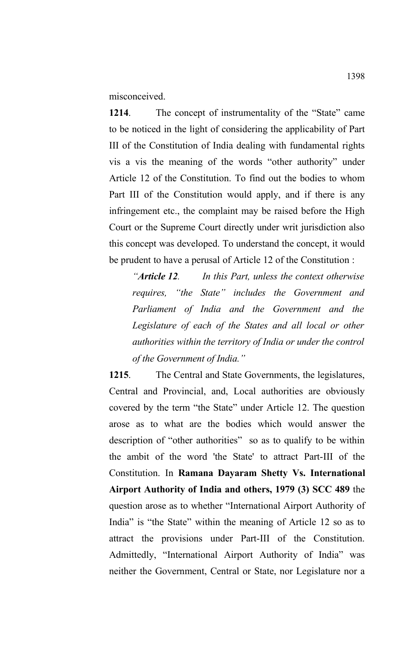misconceived.

**1214**. The concept of instrumentality of the "State" came to be noticed in the light of considering the applicability of Part III of the Constitution of India dealing with fundamental rights vis a vis the meaning of the words "other authority" under Article 12 of the Constitution. To find out the bodies to whom Part III of the Constitution would apply, and if there is any infringement etc., the complaint may be raised before the High Court or the Supreme Court directly under writ jurisdiction also this concept was developed. To understand the concept, it would be prudent to have a perusal of Article 12 of the Constitution :

*"Article 12. In this Part, unless the context otherwise requires, "the State" includes the Government and Parliament of India and the Government and the Legislature of each of the States and all local or other authorities within the territory of India or under the control of the Government of India."*

**1215**. The Central and State Governments, the legislatures, Central and Provincial, and, Local authorities are obviously covered by the term "the State" under Article 12. The question arose as to what are the bodies which would answer the description of "other authorities" so as to qualify to be within the ambit of the word 'the State' to attract Part-III of the Constitution. In **Ramana Dayaram Shetty Vs. International Airport Authority of India and others, 1979 (3) SCC 489** the question arose as to whether "International Airport Authority of India" is "the State" within the meaning of Article 12 so as to attract the provisions under Part-III of the Constitution. Admittedly, "International Airport Authority of India" was neither the Government, Central or State, nor Legislature nor a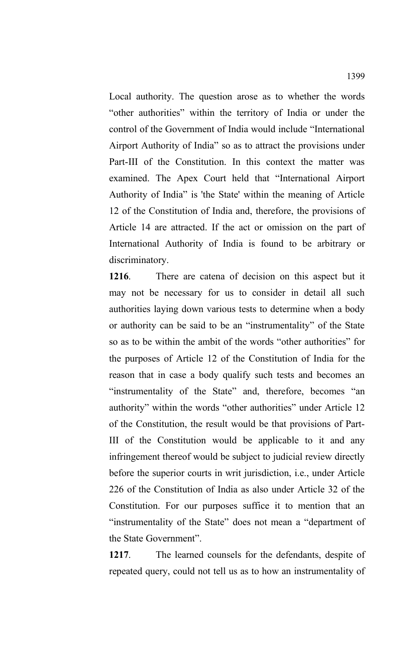Local authority. The question arose as to whether the words "other authorities" within the territory of India or under the control of the Government of India would include "International Airport Authority of India" so as to attract the provisions under Part-III of the Constitution. In this context the matter was examined. The Apex Court held that "International Airport Authority of India" is 'the State' within the meaning of Article 12 of the Constitution of India and, therefore, the provisions of Article 14 are attracted. If the act or omission on the part of International Authority of India is found to be arbitrary or discriminatory.

**1216**. There are catena of decision on this aspect but it may not be necessary for us to consider in detail all such authorities laying down various tests to determine when a body or authority can be said to be an "instrumentality" of the State so as to be within the ambit of the words "other authorities" for the purposes of Article 12 of the Constitution of India for the reason that in case a body qualify such tests and becomes an "instrumentality of the State" and, therefore, becomes "an authority" within the words "other authorities" under Article 12 of the Constitution, the result would be that provisions of Part-III of the Constitution would be applicable to it and any infringement thereof would be subject to judicial review directly before the superior courts in writ jurisdiction, i.e., under Article 226 of the Constitution of India as also under Article 32 of the Constitution. For our purposes suffice it to mention that an "instrumentality of the State" does not mean a "department of the State Government".

**1217**. The learned counsels for the defendants, despite of repeated query, could not tell us as to how an instrumentality of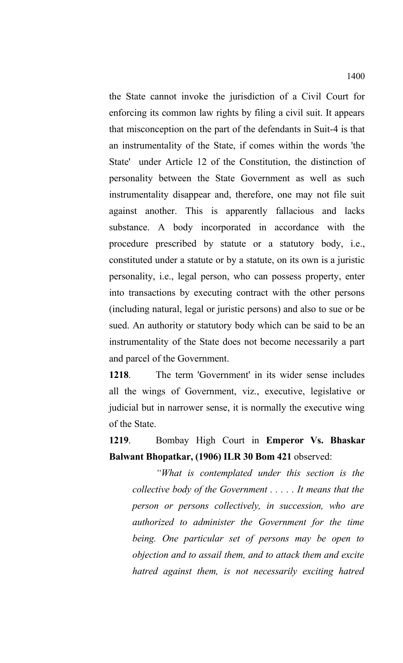the State cannot invoke the jurisdiction of a Civil Court for enforcing its common law rights by filing a civil suit. It appears that misconception on the part of the defendants in Suit-4 is that an instrumentality of the State, if comes within the words 'the State' under Article 12 of the Constitution, the distinction of personality between the State Government as well as such instrumentality disappear and, therefore, one may not file suit against another. This is apparently fallacious and lacks substance. A body incorporated in accordance with the procedure prescribed by statute or a statutory body, i.e., constituted under a statute or by a statute, on its own is a juristic personality, i.e., legal person, who can possess property, enter into transactions by executing contract with the other persons (including natural, legal or juristic persons) and also to sue or be sued. An authority or statutory body which can be said to be an instrumentality of the State does not become necessarily a part and parcel of the Government.

**1218**. The term 'Government' in its wider sense includes all the wings of Government, viz., executive, legislative or judicial but in narrower sense, it is normally the executive wing of the State.

**1219**. Bombay High Court in **Emperor Vs. Bhaskar Balwant Bhopatkar, (1906) ILR 30 Bom 421** observed:

*"What is contemplated under this section is the collective body of the Government . . . . . It means that the person or persons collectively, in succession, who are authorized to administer the Government for the time being. One particular set of persons may be open to objection and to assail them, and to attack them and excite hatred against them, is not necessarily exciting hatred*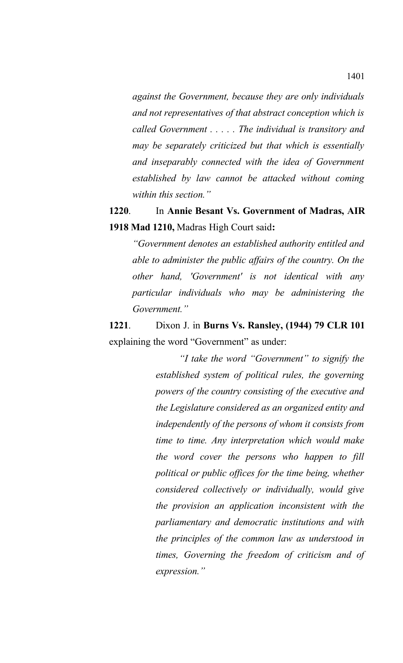*against the Government, because they are only individuals and not representatives of that abstract conception which is called Government . . . . . The individual is transitory and may be separately criticized but that which is essentially and inseparably connected with the idea of Government established by law cannot be attacked without coming within this section."*

## **1220**. In **Annie Besant Vs. Government of Madras, AIR 1918 Mad 1210,** Madras High Court said**:**

*"Government denotes an established authority entitled and able to administer the public affairs of the country. On the other hand, 'Government' is not identical with any particular individuals who may be administering the Government."*

**1221**. Dixon J. in **Burns Vs. Ransley, (1944) 79 CLR 101** explaining the word "Government" as under:

> *"I take the word "Government" to signify the established system of political rules, the governing powers of the country consisting of the executive and the Legislature considered as an organized entity and independently of the persons of whom it consists from time to time. Any interpretation which would make the word cover the persons who happen to fill political or public offices for the time being, whether considered collectively or individually, would give the provision an application inconsistent with the parliamentary and democratic institutions and with the principles of the common law as understood in times, Governing the freedom of criticism and of expression."*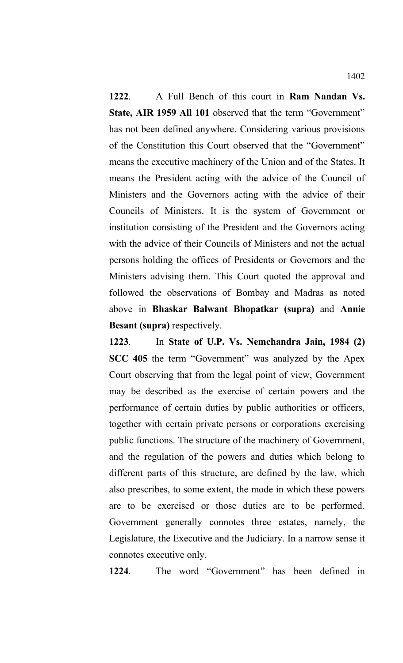**1222**. A Full Bench of this court in **Ram Nandan Vs. State, AIR 1959 All 101** observed that the term "Government" has not been defined anywhere. Considering various provisions of the Constitution this Court observed that the "Government" means the executive machinery of the Union and of the States. It means the President acting with the advice of the Council of Ministers and the Governors acting with the advice of their Councils of Ministers. It is the system of Government or institution consisting of the President and the Governors acting with the advice of their Councils of Ministers and not the actual persons holding the offices of Presidents or Governors and the Ministers advising them. This Court quoted the approval and followed the observations of Bombay and Madras as noted above in **Bhaskar Balwant Bhopatkar (supra)** and **Annie Besant (supra)** respectively.

**1223**. In **State of U.P. Vs. Nemchandra Jain, 1984 (2) SCC 405** the term "Government" was analyzed by the Apex Court observing that from the legal point of view, Government may be described as the exercise of certain powers and the performance of certain duties by public authorities or officers, together with certain private persons or corporations exercising public functions. The structure of the machinery of Government, and the regulation of the powers and duties which belong to different parts of this structure, are defined by the law, which also prescribes, to some extent, the mode in which these powers are to be exercised or those duties are to be performed. Government generally connotes three estates, namely, the Legislature, the Executive and the Judiciary. In a narrow sense it connotes executive only.

**1224**. The word "Government" has been defined in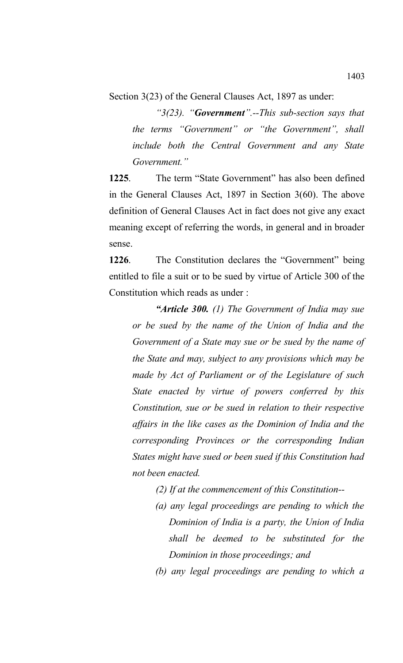Section 3(23) of the General Clauses Act, 1897 as under:

*"3(23). "Government".--This sub-section says that the terms "Government" or "the Government", shall include both the Central Government and any State Government."*

**1225**. The term "State Government" has also been defined in the General Clauses Act, 1897 in Section 3(60). The above definition of General Clauses Act in fact does not give any exact meaning except of referring the words, in general and in broader sense.

**1226**. The Constitution declares the "Government" being entitled to file a suit or to be sued by virtue of Article 300 of the Constitution which reads as under :

*"Article 300. (1) The Government of India may sue or be sued by the name of the Union of India and the Government of a State may sue or be sued by the name of the State and may, subject to any provisions which may be made by Act of Parliament or of the Legislature of such State enacted by virtue of powers conferred by this Constitution, sue or be sued in relation to their respective affairs in the like cases as the Dominion of India and the corresponding Provinces or the corresponding Indian States might have sued or been sued if this Constitution had not been enacted.* 

- *(2) If at the commencement of this Constitution--*
- *(a) any legal proceedings are pending to which the Dominion of India is a party, the Union of India shall be deemed to be substituted for the Dominion in those proceedings; and*
- *(b) any legal proceedings are pending to which a*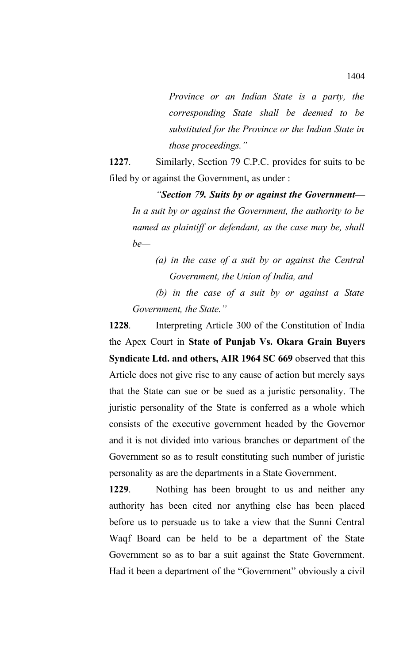*Province or an Indian State is a party, the corresponding State shall be deemed to be substituted for the Province or the Indian State in those proceedings."*

**1227**. Similarly, Section 79 C.P.C. provides for suits to be filed by or against the Government, as under :

*"Section 79. Suits by or against the Government— In a suit by or against the Government, the authority to be named as plaintiff or defendant, as the case may be, shall be—*

*(a) in the case of a suit by or against the Central Government, the Union of India, and* 

*(b) in the case of a suit by or against a State Government, the State."*

**1228**. Interpreting Article 300 of the Constitution of India the Apex Court in **State of Punjab Vs. Okara Grain Buyers Syndicate Ltd. and others, AIR 1964 SC 669** observed that this Article does not give rise to any cause of action but merely says that the State can sue or be sued as a juristic personality. The juristic personality of the State is conferred as a whole which consists of the executive government headed by the Governor and it is not divided into various branches or department of the Government so as to result constituting such number of juristic personality as are the departments in a State Government.

**1229**. Nothing has been brought to us and neither any authority has been cited nor anything else has been placed before us to persuade us to take a view that the Sunni Central Waqf Board can be held to be a department of the State Government so as to bar a suit against the State Government. Had it been a department of the "Government" obviously a civil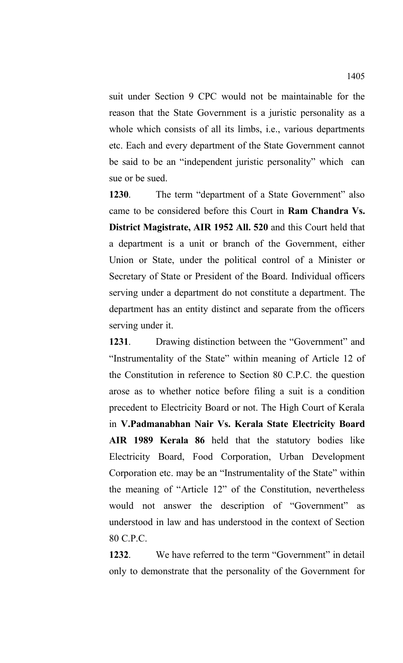suit under Section 9 CPC would not be maintainable for the reason that the State Government is a juristic personality as a whole which consists of all its limbs, i.e., various departments etc. Each and every department of the State Government cannot be said to be an "independent juristic personality" which can sue or be sued.

**1230.** The term "department of a State Government" also came to be considered before this Court in **Ram Chandra Vs. District Magistrate, AIR 1952 All. 520** and this Court held that a department is a unit or branch of the Government, either Union or State, under the political control of a Minister or Secretary of State or President of the Board. Individual officers serving under a department do not constitute a department. The department has an entity distinct and separate from the officers serving under it.

**1231**. Drawing distinction between the "Government" and "Instrumentality of the State" within meaning of Article 12 of the Constitution in reference to Section 80 C.P.C. the question arose as to whether notice before filing a suit is a condition precedent to Electricity Board or not. The High Court of Kerala in **V.Padmanabhan Nair Vs. Kerala State Electricity Board AIR 1989 Kerala 86** held that the statutory bodies like Electricity Board, Food Corporation, Urban Development Corporation etc. may be an "Instrumentality of the State" within the meaning of "Article 12" of the Constitution, nevertheless would not answer the description of "Government" as understood in law and has understood in the context of Section 80 C.P.C.

**1232**. We have referred to the term "Government" in detail only to demonstrate that the personality of the Government for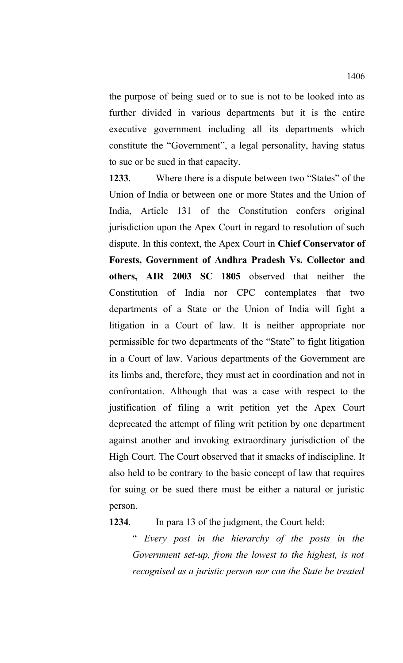the purpose of being sued or to sue is not to be looked into as further divided in various departments but it is the entire executive government including all its departments which constitute the "Government", a legal personality, having status to sue or be sued in that capacity.

**1233**. Where there is a dispute between two "States" of the Union of India or between one or more States and the Union of India, Article 131 of the Constitution confers original jurisdiction upon the Apex Court in regard to resolution of such dispute. In this context, the Apex Court in **Chief Conservator of Forests, Government of Andhra Pradesh Vs. Collector and others, AIR 2003 SC 1805** observed that neither the Constitution of India nor CPC contemplates that two departments of a State or the Union of India will fight a litigation in a Court of law. It is neither appropriate nor permissible for two departments of the "State" to fight litigation in a Court of law. Various departments of the Government are its limbs and, therefore, they must act in coordination and not in confrontation. Although that was a case with respect to the justification of filing a writ petition yet the Apex Court deprecated the attempt of filing writ petition by one department against another and invoking extraordinary jurisdiction of the High Court. The Court observed that it smacks of indiscipline. It also held to be contrary to the basic concept of law that requires for suing or be sued there must be either a natural or juristic person.

**1234**. In para 13 of the judgment, the Court held:

" *Every post in the hierarchy of the posts in the Government set-up, from the lowest to the highest, is not recognised as a juristic person nor can the State be treated*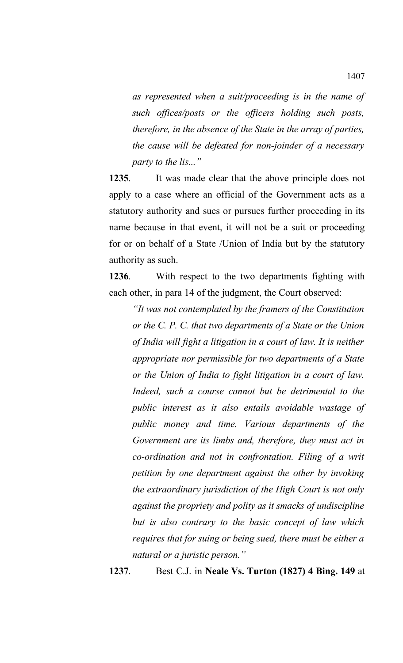*as represented when a suit/proceeding is in the name of such offices/posts or the officers holding such posts, therefore, in the absence of the State in the array of parties, the cause will be defeated for non-joinder of a necessary party to the lis..."*

**1235**. It was made clear that the above principle does not apply to a case where an official of the Government acts as a statutory authority and sues or pursues further proceeding in its name because in that event, it will not be a suit or proceeding for or on behalf of a State /Union of India but by the statutory authority as such.

**1236**. With respect to the two departments fighting with each other, in para 14 of the judgment, the Court observed:

*"It was not contemplated by the framers of the Constitution or the C. P. C. that two departments of a State or the Union of India will fight a litigation in a court of law. It is neither appropriate nor permissible for two departments of a State or the Union of India to fight litigation in a court of law. Indeed, such a course cannot but be detrimental to the public interest as it also entails avoidable wastage of public money and time. Various departments of the Government are its limbs and, therefore, they must act in co-ordination and not in confrontation. Filing of a writ petition by one department against the other by invoking the extraordinary jurisdiction of the High Court is not only against the propriety and polity as it smacks of undiscipline but is also contrary to the basic concept of law which requires that for suing or being sued, there must be either a natural or a juristic person."*

**1237**. Best C.J. in **Neale Vs. Turton (1827) 4 Bing. 149** at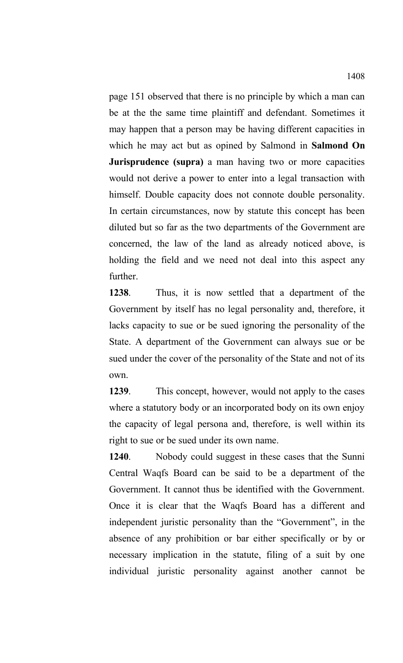page 151 observed that there is no principle by which a man can be at the the same time plaintiff and defendant. Sometimes it may happen that a person may be having different capacities in which he may act but as opined by Salmond in **Salmond On Jurisprudence (supra)** a man having two or more capacities would not derive a power to enter into a legal transaction with himself. Double capacity does not connote double personality. In certain circumstances, now by statute this concept has been diluted but so far as the two departments of the Government are concerned, the law of the land as already noticed above, is holding the field and we need not deal into this aspect any further.

**1238**. Thus, it is now settled that a department of the Government by itself has no legal personality and, therefore, it lacks capacity to sue or be sued ignoring the personality of the State. A department of the Government can always sue or be sued under the cover of the personality of the State and not of its own.

**1239**. This concept, however, would not apply to the cases where a statutory body or an incorporated body on its own enjoy the capacity of legal persona and, therefore, is well within its right to sue or be sued under its own name.

**1240**. Nobody could suggest in these cases that the Sunni Central Waqfs Board can be said to be a department of the Government. It cannot thus be identified with the Government. Once it is clear that the Waqfs Board has a different and independent juristic personality than the "Government", in the absence of any prohibition or bar either specifically or by or necessary implication in the statute, filing of a suit by one individual juristic personality against another cannot be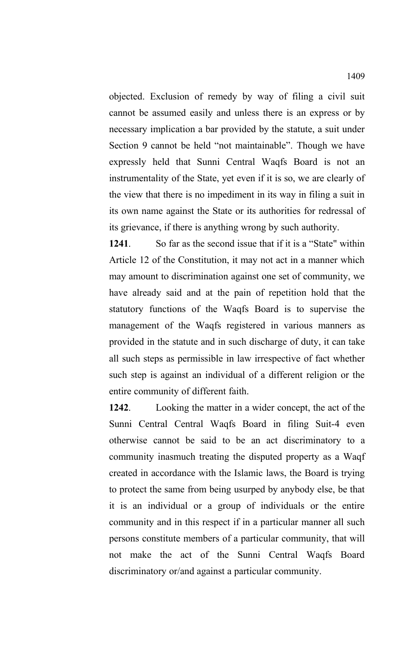objected. Exclusion of remedy by way of filing a civil suit cannot be assumed easily and unless there is an express or by necessary implication a bar provided by the statute, a suit under Section 9 cannot be held "not maintainable". Though we have expressly held that Sunni Central Waqfs Board is not an instrumentality of the State, yet even if it is so, we are clearly of the view that there is no impediment in its way in filing a suit in its own name against the State or its authorities for redressal of its grievance, if there is anything wrong by such authority.

**1241**. So far as the second issue that if it is a "State" within Article 12 of the Constitution, it may not act in a manner which may amount to discrimination against one set of community, we have already said and at the pain of repetition hold that the statutory functions of the Waqfs Board is to supervise the management of the Waqfs registered in various manners as provided in the statute and in such discharge of duty, it can take all such steps as permissible in law irrespective of fact whether such step is against an individual of a different religion or the entire community of different faith.

**1242**. Looking the matter in a wider concept, the act of the Sunni Central Central Waqfs Board in filing Suit-4 even otherwise cannot be said to be an act discriminatory to a community inasmuch treating the disputed property as a Waqf created in accordance with the Islamic laws, the Board is trying to protect the same from being usurped by anybody else, be that it is an individual or a group of individuals or the entire community and in this respect if in a particular manner all such persons constitute members of a particular community, that will not make the act of the Sunni Central Waqfs Board discriminatory or/and against a particular community.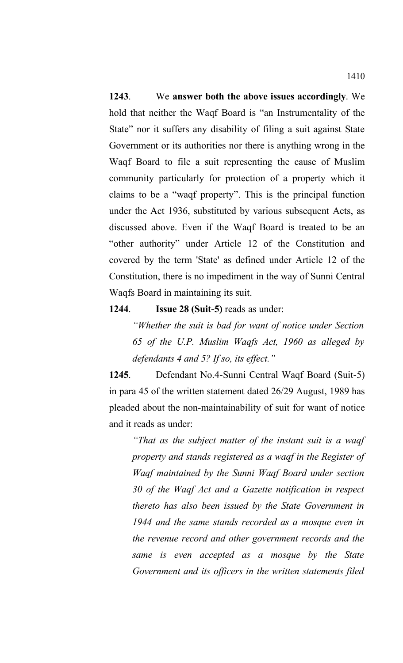**1243**. We **answer both the above issues accordingly**. We hold that neither the Waqf Board is "an Instrumentality of the State" nor it suffers any disability of filing a suit against State Government or its authorities nor there is anything wrong in the Waqf Board to file a suit representing the cause of Muslim community particularly for protection of a property which it claims to be a "waqf property". This is the principal function under the Act 1936, substituted by various subsequent Acts, as discussed above. Even if the Waqf Board is treated to be an "other authority" under Article 12 of the Constitution and covered by the term 'State' as defined under Article 12 of the Constitution, there is no impediment in the way of Sunni Central Waqfs Board in maintaining its suit.

## **1244**. **Issue 28 (Suit-5)** reads as under:

*"Whether the suit is bad for want of notice under Section 65 of the U.P. Muslim Waqfs Act, 1960 as alleged by defendants 4 and 5? If so, its effect."* 

**1245**. Defendant No.4-Sunni Central Waqf Board (Suit-5) in para 45 of the written statement dated 26/29 August, 1989 has pleaded about the non-maintainability of suit for want of notice and it reads as under:

*"That as the subject matter of the instant suit is a waqf property and stands registered as a waqf in the Register of Waqf maintained by the Sunni Waqf Board under section 30 of the Waqf Act and a Gazette notification in respect thereto has also been issued by the State Government in 1944 and the same stands recorded as a mosque even in the revenue record and other government records and the same is even accepted as a mosque by the State Government and its officers in the written statements filed*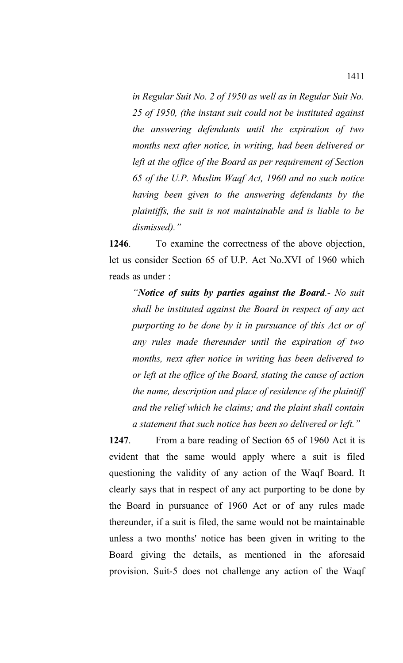*in Regular Suit No. 2 of 1950 as well as in Regular Suit No. 25 of 1950, (the instant suit could not be instituted against the answering defendants until the expiration of two months next after notice, in writing, had been delivered or left at the office of the Board as per requirement of Section 65 of the U.P. Muslim Waqf Act, 1960 and no such notice having been given to the answering defendants by the plaintiffs, the suit is not maintainable and is liable to be dismissed)."*

**1246**. To examine the correctness of the above objection, let us consider Section 65 of U.P. Act No.XVI of 1960 which reads as under :

*"Notice of suits by parties against the Board.- No suit shall be instituted against the Board in respect of any act purporting to be done by it in pursuance of this Act or of any rules made thereunder until the expiration of two months, next after notice in writing has been delivered to or left at the office of the Board, stating the cause of action the name, description and place of residence of the plaintiff and the relief which he claims; and the plaint shall contain a statement that such notice has been so delivered or left."*

**1247**. From a bare reading of Section 65 of 1960 Act it is evident that the same would apply where a suit is filed questioning the validity of any action of the Waqf Board. It clearly says that in respect of any act purporting to be done by the Board in pursuance of 1960 Act or of any rules made thereunder, if a suit is filed, the same would not be maintainable unless a two months' notice has been given in writing to the Board giving the details, as mentioned in the aforesaid provision. Suit-5 does not challenge any action of the Waqf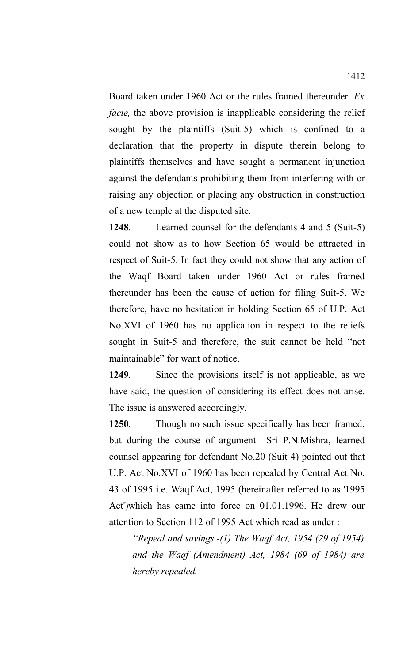Board taken under 1960 Act or the rules framed thereunder. *Ex facie*, the above provision is inapplicable considering the relief sought by the plaintiffs (Suit-5) which is confined to a declaration that the property in dispute therein belong to plaintiffs themselves and have sought a permanent injunction against the defendants prohibiting them from interfering with or raising any objection or placing any obstruction in construction of a new temple at the disputed site.

**1248**. Learned counsel for the defendants 4 and 5 (Suit-5) could not show as to how Section 65 would be attracted in respect of Suit-5. In fact they could not show that any action of the Waqf Board taken under 1960 Act or rules framed thereunder has been the cause of action for filing Suit-5. We therefore, have no hesitation in holding Section 65 of U.P. Act No.XVI of 1960 has no application in respect to the reliefs sought in Suit-5 and therefore, the suit cannot be held "not maintainable" for want of notice.

**1249**. Since the provisions itself is not applicable, as we have said, the question of considering its effect does not arise. The issue is answered accordingly.

**1250**. Though no such issue specifically has been framed, but during the course of argument Sri P.N.Mishra, learned counsel appearing for defendant No.20 (Suit 4) pointed out that U.P. Act No.XVI of 1960 has been repealed by Central Act No. 43 of 1995 i.e. Waqf Act, 1995 (hereinafter referred to as '1995 Act')which has came into force on 01.01.1996. He drew our attention to Section 112 of 1995 Act which read as under :

*"Repeal and savings.-(1) The Waqf Act, 1954 (29 of 1954) and the Waqf (Amendment) Act, 1984 (69 of 1984) are hereby repealed.*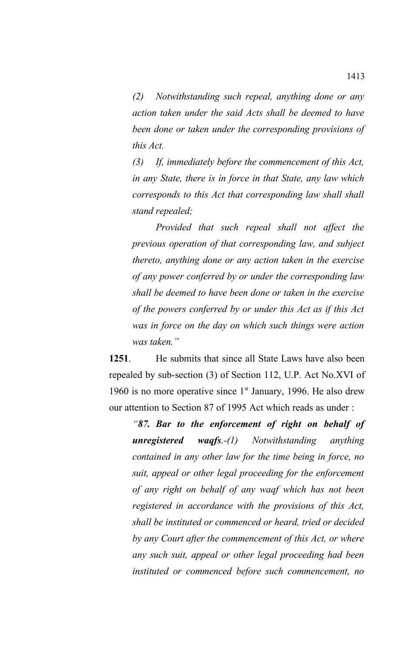*(2) Notwithstanding such repeal, anything done or any action taken under the said Acts shall be deemed to have been done or taken under the corresponding provisions of this Act.*

*(3) If, immediately before the commencement of this Act, in any State, there is in force in that State, any law which corresponds to this Act that corresponding law shall shall stand repealed;*

*Provided that such repeal shall not affect the previous operation of that corresponding law, and subject thereto, anything done or any action taken in the exercise of any power conferred by or under the corresponding law shall be deemed to have been done or taken in the exercise of the powers conferred by or under this Act as if this Act was in force on the day on which such things were action was taken."*

**1251**. He submits that since all State Laws have also been repealed by sub-section (3) of Section 112, U.P. Act No.XVI of 1960 is no more operative since  $1<sup>st</sup>$  January, 1996. He also drew our attention to Section 87 of 1995 Act which reads as under :

*"87. Bar to the enforcement of right on behalf of unregistered waqfs.-(1) Notwithstanding anything contained in any other law for the time being in force, no suit, appeal or other legal proceeding for the enforcement of any right on behalf of any waqf which has not been registered in accordance with the provisions of this Act, shall be instituted or commenced or heard, tried or decided by any Court after the commencement of this Act, or where any such suit, appeal or other legal proceeding had been instituted or commenced before such commencement, no*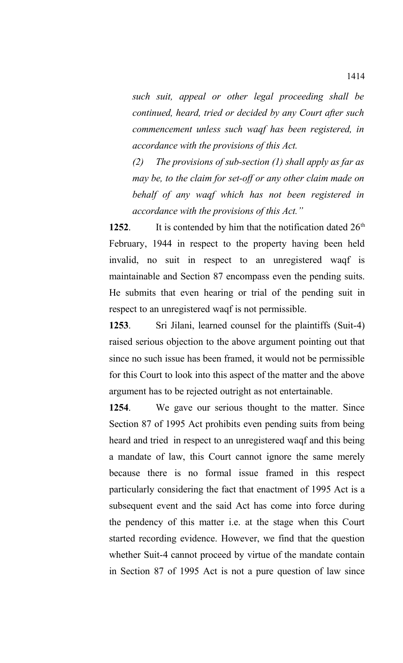*such suit, appeal or other legal proceeding shall be continued, heard, tried or decided by any Court after such commencement unless such waqf has been registered, in accordance with the provisions of this Act.*

*(2) The provisions of sub-section (1) shall apply as far as may be, to the claim for set-off or any other claim made on behalf of any waqf which has not been registered in accordance with the provisions of this Act."*

**1252.** It is contended by him that the notification dated  $26<sup>th</sup>$ February, 1944 in respect to the property having been held invalid, no suit in respect to an unregistered waqf is maintainable and Section 87 encompass even the pending suits. He submits that even hearing or trial of the pending suit in respect to an unregistered waqf is not permissible.

**1253**. Sri Jilani, learned counsel for the plaintiffs (Suit-4) raised serious objection to the above argument pointing out that since no such issue has been framed, it would not be permissible for this Court to look into this aspect of the matter and the above argument has to be rejected outright as not entertainable.

**1254**. We gave our serious thought to the matter. Since Section 87 of 1995 Act prohibits even pending suits from being heard and tried in respect to an unregistered waqf and this being a mandate of law, this Court cannot ignore the same merely because there is no formal issue framed in this respect particularly considering the fact that enactment of 1995 Act is a subsequent event and the said Act has come into force during the pendency of this matter i.e. at the stage when this Court started recording evidence. However, we find that the question whether Suit-4 cannot proceed by virtue of the mandate contain in Section 87 of 1995 Act is not a pure question of law since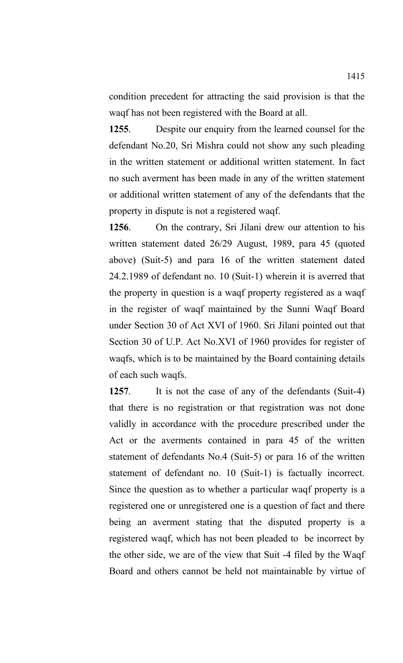condition precedent for attracting the said provision is that the waqf has not been registered with the Board at all.

**1255**. Despite our enquiry from the learned counsel for the defendant No.20, Sri Mishra could not show any such pleading in the written statement or additional written statement. In fact no such averment has been made in any of the written statement or additional written statement of any of the defendants that the property in dispute is not a registered waqf.

**1256**. On the contrary, Sri Jilani drew our attention to his written statement dated 26/29 August, 1989, para 45 (quoted above) (Suit-5) and para 16 of the written statement dated 24.2.1989 of defendant no. 10 (Suit-1) wherein it is averred that the property in question is a waqf property registered as a waqf in the register of waqf maintained by the Sunni Waqf Board under Section 30 of Act XVI of 1960. Sri Jilani pointed out that Section 30 of U.P. Act No.XVI of 1960 provides for register of waqfs, which is to be maintained by the Board containing details of each such waqfs.

**1257**. It is not the case of any of the defendants (Suit-4) that there is no registration or that registration was not done validly in accordance with the procedure prescribed under the Act or the averments contained in para 45 of the written statement of defendants No.4 (Suit-5) or para 16 of the written statement of defendant no. 10 (Suit-1) is factually incorrect. Since the question as to whether a particular waqf property is a registered one or unregistered one is a question of fact and there being an averment stating that the disputed property is a registered waqf, which has not been pleaded to be incorrect by the other side, we are of the view that Suit -4 filed by the Waqf Board and others cannot be held not maintainable by virtue of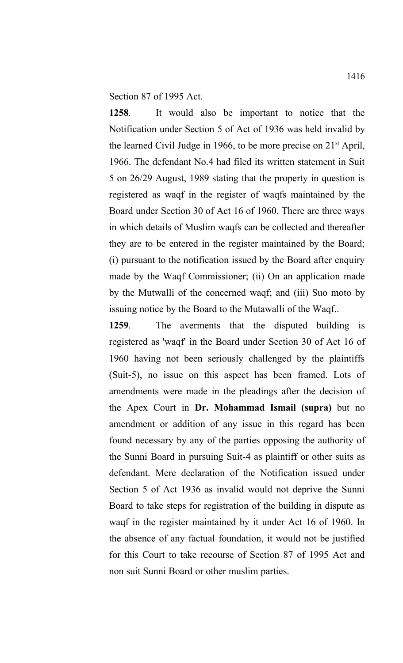Section 87 of 1995 Act.

**1258**. It would also be important to notice that the Notification under Section 5 of Act of 1936 was held invalid by the learned Civil Judge in 1966, to be more precise on  $21<sup>st</sup>$  April, 1966. The defendant No.4 had filed its written statement in Suit 5 on 26/29 August, 1989 stating that the property in question is registered as waqf in the register of waqfs maintained by the Board under Section 30 of Act 16 of 1960. There are three ways in which details of Muslim waqfs can be collected and thereafter they are to be entered in the register maintained by the Board; (i) pursuant to the notification issued by the Board after enquiry made by the Waqf Commissioner; (ii) On an application made by the Mutwalli of the concerned waqf; and (iii) Suo moto by issuing notice by the Board to the Mutawalli of the Waqf..

**1259**. The averments that the disputed building is registered as 'waqf' in the Board under Section 30 of Act 16 of 1960 having not been seriously challenged by the plaintiffs (Suit-5), no issue on this aspect has been framed. Lots of amendments were made in the pleadings after the decision of the Apex Court in **Dr. Mohammad Ismail (supra)** but no amendment or addition of any issue in this regard has been found necessary by any of the parties opposing the authority of the Sunni Board in pursuing Suit-4 as plaintiff or other suits as defendant. Mere declaration of the Notification issued under Section 5 of Act 1936 as invalid would not deprive the Sunni Board to take steps for registration of the building in dispute as waqf in the register maintained by it under Act 16 of 1960. In the absence of any factual foundation, it would not be justified for this Court to take recourse of Section 87 of 1995 Act and non suit Sunni Board or other muslim parties.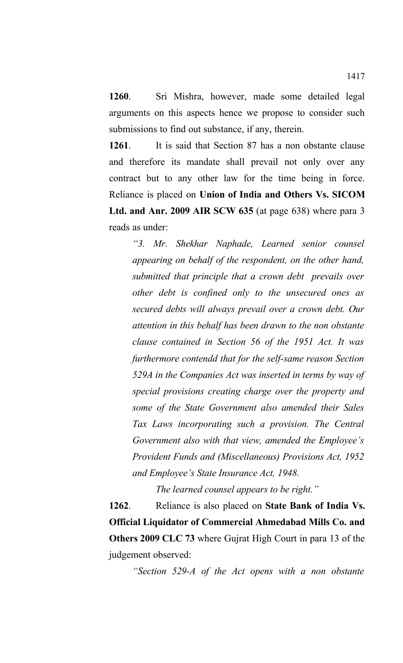**1260**. Sri Mishra, however, made some detailed legal arguments on this aspects hence we propose to consider such submissions to find out substance, if any, therein.

**1261**. It is said that Section 87 has a non obstante clause and therefore its mandate shall prevail not only over any contract but to any other law for the time being in force. Reliance is placed on **Union of India and Others Vs. SICOM Ltd. and Anr. 2009 AIR SCW 635** (at page 638) where para 3 reads as under:

*"3. Mr. Shekhar Naphade, Learned senior counsel appearing on behalf of the respondent, on the other hand, submitted that principle that a crown debt prevails over other debt is confined only to the unsecured ones as secured debts will always prevail over a crown debt. Our attention in this behalf has been drawn to the non obstante clause contained in Section 56 of the 1951 Act. It was furthermore contendd that for the self-same reason Section 529A in the Companies Act was inserted in terms by way of special provisions creating charge over the property and some of the State Government also amended their Sales Tax Laws incorporating such a provision. The Central Government also with that view, amended the Employee's Provident Funds and (Miscellaneous) Provisions Act, 1952 and Employee's State Insurance Act, 1948.*

*The learned counsel appears to be right."*

**1262**. Reliance is also placed on **State Bank of India Vs. Official Liquidator of Commercial Ahmedabad Mills Co. and Others 2009 CLC 73** where Gujrat High Court in para 13 of the judgement observed:

*"Section 529-A of the Act opens with a non obstante*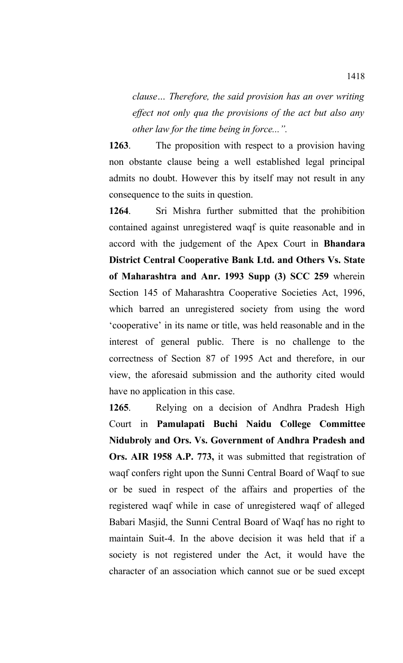*clause… Therefore, the said provision has an over writing effect not only qua the provisions of the act but also any other law for the time being in force...".*

**1263**. The proposition with respect to a provision having non obstante clause being a well established legal principal admits no doubt. However this by itself may not result in any consequence to the suits in question.

**1264**. Sri Mishra further submitted that the prohibition contained against unregistered waqf is quite reasonable and in accord with the judgement of the Apex Court in **Bhandara District Central Cooperative Bank Ltd. and Others Vs. State of Maharashtra and Anr. 1993 Supp (3) SCC 259** wherein Section 145 of Maharashtra Cooperative Societies Act, 1996, which barred an unregistered society from using the word 'cooperative' in its name or title, was held reasonable and in the interest of general public. There is no challenge to the correctness of Section 87 of 1995 Act and therefore, in our view, the aforesaid submission and the authority cited would have no application in this case.

**1265**. Relying on a decision of Andhra Pradesh High Court in **Pamulapati Buchi Naidu College Committee Nidubroly and Ors. Vs. Government of Andhra Pradesh and Ors. AIR 1958 A.P. 773,** it was submitted that registration of waqf confers right upon the Sunni Central Board of Waqf to sue or be sued in respect of the affairs and properties of the registered waqf while in case of unregistered waqf of alleged Babari Masjid, the Sunni Central Board of Waqf has no right to maintain Suit-4. In the above decision it was held that if a society is not registered under the Act, it would have the character of an association which cannot sue or be sued except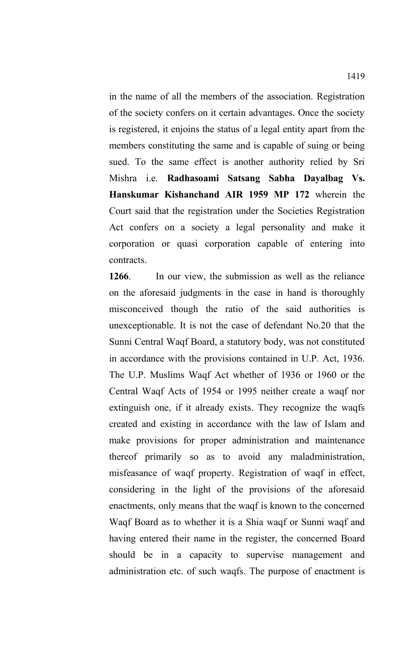in the name of all the members of the association. Registration of the society confers on it certain advantages. Once the society is registered, it enjoins the status of a legal entity apart from the members constituting the same and is capable of suing or being sued. To the same effect is another authority relied by Sri Mishra i.e. **Radhasoami Satsang Sabha Dayalbag Vs. Hanskumar Kishanchand AIR 1959 MP 172** wherein the Court said that the registration under the Societies Registration Act confers on a society a legal personality and make it corporation or quasi corporation capable of entering into contracts.

**1266**. In our view, the submission as well as the reliance on the aforesaid judgments in the case in hand is thoroughly misconceived though the ratio of the said authorities is unexceptionable. It is not the case of defendant No.20 that the Sunni Central Waqf Board, a statutory body, was not constituted in accordance with the provisions contained in U.P. Act, 1936. The U.P. Muslims Waqf Act whether of 1936 or 1960 or the Central Waqf Acts of 1954 or 1995 neither create a waqf nor extinguish one, if it already exists. They recognize the waqfs created and existing in accordance with the law of Islam and make provisions for proper administration and maintenance thereof primarily so as to avoid any maladministration, misfeasance of waqf property. Registration of waqf in effect, considering in the light of the provisions of the aforesaid enactments, only means that the waqf is known to the concerned Waqf Board as to whether it is a Shia waqf or Sunni waqf and having entered their name in the register, the concerned Board should be in a capacity to supervise management and administration etc. of such waqfs. The purpose of enactment is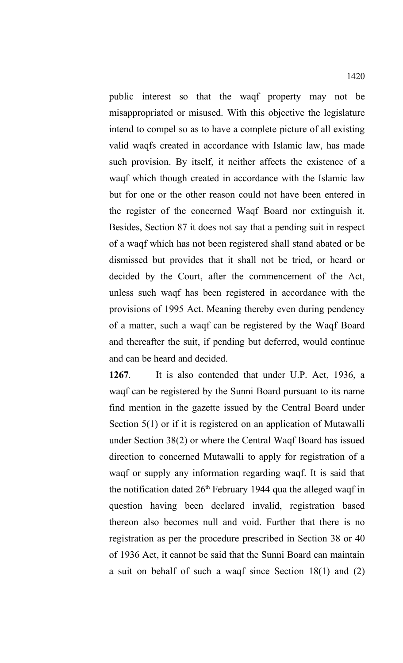public interest so that the waqf property may not be misappropriated or misused. With this objective the legislature intend to compel so as to have a complete picture of all existing valid waqfs created in accordance with Islamic law, has made such provision. By itself, it neither affects the existence of a waqf which though created in accordance with the Islamic law but for one or the other reason could not have been entered in the register of the concerned Waqf Board nor extinguish it. Besides, Section 87 it does not say that a pending suit in respect of a waqf which has not been registered shall stand abated or be dismissed but provides that it shall not be tried, or heard or decided by the Court, after the commencement of the Act, unless such waqf has been registered in accordance with the provisions of 1995 Act. Meaning thereby even during pendency of a matter, such a waqf can be registered by the Waqf Board and thereafter the suit, if pending but deferred, would continue and can be heard and decided.

**1267**. It is also contended that under U.P. Act, 1936, a waqf can be registered by the Sunni Board pursuant to its name find mention in the gazette issued by the Central Board under Section 5(1) or if it is registered on an application of Mutawalli under Section 38(2) or where the Central Waqf Board has issued direction to concerned Mutawalli to apply for registration of a waqf or supply any information regarding waqf. It is said that the notification dated  $26<sup>th</sup>$  February 1944 qua the alleged waqf in question having been declared invalid, registration based thereon also becomes null and void. Further that there is no registration as per the procedure prescribed in Section 38 or 40 of 1936 Act, it cannot be said that the Sunni Board can maintain a suit on behalf of such a waqf since Section 18(1) and (2)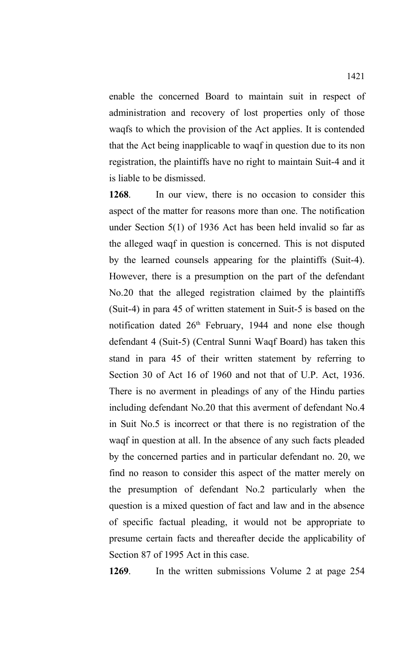enable the concerned Board to maintain suit in respect of administration and recovery of lost properties only of those waqfs to which the provision of the Act applies. It is contended that the Act being inapplicable to waqf in question due to its non registration, the plaintiffs have no right to maintain Suit-4 and it is liable to be dismissed.

**1268**. In our view, there is no occasion to consider this aspect of the matter for reasons more than one. The notification under Section 5(1) of 1936 Act has been held invalid so far as the alleged waqf in question is concerned. This is not disputed by the learned counsels appearing for the plaintiffs (Suit-4). However, there is a presumption on the part of the defendant No.20 that the alleged registration claimed by the plaintiffs (Suit-4) in para 45 of written statement in Suit-5 is based on the notification dated 26<sup>th</sup> February, 1944 and none else though defendant 4 (Suit-5) (Central Sunni Waqf Board) has taken this stand in para 45 of their written statement by referring to Section 30 of Act 16 of 1960 and not that of U.P. Act, 1936. There is no averment in pleadings of any of the Hindu parties including defendant No.20 that this averment of defendant No.4 in Suit No.5 is incorrect or that there is no registration of the waqf in question at all. In the absence of any such facts pleaded by the concerned parties and in particular defendant no. 20, we find no reason to consider this aspect of the matter merely on the presumption of defendant No.2 particularly when the question is a mixed question of fact and law and in the absence of specific factual pleading, it would not be appropriate to presume certain facts and thereafter decide the applicability of Section 87 of 1995 Act in this case.

**1269**. In the written submissions Volume 2 at page 254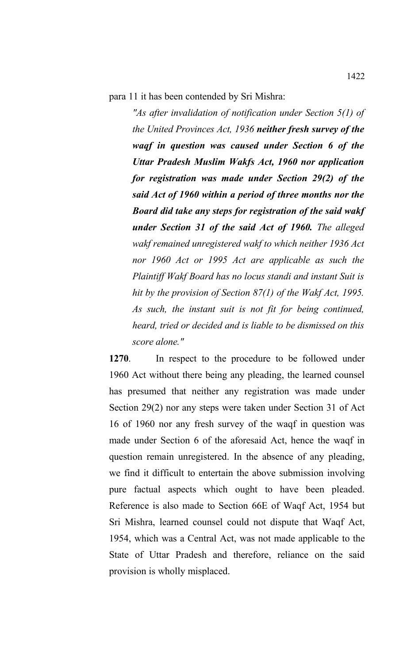para 11 it has been contended by Sri Mishra:

*"As after invalidation of notification under Section 5(1) of the United Provinces Act, 1936 neither fresh survey of the waqf in question was caused under Section 6 of the Uttar Pradesh Muslim Wakfs Act, 1960 nor application for registration was made under Section 29(2) of the said Act of 1960 within a period of three months nor the Board did take any steps for registration of the said wakf under Section 31 of the said Act of 1960. The alleged wakf remained unregistered wakf to which neither 1936 Act nor 1960 Act or 1995 Act are applicable as such the Plaintiff Wakf Board has no locus standi and instant Suit is hit by the provision of Section 87(1) of the Wakf Act, 1995. As such, the instant suit is not fit for being continued, heard, tried or decided and is liable to be dismissed on this score alone."*

**1270**. In respect to the procedure to be followed under 1960 Act without there being any pleading, the learned counsel has presumed that neither any registration was made under Section 29(2) nor any steps were taken under Section 31 of Act 16 of 1960 nor any fresh survey of the waqf in question was made under Section 6 of the aforesaid Act, hence the waqf in question remain unregistered. In the absence of any pleading, we find it difficult to entertain the above submission involving pure factual aspects which ought to have been pleaded. Reference is also made to Section 66E of Waqf Act, 1954 but Sri Mishra, learned counsel could not dispute that Waqf Act, 1954, which was a Central Act, was not made applicable to the State of Uttar Pradesh and therefore, reliance on the said provision is wholly misplaced.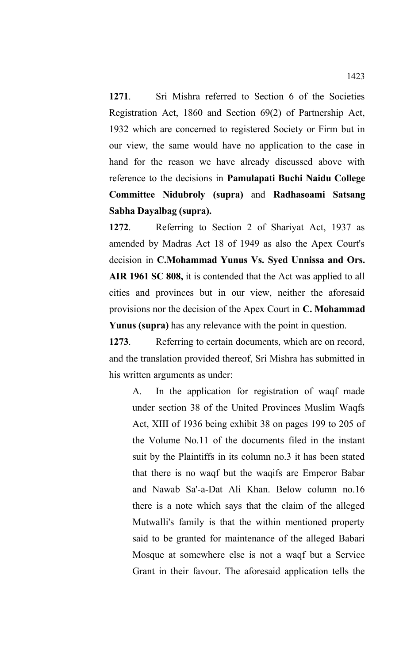**1271**. Sri Mishra referred to Section 6 of the Societies Registration Act, 1860 and Section 69(2) of Partnership Act, 1932 which are concerned to registered Society or Firm but in our view, the same would have no application to the case in hand for the reason we have already discussed above with reference to the decisions in **Pamulapati Buchi Naidu College Committee Nidubroly (supra)** and **Radhasoami Satsang Sabha Dayalbag (supra).**

**1272**. Referring to Section 2 of Shariyat Act, 1937 as amended by Madras Act 18 of 1949 as also the Apex Court's decision in **C.Mohammad Yunus Vs. Syed Unnissa and Ors. AIR 1961 SC 808,** it is contended that the Act was applied to all cities and provinces but in our view, neither the aforesaid provisions nor the decision of the Apex Court in **C. Mohammad Yunus (supra)** has any relevance with the point in question.

**1273**. Referring to certain documents, which are on record, and the translation provided thereof, Sri Mishra has submitted in his written arguments as under:

A. In the application for registration of waqf made under section 38 of the United Provinces Muslim Waqfs Act, XIII of 1936 being exhibit 38 on pages 199 to 205 of the Volume No.11 of the documents filed in the instant suit by the Plaintiffs in its column no.3 it has been stated that there is no waqf but the waqifs are Emperor Babar and Nawab Sa'-a-Dat Ali Khan. Below column no.16 there is a note which says that the claim of the alleged Mutwalli's family is that the within mentioned property said to be granted for maintenance of the alleged Babari Mosque at somewhere else is not a waqf but a Service Grant in their favour. The aforesaid application tells the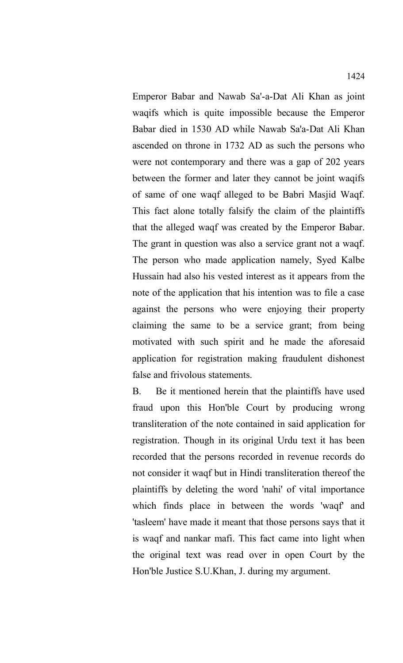Emperor Babar and Nawab Sa'-a-Dat Ali Khan as joint waqifs which is quite impossible because the Emperor Babar died in 1530 AD while Nawab Sa'a-Dat Ali Khan ascended on throne in 1732 AD as such the persons who were not contemporary and there was a gap of 202 years between the former and later they cannot be joint waqifs of same of one waqf alleged to be Babri Masjid Waqf. This fact alone totally falsify the claim of the plaintiffs that the alleged waqf was created by the Emperor Babar. The grant in question was also a service grant not a waqf. The person who made application namely, Syed Kalbe Hussain had also his vested interest as it appears from the note of the application that his intention was to file a case against the persons who were enjoying their property claiming the same to be a service grant; from being motivated with such spirit and he made the aforesaid application for registration making fraudulent dishonest false and frivolous statements.

B. Be it mentioned herein that the plaintiffs have used fraud upon this Hon'ble Court by producing wrong transliteration of the note contained in said application for registration. Though in its original Urdu text it has been recorded that the persons recorded in revenue records do not consider it waqf but in Hindi transliteration thereof the plaintiffs by deleting the word 'nahi' of vital importance which finds place in between the words 'waqf' and 'tasleem' have made it meant that those persons says that it is waqf and nankar mafi. This fact came into light when the original text was read over in open Court by the Hon'ble Justice S.U.Khan, J. during my argument.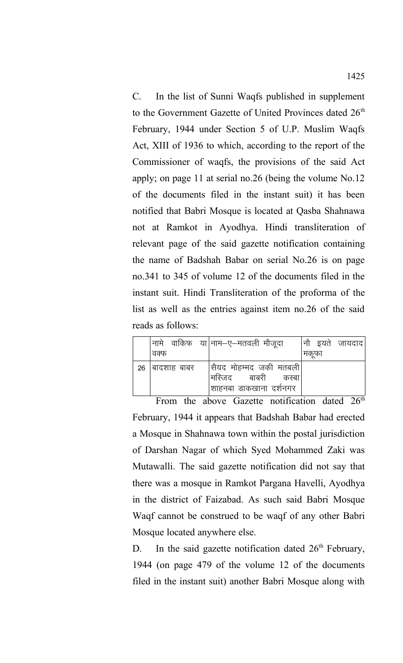C. In the list of Sunni Waqfs published in supplement to the Government Gazette of United Provinces dated 26<sup>th</sup> February, 1944 under Section 5 of U.P. Muslim Waqfs Act, XIII of 1936 to which, according to the report of the Commissioner of waqfs, the provisions of the said Act apply; on page 11 at serial no.26 (being the volume No.12 of the documents filed in the instant suit) it has been notified that Babri Mosque is located at Qasba Shahnawa not at Ramkot in Ayodhya. Hindi transliteration of relevant page of the said gazette notification containing the name of Badshah Babar on serial No.26 is on page no.341 to 345 of volume 12 of the documents filed in the instant suit. Hindi Transliteration of the proforma of the list as well as the entries against item no.26 of the said reads as follows:

|    | 'नामे       | वाकिफ या नाम–ए–मतवली मौजूदा | ।नौ इयते जायदाद <i>'</i> |
|----|-------------|-----------------------------|--------------------------|
|    | वक्फ        |                             | मकूफ।                    |
| 26 | बादशाह बाबर | सैयद मोहम्मद जकी मतबली      |                          |
|    |             | ामस्जिद<br>बाबरी<br>कस्बा   |                          |
|    |             | शाहनबा डाकखाना दर्शनगर      |                          |

From the above Gazette notification dated  $26<sup>th</sup>$ February, 1944 it appears that Badshah Babar had erected a Mosque in Shahnawa town within the postal jurisdiction of Darshan Nagar of which Syed Mohammed Zaki was Mutawalli. The said gazette notification did not say that there was a mosque in Ramkot Pargana Havelli, Ayodhya in the district of Faizabad. As such said Babri Mosque Waqf cannot be construed to be waqf of any other Babri Mosque located anywhere else.

D. In the said gazette notification dated  $26<sup>th</sup>$  February, 1944 (on page 479 of the volume 12 of the documents filed in the instant suit) another Babri Mosque along with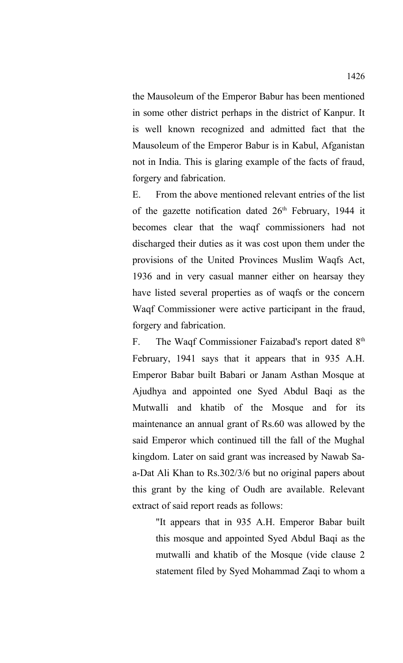the Mausoleum of the Emperor Babur has been mentioned in some other district perhaps in the district of Kanpur. It is well known recognized and admitted fact that the Mausoleum of the Emperor Babur is in Kabul, Afganistan not in India. This is glaring example of the facts of fraud, forgery and fabrication.

E. From the above mentioned relevant entries of the list of the gazette notification dated  $26<sup>th</sup>$  February, 1944 it becomes clear that the waqf commissioners had not discharged their duties as it was cost upon them under the provisions of the United Provinces Muslim Waqfs Act, 1936 and in very casual manner either on hearsay they have listed several properties as of waqfs or the concern Waqf Commissioner were active participant in the fraud, forgery and fabrication.

F. The Waqf Commissioner Faizabad's report dated 8<sup>th</sup> February, 1941 says that it appears that in 935 A.H. Emperor Babar built Babari or Janam Asthan Mosque at Ajudhya and appointed one Syed Abdul Baqi as the Mutwalli and khatib of the Mosque and for its maintenance an annual grant of Rs.60 was allowed by the said Emperor which continued till the fall of the Mughal kingdom. Later on said grant was increased by Nawab Saa-Dat Ali Khan to Rs.302/3/6 but no original papers about this grant by the king of Oudh are available. Relevant extract of said report reads as follows:

> "It appears that in 935 A.H. Emperor Babar built this mosque and appointed Syed Abdul Baqi as the mutwalli and khatib of the Mosque (vide clause 2 statement filed by Syed Mohammad Zaqi to whom a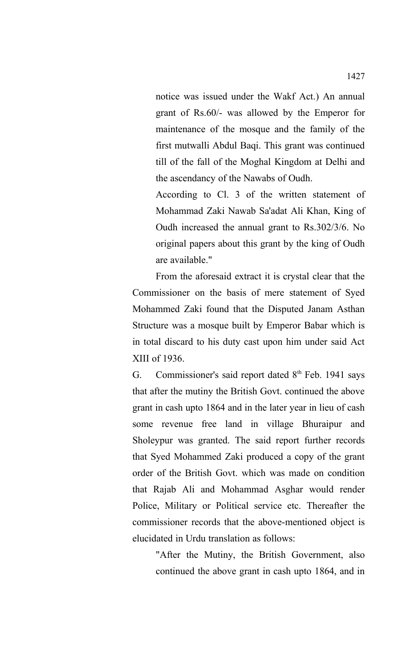notice was issued under the Wakf Act.) An annual grant of Rs.60/- was allowed by the Emperor for maintenance of the mosque and the family of the first mutwalli Abdul Baqi. This grant was continued till of the fall of the Moghal Kingdom at Delhi and the ascendancy of the Nawabs of Oudh.

According to Cl. 3 of the written statement of Mohammad Zaki Nawab Sa'adat Ali Khan, King of Oudh increased the annual grant to Rs.302/3/6. No original papers about this grant by the king of Oudh are available."

From the aforesaid extract it is crystal clear that the Commissioner on the basis of mere statement of Syed Mohammed Zaki found that the Disputed Janam Asthan Structure was a mosque built by Emperor Babar which is in total discard to his duty cast upon him under said Act XIII of 1936.

G. Commissioner's said report dated  $8<sup>th</sup>$  Feb. 1941 says that after the mutiny the British Govt. continued the above grant in cash upto 1864 and in the later year in lieu of cash some revenue free land in village Bhuraipur and Sholeypur was granted. The said report further records that Syed Mohammed Zaki produced a copy of the grant order of the British Govt. which was made on condition that Rajab Ali and Mohammad Asghar would render Police, Military or Political service etc. Thereafter the commissioner records that the above-mentioned object is elucidated in Urdu translation as follows:

"After the Mutiny, the British Government, also continued the above grant in cash upto 1864, and in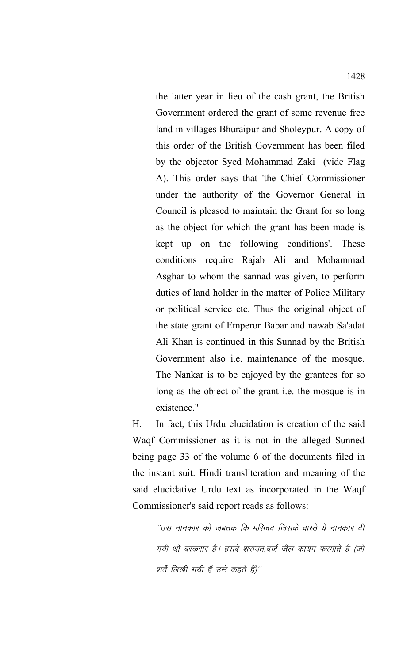the latter year in lieu of the cash grant, the British Government ordered the grant of some revenue free land in villages Bhuraipur and Sholeypur. A copy of this order of the British Government has been filed by the objector Syed Mohammad Zaki (vide Flag A). This order says that 'the Chief Commissioner under the authority of the Governor General in Council is pleased to maintain the Grant for so long as the object for which the grant has been made is kept up on the following conditions'. These conditions require Rajab Ali and Mohammad Asghar to whom the sannad was given, to perform duties of land holder in the matter of Police Military or political service etc. Thus the original object of the state grant of Emperor Babar and nawab Sa'adat Ali Khan is continued in this Sunnad by the British Government also i.e. maintenance of the mosque. The Nankar is to be enjoyed by the grantees for so long as the object of the grant i.e. the mosque is in existence."

H. In fact, this Urdu elucidation is creation of the said Waqf Commissioner as it is not in the alleged Sunned being page 33 of the volume 6 of the documents filed in the instant suit. Hindi transliteration and meaning of the said elucidative Urdu text as incorporated in the Waqf Commissioner's said report reads as follows:

> ''उस नानकार को जबतक कि मस्जिद जिसके वास्ते ये नानकार दी गयी थी बरकरार है। हसबे शरायत,दर्ज जैल कायम फरमाते हैं (जो शर्तें लिखी गयी हैं उसे कहते हैं)''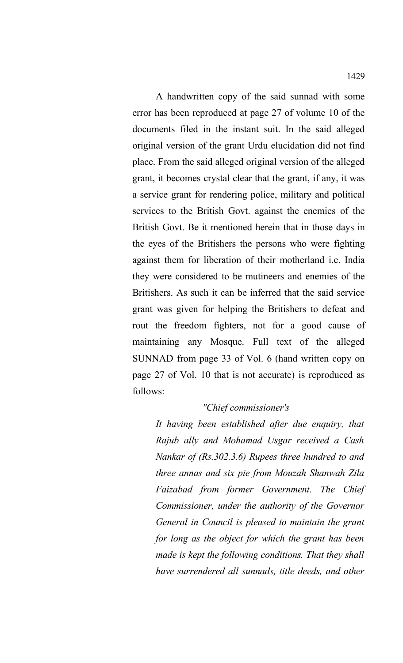A handwritten copy of the said sunnad with some error has been reproduced at page 27 of volume 10 of the documents filed in the instant suit. In the said alleged original version of the grant Urdu elucidation did not find place. From the said alleged original version of the alleged grant, it becomes crystal clear that the grant, if any, it was a service grant for rendering police, military and political services to the British Govt. against the enemies of the British Govt. Be it mentioned herein that in those days in the eyes of the Britishers the persons who were fighting against them for liberation of their motherland i.e. India they were considered to be mutineers and enemies of the Britishers. As such it can be inferred that the said service grant was given for helping the Britishers to defeat and rout the freedom fighters, not for a good cause of maintaining any Mosque. Full text of the alleged SUNNAD from page 33 of Vol. 6 (hand written copy on page 27 of Vol. 10 that is not accurate) is reproduced as follows:

## *"Chief commissioner's*

*It having been established after due enquiry, that Rajub ally and Mohamad Usgar received a Cash Nankar of (Rs.302.3.6) Rupees three hundred to and three annas and six pie from Mouzah Shanwah Zila Faizabad from former Government. The Chief Commissioner, under the authority of the Governor General in Council is pleased to maintain the grant for long as the object for which the grant has been made is kept the following conditions. That they shall have surrendered all sunnads, title deeds, and other*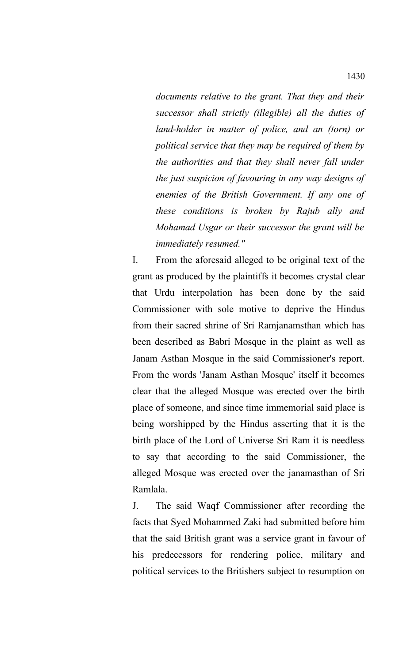*documents relative to the grant. That they and their successor shall strictly (illegible) all the duties of land-holder in matter of police, and an (torn) or political service that they may be required of them by the authorities and that they shall never fall under the just suspicion of favouring in any way designs of enemies of the British Government. If any one of these conditions is broken by Rajub ally and Mohamad Usgar or their successor the grant will be immediately resumed."*

I. From the aforesaid alleged to be original text of the grant as produced by the plaintiffs it becomes crystal clear that Urdu interpolation has been done by the said Commissioner with sole motive to deprive the Hindus from their sacred shrine of Sri Ramjanamsthan which has been described as Babri Mosque in the plaint as well as Janam Asthan Mosque in the said Commissioner's report. From the words 'Janam Asthan Mosque' itself it becomes clear that the alleged Mosque was erected over the birth place of someone, and since time immemorial said place is being worshipped by the Hindus asserting that it is the birth place of the Lord of Universe Sri Ram it is needless to say that according to the said Commissioner, the alleged Mosque was erected over the janamasthan of Sri Ramlala.

J. The said Waqf Commissioner after recording the facts that Syed Mohammed Zaki had submitted before him that the said British grant was a service grant in favour of his predecessors for rendering police, military and political services to the Britishers subject to resumption on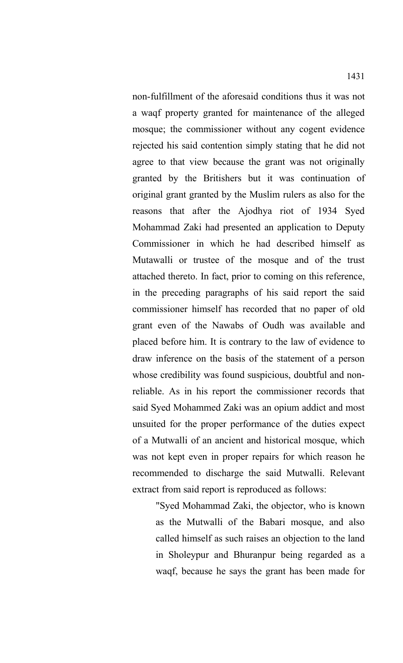non-fulfillment of the aforesaid conditions thus it was not a waqf property granted for maintenance of the alleged mosque; the commissioner without any cogent evidence rejected his said contention simply stating that he did not agree to that view because the grant was not originally granted by the Britishers but it was continuation of original grant granted by the Muslim rulers as also for the reasons that after the Ajodhya riot of 1934 Syed Mohammad Zaki had presented an application to Deputy Commissioner in which he had described himself as Mutawalli or trustee of the mosque and of the trust attached thereto. In fact, prior to coming on this reference, in the preceding paragraphs of his said report the said commissioner himself has recorded that no paper of old grant even of the Nawabs of Oudh was available and placed before him. It is contrary to the law of evidence to draw inference on the basis of the statement of a person whose credibility was found suspicious, doubtful and nonreliable. As in his report the commissioner records that said Syed Mohammed Zaki was an opium addict and most unsuited for the proper performance of the duties expect of a Mutwalli of an ancient and historical mosque, which was not kept even in proper repairs for which reason he recommended to discharge the said Mutwalli. Relevant extract from said report is reproduced as follows:

> "Syed Mohammad Zaki, the objector, who is known as the Mutwalli of the Babari mosque, and also called himself as such raises an objection to the land in Sholeypur and Bhuranpur being regarded as a waqf, because he says the grant has been made for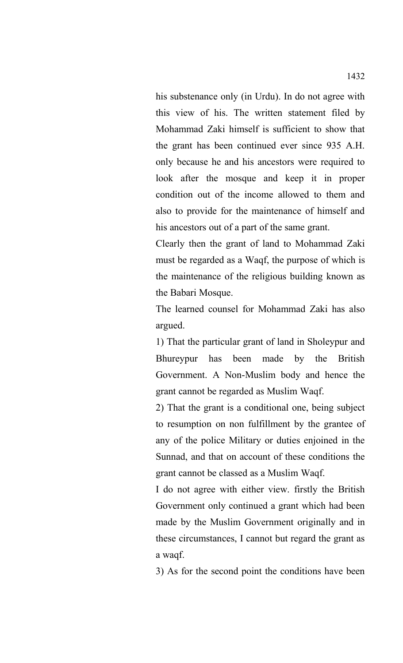his substenance only (in Urdu). In do not agree with this view of his. The written statement filed by Mohammad Zaki himself is sufficient to show that the grant has been continued ever since 935 A.H. only because he and his ancestors were required to look after the mosque and keep it in proper condition out of the income allowed to them and also to provide for the maintenance of himself and his ancestors out of a part of the same grant.

Clearly then the grant of land to Mohammad Zaki must be regarded as a Waqf, the purpose of which is the maintenance of the religious building known as the Babari Mosque.

The learned counsel for Mohammad Zaki has also argued.

1) That the particular grant of land in Sholeypur and Bhureypur has been made by the British Government. A Non-Muslim body and hence the grant cannot be regarded as Muslim Waqf.

2) That the grant is a conditional one, being subject to resumption on non fulfillment by the grantee of any of the police Military or duties enjoined in the Sunnad, and that on account of these conditions the grant cannot be classed as a Muslim Waqf.

I do not agree with either view. firstly the British Government only continued a grant which had been made by the Muslim Government originally and in these circumstances, I cannot but regard the grant as a waqf.

3) As for the second point the conditions have been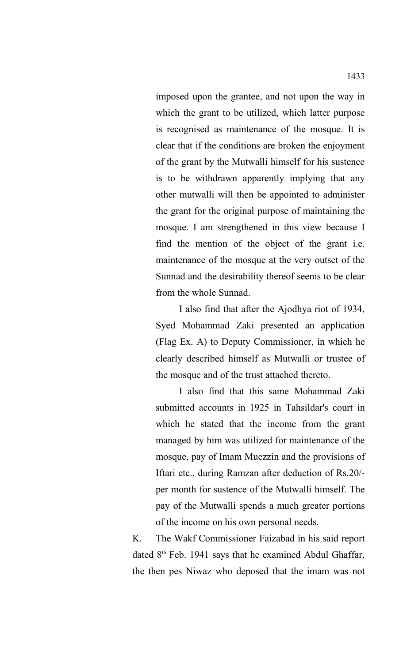imposed upon the grantee, and not upon the way in which the grant to be utilized, which latter purpose is recognised as maintenance of the mosque. It is clear that if the conditions are broken the enjoyment of the grant by the Mutwalli himself for his sustence is to be withdrawn apparently implying that any other mutwalli will then be appointed to administer the grant for the original purpose of maintaining the mosque. I am strengthened in this view because I find the mention of the object of the grant i.e. maintenance of the mosque at the very outset of the Sunnad and the desirability thereof seems to be clear from the whole Sunnad.

I also find that after the Ajodhya riot of 1934, Syed Mohammad Zaki presented an application (Flag Ex. A) to Deputy Commissioner, in which he clearly described himself as Mutwalli or trustee of the mosque and of the trust attached thereto.

I also find that this same Mohammad Zaki submitted accounts in 1925 in Tahsildar's court in which he stated that the income from the grant managed by him was utilized for maintenance of the mosque, pay of Imam Muezzin and the provisions of Iftari etc., during Ramzan after deduction of Rs.20/ per month for sustence of the Mutwalli himself. The pay of the Mutwalli spends a much greater portions of the income on his own personal needs.

K. The Wakf Commissioner Faizabad in his said report dated  $8<sup>th</sup>$  Feb. 1941 says that he examined Abdul Ghaffar, the then pes Niwaz who deposed that the imam was not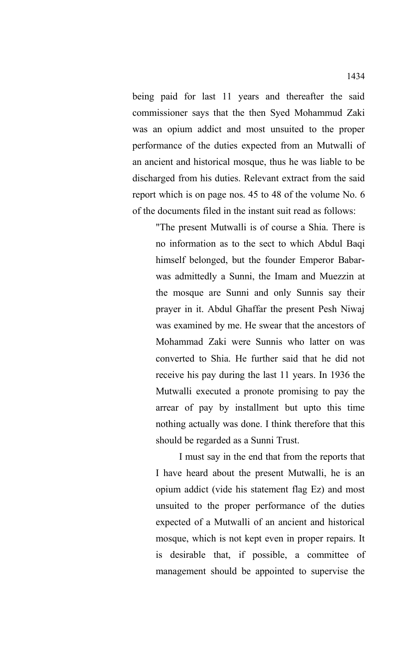being paid for last 11 years and thereafter the said commissioner says that the then Syed Mohammud Zaki was an opium addict and most unsuited to the proper performance of the duties expected from an Mutwalli of an ancient and historical mosque, thus he was liable to be discharged from his duties. Relevant extract from the said report which is on page nos. 45 to 48 of the volume No. 6 of the documents filed in the instant suit read as follows:

> "The present Mutwalli is of course a Shia. There is no information as to the sect to which Abdul Baqi himself belonged, but the founder Emperor Babarwas admittedly a Sunni, the Imam and Muezzin at the mosque are Sunni and only Sunnis say their prayer in it. Abdul Ghaffar the present Pesh Niwaj was examined by me. He swear that the ancestors of Mohammad Zaki were Sunnis who latter on was converted to Shia. He further said that he did not receive his pay during the last 11 years. In 1936 the Mutwalli executed a pronote promising to pay the arrear of pay by installment but upto this time nothing actually was done. I think therefore that this should be regarded as a Sunni Trust.

> I must say in the end that from the reports that I have heard about the present Mutwalli, he is an opium addict (vide his statement flag Ez) and most unsuited to the proper performance of the duties expected of a Mutwalli of an ancient and historical mosque, which is not kept even in proper repairs. It is desirable that, if possible, a committee of management should be appointed to supervise the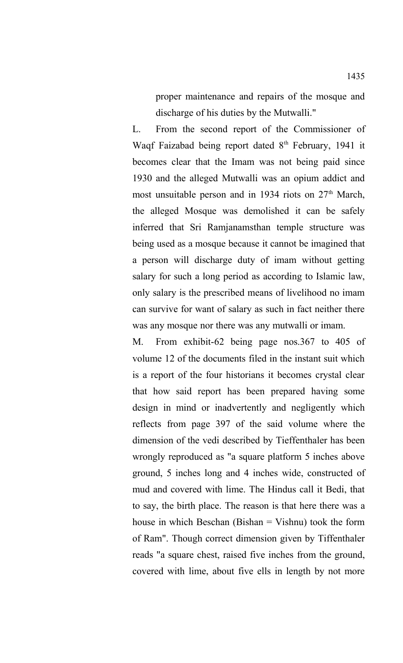proper maintenance and repairs of the mosque and discharge of his duties by the Mutwalli."

L. From the second report of the Commissioner of Waqf Faizabad being report dated  $8<sup>th</sup>$  February, 1941 it becomes clear that the Imam was not being paid since 1930 and the alleged Mutwalli was an opium addict and most unsuitable person and in 1934 riots on 27<sup>th</sup> March, the alleged Mosque was demolished it can be safely inferred that Sri Ramjanamsthan temple structure was being used as a mosque because it cannot be imagined that a person will discharge duty of imam without getting salary for such a long period as according to Islamic law, only salary is the prescribed means of livelihood no imam can survive for want of salary as such in fact neither there was any mosque nor there was any mutwalli or imam.

M. From exhibit-62 being page nos.367 to 405 of volume 12 of the documents filed in the instant suit which is a report of the four historians it becomes crystal clear that how said report has been prepared having some design in mind or inadvertently and negligently which reflects from page 397 of the said volume where the dimension of the vedi described by Tieffenthaler has been wrongly reproduced as "a square platform 5 inches above ground, 5 inches long and 4 inches wide, constructed of mud and covered with lime. The Hindus call it Bedi, that to say, the birth place. The reason is that here there was a house in which Beschan (Bishan  $=$  Vishnu) took the form of Ram". Though correct dimension given by Tiffenthaler reads "a square chest, raised five inches from the ground, covered with lime, about five ells in length by not more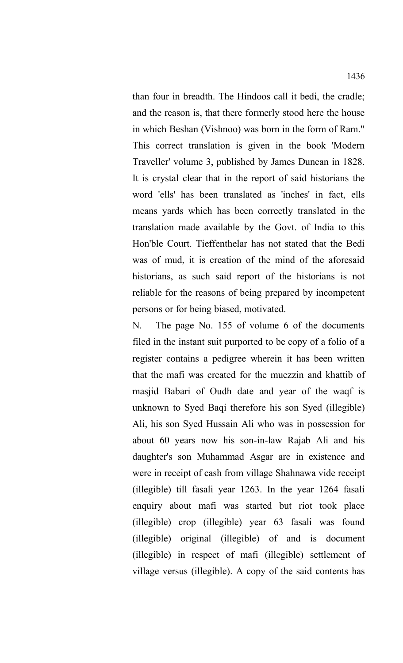than four in breadth. The Hindoos call it bedi, the cradle; and the reason is, that there formerly stood here the house in which Beshan (Vishnoo) was born in the form of Ram." This correct translation is given in the book 'Modern Traveller' volume 3, published by James Duncan in 1828. It is crystal clear that in the report of said historians the word 'ells' has been translated as 'inches' in fact, ells means yards which has been correctly translated in the translation made available by the Govt. of India to this Hon'ble Court. Tieffenthelar has not stated that the Bedi was of mud, it is creation of the mind of the aforesaid historians, as such said report of the historians is not reliable for the reasons of being prepared by incompetent persons or for being biased, motivated.

N. The page No. 155 of volume 6 of the documents filed in the instant suit purported to be copy of a folio of a register contains a pedigree wherein it has been written that the mafi was created for the muezzin and khattib of masjid Babari of Oudh date and year of the waqf is unknown to Syed Baqi therefore his son Syed (illegible) Ali, his son Syed Hussain Ali who was in possession for about 60 years now his son-in-law Rajab Ali and his daughter's son Muhammad Asgar are in existence and were in receipt of cash from village Shahnawa vide receipt (illegible) till fasali year 1263. In the year 1264 fasali enquiry about mafi was started but riot took place (illegible) crop (illegible) year 63 fasali was found (illegible) original (illegible) of and is document (illegible) in respect of mafi (illegible) settlement of village versus (illegible). A copy of the said contents has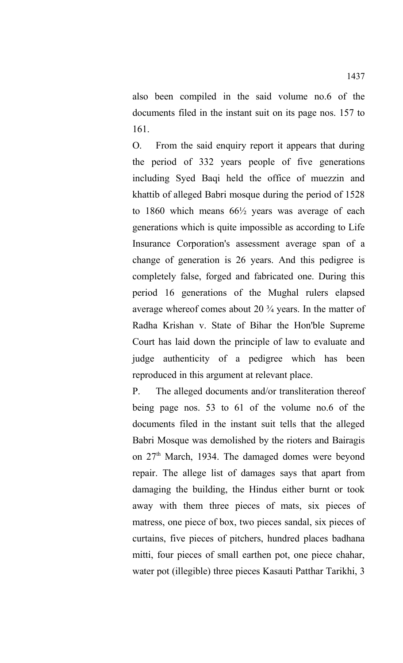also been compiled in the said volume no.6 of the documents filed in the instant suit on its page nos. 157 to 161.

O. From the said enquiry report it appears that during the period of 332 years people of five generations including Syed Baqi held the office of muezzin and khattib of alleged Babri mosque during the period of 1528 to 1860 which means 66½ years was average of each generations which is quite impossible as according to Life Insurance Corporation's assessment average span of a change of generation is 26 years. And this pedigree is completely false, forged and fabricated one. During this period 16 generations of the Mughal rulers elapsed average whereof comes about 20 ¾ years. In the matter of Radha Krishan v. State of Bihar the Hon'ble Supreme Court has laid down the principle of law to evaluate and judge authenticity of a pedigree which has been reproduced in this argument at relevant place.

P. The alleged documents and/or transliteration thereof being page nos. 53 to 61 of the volume no.6 of the documents filed in the instant suit tells that the alleged Babri Mosque was demolished by the rioters and Bairagis on 27<sup>th</sup> March, 1934. The damaged domes were beyond repair. The allege list of damages says that apart from damaging the building, the Hindus either burnt or took away with them three pieces of mats, six pieces of matress, one piece of box, two pieces sandal, six pieces of curtains, five pieces of pitchers, hundred places badhana mitti, four pieces of small earthen pot, one piece chahar, water pot (illegible) three pieces Kasauti Patthar Tarikhi, 3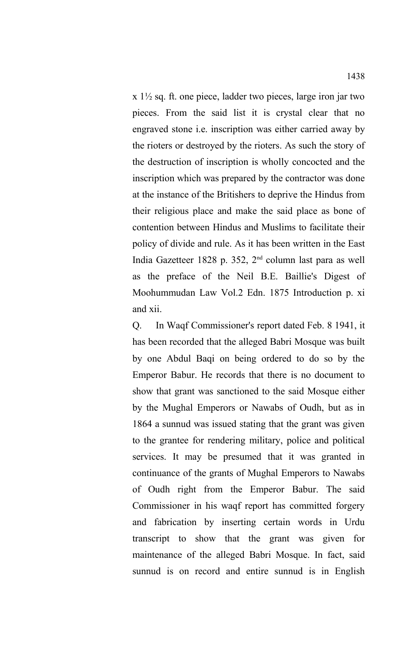x 1½ sq. ft. one piece, ladder two pieces, large iron jar two pieces. From the said list it is crystal clear that no engraved stone i.e. inscription was either carried away by the rioters or destroyed by the rioters. As such the story of the destruction of inscription is wholly concocted and the inscription which was prepared by the contractor was done at the instance of the Britishers to deprive the Hindus from their religious place and make the said place as bone of contention between Hindus and Muslims to facilitate their policy of divide and rule. As it has been written in the East India Gazetteer 1828 p. 352, 2nd column last para as well as the preface of the Neil B.E. Baillie's Digest of Moohummudan Law Vol.2 Edn. 1875 Introduction p. xi and xii.

Q. In Waqf Commissioner's report dated Feb. 8 1941, it has been recorded that the alleged Babri Mosque was built by one Abdul Baqi on being ordered to do so by the Emperor Babur. He records that there is no document to show that grant was sanctioned to the said Mosque either by the Mughal Emperors or Nawabs of Oudh, but as in 1864 a sunnud was issued stating that the grant was given to the grantee for rendering military, police and political services. It may be presumed that it was granted in continuance of the grants of Mughal Emperors to Nawabs of Oudh right from the Emperor Babur. The said Commissioner in his waqf report has committed forgery and fabrication by inserting certain words in Urdu transcript to show that the grant was given for maintenance of the alleged Babri Mosque. In fact, said sunnud is on record and entire sunnud is in English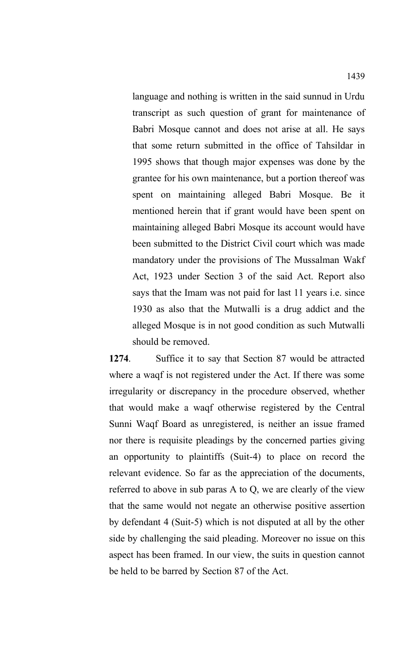language and nothing is written in the said sunnud in Urdu transcript as such question of grant for maintenance of Babri Mosque cannot and does not arise at all. He says that some return submitted in the office of Tahsildar in 1995 shows that though major expenses was done by the grantee for his own maintenance, but a portion thereof was spent on maintaining alleged Babri Mosque. Be it mentioned herein that if grant would have been spent on maintaining alleged Babri Mosque its account would have been submitted to the District Civil court which was made mandatory under the provisions of The Mussalman Wakf Act, 1923 under Section 3 of the said Act. Report also says that the Imam was not paid for last 11 years i.e. since 1930 as also that the Mutwalli is a drug addict and the alleged Mosque is in not good condition as such Mutwalli should be removed.

**1274**. Suffice it to say that Section 87 would be attracted where a waqf is not registered under the Act. If there was some irregularity or discrepancy in the procedure observed, whether that would make a waqf otherwise registered by the Central Sunni Waqf Board as unregistered, is neither an issue framed nor there is requisite pleadings by the concerned parties giving an opportunity to plaintiffs (Suit-4) to place on record the relevant evidence. So far as the appreciation of the documents, referred to above in sub paras A to Q, we are clearly of the view that the same would not negate an otherwise positive assertion by defendant 4 (Suit-5) which is not disputed at all by the other side by challenging the said pleading. Moreover no issue on this aspect has been framed. In our view, the suits in question cannot be held to be barred by Section 87 of the Act.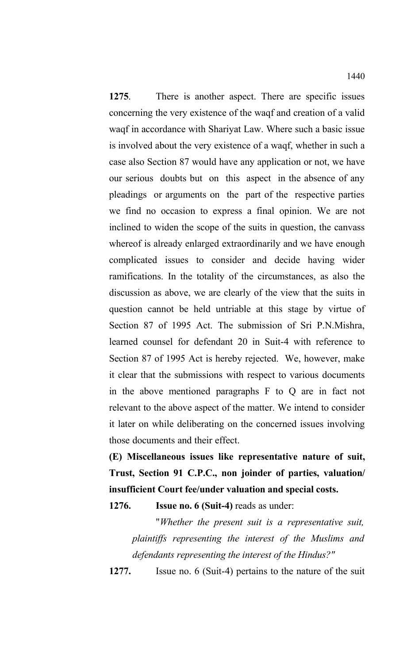**1275**. There is another aspect. There are specific issues concerning the very existence of the waqf and creation of a valid waqf in accordance with Shariyat Law. Where such a basic issue is involved about the very existence of a waqf, whether in such a case also Section 87 would have any application or not, we have our serious doubts but on this aspect in the absence of any pleadings or arguments on the part of the respective parties we find no occasion to express a final opinion. We are not inclined to widen the scope of the suits in question, the canvass whereof is already enlarged extraordinarily and we have enough complicated issues to consider and decide having wider ramifications. In the totality of the circumstances, as also the discussion as above, we are clearly of the view that the suits in question cannot be held untriable at this stage by virtue of Section 87 of 1995 Act. The submission of Sri P.N.Mishra, learned counsel for defendant 20 in Suit-4 with reference to Section 87 of 1995 Act is hereby rejected. We, however, make it clear that the submissions with respect to various documents in the above mentioned paragraphs F to Q are in fact not relevant to the above aspect of the matter. We intend to consider it later on while deliberating on the concerned issues involving those documents and their effect.

**(E) Miscellaneous issues like representative nature of suit, Trust, Section 91 C.P.C., non joinder of parties, valuation/ insufficient Court fee/under valuation and special costs.**

**1276. Issue no. 6 (Suit-4)** reads as under:

"*Whether the present suit is a representative suit, plaintiffs representing the interest of the Muslims and defendants representing the interest of the Hindus?"*

**1277.** Issue no. 6 (Suit-4) pertains to the nature of the suit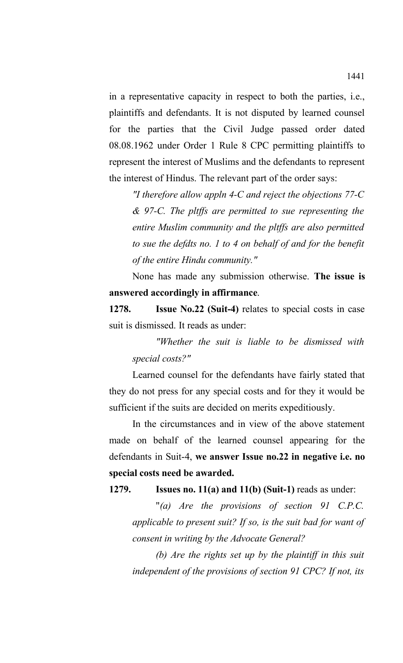in a representative capacity in respect to both the parties, i.e., plaintiffs and defendants. It is not disputed by learned counsel for the parties that the Civil Judge passed order dated 08.08.1962 under Order 1 Rule 8 CPC permitting plaintiffs to represent the interest of Muslims and the defendants to represent the interest of Hindus. The relevant part of the order says:

*"I therefore allow appln 4-C and reject the objections 77-C & 97-C. The pltffs are permitted to sue representing the entire Muslim community and the pltffs are also permitted to sue the defdts no. 1 to 4 on behalf of and for the benefit of the entire Hindu community."*

None has made any submission otherwise. **The issue is answered accordingly in affirmance**.

**1278. Issue No.22 (Suit-4)** relates to special costs in case suit is dismissed. It reads as under:

*"Whether the suit is liable to be dismissed with special costs?"*

Learned counsel for the defendants have fairly stated that they do not press for any special costs and for they it would be sufficient if the suits are decided on merits expeditiously.

In the circumstances and in view of the above statement made on behalf of the learned counsel appearing for the defendants in Suit-4, **we answer Issue no.22 in negative i.e. no special costs need be awarded.**

**1279. Issues no. 11(a) and 11(b) (Suit-1)** reads as under:

"*(a) Are the provisions of section 91 C.P.C. applicable to present suit? If so, is the suit bad for want of consent in writing by the Advocate General?*

*(b) Are the rights set up by the plaintiff in this suit independent of the provisions of section 91 CPC? If not, its*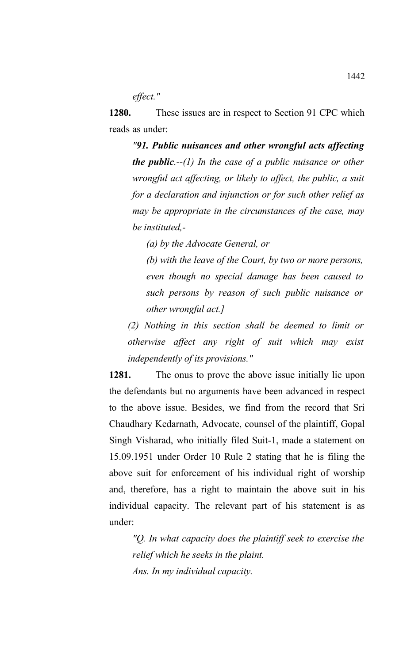*effect."*

**1280.** These issues are in respect to Section 91 CPC which reads as under:

*"91. Public nuisances and other wrongful acts affecting the public.--(1) In the case of a public nuisance or other wrongful act affecting, or likely to affect, the public, a suit for a declaration and injunction or for such other relief as may be appropriate in the circumstances of the case, may be instituted,-*

*(a) by the Advocate General, or*

*(b) with the leave of the Court, by two or more persons, even though no special damage has been caused to such persons by reason of such public nuisance or other wrongful act.]*

*(2) Nothing in this section shall be deemed to limit or otherwise affect any right of suit which may exist independently of its provisions."*

**1281.** The onus to prove the above issue initially lie upon the defendants but no arguments have been advanced in respect to the above issue. Besides, we find from the record that Sri Chaudhary Kedarnath, Advocate, counsel of the plaintiff, Gopal Singh Visharad, who initially filed Suit-1, made a statement on 15.09.1951 under Order 10 Rule 2 stating that he is filing the above suit for enforcement of his individual right of worship and, therefore, has a right to maintain the above suit in his individual capacity. The relevant part of his statement is as under:

*"Q. In what capacity does the plaintiff seek to exercise the relief which he seeks in the plaint. Ans. In my individual capacity.*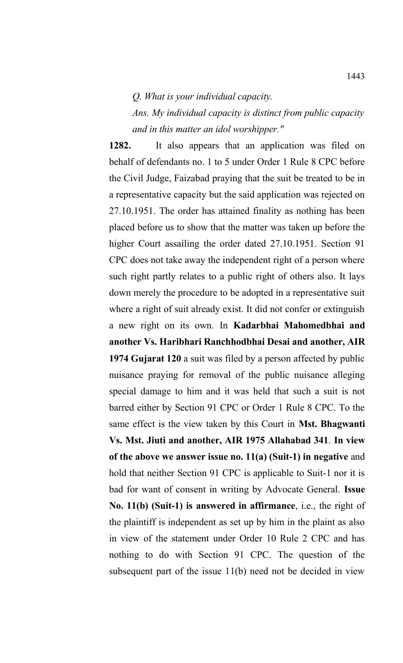*Q. What is your individual capacity.*

*Ans. My individual capacity is distinct from public capacity and in this matter an idol worshipper."*

**1282.** It also appears that an application was filed on behalf of defendants no. 1 to 5 under Order 1 Rule 8 CPC before the Civil Judge, Faizabad praying that the suit be treated to be in a representative capacity but the said application was rejected on 27.10.1951. The order has attained finality as nothing has been placed before us to show that the matter was taken up before the higher Court assailing the order dated 27.10.1951. Section 91 CPC does not take away the independent right of a person where such right partly relates to a public right of others also. It lays down merely the procedure to be adopted in a representative suit where a right of suit already exist. It did not confer or extinguish a new right on its own. In **Kadarbhai Mahomedbhai and another Vs. Haribhari Ranchhodbhai Desai and another, AIR 1974 Gujarat 120** a suit was filed by a person affected by public nuisance praying for removal of the public nuisance alleging special damage to him and it was held that such a suit is not barred either by Section 91 CPC or Order 1 Rule 8 CPC. To the same effect is the view taken by this Court in **Mst. Bhagwanti Vs. Mst. Jiuti and another, AIR 1975 Allahabad 341**. **In view of the above we answer issue no. 11(a) (Suit-1) in negative** and hold that neither Section 91 CPC is applicable to Suit-1 nor it is bad for want of consent in writing by Advocate General. **Issue No. 11(b) (Suit-1) is answered in affirmance**, i.e., the right of the plaintiff is independent as set up by him in the plaint as also in view of the statement under Order 10 Rule 2 CPC and has nothing to do with Section 91 CPC. The question of the subsequent part of the issue 11(b) need not be decided in view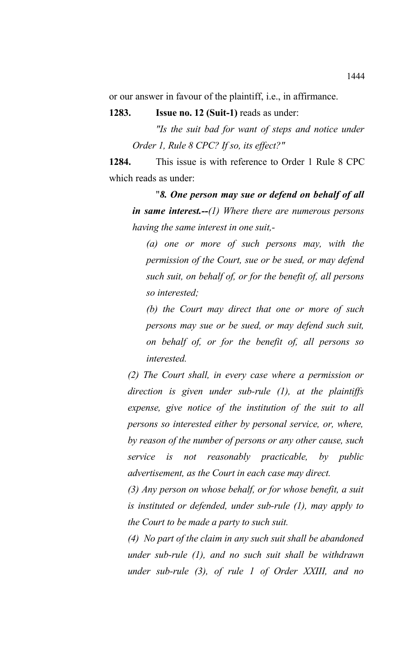or our answer in favour of the plaintiff, i.e., in affirmance.

**1283. Issue no. 12 (Suit-1)** reads as under:

*"Is the suit bad for want of steps and notice under Order 1, Rule 8 CPC? If so, its effect?"*

**1284.** This issue is with reference to Order 1 Rule 8 CPC which reads as under:

"*8. One person may sue or defend on behalf of all in same interest.--(1) Where there are numerous persons having the same interest in one suit,-*

*(a) one or more of such persons may, with the permission of the Court, sue or be sued, or may defend such suit, on behalf of, or for the benefit of, all persons so interested;*

*(b) the Court may direct that one or more of such persons may sue or be sued, or may defend such suit, on behalf of, or for the benefit of, all persons so interested.*

*(2) The Court shall, in every case where a permission or direction is given under sub-rule (1), at the plaintiffs expense, give notice of the institution of the suit to all persons so interested either by personal service, or, where, by reason of the number of persons or any other cause, such service is not reasonably practicable, by public advertisement, as the Court in each case may direct.*

*(3) Any person on whose behalf, or for whose benefit, a suit is instituted or defended, under sub-rule (1), may apply to the Court to be made a party to such suit.*

*(4) No part of the claim in any such suit shall be abandoned under sub-rule (1), and no such suit shall be withdrawn under sub-rule (3), of rule 1 of Order XXIII, and no*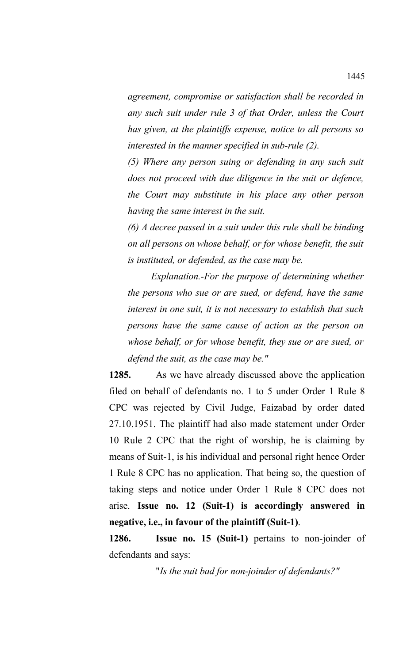*agreement, compromise or satisfaction shall be recorded in any such suit under rule 3 of that Order, unless the Court has given, at the plaintiffs expense, notice to all persons so interested in the manner specified in sub-rule (2).*

*(5) Where any person suing or defending in any such suit does not proceed with due diligence in the suit or defence, the Court may substitute in his place any other person having the same interest in the suit.*

*(6) A decree passed in a suit under this rule shall be binding on all persons on whose behalf, or for whose benefit, the suit is instituted, or defended, as the case may be.*

*Explanation.-For the purpose of determining whether the persons who sue or are sued, or defend, have the same interest in one suit, it is not necessary to establish that such persons have the same cause of action as the person on whose behalf, or for whose benefit, they sue or are sued, or defend the suit, as the case may be."*

**1285.** As we have already discussed above the application filed on behalf of defendants no. 1 to 5 under Order 1 Rule 8 CPC was rejected by Civil Judge, Faizabad by order dated 27.10.1951. The plaintiff had also made statement under Order 10 Rule 2 CPC that the right of worship, he is claiming by means of Suit-1, is his individual and personal right hence Order 1 Rule 8 CPC has no application. That being so, the question of taking steps and notice under Order 1 Rule 8 CPC does not arise. **Issue no. 12 (Suit-1) is accordingly answered in negative, i.e., in favour of the plaintiff (Suit-1)**.

**1286. Issue no. 15 (Suit-1)** pertains to non-joinder of defendants and says:

"*Is the suit bad for non-joinder of defendants?"*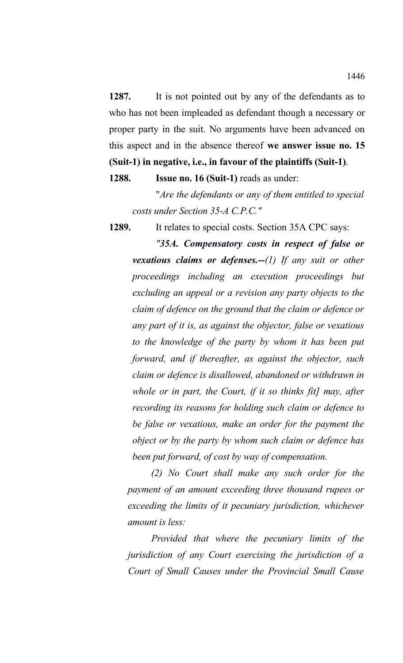**1287.** It is not pointed out by any of the defendants as to who has not been impleaded as defendant though a necessary or proper party in the suit. No arguments have been advanced on this aspect and in the absence thereof **we answer issue no. 15 (Suit-1) in negative, i.e., in favour of the plaintiffs (Suit-1)**.

**1288. Issue no. 16 (Suit-1)** reads as under:

"*Are the defendants or any of them entitled to special costs under Section 35-A C.P.C."*

**1289.** It relates to special costs. Section 35A CPC says:

*"35A. Compensatory costs in respect of false or vexatious claims or defenses.--(1) If any suit or other proceedings including an execution proceedings but excluding an appeal or a revision any party objects to the claim of defence on the ground that the claim or defence or any part of it is, as against the objector, false or vexatious to the knowledge of the party by whom it has been put forward, and if thereafter, as against the objector, such claim or defence is disallowed, abandoned or withdrawn in whole or in part, the Court, if it so thinks fit] may, after recording its reasons for holding such claim or defence to be false or vexatious, make an order for the payment the object or by the party by whom such claim or defence has been put forward, of cost by way of compensation.*

*(2) No Court shall make any such order for the payment of an amount exceeding three thousand rupees or exceeding the limits of it pecuniary jurisdiction, whichever amount is less:*

*Provided that where the pecuniary limits of the jurisdiction of any Court exercising the jurisdiction of a Court of Small Causes under the Provincial Small Cause*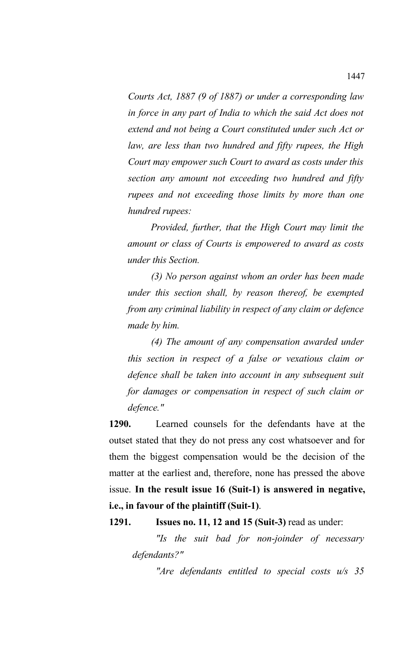*Courts Act, 1887 (9 of 1887) or under a corresponding law in force in any part of India to which the said Act does not extend and not being a Court constituted under such Act or law, are less than two hundred and fifty rupees, the High Court may empower such Court to award as costs under this section any amount not exceeding two hundred and fifty rupees and not exceeding those limits by more than one hundred rupees:*

*Provided, further, that the High Court may limit the amount or class of Courts is empowered to award as costs under this Section.*

*(3) No person against whom an order has been made under this section shall, by reason thereof, be exempted from any criminal liability in respect of any claim or defence made by him.*

*(4) The amount of any compensation awarded under this section in respect of a false or vexatious claim or defence shall be taken into account in any subsequent suit for damages or compensation in respect of such claim or defence."*

**1290.** Learned counsels for the defendants have at the outset stated that they do not press any cost whatsoever and for them the biggest compensation would be the decision of the matter at the earliest and, therefore, none has pressed the above issue. **In the result issue 16 (Suit-1) is answered in negative, i.e., in favour of the plaintiff (Suit-1)**.

```
1291. Issues no. 11, 12 and 15 (Suit-3) read as under:
```
*"Is the suit bad for non-joinder of necessary defendants?"*

*"Are defendants entitled to special costs u/s 35*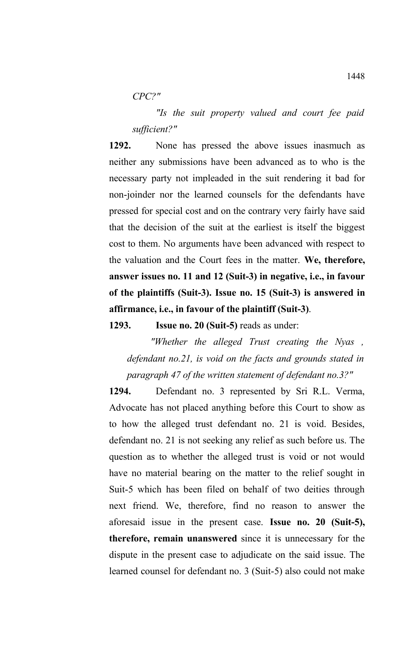*CPC?"*

*"Is the suit property valued and court fee paid sufficient?"*

**1292.** None has pressed the above issues inasmuch as neither any submissions have been advanced as to who is the necessary party not impleaded in the suit rendering it bad for non-joinder nor the learned counsels for the defendants have pressed for special cost and on the contrary very fairly have said that the decision of the suit at the earliest is itself the biggest cost to them. No arguments have been advanced with respect to the valuation and the Court fees in the matter. **We, therefore, answer issues no. 11 and 12 (Suit-3) in negative, i.e., in favour of the plaintiffs (Suit-3). Issue no. 15 (Suit-3) is answered in affirmance, i.e., in favour of the plaintiff (Suit-3)**.

**1293. Issue no. 20 (Suit-5)** reads as under:

*"Whether the alleged Trust creating the Nyas , defendant no.21, is void on the facts and grounds stated in paragraph 47 of the written statement of defendant no.3?"*

**1294.** Defendant no. 3 represented by Sri R.L. Verma, Advocate has not placed anything before this Court to show as to how the alleged trust defendant no. 21 is void. Besides, defendant no. 21 is not seeking any relief as such before us. The question as to whether the alleged trust is void or not would have no material bearing on the matter to the relief sought in Suit-5 which has been filed on behalf of two deities through next friend. We, therefore, find no reason to answer the aforesaid issue in the present case. **Issue no. 20 (Suit-5), therefore, remain unanswered** since it is unnecessary for the dispute in the present case to adjudicate on the said issue. The learned counsel for defendant no. 3 (Suit-5) also could not make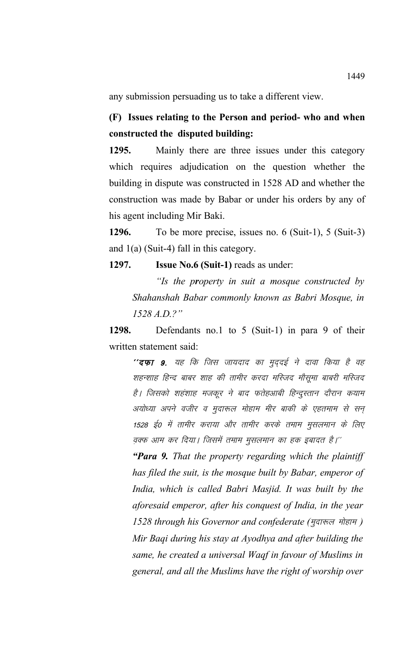any submission persuading us to take a different view.

## **(F) Issues relating to the Person and period- who and when constructed the disputed building:**

**1295.** Mainly there are three issues under this category which requires adjudication on the question whether the building in dispute was constructed in 1528 AD and whether the construction was made by Babar or under his orders by any of his agent including Mir Baki.

**1296.** To be more precise, issues no. 6 (Suit-1), 5 (Suit-3) and 1(a) (Suit-4) fall in this category.

## **1297. Issue No.6 (Suit-1)** reads as under:

*"Is the property in suit a mosque constructed by Shahanshah Babar commonly known as Babri Mosque, in 1528 A.D.?"*

**1298.** Defendants no.1 to 5 (Suit-1) in para 9 of their written statement said:

''दफा 9. यह कि जिस जायदाद का मुद्दई ने दावा किया है वह शहन्शाह हिन्द बाबर शाह की तामीर करदा मस्जिद मौसूमा बाबरी मस्जिद है। जिसको शहंशाह मजकूर ने बाद फतेहआबी हिन्दुस्तान दौरान कयाम अयोध्या अपने वजीर व मुदारूल मोहाम मीर बाकी के एहतमाम से सन् 1528 ई0 में तामीर कराया और तामीर करके तमाम मुसलमान के लिए वक्फ आम कर दिया। जिसमें तमाम मुसलमान का हक इबादत है।''

*"Para 9. That the property regarding which the plaintiff has filed the suit, is the mosque built by Babar, emperor of India, which is called Babri Masjid. It was built by the aforesaid emperor, after his conquest of India, in the year* 1528 through his Governor and confederate (मुदारूल मोहाम) *Mir Baqi during his stay at Ayodhya and after building the same, he created a universal Waqf in favour of Muslims in general, and all the Muslims have the right of worship over*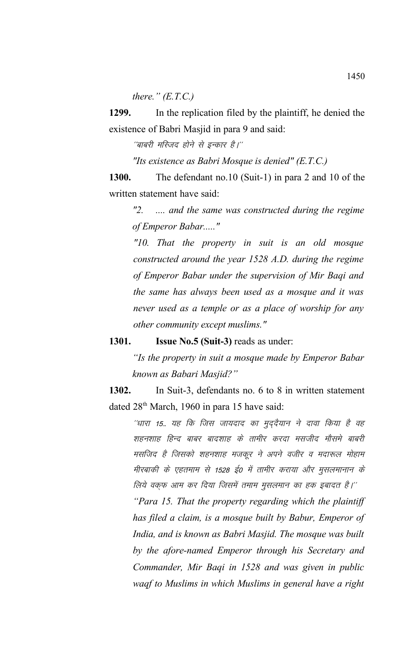*there." (E.T.C.)*

**1299.** In the replication filed by the plaintiff, he denied the existence of Babri Masjid in para 9 and said:

''बाबरी मस्जिद होने से इन्कार है।''

*"Its existence as Babri Mosque is denied" (E.T.C.)*

**1300.** The defendant no.10 (Suit-1) in para 2 and 10 of the written statement have said:

*"2. .... and the same was constructed during the regime of Emperor Babar....."*

*"10. That the property in suit is an old mosque constructed around the year 1528 A.D. during the regime of Emperor Babar under the supervision of Mir Baqi and the same has always been used as a mosque and it was never used as a temple or as a place of worship for any other community except muslims."*

## **1301. Issue No.5 (Suit-3)** reads as under:

*"Is the property in suit a mosque made by Emperor Babar known as Babari Masjid?"*

**1302.** In Suit-3, defendants no. 6 to 8 in written statement dated  $28<sup>th</sup>$  March, 1960 in para 15 have said:

<sup>.</sup>'धारा 15.. यह कि जिस जायदाद का मुददैयान ने दावा किया है वह शहनशाह हिन्द बाबर बादशाह के तामीर करदा मसजीद मौसमे बाबरी मसजिद है जिसको शहनशाह मजकूर ने अपने वजीर व मदारूल मोहाम मीरबाकी के एहतमाम से 1528 ई0 में तामीर कराया और मुसलमानान के लिये वकफ आम कर दिया जिसमें तमाम मुसलमान का हक इबादत है।''

*"Para 15. That the property regarding which the plaintiff has filed a claim, is a mosque built by Babur, Emperor of India, and is known as Babri Masjid. The mosque was built by the afore-named Emperor through his Secretary and Commander, Mir Baqi in 1528 and was given in public waqf to Muslims in which Muslims in general have a right*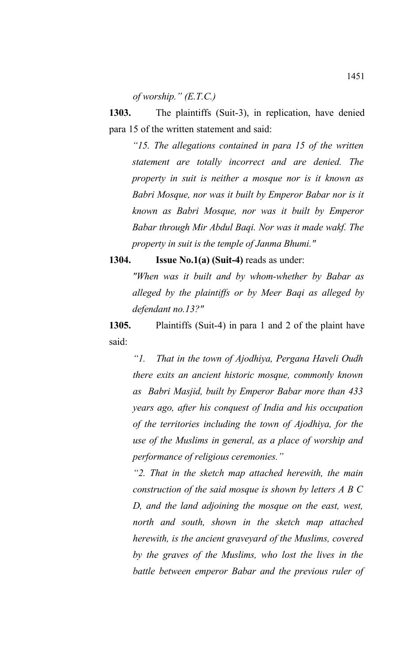*of worship." (E.T.C.)*

**1303.** The plaintiffs (Suit-3), in replication, have denied para 15 of the written statement and said:

*"15. The allegations contained in para 15 of the written statement are totally incorrect and are denied. The property in suit is neither a mosque nor is it known as Babri Mosque, nor was it built by Emperor Babar nor is it known as Babri Mosque, nor was it built by Emperor Babar through Mir Abdul Baqi. Nor was it made wakf. The property in suit is the temple of Janma Bhumi."*

**1304. Issue No.1(a) (Suit-4)** reads as under:

*"When was it built and by whom-whether by Babar as alleged by the plaintiffs or by Meer Baqi as alleged by defendant no.13?"*

**1305.** Plaintiffs (Suit-4) in para 1 and 2 of the plaint have said:

*"1. That in the town of Ajodhiya, Pergana Haveli Oudh there exits an ancient historic mosque, commonly known as Babri Masjid, built by Emperor Babar more than 433 years ago, after his conquest of India and his occupation of the territories including the town of Ajodhiya, for the use of the Muslims in general, as a place of worship and performance of religious ceremonies."*

*"2. That in the sketch map attached herewith, the main construction of the said mosque is shown by letters A B C D, and the land adjoining the mosque on the east, west, north and south, shown in the sketch map attached herewith, is the ancient graveyard of the Muslims, covered by the graves of the Muslims, who lost the lives in the battle between emperor Babar and the previous ruler of*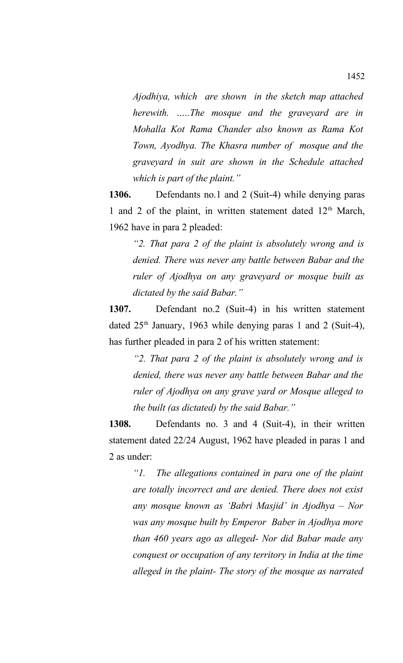*Ajodhiya, which are shown in the sketch map attached herewith. …..The mosque and the graveyard are in Mohalla Kot Rama Chander also known as Rama Kot Town, Ayodhya. The Khasra number of mosque and the graveyard in suit are shown in the Schedule attached which is part of the plaint."*

**1306.** Defendants no.1 and 2 (Suit-4) while denying paras 1 and 2 of the plaint, in written statement dated  $12<sup>th</sup>$  March, 1962 have in para 2 pleaded:

*"2. That para 2 of the plaint is absolutely wrong and is denied. There was never any battle between Babar and the ruler of Ajodhya on any graveyard or mosque built as dictated by the said Babar."*

**1307.** Defendant no.2 (Suit-4) in his written statement dated  $25<sup>th</sup>$  January, 1963 while denying paras 1 and 2 (Suit-4), has further pleaded in para 2 of his written statement:

*"2. That para 2 of the plaint is absolutely wrong and is denied, there was never any battle between Babar and the ruler of Ajodhya on any grave yard or Mosque alleged to the built (as dictated) by the said Babar."*

**1308.** Defendants no. 3 and 4 (Suit-4), in their written statement dated 22/24 August, 1962 have pleaded in paras 1 and 2 as under:

*"1. The allegations contained in para one of the plaint are totally incorrect and are denied. There does not exist any mosque known as 'Babri Masjid' in Ajodhya – Nor was any mosque built by Emperor Baber in Ajodhya more than 460 years ago as alleged- Nor did Babar made any conquest or occupation of any territory in India at the time alleged in the plaint- The story of the mosque as narrated*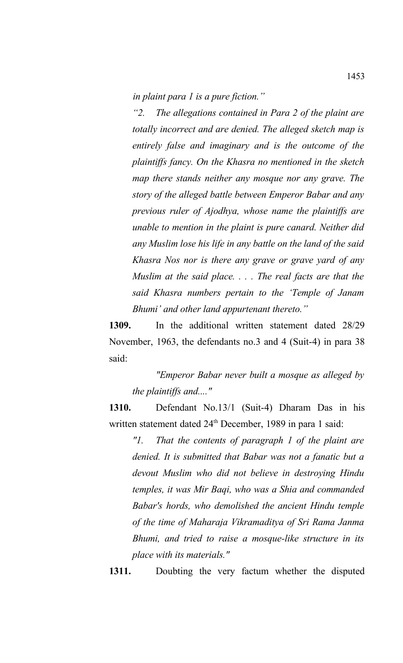*in plaint para 1 is a pure fiction."*

*"2. The allegations contained in Para 2 of the plaint are totally incorrect and are denied. The alleged sketch map is entirely false and imaginary and is the outcome of the plaintiffs fancy. On the Khasra no mentioned in the sketch map there stands neither any mosque nor any grave. The story of the alleged battle between Emperor Babar and any previous ruler of Ajodhya, whose name the plaintiffs are unable to mention in the plaint is pure canard. Neither did any Muslim lose his life in any battle on the land of the said Khasra Nos nor is there any grave or grave yard of any Muslim at the said place. . . . The real facts are that the said Khasra numbers pertain to the 'Temple of Janam Bhumi' and other land appurtenant thereto."*

**1309.** In the additional written statement dated 28/29 November, 1963, the defendants no.3 and 4 (Suit-4) in para 38 said:

*"Emperor Babar never built a mosque as alleged by the plaintiffs and...."*

**1310.** Defendant No.13/1 (Suit-4) Dharam Das in his written statement dated 24<sup>th</sup> December, 1989 in para 1 said:

*"1. That the contents of paragraph 1 of the plaint are denied. It is submitted that Babar was not a fanatic but a devout Muslim who did not believe in destroying Hindu temples, it was Mir Baqi, who was a Shia and commanded Babar's hords, who demolished the ancient Hindu temple of the time of Maharaja Vikramaditya of Sri Rama Janma Bhumi, and tried to raise a mosque-like structure in its place with its materials."*

**1311.** Doubting the very factum whether the disputed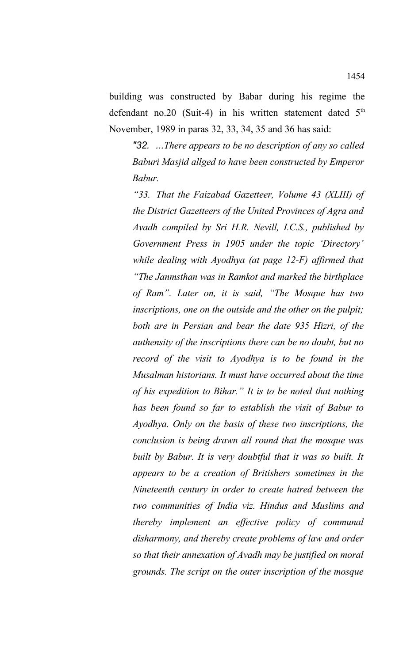building was constructed by Babar during his regime the defendant no.20 (Suit-4) in his written statement dated  $5<sup>th</sup>$ November, 1989 in paras 32, 33, 34, 35 and 36 has said:

*"32. ...There appears to be no description of any so called Baburi Masjid allged to have been constructed by Emperor Babur.*

*"33. That the Faizabad Gazetteer, Volume 43 (XLIII) of the District Gazetteers of the United Provinces of Agra and Avadh compiled by Sri H.R. Nevill, I.C.S., published by Government Press in 1905 under the topic 'Directory' while dealing with Ayodhya (at page 12-F) affirmed that "The Janmsthan was in Ramkot and marked the birthplace of Ram". Later on, it is said, "The Mosque has two inscriptions, one on the outside and the other on the pulpit; both are in Persian and bear the date 935 Hizri, of the authensity of the inscriptions there can be no doubt, but no record of the visit to Ayodhya is to be found in the Musalman historians. It must have occurred about the time of his expedition to Bihar." It is to be noted that nothing has been found so far to establish the visit of Babur to Ayodhya. Only on the basis of these two inscriptions, the conclusion is being drawn all round that the mosque was built by Babur. It is very doubtful that it was so built. It appears to be a creation of Britishers sometimes in the Nineteenth century in order to create hatred between the two communities of India viz. Hindus and Muslims and thereby implement an effective policy of communal disharmony, and thereby create problems of law and order so that their annexation of Avadh may be justified on moral grounds. The script on the outer inscription of the mosque*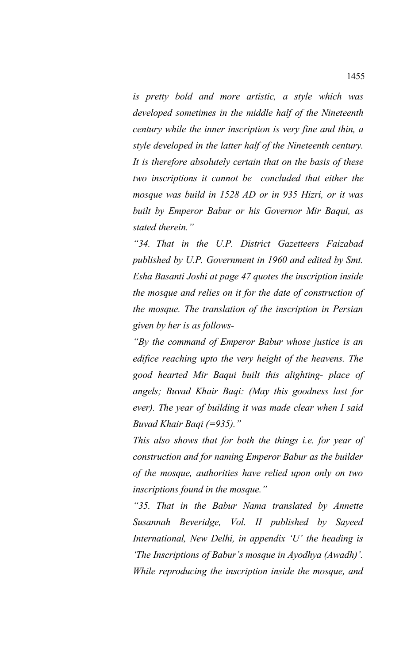*is pretty bold and more artistic, a style which was developed sometimes in the middle half of the Nineteenth century while the inner inscription is very fine and thin, a style developed in the latter half of the Nineteenth century. It is therefore absolutely certain that on the basis of these two inscriptions it cannot be concluded that either the mosque was build in 1528 AD or in 935 Hizri, or it was built by Emperor Babur or his Governor Mir Baqui, as stated therein."*

*"34. That in the U.P. District Gazetteers Faizabad published by U.P. Government in 1960 and edited by Smt. Esha Basanti Joshi at page 47 quotes the inscription inside the mosque and relies on it for the date of construction of the mosque. The translation of the inscription in Persian given by her is as follows-*

*"By the command of Emperor Babur whose justice is an edifice reaching upto the very height of the heavens. The good hearted Mir Baqui built this alighting- place of angels; Buvad Khair Baqi: (May this goodness last for ever). The year of building it was made clear when I said Buvad Khair Baqi (=935)."*

*This also shows that for both the things i.e. for year of construction and for naming Emperor Babur as the builder of the mosque, authorities have relied upon only on two inscriptions found in the mosque."*

*"35. That in the Babur Nama translated by Annette Susannah Beveridge, Vol. II published by Sayeed International, New Delhi, in appendix 'U' the heading is 'The Inscriptions of Babur's mosque in Ayodhya (Awadh)'. While reproducing the inscription inside the mosque, and*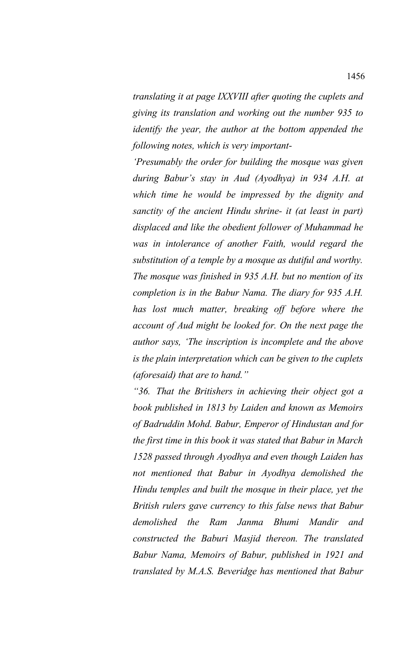*translating it at page IXXVIII after quoting the cuplets and giving its translation and working out the number 935 to identify the year, the author at the bottom appended the following notes, which is very important-*

*'Presumably the order for building the mosque was given during Babur's stay in Aud (Ayodhya) in 934 A.H. at which time he would be impressed by the dignity and sanctity of the ancient Hindu shrine- it (at least in part) displaced and like the obedient follower of Muhammad he was in intolerance of another Faith, would regard the substitution of a temple by a mosque as dutiful and worthy. The mosque was finished in 935 A.H. but no mention of its completion is in the Babur Nama. The diary for 935 A.H. has lost much matter, breaking off before where the account of Aud might be looked for. On the next page the author says, 'The inscription is incomplete and the above is the plain interpretation which can be given to the cuplets (aforesaid) that are to hand."*

*"36. That the Britishers in achieving their object got a book published in 1813 by Laiden and known as Memoirs of Badruddin Mohd. Babur, Emperor of Hindustan and for the first time in this book it was stated that Babur in March 1528 passed through Ayodhya and even though Laiden has not mentioned that Babur in Ayodhya demolished the Hindu temples and built the mosque in their place, yet the British rulers gave currency to this false news that Babur demolished the Ram Janma Bhumi Mandir and constructed the Baburi Masjid thereon. The translated Babur Nama, Memoirs of Babur, published in 1921 and translated by M.A.S. Beveridge has mentioned that Babur*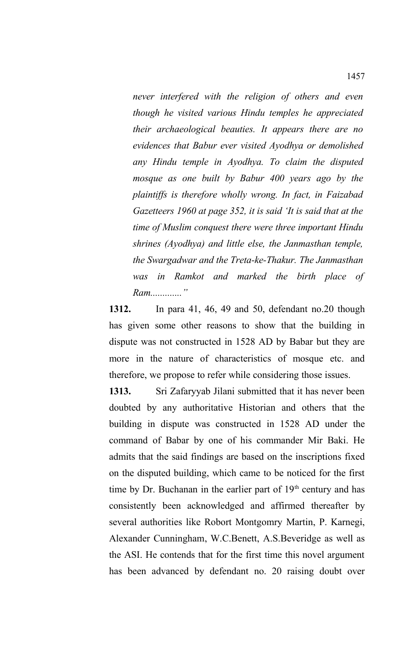*never interfered with the religion of others and even though he visited various Hindu temples he appreciated their archaeological beauties. It appears there are no evidences that Babur ever visited Ayodhya or demolished any Hindu temple in Ayodhya. To claim the disputed mosque as one built by Babur 400 years ago by the plaintiffs is therefore wholly wrong. In fact, in Faizabad Gazetteers 1960 at page 352, it is said 'It is said that at the time of Muslim conquest there were three important Hindu shrines (Ayodhya) and little else, the Janmasthan temple, the Swargadwar and the Treta-ke-Thakur. The Janmasthan was in Ramkot and marked the birth place of Ram............."*

**1312.** In para 41, 46, 49 and 50, defendant no.20 though has given some other reasons to show that the building in dispute was not constructed in 1528 AD by Babar but they are more in the nature of characteristics of mosque etc. and therefore, we propose to refer while considering those issues.

**1313.** Sri Zafaryyab Jilani submitted that it has never been doubted by any authoritative Historian and others that the building in dispute was constructed in 1528 AD under the command of Babar by one of his commander Mir Baki. He admits that the said findings are based on the inscriptions fixed on the disputed building, which came to be noticed for the first time by Dr. Buchanan in the earlier part of  $19<sup>th</sup>$  century and has consistently been acknowledged and affirmed thereafter by several authorities like Robort Montgomry Martin, P. Karnegi, Alexander Cunningham, W.C.Benett, A.S.Beveridge as well as the ASI. He contends that for the first time this novel argument has been advanced by defendant no. 20 raising doubt over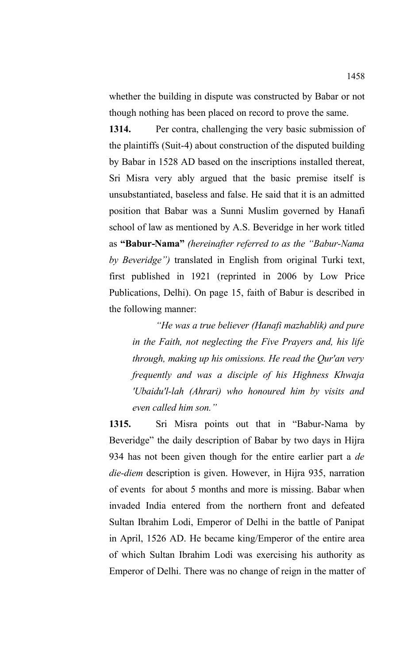whether the building in dispute was constructed by Babar or not though nothing has been placed on record to prove the same.

**1314.** Per contra, challenging the very basic submission of the plaintiffs (Suit-4) about construction of the disputed building by Babar in 1528 AD based on the inscriptions installed thereat, Sri Misra very ably argued that the basic premise itself is unsubstantiated, baseless and false. He said that it is an admitted position that Babar was a Sunni Muslim governed by Hanafi school of law as mentioned by A.S. Beveridge in her work titled as **"Babur-Nama"** *(hereinafter referred to as the "Babur-Nama by Beveridge")* translated in English from original Turki text, first published in 1921 (reprinted in 2006 by Low Price Publications, Delhi). On page 15, faith of Babur is described in the following manner:

*"He was a true believer (Hanafi mazhablik) and pure in the Faith, not neglecting the Five Prayers and, his life through, making up his omissions. He read the Qur'an very frequently and was a disciple of his Highness Khwaja 'Ubaidu'l-lah (Ahrari) who honoured him by visits and even called him son."*

**1315.** Sri Misra points out that in "Babur-Nama by Beveridge" the daily description of Babar by two days in Hijra 934 has not been given though for the entire earlier part a *de die-diem* description is given. However, in Hijra 935, narration of events for about 5 months and more is missing. Babar when invaded India entered from the northern front and defeated Sultan Ibrahim Lodi, Emperor of Delhi in the battle of Panipat in April, 1526 AD. He became king/Emperor of the entire area of which Sultan Ibrahim Lodi was exercising his authority as Emperor of Delhi. There was no change of reign in the matter of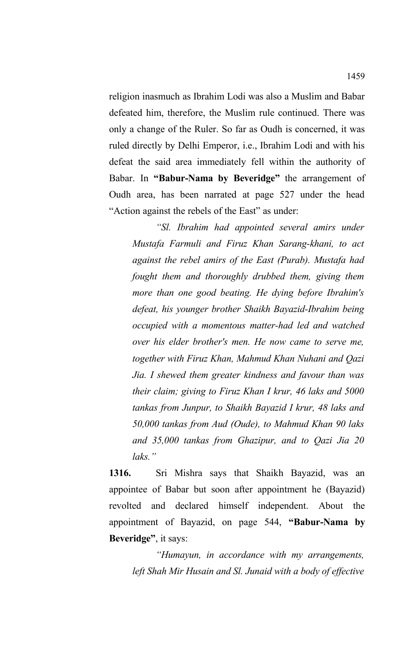religion inasmuch as Ibrahim Lodi was also a Muslim and Babar defeated him, therefore, the Muslim rule continued. There was only a change of the Ruler. So far as Oudh is concerned, it was ruled directly by Delhi Emperor, i.e., Ibrahim Lodi and with his defeat the said area immediately fell within the authority of Babar. In **"Babur-Nama by Beveridge"** the arrangement of Oudh area, has been narrated at page 527 under the head "Action against the rebels of the East" as under:

*"Sl. Ibrahim had appointed several amirs under Mustafa Farmuli and Firuz Khan Sarang-khani, to act against the rebel amirs of the East (Purab). Mustafa had fought them and thoroughly drubbed them, giving them more than one good beating. He dying before Ibrahim's defeat, his younger brother Shaikh Bayazid-Ibrahim being occupied with a momentous matter-had led and watched over his elder brother's men. He now came to serve me, together with Firuz Khan, Mahmud Khan Nuhani and Qazi Jia. I shewed them greater kindness and favour than was their claim; giving to Firuz Khan I krur, 46 laks and 5000 tankas from Junpur, to Shaikh Bayazid I krur, 48 laks and 50,000 tankas from Aud (Oude), to Mahmud Khan 90 laks and 35,000 tankas from Ghazipur, and to Qazi Jia 20 laks."*

**1316.** Sri Mishra says that Shaikh Bayazid, was an appointee of Babar but soon after appointment he (Bayazid) revolted and declared himself independent. About the appointment of Bayazid, on page 544, **"Babur-Nama by Beveridge"**, it says:

*"Humayun, in accordance with my arrangements, left Shah Mir Husain and Sl. Junaid with a body of effective*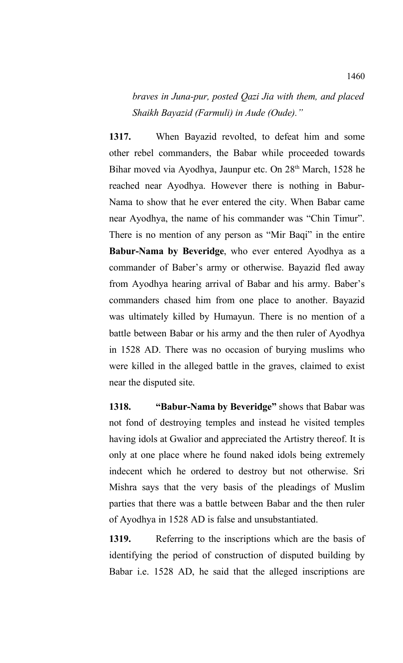*braves in Juna-pur, posted Qazi Jia with them, and placed Shaikh Bayazid (Farmuli) in Aude (Oude)."*

**1317.** When Bayazid revolted, to defeat him and some other rebel commanders, the Babar while proceeded towards Bihar moved via Ayodhya, Jaunpur etc. On 28<sup>th</sup> March, 1528 he reached near Ayodhya. However there is nothing in Babur-Nama to show that he ever entered the city. When Babar came near Ayodhya, the name of his commander was "Chin Timur". There is no mention of any person as "Mir Baqi" in the entire **Babur-Nama by Beveridge**, who ever entered Ayodhya as a commander of Baber's army or otherwise. Bayazid fled away from Ayodhya hearing arrival of Babar and his army. Baber's commanders chased him from one place to another. Bayazid was ultimately killed by Humayun. There is no mention of a battle between Babar or his army and the then ruler of Ayodhya in 1528 AD. There was no occasion of burying muslims who were killed in the alleged battle in the graves, claimed to exist near the disputed site.

**1318. "Babur-Nama by Beveridge"** shows that Babar was not fond of destroying temples and instead he visited temples having idols at Gwalior and appreciated the Artistry thereof. It is only at one place where he found naked idols being extremely indecent which he ordered to destroy but not otherwise. Sri Mishra says that the very basis of the pleadings of Muslim parties that there was a battle between Babar and the then ruler of Ayodhya in 1528 AD is false and unsubstantiated.

**1319.** Referring to the inscriptions which are the basis of identifying the period of construction of disputed building by Babar i.e. 1528 AD, he said that the alleged inscriptions are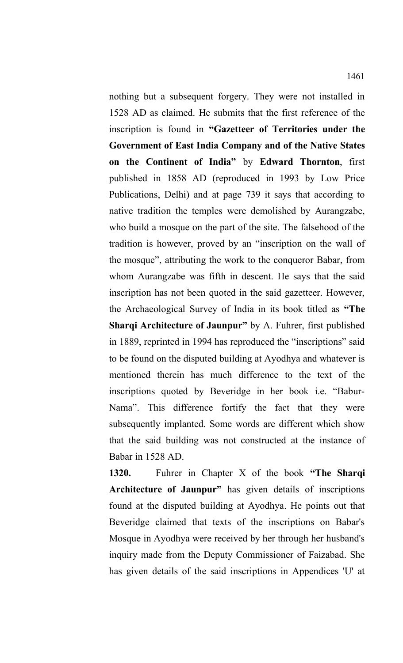nothing but a subsequent forgery. They were not installed in 1528 AD as claimed. He submits that the first reference of the inscription is found in **"Gazetteer of Territories under the Government of East India Company and of the Native States on the Continent of India"** by **Edward Thornton**, first published in 1858 AD (reproduced in 1993 by Low Price Publications, Delhi) and at page 739 it says that according to native tradition the temples were demolished by Aurangzabe, who build a mosque on the part of the site. The falsehood of the tradition is however, proved by an "inscription on the wall of the mosque", attributing the work to the conqueror Babar, from whom Aurangzabe was fifth in descent. He says that the said inscription has not been quoted in the said gazetteer. However, the Archaeological Survey of India in its book titled as **"The Sharqi Architecture of Jaunpur"** by A. Fuhrer, first published in 1889, reprinted in 1994 has reproduced the "inscriptions" said to be found on the disputed building at Ayodhya and whatever is mentioned therein has much difference to the text of the inscriptions quoted by Beveridge in her book i.e. "Babur-Nama". This difference fortify the fact that they were subsequently implanted. Some words are different which show that the said building was not constructed at the instance of Babar in 1528 AD.

**1320.** Fuhrer in Chapter X of the book **"The Sharqi Architecture of Jaunpur"** has given details of inscriptions found at the disputed building at Ayodhya. He points out that Beveridge claimed that texts of the inscriptions on Babar's Mosque in Ayodhya were received by her through her husband's inquiry made from the Deputy Commissioner of Faizabad. She has given details of the said inscriptions in Appendices 'U' at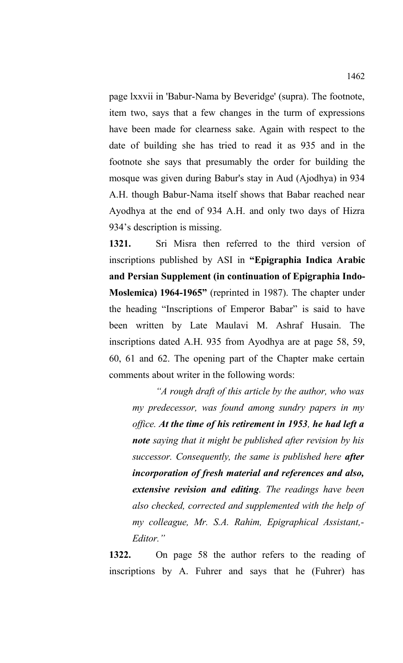page lxxvii in 'Babur-Nama by Beveridge' (supra). The footnote, item two, says that a few changes in the turm of expressions have been made for clearness sake. Again with respect to the date of building she has tried to read it as 935 and in the footnote she says that presumably the order for building the mosque was given during Babur's stay in Aud (Ajodhya) in 934 A.H. though Babur-Nama itself shows that Babar reached near Ayodhya at the end of 934 A.H. and only two days of Hizra 934's description is missing.

**1321.** Sri Misra then referred to the third version of inscriptions published by ASI in **"Epigraphia Indica Arabic and Persian Supplement (in continuation of Epigraphia Indo-Moslemica) 1964-1965"** (reprinted in 1987). The chapter under the heading "Inscriptions of Emperor Babar" is said to have been written by Late Maulavi M. Ashraf Husain. The inscriptions dated A.H. 935 from Ayodhya are at page 58, 59, 60, 61 and 62. The opening part of the Chapter make certain comments about writer in the following words:

*"A rough draft of this article by the author, who was my predecessor, was found among sundry papers in my office. At the time of his retirement in 1953, he had left a note saying that it might be published after revision by his successor. Consequently, the same is published here after incorporation of fresh material and references and also, extensive revision and editing. The readings have been also checked, corrected and supplemented with the help of my colleague, Mr. S.A. Rahim, Epigraphical Assistant,- Editor."*

**1322.** On page 58 the author refers to the reading of inscriptions by A. Fuhrer and says that he (Fuhrer) has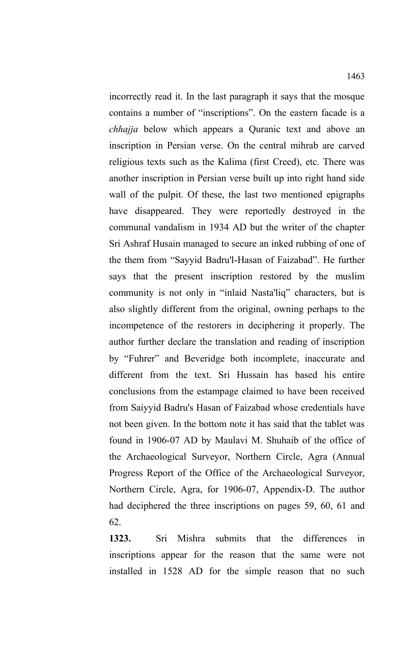incorrectly read it. In the last paragraph it says that the mosque contains a number of "inscriptions". On the eastern facade is a *chhajja* below which appears a Quranic text and above an inscription in Persian verse. On the central mihrab are carved religious texts such as the Kalima (first Creed), etc. There was another inscription in Persian verse built up into right hand side wall of the pulpit. Of these, the last two mentioned epigraphs have disappeared. They were reportedly destroyed in the communal vandalism in 1934 AD but the writer of the chapter Sri Ashraf Husain managed to secure an inked rubbing of one of the them from "Sayyid Badru'l-Hasan of Faizabad". He further says that the present inscription restored by the muslim community is not only in "inlaid Nasta'liq" characters, but is also slightly different from the original, owning perhaps to the incompetence of the restorers in deciphering it properly. The author further declare the translation and reading of inscription by "Fuhrer" and Beveridge both incomplete, inaccurate and different from the text. Sri Hussain has based his entire conclusions from the estampage claimed to have been received from Saiyyid Badru's Hasan of Faizabad whose credentials have not been given. In the bottom note it has said that the tablet was found in 1906-07 AD by Maulavi M. Shuhaib of the office of the Archaeological Surveyor, Northern Circle, Agra (Annual Progress Report of the Office of the Archaeological Surveyor, Northern Circle, Agra, for 1906-07, Appendix-D. The author had deciphered the three inscriptions on pages 59, 60, 61 and

**1323.** Sri Mishra submits that the differences in inscriptions appear for the reason that the same were not installed in 1528 AD for the simple reason that no such

62.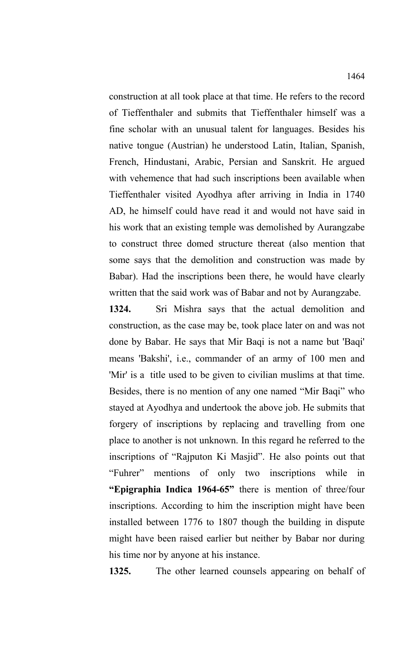construction at all took place at that time. He refers to the record of Tieffenthaler and submits that Tieffenthaler himself was a fine scholar with an unusual talent for languages. Besides his native tongue (Austrian) he understood Latin, Italian, Spanish, French, Hindustani, Arabic, Persian and Sanskrit. He argued with vehemence that had such inscriptions been available when Tieffenthaler visited Ayodhya after arriving in India in 1740 AD, he himself could have read it and would not have said in his work that an existing temple was demolished by Aurangzabe to construct three domed structure thereat (also mention that some says that the demolition and construction was made by Babar). Had the inscriptions been there, he would have clearly written that the said work was of Babar and not by Aurangzabe.

**1324.** Sri Mishra says that the actual demolition and construction, as the case may be, took place later on and was not done by Babar. He says that Mir Baqi is not a name but 'Baqi' means 'Bakshi', i.e., commander of an army of 100 men and 'Mir' is a title used to be given to civilian muslims at that time. Besides, there is no mention of any one named "Mir Baqi" who stayed at Ayodhya and undertook the above job. He submits that forgery of inscriptions by replacing and travelling from one place to another is not unknown. In this regard he referred to the inscriptions of "Rajputon Ki Masjid". He also points out that "Fuhrer" mentions of only two inscriptions while in **"Epigraphia Indica 1964-65"** there is mention of three/four inscriptions. According to him the inscription might have been installed between 1776 to 1807 though the building in dispute might have been raised earlier but neither by Babar nor during his time nor by anyone at his instance.

**1325.** The other learned counsels appearing on behalf of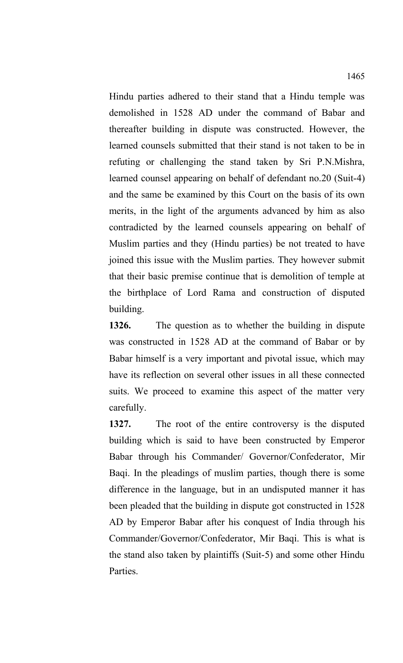Hindu parties adhered to their stand that a Hindu temple was demolished in 1528 AD under the command of Babar and thereafter building in dispute was constructed. However, the learned counsels submitted that their stand is not taken to be in refuting or challenging the stand taken by Sri P.N.Mishra, learned counsel appearing on behalf of defendant no.20 (Suit-4) and the same be examined by this Court on the basis of its own merits, in the light of the arguments advanced by him as also contradicted by the learned counsels appearing on behalf of Muslim parties and they (Hindu parties) be not treated to have joined this issue with the Muslim parties. They however submit that their basic premise continue that is demolition of temple at the birthplace of Lord Rama and construction of disputed building.

**1326.** The question as to whether the building in dispute was constructed in 1528 AD at the command of Babar or by Babar himself is a very important and pivotal issue, which may have its reflection on several other issues in all these connected suits. We proceed to examine this aspect of the matter very carefully.

**1327.** The root of the entire controversy is the disputed building which is said to have been constructed by Emperor Babar through his Commander/ Governor/Confederator, Mir Baqi. In the pleadings of muslim parties, though there is some difference in the language, but in an undisputed manner it has been pleaded that the building in dispute got constructed in 1528 AD by Emperor Babar after his conquest of India through his Commander/Governor/Confederator, Mir Baqi. This is what is the stand also taken by plaintiffs (Suit-5) and some other Hindu Parties.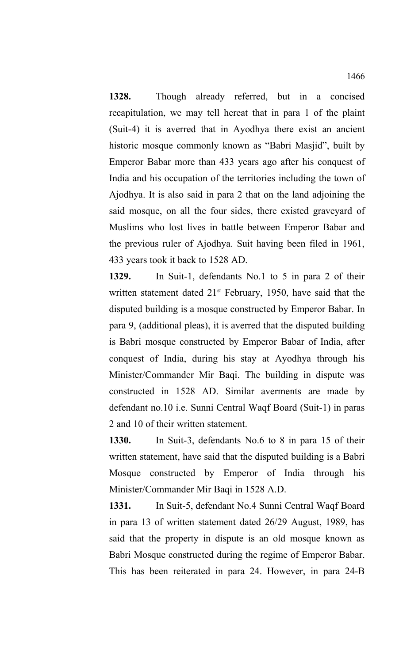**1328.** Though already referred, but in a concised recapitulation, we may tell hereat that in para 1 of the plaint (Suit-4) it is averred that in Ayodhya there exist an ancient historic mosque commonly known as "Babri Masjid", built by Emperor Babar more than 433 years ago after his conquest of India and his occupation of the territories including the town of Ajodhya. It is also said in para 2 that on the land adjoining the said mosque, on all the four sides, there existed graveyard of Muslims who lost lives in battle between Emperor Babar and the previous ruler of Ajodhya. Suit having been filed in 1961, 433 years took it back to 1528 AD.

**1329.** In Suit-1, defendants No.1 to 5 in para 2 of their written statement dated 21<sup>st</sup> February, 1950, have said that the disputed building is a mosque constructed by Emperor Babar. In para 9, (additional pleas), it is averred that the disputed building is Babri mosque constructed by Emperor Babar of India, after conquest of India, during his stay at Ayodhya through his Minister/Commander Mir Baqi. The building in dispute was constructed in 1528 AD. Similar averments are made by defendant no.10 i.e. Sunni Central Waqf Board (Suit-1) in paras 2 and 10 of their written statement.

**1330.** In Suit-3, defendants No.6 to 8 in para 15 of their written statement, have said that the disputed building is a Babri Mosque constructed by Emperor of India through his Minister/Commander Mir Baqi in 1528 A.D.

**1331.** In Suit-5, defendant No.4 Sunni Central Waqf Board in para 13 of written statement dated 26/29 August, 1989, has said that the property in dispute is an old mosque known as Babri Mosque constructed during the regime of Emperor Babar. This has been reiterated in para 24. However, in para 24-B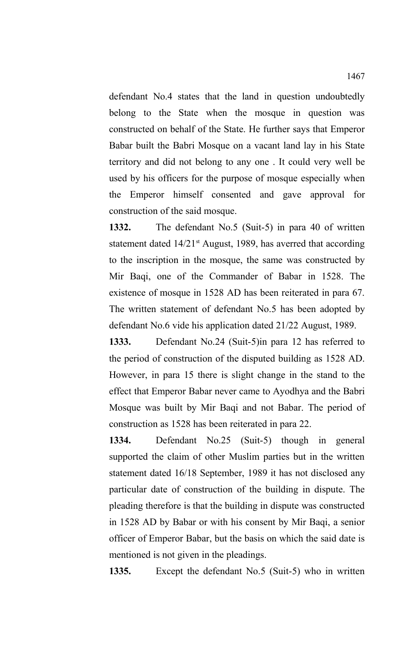defendant No.4 states that the land in question undoubtedly belong to the State when the mosque in question was constructed on behalf of the State. He further says that Emperor Babar built the Babri Mosque on a vacant land lay in his State territory and did not belong to any one . It could very well be used by his officers for the purpose of mosque especially when the Emperor himself consented and gave approval for construction of the said mosque.

**1332.** The defendant No.5 (Suit-5) in para 40 of written statement dated 14/21<sup>st</sup> August, 1989, has averred that according to the inscription in the mosque, the same was constructed by Mir Baqi, one of the Commander of Babar in 1528. The existence of mosque in 1528 AD has been reiterated in para 67. The written statement of defendant No.5 has been adopted by defendant No.6 vide his application dated 21/22 August, 1989.

**1333.** Defendant No.24 (Suit-5)in para 12 has referred to the period of construction of the disputed building as 1528 AD. However, in para 15 there is slight change in the stand to the effect that Emperor Babar never came to Ayodhya and the Babri Mosque was built by Mir Baqi and not Babar. The period of construction as 1528 has been reiterated in para 22.

**1334.** Defendant No.25 (Suit-5) though in general supported the claim of other Muslim parties but in the written statement dated 16/18 September, 1989 it has not disclosed any particular date of construction of the building in dispute. The pleading therefore is that the building in dispute was constructed in 1528 AD by Babar or with his consent by Mir Baqi, a senior officer of Emperor Babar, but the basis on which the said date is mentioned is not given in the pleadings.

**1335.** Except the defendant No.5 (Suit-5) who in written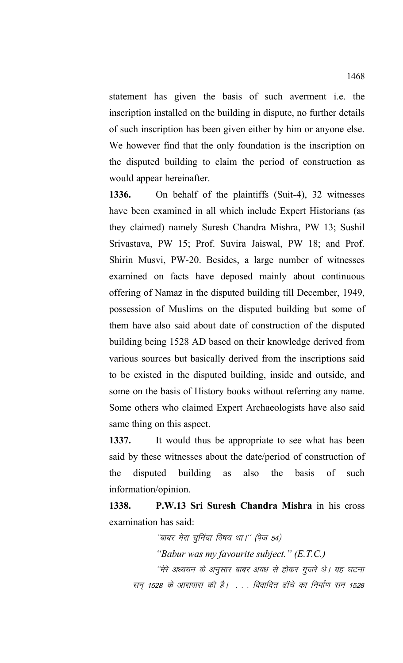statement has given the basis of such averment i.e. the inscription installed on the building in dispute, no further details of such inscription has been given either by him or anyone else. We however find that the only foundation is the inscription on the disputed building to claim the period of construction as would appear hereinafter.

**1336.** On behalf of the plaintiffs (Suit-4), 32 witnesses have been examined in all which include Expert Historians (as they claimed) namely Suresh Chandra Mishra, PW 13; Sushil Srivastava, PW 15; Prof. Suvira Jaiswal, PW 18; and Prof. Shirin Musvi, PW-20. Besides, a large number of witnesses examined on facts have deposed mainly about continuous offering of Namaz in the disputed building till December, 1949, possession of Muslims on the disputed building but some of them have also said about date of construction of the disputed building being 1528 AD based on their knowledge derived from various sources but basically derived from the inscriptions said to be existed in the disputed building, inside and outside, and some on the basis of History books without referring any name. Some others who claimed Expert Archaeologists have also said same thing on this aspect.

**1337.** It would thus be appropriate to see what has been said by these witnesses about the date/period of construction of the disputed building as also the basis of such information/opinion.

**1338. P.W.13 Sri Suresh Chandra Mishra** in his cross examination has said:

"बाबर मेरा चूनिंदा विषय था।'' (पेज 54)

*"Babur was my favourite subject." (E.T.C.)*

''मेरे अध्ययन के अनुसार बाबर अवध से होकर गुजरे थे। यह घटना सन 1528 के आसपास की है। . . . विवादित ढॉचे का निर्माण सन 1528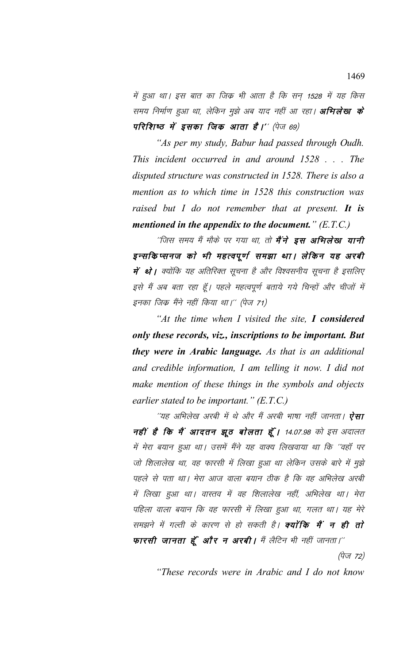में हुआ था। इस बात का जि़क भी आता है कि सन् 1528 में यह किस समय निर्माण हुआ था, लेकिन मुझे अब याद नहीं आ रहा। **अभिलेखा के** परिशिष्ठ में इसका जिंक आता है।'' (पेज 69)

"As per my study, Babur had passed through Oudh. This incident occurred in and around 1528 . . . The disputed structure was constructed in 1528. There is also a mention as to which time in 1528 this construction was raised but I do not remember that at present. It is mentioned in the appendix to the document."  $(E.T.C.)$ 

''जिस समय मैं मौके पर गया था, तो **मैंने इस अभिलेख यानी** इन्सकिप्सनज को भी महत्वपूर्ण समझा था। लेकिन यह अरबी में थे | क्योंकि यह अतिरिक्त सूचना है और विश्वसनीय सूचना है इसलिए इसे मैं अब बता रहा हूँ। पहले महत्वपूर्ण बताये गये चिन्हों और चीजों में इनका जिक्र मैंने नहीं किया था।'' (पेज 71)

"At the time when I visited the site, I considered only these records, viz., inscriptions to be important. But they were in Arabic language. As that is an additional and credible information, I am telling it now. I did not make mention of these things in the symbols and objects earlier stated to be important."  $(E.T.C.)$ 

''यह अभिलेख अरबी में थे और मैं अरबी भाषा नहीं जानता। **ऐसा** नहीं है कि मैं आदतन झूठ बोलता हूँ। 14.07.98 को इस अदालत में मेरा बयान हुआ था। उसमें मैंने यह वाक्य लिखवाया था कि "वहाँ पर जो शिलालेख था, वह फारसी में लिखा हुआ था लेकिन उसके बारे में मुझे पहले से पता था। मेरा आज वाला बयान ठीक है कि वह अभिलेख अरबी में लिखा हुआ था। वास्तव में वह शिलालेख नहीं, अभिलेख था। मेरा पहिला वाला बयान कि वह फारसी में लिखा हुआ था, गलत था। यह मेरे समझने में गल्ती के कारण से हो सकती है। **क्योंकि मैं न ही तो** फारसी जानता हूँ और न अरबी । मैं लैटिन भी नहीं जानता।''

(पेज 72)

"These records were in Arabic and I do not know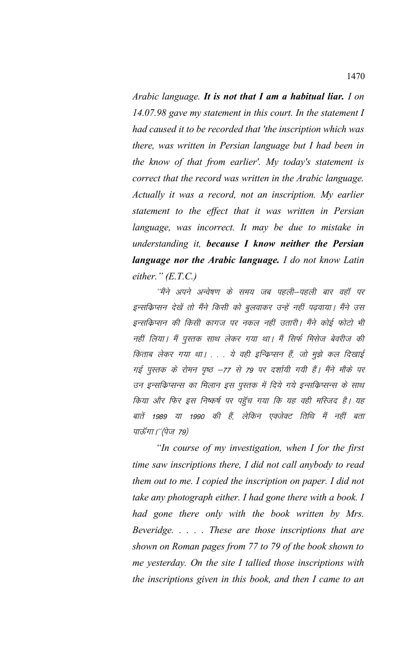Arabic language. It is not that I am a habitual liar. I on 14.07.98 gave my statement in this court. In the statement  $I$ had caused it to be recorded that 'the inscription which was there, was written in Persian language but I had been in the know of that from earlier'. My today's statement is correct that the record was written in the Arabic language. Actually it was a record, not an inscription. My earlier statement to the effect that it was written in Persian language, was incorrect. It may be due to mistake in understanding it, because  $I$  know neither the Persian language nor the Arabic language. I do not know Latin either."  $(E.T.C.)$ 

''मैंने अपने अन्वेषण के समय जब पहली—पहली बार वहाँ पर इन्सकिप्सन देखें तो मैंने किसी को बूलवाकर उन्हें नहीं पढ़वाया। मैंने उस इन्सकिप्सन की किसी कागज पर नकल नहीं उतारी। मैंने कोई फोटो भी नहीं लिया। मैं पुस्तक साथ लेकर गया था। मैं सिर्फ मिसेज बेवरीज की किताब लेकर गया था। . . . ये वही इन्क्रिप्सन हैं, जो मुझे कल दिखाई गई पुस्तक के रोमन पृष्ठ –77 से 79 पर दर्शायी गयी हैं। मैंने मौके पर उन इन्सकिप्सन्स का मिलान इस पुस्तक में दिये गये इन्सकिप्सन्स के साथ किया और फिर इस निष्कर्ष पर पहुँच गया कि यह वही मस्जिद है। यह बातें 1989 या 1990 की हैं, लेकिन एक्जेक्ट तिथि मैं नहीं बता पाऊँगा।"(पेज 79)

"In course of my investigation, when  $I$  for the first time saw inscriptions there, I did not call anybody to read them out to me. I copied the inscription on paper. I did not take any photograph either. I had gone there with a book. I had gone there only with the book written by Mrs. Beveridge. . . . . These are those inscriptions that are shown on Roman pages from 77 to 79 of the book shown to me yesterday. On the site I tallied those inscriptions with the inscriptions given in this book, and then I came to an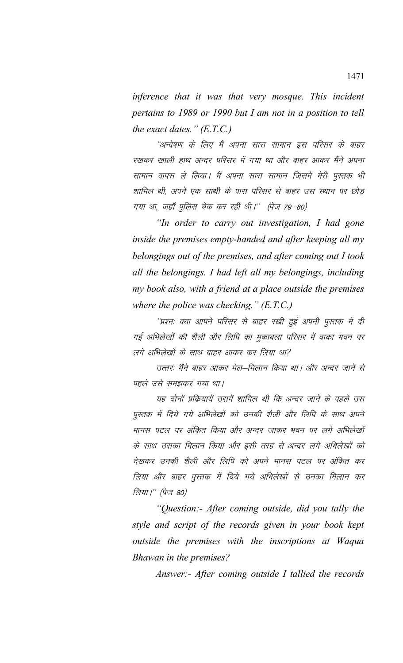*inference that it was that very mosque. This incident pertains to 1989 or 1990 but I am not in a position to tell the exact dates." (E.T.C.)*

''अन्वेषण के लिए मैं अपना सारा सामान इस परिसर के बाहर रखकर खाली हाथ अन्दर परिसर में गया था और बाहर आकर मैंने अपना सामान वापस ले लिया। मैं अपना सारा सामान जिसमें मेरी पुस्तक भी शामिल थी, अपने एक साथी के पास परिसर से बाहर उस स्थान पर छोड़ गया था, जहाँ पुलिस चेक कर रहीं थी।'' (पेज 79–80)

*"In order to carry out investigation, I had gone inside the premises empty-handed and after keeping all my belongings out of the premises, and after coming out I took all the belongings. I had left all my belongings, including my book also, with a friend at a place outside the premises where the police was checking." (E.T.C.)*

''प्रश्नः क्या आपने परिसर से बाहर रखी हुई अपनी पुस्तक में दी गई अभिलेखों की शैली और लिपि का मुकाबला परिसर में वाका भवन पर लगे अभिलेखों के साथ बाहर आकर कर लिया था?

उत्तर: मैंने बाहर आकर मेल—मिलान किया था। और अन्दर जाने से पहले उसे समझकर गया था।

यह दोनों प्रकियायें उसमें शामिल थी कि अन्दर जाने के पहले उस पुस्तक में दिये गये अभिलेखों को उनकी शैली और लिपि के साथ अपने मानस पटल पर अंकित किया और अन्दर जाकर भवन पर लगे अभिलेखों के साथ उसका मिलान किया और इसी तरह से अन्दर लगे अभिलेखों को देखकर उनकी शैली और लिपि को अपने मानस पटल पर अंकित कर लिया और बाहर पुस्तक में दिये गये अभिलेखों से उनका मिलान कर तिया।'' (पेज 80)

*"Question:- After coming outside, did you tally the style and script of the records given in your book kept outside the premises with the inscriptions at Waqua Bhawan in the premises?*

*Answer:- After coming outside I tallied the records*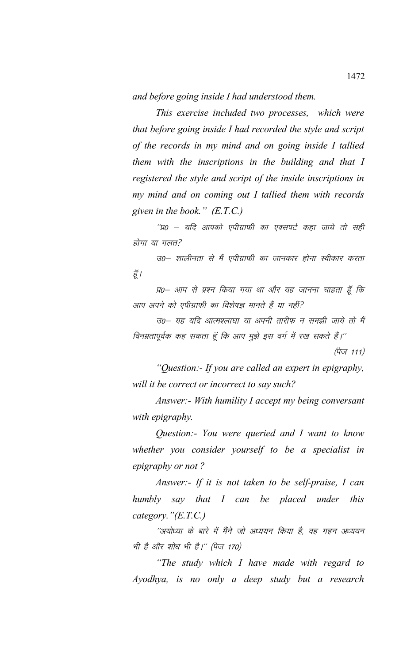and before going inside I had understood them.

This exercise included two processes, which were that before going inside I had recorded the style and script of the records in my mind and on going inside I tallied them with the inscriptions in the building and that I registered the style and script of the inside inscriptions in my mind and on coming out I tallied them with records given in the book."  $(E.T.C.)$ 

''प्र0 – यदि आपको एपीग्राफी का एक्सपर्ट कहा जाये तो सही होगा या गलत?

उ0– शालीनता से मैं एपीग्राफी का जानकार होना स्वीकार करता हूँ /

प्र0– आप से प्रश्न किया गया था और यह जानना चाहता हूँ कि आप अपने को एपीग्राफी का विशेषज्ञ मानते हैं या नहीं?

उ0– यह यदि आत्मश्लाघा या अपनी तारीफ न समझी जाये तो मैं विनम्रतापूर्वक कह सकता हूँ कि आप मुझे इस वर्ग में रख सकते हैं।''

(पेज 111)

"Ouestion:- If you are called an expert in epigraphy, will it be correct or incorrect to say such?

Answer:- With humility I accept my being conversant with epigraphy.

Question:- You were queried and I want to know whether you consider yourself to be a specialist in epigraphy or not?

Answer:- If it is not taken to be self-praise, I can humbly say that I can be placed under this category. " $(E.T.C.)$ 

''अयोध्या के बारे में मैंने जो अध्ययन किया है, वह गहन अध्ययन भी है और शोध भी है।" (पेज 170)

"The study which I have made with regard to Ayodhya, is no only a deep study but a research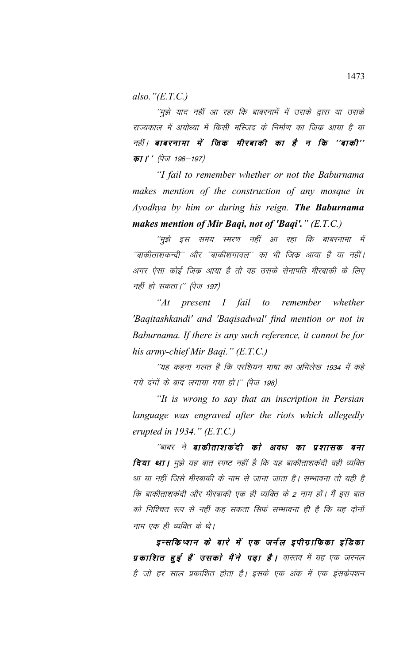*also."(E.T.C.)*

''मुझे याद नहीं आ रहा कि बाबरनामें में उसके द्वारा या उसके राज्यकाल में अयोध्या में किसी मस्जिद के निर्माण का जिक आया है या नहीं | बाबरनामा में जिक मीरबाकी का है न कि ''बाकी'' का |' ' (पेज 196–197)

*"I fail to remember whether or not the Baburnama makes mention of the construction of any mosque in Ayodhya by him or during his reign. The Baburnama makes mention of Mir Baqi, not of 'Baqi'." (E.T.C.)*

''मुझे इस समय स्मरण नहीं आ रहा कि बाबरनामा में ''बाकीताशकन्दी'' और ''बाकीशगावल'' का भी जिक्र आया है या नहीं। अगर ऐसा कोई जिक आया है तो वह उसके सेनापति मीरबाकी के लिए नहीं हो सकता।'' (पेज 197)

*"At present I fail to remember whether 'Baqitashkandi' and 'Baqisadwal' find mention or not in Baburnama. If there is any such reference, it cannot be for his army-chief Mir Baqi." (E.T.C.)*

''यह कहना गलत है कि परशियन भाषा का अभिलेख 1934 में कहे गये दंगों के बाद लगाया गया हो।'' (पेज 198)

*"It is wrong to say that an inscription in Persian language was engraved after the riots which allegedly erupted in 1934." (E.T.C.)*

''बाबर ने **बाकीताशकंदी को अवध का प्रशासक बना दिया था।** मुझे यह बात स्पष्ट नहीं है कि यह बाकीताशकंदी वही व्यक्ति था या नहीं जिसे मीरबाकी के नाम से जाना जाता है। सम्भावना तो यही है कि बाकीताशकंदी और मीरबाकी एक ही व्यक्ति के 2 नाम हों। मैं इस बात को निश्चित रूप से नहीं कह सकता सिर्फ सम्भावना ही है कि यह दोनों नाम एक ही व्यक्ति के थे।

इन्सकिप्शन के बारे में एक जर्नल इपीग्राफिका इंडिका **प्रकाशित हुई हैं उसको मैंने पढ़ा है।** वास्तव में यह एक जरनल है जो हर साल प्रकाशित होता है। इसके एक अंक में एक इंसक्रेपशन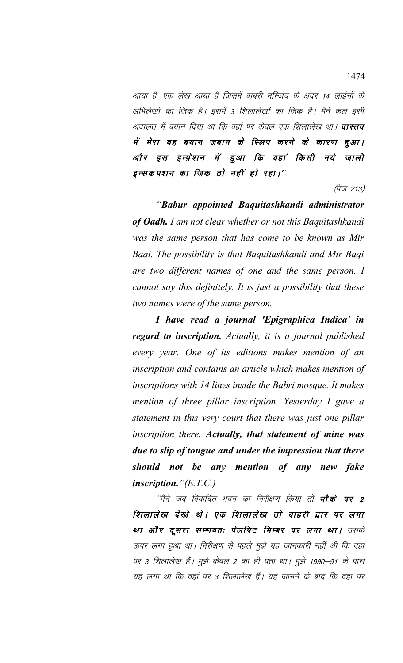आया है, एक लेख आया है जिसमें बाबरी मस्जिद के अंदर 14 लाईनों के अभिलेखों का जिक है। इसमें 3 शिलालेखों का जिक है। मैंने कल इसी अदालत में बयान दिया था कि वहां पर केवल एक शिलालेख था। **वास्तव** में मेरा वह बयान जबान के स्लिप करने के कारण हुआ। ओं रइस इम्प्रेशन में हुआ कि वहां किसी नये जाली इन्सकपशन का जिक तो नहीं हो रहा।''

## (पेज 213)

*"Babur appointed Baquitashkandi administrator of Oadh. I am not clear whether or not this Baquitashkandi was the same person that has come to be known as Mir Baqi. The possibility is that Baquitashkandi and Mir Baqi are two different names of one and the same person. I cannot say this definitely. It is just a possibility that these two names were of the same person.*

*I have read a journal 'Epigraphica Indica' in regard to inscription. Actually, it is a journal published every year. One of its editions makes mention of an inscription and contains an article which makes mention of inscriptions with 14 lines inside the Babri mosque. It makes mention of three pillar inscription. Yesterday I gave a statement in this very court that there was just one pillar inscription there. Actually, that statement of mine was due to slip of tongue and under the impression that there should not be any mention of any new fake inscription."(E.T.C.)*

''मैंने जब विवादित भवन का निरीक्षण किया तो **मौके पर 2** शिलालेख देखे थे। एक शिलालेख तो बाहरी द्वार पर लगा था और दूसरा सम्भवतः पेलपिट मिम्बर पर लगा था। उसके ऊपर लगा हुआ था। निरीक्षण से पहले मुझे यह जानकारी नहीं थी कि वहां पर 3 शिलालेख हैं। मुझे केवल 2 का ही पता था। मुझे 1990–91 के पास यह लगा था कि वहां पर 3 शिलालेख हैं। यह जानने के बाद कि वहां पर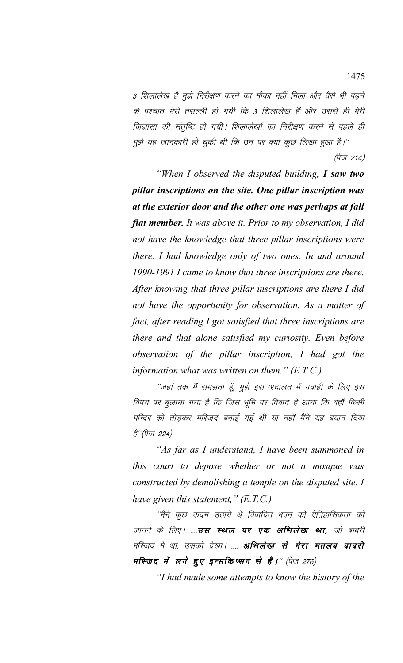3 शिलालेख है मुझे निरीक्षण करने का मौका नहीं मिला और वैसे भी पढ़ने के पश्चात मेरी तसल्ली हो गयी कि 3 शिलालेख हैं और उससे ही मेरी जिज्ञासा की संतुष्टि हो गयी। शिलालेखों का निरीक्षण करने से पहले ही मुझे यह जानकारी हो चुकी थी कि उन पर क्या कुछ लिखा हुआ है।'' (पेज 214)

*"When I observed the disputed building, I saw two pillar inscriptions on the site. One pillar inscription was at the exterior door and the other one was perhaps at fall fiat member. It was above it. Prior to my observation, I did not have the knowledge that three pillar inscriptions were there. I had knowledge only of two ones. In and around 1990-1991 I came to know that three inscriptions are there. After knowing that three pillar inscriptions are there I did not have the opportunity for observation. As a matter of fact, after reading I got satisfied that three inscriptions are there and that alone satisfied my curiosity. Even before observation of the pillar inscription, I had got the information what was written on them." (E.T.C.)*

''जहां तक मैं समझता हूँ, मुझे इस अदालत में गवाही के लिए इस विषय पर बुलाया गया है कि जिस भूमि पर विवाद है आया कि वहाँ किसी मन्दिर को तोड़कर मस्जिद बनाई गई थी या नहीं मैंने यह बयान दिया है''(पेज 224)

*"As far as I understand, I have been summoned in this court to depose whether or not a mosque was constructed by demolishing a temple on the disputed site. I have given this statement," (E.T.C.)*

''मैंने कूछ कदम उठाये थे विवादित भवन की ऐतिहासिकता को जानने के लिए। ....**उस स्थल पर एक अभिलेख था,** जो बाबरी मस्जिद में था, उसको देखा। .... **अभिलेख से मेरा मतलब बाबरी** मस्जिद में लगे हुए इन्सकिप्सन से है।" (पेज 276)

*"I had made some attempts to know the history of the*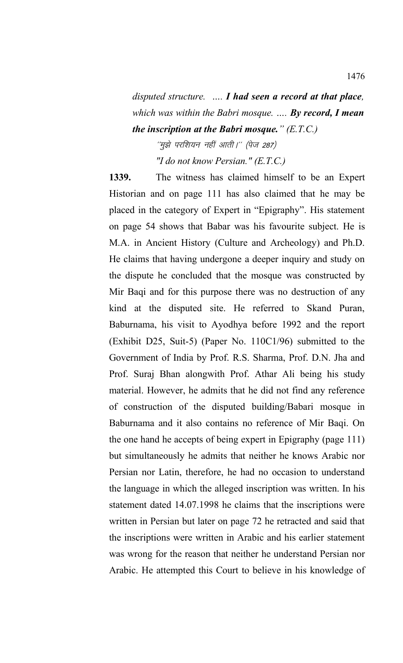*disputed structure. …. I had seen a record at that place, which was within the Babri mosque. …. By record, I mean the inscription at the Babri mosque." (E.T.C.)*

''मुझे परशियन नहीं आती।'' (पेज 287)

*"I do not know Persian." (E.T.C.)*

**1339.** The witness has claimed himself to be an Expert Historian and on page 111 has also claimed that he may be placed in the category of Expert in "Epigraphy". His statement on page 54 shows that Babar was his favourite subject. He is M.A. in Ancient History (Culture and Archeology) and Ph.D. He claims that having undergone a deeper inquiry and study on the dispute he concluded that the mosque was constructed by Mir Baqi and for this purpose there was no destruction of any kind at the disputed site. He referred to Skand Puran, Baburnama, his visit to Ayodhya before 1992 and the report (Exhibit D25, Suit-5) (Paper No. 110C1/96) submitted to the Government of India by Prof. R.S. Sharma, Prof. D.N. Jha and Prof. Suraj Bhan alongwith Prof. Athar Ali being his study material. However, he admits that he did not find any reference of construction of the disputed building/Babari mosque in Baburnama and it also contains no reference of Mir Baqi. On the one hand he accepts of being expert in Epigraphy (page 111) but simultaneously he admits that neither he knows Arabic nor Persian nor Latin, therefore, he had no occasion to understand the language in which the alleged inscription was written. In his statement dated 14.07.1998 he claims that the inscriptions were written in Persian but later on page 72 he retracted and said that the inscriptions were written in Arabic and his earlier statement was wrong for the reason that neither he understand Persian nor Arabic. He attempted this Court to believe in his knowledge of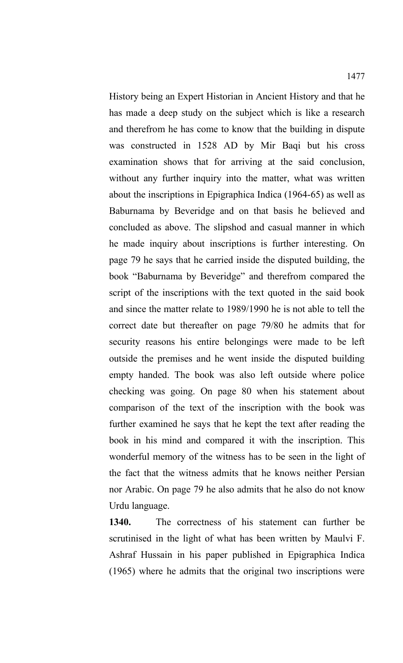History being an Expert Historian in Ancient History and that he has made a deep study on the subject which is like a research and therefrom he has come to know that the building in dispute was constructed in 1528 AD by Mir Baqi but his cross examination shows that for arriving at the said conclusion, without any further inquiry into the matter, what was written about the inscriptions in Epigraphica Indica (1964-65) as well as Baburnama by Beveridge and on that basis he believed and concluded as above. The slipshod and casual manner in which he made inquiry about inscriptions is further interesting. On page 79 he says that he carried inside the disputed building, the book "Baburnama by Beveridge" and therefrom compared the script of the inscriptions with the text quoted in the said book and since the matter relate to 1989/1990 he is not able to tell the correct date but thereafter on page 79/80 he admits that for security reasons his entire belongings were made to be left outside the premises and he went inside the disputed building empty handed. The book was also left outside where police checking was going. On page 80 when his statement about comparison of the text of the inscription with the book was further examined he says that he kept the text after reading the book in his mind and compared it with the inscription. This wonderful memory of the witness has to be seen in the light of the fact that the witness admits that he knows neither Persian nor Arabic. On page 79 he also admits that he also do not know Urdu language.

**1340.** The correctness of his statement can further be scrutinised in the light of what has been written by Maulvi F. Ashraf Hussain in his paper published in Epigraphica Indica (1965) where he admits that the original two inscriptions were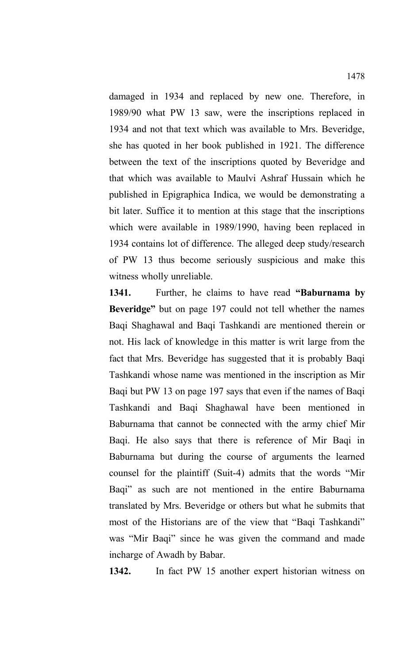damaged in 1934 and replaced by new one. Therefore, in 1989/90 what PW 13 saw, were the inscriptions replaced in 1934 and not that text which was available to Mrs. Beveridge, she has quoted in her book published in 1921. The difference between the text of the inscriptions quoted by Beveridge and that which was available to Maulvi Ashraf Hussain which he published in Epigraphica Indica, we would be demonstrating a bit later. Suffice it to mention at this stage that the inscriptions which were available in 1989/1990, having been replaced in 1934 contains lot of difference. The alleged deep study/research of PW 13 thus become seriously suspicious and make this witness wholly unreliable.

**1341.** Further, he claims to have read **"Baburnama by Beveridge"** but on page 197 could not tell whether the names Baqi Shaghawal and Baqi Tashkandi are mentioned therein or not. His lack of knowledge in this matter is writ large from the fact that Mrs. Beveridge has suggested that it is probably Baqi Tashkandi whose name was mentioned in the inscription as Mir Baqi but PW 13 on page 197 says that even if the names of Baqi Tashkandi and Baqi Shaghawal have been mentioned in Baburnama that cannot be connected with the army chief Mir Baqi. He also says that there is reference of Mir Baqi in Baburnama but during the course of arguments the learned counsel for the plaintiff (Suit-4) admits that the words "Mir Baqi" as such are not mentioned in the entire Baburnama translated by Mrs. Beveridge or others but what he submits that most of the Historians are of the view that "Baqi Tashkandi" was "Mir Baqi" since he was given the command and made incharge of Awadh by Babar.

**1342.** In fact PW 15 another expert historian witness on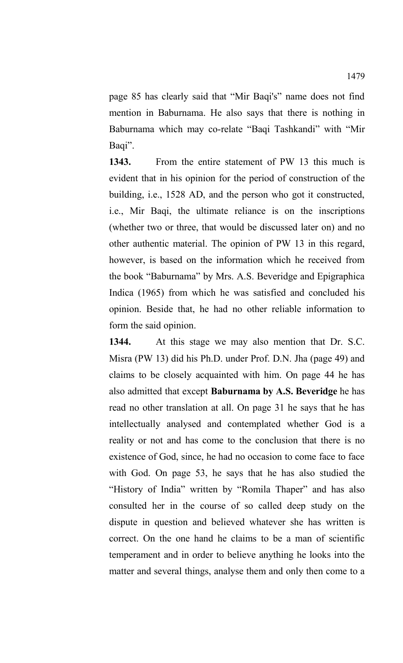page 85 has clearly said that "Mir Baqi's" name does not find mention in Baburnama. He also says that there is nothing in Baburnama which may co-relate "Baqi Tashkandi" with "Mir Baqi".

**1343.** From the entire statement of PW 13 this much is evident that in his opinion for the period of construction of the building, i.e., 1528 AD, and the person who got it constructed, i.e., Mir Baqi, the ultimate reliance is on the inscriptions (whether two or three, that would be discussed later on) and no other authentic material. The opinion of PW 13 in this regard, however, is based on the information which he received from the book "Baburnama" by Mrs. A.S. Beveridge and Epigraphica Indica (1965) from which he was satisfied and concluded his opinion. Beside that, he had no other reliable information to form the said opinion.

**1344.** At this stage we may also mention that Dr. S.C. Misra (PW 13) did his Ph.D. under Prof. D.N. Jha (page 49) and claims to be closely acquainted with him. On page 44 he has also admitted that except **Baburnama by A.S. Beveridge** he has read no other translation at all. On page 31 he says that he has intellectually analysed and contemplated whether God is a reality or not and has come to the conclusion that there is no existence of God, since, he had no occasion to come face to face with God. On page 53, he says that he has also studied the "History of India" written by "Romila Thaper" and has also consulted her in the course of so called deep study on the dispute in question and believed whatever she has written is correct. On the one hand he claims to be a man of scientific temperament and in order to believe anything he looks into the matter and several things, analyse them and only then come to a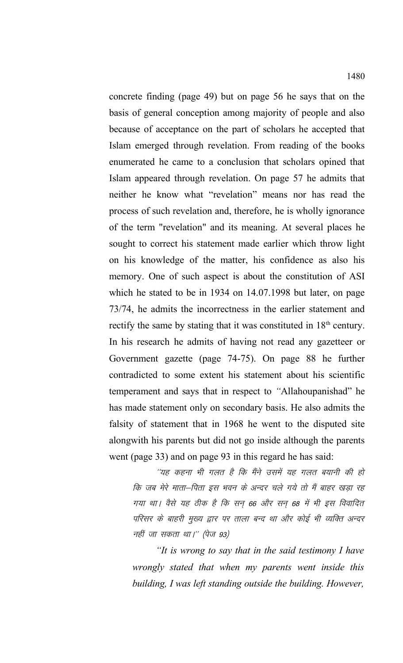concrete finding (page 49) but on page 56 he says that on the basis of general conception among majority of people and also because of acceptance on the part of scholars he accepted that Islam emerged through revelation. From reading of the books enumerated he came to a conclusion that scholars opined that Islam appeared through revelation. On page 57 he admits that neither he know what "revelation" means nor has read the process of such revelation and, therefore, he is wholly ignorance of the term "revelation" and its meaning. At several places he sought to correct his statement made earlier which throw light on his knowledge of the matter, his confidence as also his memory. One of such aspect is about the constitution of ASI which he stated to be in 1934 on 14.07.1998 but later, on page 73/74, he admits the incorrectness in the earlier statement and rectify the same by stating that it was constituted in 18<sup>th</sup> century. In his research he admits of having not read any gazetteer or Government gazette (page 74-75). On page 88 he further contradicted to some extent his statement about his scientific temperament and says that in respect to *"*Allahoupanishad" he has made statement only on secondary basis. He also admits the falsity of statement that in 1968 he went to the disputed site alongwith his parents but did not go inside although the parents went (page 33) and on page 93 in this regard he has said:

''यह कहना भी गलत है कि मैंने उसमें यह गलत बयानी की हो कि जब मेरे माता–पिता इस भवन के अन्दर चले गये तो मैं बाहर खड़ा रह गया था। वैसे यह ठीक है कि सन 66 और सन 68 में भी इस विवादित परिसर के बाहरी मुख्य द्वार पर ताला बन्द था और कोई भी व्यक्ति अन्दर नहीं जा सकता था।'' (पेज 93)

*"It is wrong to say that in the said testimony I have wrongly stated that when my parents went inside this building, I was left standing outside the building. However,*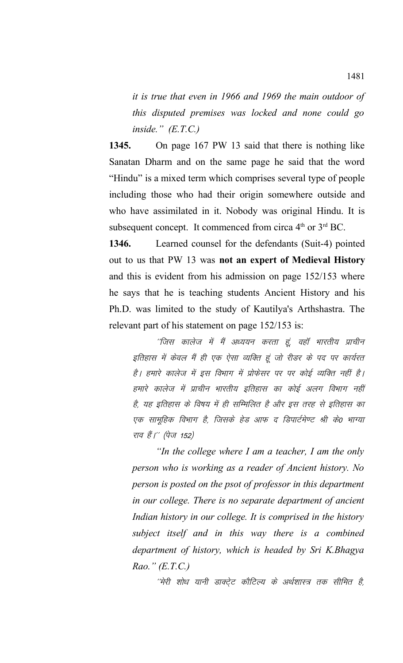*it is true that even in 1966 and 1969 the main outdoor of this disputed premises was locked and none could go inside." (E.T.C.)*

**1345.** On page 167 PW 13 said that there is nothing like Sanatan Dharm and on the same page he said that the word "Hindu" is a mixed term which comprises several type of people including those who had their origin somewhere outside and who have assimilated in it. Nobody was original Hindu. It is subsequent concept. It commenced from circa  $4<sup>th</sup>$  or  $3<sup>rd</sup>$  BC.

**1346.** Learned counsel for the defendants (Suit-4) pointed out to us that PW 13 was **not an expert of Medieval History** and this is evident from his admission on page 152/153 where he says that he is teaching students Ancient History and his Ph.D. was limited to the study of Kautilya's Arthshastra. The relevant part of his statement on page 152/153 is:

 $^{\prime\prime}$ जिस कालेज में मैं अध्ययन करता हूं वहाँ भारतीय प्राचीन इतिहास में केवल मैं ही एक ऐसा व्यक्ति हूं जो रीडर के पद पर कार्यरत है। हमारे कालेज में इस विभाग में प्रोफेसर पर पर कोई व्यक्ति नहीं है। हमारे कालेज में प्राचीन भारतीय इतिहास का कोई अलग विभाग नहीं है, यह इतिहास के विषय में ही सम्मिलित है और इस तरह से इतिहास का एक सामूहिक विभाग है, जिसके हेड आफ द डिपार्टमेण्ट श्री के0 भाग्या राव हैं।'' (पेज 152)

*"In the college where I am a teacher, I am the only person who is working as a reader of Ancient history. No person is posted on the psot of professor in this department in our college. There is no separate department of ancient Indian history in our college. It is comprised in the history subject itself and in this way there is a combined department of history, which is headed by Sri K.Bhagya Rao." (E.T.C.)*

''मेरी शोध यानी डाक्ट्रेट कौटिल्य के अर्थशास्त्र तक सीमित है,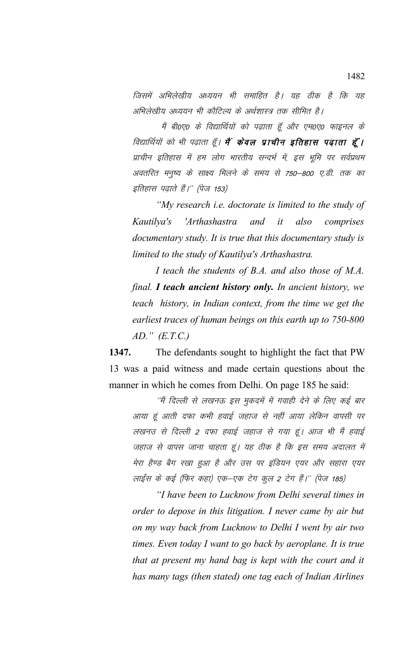जिसमें अभिलेखीय अध्ययन भी समाहित है। यह ठीक़ है कि यह अभिलेखीय अध्ययन भी कौटिल्य के अर्थशास्त्र तक सीमित है।

मैं बी०ए० के विद्यार्थियों को पढ़ाता हूँ और एम०ए० फाइनल के विद्यार्थियों को भी पढ़ाता हूँ। **मैं केवल प्राचीन इतिहास पढ़ाता हूँ।** प्राचीन इतिहास में हम लोग भारतीय सन्दर्भ में, इस भूमि पर सर्वप्रथम अवतरित मनुष्य के साक्ष्य मिलने के समय से 750–800 ए.डी. तक का इतिहास पढ़ाते हैं।'' (पेज 153)

"My research *i.e.* doctorate is limited to the study of 'Arthashastra Kautilya's and  $it$ also comprises documentary study. It is true that this documentary study is limited to the study of Kautilya's Arthashastra.

I teach the students of B.A. and also those of M.A. final. I teach ancient history only. In ancient history, we teach history, in Indian context, from the time we get the earliest traces of human beings on this earth up to 750-800  $AD.'' (E.T.C.)$ 

1347. The defendants sought to highlight the fact that PW 13 was a paid witness and made certain questions about the manner in which he comes from Delhi. On page 185 he said:

''मैं दिल्ली से लखनऊ इस मुकदमें में गवाही देने के लिए कई बार आया हूं आती दफा कभी हवाई जहाज से नहीं आया लेकिन वापसी पर लखनउ से दिल्ली 2 दफा हवाई जहाज से गया हूं। आज भी मैं हवाई जहाज से वापस जाना चाहता हूं। यह ठीक है कि इस समय अदालत में मेरा हैण्ड बैग रखा हुआ है और उस पर इंडियन एयर और सहारा एयर लाईंस के कई (फिर कहा) एक–एक टेग कुल 2 टेग हैं।'' (पेज 185)

"I have been to Lucknow from Delhi several times in order to depose in this litigation. I never came by air but on my way back from Lucknow to Delhi I went by air two times. Even today I want to go back by aeroplane. It is true that at present my hand bag is kept with the court and it has many tags (then stated) one tag each of Indian Airlines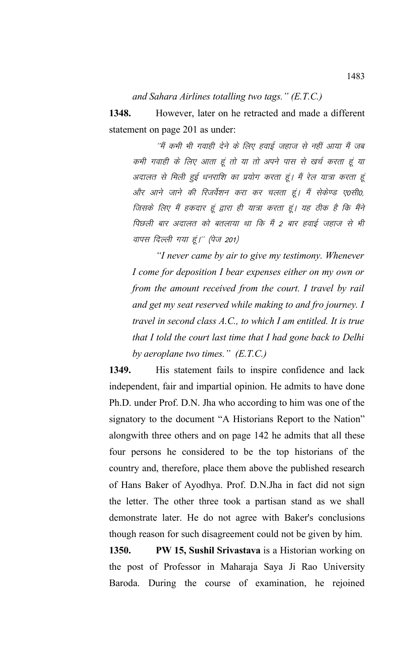*and Sahara Airlines totalling two tags." (E.T.C.)*

**1348.** However, later on he retracted and made a different statement on page 201 as under:

''मैं कभी भी गवाही देने के लिए हवाई जहाज से नहीं आया मैं जब कभी गवाही के लिए आता हूं तो या तो अपने पास से खर्च करता हूं या अदालत से मिली हुई धनराशि का प्रयोग करता हूं। मैं रेल यात्रा करता हूं ओर आने जाने की रिजर्वेशन करा कर चलता हूं। मैं सेकेण्ड ए0सी0, जिसके लिए मैं हकदार हूं द्वारा ही यात्रा करता हूं। यह ठीक है कि मैंने पिछली बार अदालत को बतलाया था कि मैं 2 बार हवाई जहाज से भी वापस दिल्ली गया हूं।'' (पेज 201)

*"I never came by air to give my testimony. Whenever I come for deposition I bear expenses either on my own or from the amount received from the court. I travel by rail and get my seat reserved while making to and fro journey. I travel in second class A.C., to which I am entitled. It is true that I told the court last time that I had gone back to Delhi by aeroplane two times." (E.T.C.)*

**1349.** His statement fails to inspire confidence and lack independent, fair and impartial opinion. He admits to have done Ph.D. under Prof. D.N. Jha who according to him was one of the signatory to the document "A Historians Report to the Nation" alongwith three others and on page 142 he admits that all these four persons he considered to be the top historians of the country and, therefore, place them above the published research of Hans Baker of Ayodhya. Prof. D.N.Jha in fact did not sign the letter. The other three took a partisan stand as we shall demonstrate later. He do not agree with Baker's conclusions though reason for such disagreement could not be given by him.

**1350. PW 15, Sushil Srivastava** is a Historian working on the post of Professor in Maharaja Saya Ji Rao University Baroda. During the course of examination, he rejoined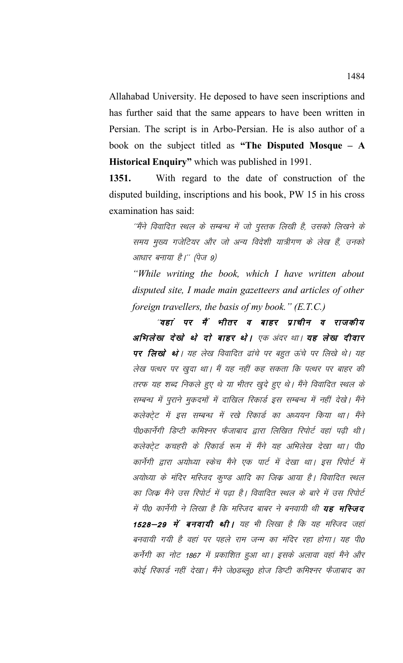Allahabad University. He deposed to have seen inscriptions and has further said that the same appears to have been written in Persian. The script is in Arbo-Persian. He is also author of a book on the subject titled as "The Disputed Mosque  $-$  A **Historical Enquiry**" which was published in 1991.

1351. With regard to the date of construction of the disputed building, inscriptions and his book, PW 15 in his cross examination has said:

''मैंने विवादित स्थल के सम्बन्ध में जो पुस्तक लिखी है, उसको लिखने के समय मुख्य गजेटियर और जो अन्य विदेशी यात्रीगण के लेख हैं, उनको आधार बनाया है।'' (पेज 9)

"While writing the book, which I have written about disputed site, I made main gazetteers and articles of other foreign travellers, the basis of my book."  $(E.T.C.)$ 

"वहां पर मैं भीतर व बाहर प्राचीन व राजकीय अभिलेख देखो थे दो बाहर थे। एक अंदर था। यह लेख दीवार पर लिखे थे। यह लेख विवादित ढांचे पर बहुत ऊंचे पर लिखे थे। यह लेख पत्थर पर खुदा था। मैं यह नहीं कह सकता कि पत्थर पर बाहर की तरफ यह शब्द निकले हुए थे या भीतर खुदे हुए थे। मैंने विवादित स्थल के सम्बन्ध में पुराने मुकदमों में दाखिल रिकार्ड इस सम्बन्ध में नहीं देखे। मैंने कलेक्ट्रेट में इस सम्बन्ध में रखे रिकार्ड का अध्ययन किया था। मैंने पी0कार्नेगी डिप्टी कमिश्नर फैजाबाद द्वारा लिखित रिपोर्ट वहां पढ़ी थी। कलेक्ट्रेट कचहरी के रिकार्ड रूम में मैंने यह अभिलेख देखा था। पी0 कार्नेगी द्वारा अयोध्या स्केच मैने एक पार्ट में देखा था। इस रिपोर्ट में अयोध्या के मंदिर मस्जिद कुण्ड आदि का जिक आया है। विवादित स्थल का जिक मैंने उस रिपोर्ट में पढ़ा है। विवादित स्थल के बारे में उस रिपोर्ट में पी0 कार्नेगी ने लिखा है कि मस्जिद बाबर ने बनवायी थी **यह मस्जिद** 1528–29 में बनवायी थी। यह भी लिखा है कि यह मस्जिद जहां बनवायी गयी है वहां पर पहले राम जन्म का मंदिर रहा होगा। यह पी0 कर्नेगी का नोट 1867 में प्रकाशित हुआ था। इसके अलावा वहां मैने और कोई रिकार्ड नहीं देखा। मैंने जे0डब्लू0 होज डिप्टी कमिश्नर फैजाबाद का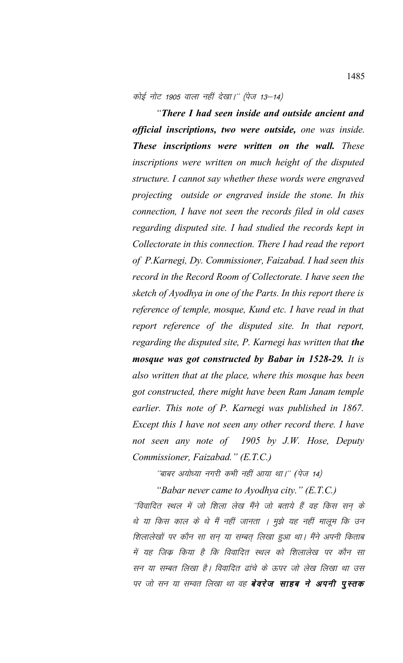कोई नोट 1905 वाला नहीं देखा।'' (पेज 13–14)

"There I had seen inside and outside ancient and official inscriptions, two were outside, one was inside. These inscriptions were written on the wall. These inscriptions were written on much height of the disputed structure. I cannot say whether these words were engraved projecting outside or engraved inside the stone. In this connection, I have not seen the records filed in old cases regarding disputed site. I had studied the records kept in Collectorate in this connection. There I had read the report of P.Karnegi, Dy. Commissioner, Faizabad. I had seen this record in the Record Room of Collectorate. I have seen the sketch of Ayodhya in one of the Parts. In this report there is reference of temple, mosque, Kund etc. I have read in that report reference of the disputed site. In that report, regarding the disputed site, P. Karnegi has written that the mosque was got constructed by Babar in 1528-29. It is also written that at the place, where this mosque has been got constructed, there might have been Ram Janam temple earlier. This note of P. Karnegi was published in 1867. Except this I have not seen any other record there. I have not seen any note of 1905 by J.W. Hose, Deputy Commissioner, Faizabad." (E.T.C.)

''बाबर अयोध्या नगरी कभी नहीं आया था।'' (पेज 14)

"Babar never came to Ayodhya city."  $(E.T.C.)$ 

''विवादित स्थल में जो शिला लेख मैंने जो बताये हैं वह किस सन के थे या किस काल के थे मैं नहीं जानता । मुझे यह नहीं मालूम कि उन शिलालेखों पर कौन सा सन् या सम्बत् लिखा हुआ था। मैंने अपनी किताब में यह जिक्र किया है कि विवादित स्थल को शिलालेख पर कौन सा सन या सम्बत लिखा है। विवादित ढांचे के ऊपर जो लेख लिखा था उस पर जो सन या सम्वत लिखा था वह **बेवरेज साहब ने अपनी पुस्तक**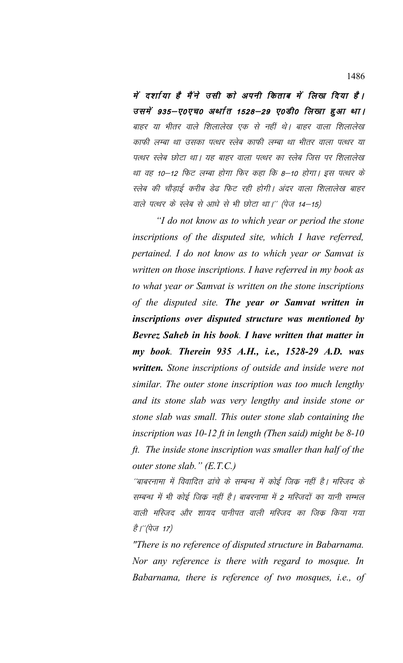में दर्शाया है मैंने उसी को अपनी किताब में लिख दिया है। उसमें 935–ए०एच० अर्थात 1528–29 ए०डी० लिखा हुआ था। बाहर या भीतर वाले शिलालेख एक से नहीं थे। बाहर वाला शिलालेख काफी लम्बा था उसका पत्थर स्लेब काफी लम्बा था भीतर वाला पत्थर या पत्थर स्लेब छोटा था। यह बाहर वाला पत्थर का स्लेब जिस पर शिलालेख था वह 10–12 फिट लम्बा होगा फिर कहा कि 8–10 होगा। इस पत्थर के स्लेब की चौड़ाई करीब डेढ फिट रही होगी। अंदर वाला शिलालेख बाहर वाले पत्थर के स्लेब से आधे से भी छोटा था।'' (पेज 14–15)

*"I do not know as to which year or period the stone inscriptions of the disputed site, which I have referred, pertained. I do not know as to which year or Samvat is written on those inscriptions. I have referred in my book as to what year or Samvat is written on the stone inscriptions of the disputed site. The year or Samvat written in inscriptions over disputed structure was mentioned by Bevrez Saheb in his book. I have written that matter in my book. Therein 935 A.H., i.e., 1528-29 A.D. was written. Stone inscriptions of outside and inside were not similar. The outer stone inscription was too much lengthy and its stone slab was very lengthy and inside stone or stone slab was small. This outer stone slab containing the inscription was 10-12 ft in length (Then said) might be 8-10 ft. The inside stone inscription was smaller than half of the outer stone slab." (E.T.C.)*

''बाबरनामा में विवादित ढांचे के सम्बन्ध में कोई जिक्र नहीं है। मस्जिद के सम्बन्ध में भी कोई जिक्र नहीं है। बाबरनामा में 2 मस्जिदों का यानी सम्भल वाली मस्जिद और शायद पानीपत वाली मस्जिद का जिक किया गया है*।"(पेज* 17)

*"There is no reference of disputed structure in Babarnama. Nor any reference is there with regard to mosque. In Babarnama, there is reference of two mosques, i.e., of*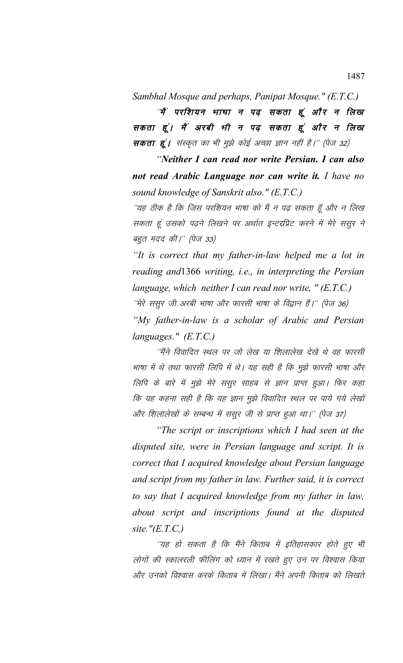Sambhal Mosque and perhaps, Panipat Mosque." (E.T.C.)

''मैं' परशियन भाषा न पढ़ सकता हूं और न लिख सकता हूं। मैं अरबी भी न पढ़ सकता हूं और न लिख सकता हूं। संस्कृत का भी मुझे कोई अच्छा ज्ञान नहीं है।'' (पेज 32)

"Neither I can read nor write Persian, I can also not read Arabic Language nor can write it. I have no sound knowledge of Sanskrit also." (E.T.C.)

''यह ठीक है कि जिस परशियन भाषा को मैं न पढ़ सकता हूँ और न लिख सकता हूं उसको पढ़ने लिखने पर अर्थात इन्टरप्रिट करने में मेरे ससूर ने बहुत मदद की।'' (पेज 33)

"It is correct that my father-in-law helped me a lot in reading and 1366 writing, i.e., in interpreting the Persian language, which neither I can read nor write, " $(E.T.C.)$ ''मेरे ससुर जी अरबी भाषा और फारसी भाषा के विद्वान हैं।'' (पेज 36) "My father-in-law is a scholar of Arabic and Persian languages." (E.T.C.)

''मैंने विवादित स्थल पर जो लेख या शिलालेख देखे थे वह फारसी भाषा में थे तथा फारसी लिपि में थे। यह सही है कि मुझे फारसी भाषा और लिपि के बारे में मुझे मेरे ससुर साहब से ज्ञान प्राप्त हुआ। फिर कहा कि यह कहना सही है कि यह ज्ञान मुझे विवादित स्थल पर पाये गये लेखों और शिलालेखों के सम्बन्ध में ससूर जी से प्राप्त हुआ था।'' (पेज 37)

"The script or inscriptions which I had seen at the disputed site, were in Persian language and script. It is correct that I acquired knowledge about Persian language and script from my father in law. Further said, it is correct to say that I acquired knowledge from my father in law, about script and inscriptions found at the disputed site." $(E.T.C.)$ 

''यह हो सकता है कि मैंने किताब में इतिहासकार होते हुए भी लोगों की स्कालरली फीलिंग को ध्यान में रखते हुए उन पर विश्वास किया और उनको विश्वास करके किताब में लिखा। मैंने अपनी किताब को लिखते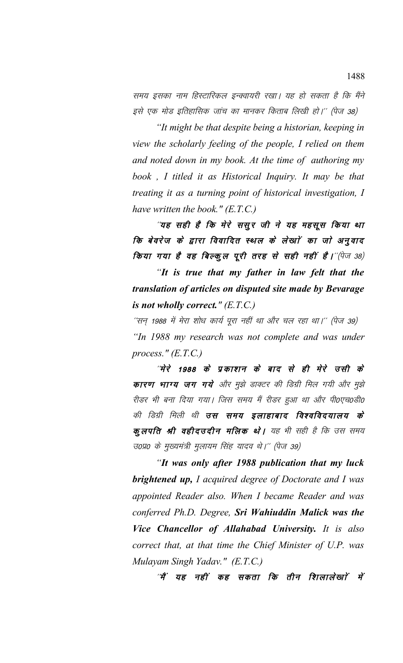समय इसका नाम हिस्टारिकल इन्क्वायरी रखा। यह हो सकता है कि मैंने इसे एक मोड इतिहासिक जांच का मानकर किताब लिखी हो।'' (पेज 38)

"It might be that despite being a historian, keeping in view the scholarly feeling of the people, I relied on them and noted down in my book. At the time of authoring my book, I titled it as Historical Inquiry. It may be that treating it as a turning point of historical investigation, I have written the book."  $(E.T.C.)$ 

''यह सही है कि मेरे ससूर जी ने यह महसूस किया था कि बेवरेज के द्वारा विवादित स्थल के लेखाों का जो अनुवाद किया गया है वह बिल्कुल पूरी तरह से सही नहीं है।"(पेज 38)

"It is true that my father in law felt that the translation of articles on disputed site made by Bevarage is not wholly correct."  $(E.T.C.)$ 

''सन् 1988 में मेरा शोध कार्य पूरा नहीं था और चल रहा था।'' (पेज 39) "In 1988 my research was not complete and was under process."  $(E.T.C.)$ 

''मेरे 1988 के प्रकाशन के बाद से ही मेरे उसी के कारण भाग्य जग गये और मुझे डाक्टर की डिग्री मिल गयी और मुझे रीडर भी बना दिया गया। जिस समय मैं रीडर हुआ था और पी0एच0डी0 की डिग्री मिली थी **उस समय इलाहाबाद विश्वविदयालय के** कूलपति श्री वहीदउदीन मलिक थे। यह भी सही है कि उस समय उ०प्र० के मुख्यमंत्री मुलायम सिंह यादव थे।'' (पेज 39)

"It was only after 1988 publication that my luck **brightened up, I** acquired degree of Doctorate and I was appointed Reader also. When I became Reader and was conferred Ph.D. Degree, Sri Wahiuddin Malick was the Vice Chancellor of Allahabad University. It is also correct that, at that time the Chief Minister of U.P. was Mulayam Singh Yadav." (E.T.C.)

''मैं यह नहीं कह सकता कि तीन शिलालेखाों में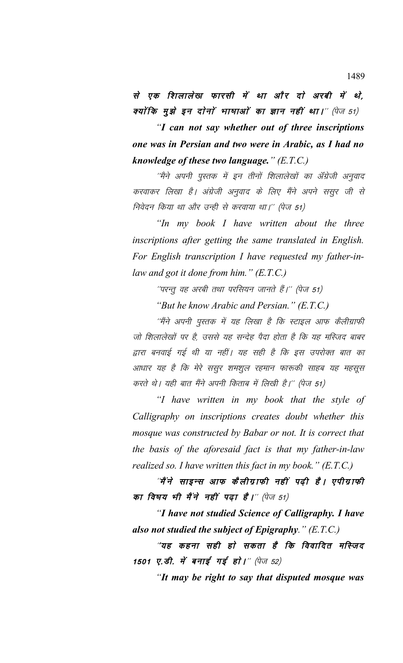से एक शिलालेख फारसी में था और दो अरबी में थे, क्यों कि मुझे इन दोनों भाषाओं का ज्ञान नहीं था।'' (पेज 51)

*"I can not say whether out of three inscriptions one was in Persian and two were in Arabic, as I had no knowledge of these two language." (E.T.C.)*

''मैने अपनी पुस्तक में इन तीनों शिलालेखों का ॲंग्रेजी अनुवाद करवाकर लिखा है। अंग्रेजी अनुवाद के लिए मैंने अपने ससुर जी से निवेदन किया था और उन्ही से करवाया था।'' (पेज 51)

*"In my book I have written about the three inscriptions after getting the same translated in English. For English transcription I have requested my father-inlaw and got it done from him." (E.T.C.)*

"परन्तु वह अरबी तथा परसियन जानते हैं।'' (पेज 51)

*"But he know Arabic and Persian." (E.T.C.)*

''मैंने अपनी पुस्तक में यह लिखा है कि स्टाइल आफ कैलीग्राफी जो शिलालेखों पर है, उससे यह सन्देह पैदा होता है कि यह मस्जिद बाबर द्वारा बनवाई गई थी या नहीं। यह सही है कि इस उपरोक्त बात का आधार यह है कि मेरे ससूर शमशूल रहमान फारूकी साहब यह महसूस करते थे। यही बात मैंने अपनी किताब में लिखी है।'' (पेज 51)

*"I have written in my book that the style of Calligraphy on inscriptions creates doubt whether this mosque was constructed by Babar or not. It is correct that the basis of the aforesaid fact is that my father-in-law realized so. I have written this fact in my book." (E.T.C.)*

 $^{\prime\prime}$ मैं ने साइन्स आफ कैलीग्राफी नहीं पढ़ी है। एपीग्राफी का विषय भी मैंने नहीं पढा है।'' (पेज 51)

*"I have not studied Science of Calligraphy. I have also not studied the subject of Epigraphy." (E.T.C.)*

"यह कहना सही हो सकता है कि विवादित मस्जिद 1501 ए.डी. में बनाई गई हो।" (पेज 52)

*"It may be right to say that disputed mosque was*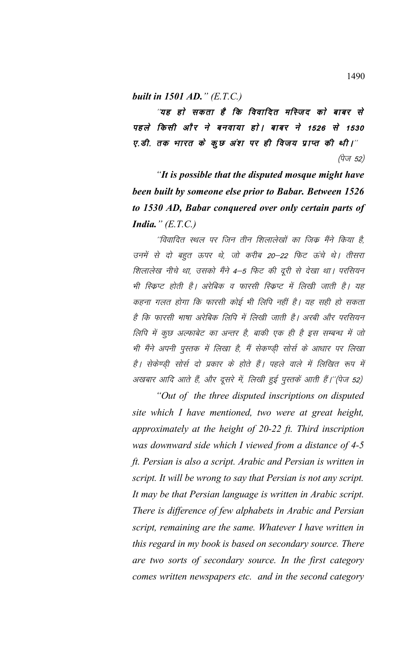built in 1501 AD."  $(E.T.C.)$ 

''यह हो सकता है कि विवादित मस्जिद को बाबर से पहले किसी और ने बनवाया हो। बाबर ने 1526 से 1530 ए.डी. तक भारत के कुछ अंश पर ही विजय प्राप्त की थी।" (पेज 52)

"It is possible that the disputed mosque might have been built by someone else prior to Babar. Between 1526 to 1530 AD, Babar conquered over only certain parts of *India.*"  $(E.T.C.)$ 

''विवादित स्थल पर जिन तीन शिलालेखों का जिक मैंने किया है, उनमें से दो बहुत ऊपर थे, जो करीब 20–22 फिट ऊंचे थे। तीसरा शिलालेख नीचे था, उसको मैंने 4–5 फिट की दूरी से देखा था। परसियन भी स्क्रिप्ट होती है। अरेबिक व फारसी स्क्रिप्ट में लिखी जाती है। यह कहना गलत होगा कि फारसी कोई भी लिपि नहीं है। यह सही हो सकता है कि फारसी भाषा अरेबिक लिपि में लिखी जाती है। अरबी और परसियन लिपि में कुछ अल्फाबेट का अन्तर है, बाकी एक ही है इस सम्बन्ध में जो भी मैंने अपनी पुस्तक में लिखा है, मैं सेकण्ड़ी सोर्स के आधार पर लिखा है। सेकेण्ड़ी सोर्स दो प्रकार के होते हैं। पहले वाले में लिखित रूप में अखबार आदि आते हैं, और दूसरे में, लिखी हुई पुस्तकें आती हैं।''(पेज 52)

"Out of the three disputed inscriptions on disputed site which I have mentioned, two were at great height, approximately at the height of  $20-22$  ft. Third inscription was downward side which I viewed from a distance of 4-5 ft. Persian is also a script. Arabic and Persian is written in script. It will be wrong to say that Persian is not any script. It may be that Persian language is written in Arabic script. There is difference of few alphabets in Arabic and Persian script, remaining are the same. Whatever I have written in this regard in my book is based on secondary source. There are two sorts of secondary source. In the first category comes written newspapers etc. and in the second category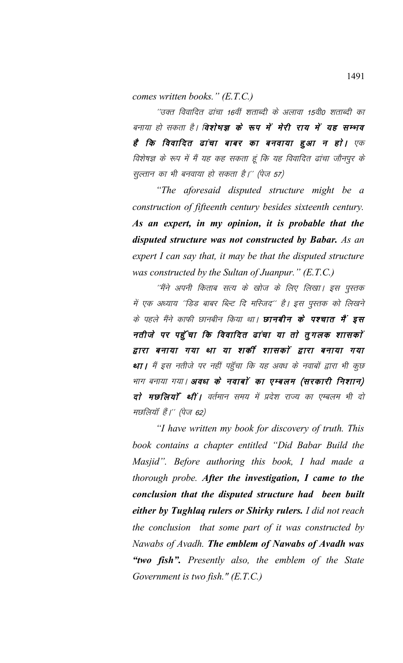comes written books."  $(E.T.C.)$ 

''उक्त विवादित ढांचा १६वीं शताब्दी के अलावा १५वी० शताब्दी का बनाया हो सकता है। **विशेषज्ञ के रूप में मेरी राय में यह सम्भव** है कि विवादित ढांचा बाबर का बनवाया हुआ न हो। एक विशेषज्ञ के रूप में मैं यह कह सकता हूं कि यह विवादित ढांचा जौनपुर के सूल्तान का भी बनवाया हो सकता है।'' (पेज 57)

"The aforesaid disputed structure might be a construction of fifteenth century besides sixteenth century. As an expert, in my opinion, it is probable that the disputed structure was not constructed by Babar. As an expert I can say that, it may be that the disputed structure was constructed by the Sultan of Juanpur."  $(E.T.C.)$ 

''मैंने अपनी किताब सत्य के खोज के लिए लिखा। इस पुस्तक में एक अध्याय ''डिड बाबर ब्ल्टि दि मस्जिद'' है। इस पुस्तक को लिखने के पहले मैंने काफी छानबीन किया था। **छानबीन के पश्चात में इस** नतीजे पर पहुँचा कि विवादित ढांचा या तो तुगलक शासकों द्वारा बनाया गया था या शकीं शासकों द्वारा बनाया गया था। मैं इस नतीजे पर नहीं पहुँचा कि यह अवध के नवाबों द्वारा भी कुछ भाग बनाया गया। अवध के नवाबों का एम्बलम (सरकारी निशान) दो मछलियाँ थीं। वर्तमान समय में प्रदेश राज्य का एम्बलम भी दो मछलियाँ हैं।'' (पेज 62)

"I have written my book for discovery of truth. This book contains a chapter entitled "Did Babar Build the Masjid". Before authoring this book, I had made a thorough probe. After the investigation, I came to the conclusion that the disputed structure had been built either by Tughlag rulers or Shirky rulers. I did not reach the conclusion that some part of it was constructed by Nawabs of Avadh. The emblem of Nawabs of Avadh was "two fish". Presently also, the emblem of the State Government is two fish."  $(E.T.C.)$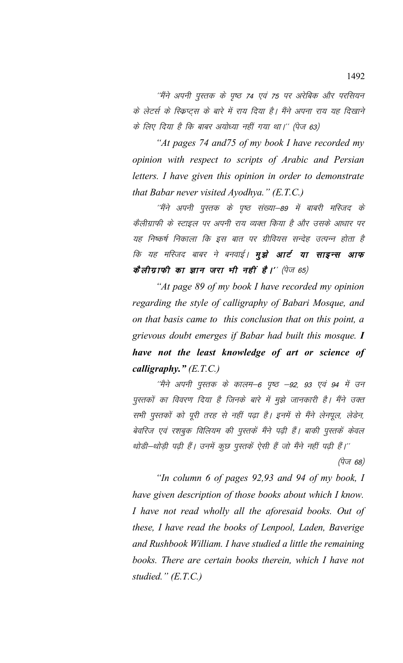''मैंने अपनी पुस्तक के पृष्ठ 74 एवं 75 पर अरेबिक और परसियन के लेटर्स के स्क्रिप्टस के बारे में राय दिया है। मैंने अपना राय यह दिखाने के लिए दिया है कि बाबर अयोध्या नहीं गया था।'' (पेज 63)

"At pages 74 and 75 of my book I have recorded my opinion with respect to scripts of Arabic and Persian letters. I have given this opinion in order to demonstrate that Babar never visited Ayodhya."  $(E.T.C.)$ 

''मैंने अपनी पुस्तक के पृष्ठ संख्या–89 में बाबरी मस्जिद के कैलीग्राफी के स्टाइल पर अपनी राय व्यक्त किया है और उसके आधार पर यह निष्कर्ष निकाला कि इस बात पर ग्रीवियस सन्देह उत्पन्न होता है कि यह मस्जिद बाबर ने बनवाई। **मुझे आर्ट या साइन्स आफ** कैलीग्राफी का ज्ञान जरा भी नहीं है।'' (पेज 65)

"At page 89 of my book I have recorded my opinion regarding the style of calligraphy of Babari Mosque, and on that basis came to this conclusion that on this point, a grievous doubt emerges if Babar had built this mosque. I have not the least knowledge of art or science of calligraphy."  $(E.T.C.)$ 

''मैने अपनी पुस्तक के कालम–6 पृष्ठ –92, 93 एवं 94 में उन पुस्तकों का विवरण दिया है जिनके बारे में मुझे जानकारी है। मैंने उक्त सभी पुस्तकों को पूरी तरह से नहीं पढ़ा है। इनमें से मैंने लेनपूल, लेडेन, बेवरिज एवं रशबुक विलियम की पुस्तकें मैंने पढ़ी हैं। बाकी पुस्तकें केवल थोडी—थोडी पढी हैं। उनमें कुछ पुस्तकें ऐसी हैं जो मैंने नहीं पढी हैं।''

(पेज 68)

"In column 6 of pages  $92,93$  and  $94$  of my book, I have given description of those books about which I know. I have not read wholly all the aforesaid books. Out of these, I have read the books of Lenpool, Laden, Baverige and Rushbook William. I have studied a little the remaining books. There are certain books therein, which I have not studied."  $(E.T.C.)$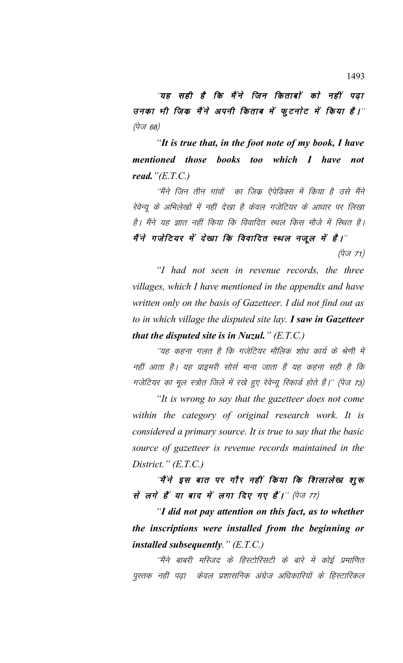"यह सही है कि मैंने जिन किताबों को नहीं पढ़ा उनका भी जिक मैंने अपनी किताब में फ़ुटनोट में किया है।" (पेज $68)$ 

*"It is true that, in the foot note of my book, I have mentioned those books too which I have not read."(E.T.C.)*

''मैंने जिन तीन गांवों का जिक ऐपेडिक्स में किया है उसे मैंने रेवेन्यू के अभिलेखों में नहीं देखा है केवल गजेटियर के आधार पर लिखा है। मैंने यह ज्ञात नहीं किया कि विवादित स्थल किस मौजे में स्थित है। मैंने गजेटियर में देखा कि विवादित स्थल नजूल में है।''  $(\vec{q} \vec{v} 71)$ 

*"I had not seen in revenue records, the three villages, which I have mentioned in the appendix and have written only on the basis of Gazetteer. I did not find out as to in which village the disputed site lay. I saw in Gazetteer that the disputed site is in Nuzul." (E.T.C.)*

''यह कहना गलत है कि गजेटियर मौलिक शोध कार्य के श्रेणी में नहीं आता है। यह प्राइमरी सोर्स माना जाता हैं यह कहना सही है कि गजेटियर का मूल स्त्रोत जिले में रखे हुए रेवेन्यू रिकार्ड होते हैं।'' (पेज 73)

*"It is wrong to say that the gazetteer does not come within the category of original research work. It is considered a primary source. It is true to say that the basic source of gazetteer is revenue records maintained in the District." (E.T.C.)*

*''*मैं ने इस बात पर गौर नहीं किया कि शिलालेख शुरू से लगे हैं या बाद में लगा दिए गए हैं।" (पेज 77)

*"I did not pay attention on this fact, as to whether the inscriptions were installed from the beginning or installed subsequently." (E.T.C.)*

''मैंने बाबरी मस्जिद के हिस्टोरिसटी के बारे में कोई प्रमाणित पुस्तक नहीं पढ़ा केवल प्रशासनिक अंग्रेज अधिकारियों के हिस्टारिकल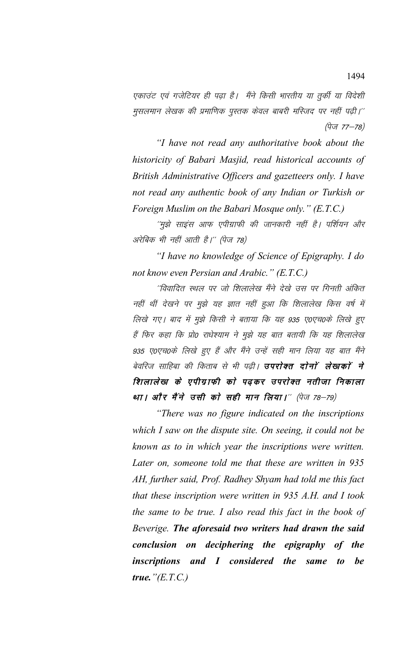एकाउंट एवं गजेटियर ही पढ़ा है। मैंने किसी भारतीय या तुर्की या विदेशी मुसलमान लेखक की प्रमाणिक पुस्तक केवल बाबरी मस्जिद पर नहीं पढ़ी।'' *(पेज 77–78)* 

"I have not read any authoritative book about the historicity of Babari Masjid, read historical accounts of British Administrative Officers and gazetteers only. I have not read any authentic book of any Indian or Turkish or Foreign Muslim on the Babari Mosque only." (E.T.C.)

"मुझे साइंस आफ एपीग्राफी की जानकारी नहीं है। पर्शियन और अरेबिक भी नहीं आती है।'' (पेज 78)

"I have no knowledge of Science of Epigraphy. I do not know even Persian and Arabic." (E.T.C.)

''विवादित स्थल पर जो शिलालेख मैंने देखे उस पर गिनती अंकित नहीं थीं देखने पर मुझे यह ज्ञात नहीं हुआ कि शिलालेख किस वर्ष में लिखे गए। बाद में मुझे किसी ने बताया कि यह 935 ए0एच0के लिखे हुए हैं फिर कहा कि प्रो0 राधेश्याम ने मुझे यह बात बतायी कि यह शिलालेख 935 ए0एच0के लिखे हुए हैं और मैंने उन्हें सही मान लिया यह बात मैंने बेवरिज साहिबा की किताब से भी पढी। **उपरोक्त दोनों लेखाकों ने** शिलालेख के एपीग्राफी को पढ़कर उपरोक्त नतीजा निकाला था। और मैंने उसी को सही मान लिया।" (पेज 78-79)

"There was no figure indicated on the inscriptions" which  $I$  saw on the dispute site. On seeing, it could not be known as to in which year the inscriptions were written. Later on, someone told me that these are written in 935 AH, further said, Prof. Radhey Shyam had told me this fact that these inscription were written in 935 A.H. and I took the same to be true. I also read this fact in the book of Beverige. The aforesaid two writers had drawn the said conclusion on deciphering the epigraphy of the inscriptions and I considered the same to be true.  $" (E.T.C.)$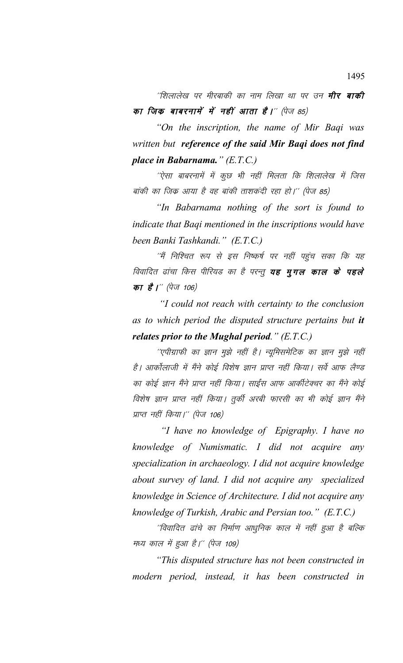''शिलालेख पर मीरबाकी का नाम लिखा था पर उन **मीर बाकी** का जिक बाबरनामें में नहीं आता है।" (पेज 85)

*"On the inscription, the name of Mir Baqi was written but reference of the said Mir Baqi does not find place in Babarnama." (E.T.C.)*

''ऐसा बाबरनामें में कूछ भी नहीं मिलता कि शिलालेख में जिस बांकी का जिक आया है वह बांकी ताशकंदी रहा हो।'' (पेज 85)

*"In Babarnama nothing of the sort is found to indicate that Baqi mentioned in the inscriptions would have been Banki Tashkandi." (E.T.C.)*

''मैं निश्चित रूप से इस निष्कर्ष पर नहीं पहुंच सका कि यह विवादित ढांचा किस पीरियड का है परन्तु **यह मुगल काल के पहले का है।**'' (पेज 106)

 *"I could not reach with certainty to the conclusion as to which period the disputed structure pertains but it relates prior to the Mughal period." (E.T.C.)*

''एपीग्राफी का ज्ञान मुझे नहीं है। न्यूमिसमेटिक का ज्ञान मुझे नहीं है। आर्कोलाजी में मैंने कोई विशेष ज्ञान प्राप्त नहीं किया। सर्वे आफ लैण्ड का कोई ज्ञान मैंने प्राप्त नहीं किया। साईंस आफ आर्कीटेक्चर का मैंने कोई विशेष ज्ञान प्राप्त नहीं किया। तुर्की अरबी फारसी का भी कोई ज्ञान मैंने प्राप्त नहीं किया।'' (पेज 106)

 *"I have no knowledge of Epigraphy. I have no knowledge of Numismatic. I did not acquire any specialization in archaeology. I did not acquire knowledge about survey of land. I did not acquire any specialized knowledge in Science of Architecture. I did not acquire any knowledge of Turkish, Arabic and Persian too." (E.T.C.)*

''विवादित ढांचे का निर्माण आधुनिक काल में नहीं हुआ है बल्कि मध्य काल में हुआ है।'' (पेज 109)

*"This disputed structure has not been constructed in modern period, instead, it has been constructed in*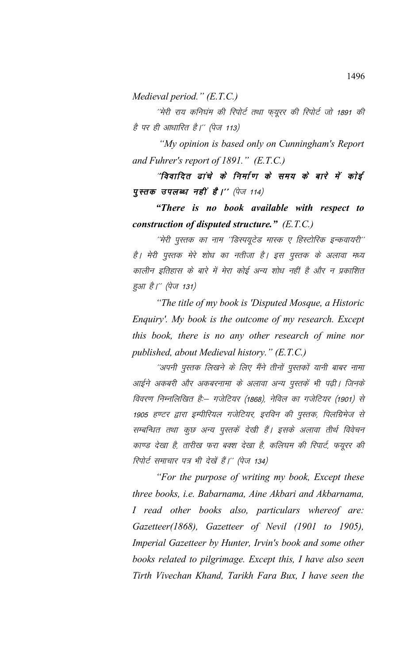*Medieval period." (E.T.C.)*

''मेरी राय कनिघंम की रिपोर्ट तथा फ़यूरर की रिपोर्ट जो 1891 की है पर ही आधारित है।'' (पेज 113)

 *"My opinion is based only on Cunningham's Report and Fuhrer's report of 1891." (E.T.C.)*

"विवादित ढांचे के निर्माण के समय के बारे में कोई  $\vec{q}$  स्तक उपलब्ध नहीं है।'' (पेज 114)

*"There is no book available with respect to construction of disputed structure." (E.T.C.)*

''मेरी पुस्तक का नाम ''डिस्पयूटेड मास्क ए हिस्टोरिक इन्कवायरी'' है। मेरी पुस्तक मेरे शोध का नतीजा है। इस पुस्तक के अलावा मध्य कालीन इतिहास के बारे में मेरा कोई अन्य शोध नहीं है और न प्रकाशित हुआ है।'' (पेज 131)

*"The title of my book is 'Disputed Mosque, a Historic Enquiry'. My book is the outcome of my research. Except this book, there is no any other research of mine nor published, about Medieval history." (E.T.C.)*

''अपनी पुस्तक लिखने के लिए मैंने तीनों पुस्तकों यानी बाबर नामा आईने अकबरी और अकबरनामा के अलावा अन्य पुस्तकें भी पढ़ी। जिनके विवरण निम्नलिखित है:-- गजेटियर (1868), नेविल का गजेटियर (1901) से 1905 हण्टर द्वारा इम्पीरियल गजेटियर, इरविन की पुस्तक, पिलग्रिमेज से सम्बन्धित तथा कुछ अन्य पुस्तकें देखी हैं। इसके अलावा तीर्थ विवेचन काण्ड देखा है, तारीख फरा बक्श देखा है, कलिघम की रिपार्ट, फयूरर की रिपोर्ट समाचार पत्र भी देखें हैं।'' (पेज 134)

*"For the purpose of writing my book, Except these three books, i.e. Babarnama, Aine Akbari and Akbarnama, I read other books also, particulars whereof are: Gazetteer(1868), Gazetteer of Nevil (1901 to 1905), Imperial Gazetteer by Hunter, Irvin's book and some other books related to pilgrimage. Except this, I have also seen Tirth Vivechan Khand, Tarikh Fara Bux, I have seen the*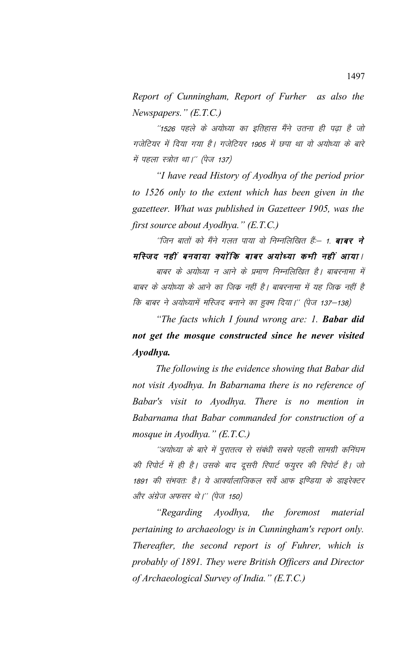Report of Cunningham, Report of Furher as also the Newspapers."  $(E.T.C.)$ 

''1526 पहले के अयोध्या का इतिहास मैंने उतना ही पढ़ा है जो गजेटियर में दिया गया है। गजेटियर 1905 में छपा था वो अयोध्या के बारे में पहला स्त्रोत था।'' (पेज 137)

"I have read History of Ayodhya of the period prior to 1526 only to the extent which has been given in the gazetteer. What was published in Gazetteer 1905, was the first source about Ayodhya."  $(E.T.C.)$ 

''जिन बातों को मैंने गलत पाया वो निम्नलिखित हैं:-- 1. **बाबर ने** मस्जिद नहीं बनवाया क्योंकि बाबर अयोध्या कभी नहीं आया। बाबर के अयोध्या न आने के प्रमाण निम्नलिखित है। बाबरनामा में बाबर के अयोध्या के आने का जिक नहीं है। बाबरनामा में यह जिक नहीं है कि बाबर ने अयोध्यामें मस्जिद बनाने का हुक्म दिया।'' (पेज 137–138)

"The facts which I found wrong are: 1. Babar did not get the mosque constructed since he never visited Ayodhya.

The following is the evidence showing that Babar did not visit Ayodhya. In Babarnama there is no reference of Babar's visit to Ayodhya. There is no mention in Babarnama that Babar commanded for construction of a mosque in Ayodhya."  $(E.T.C.)$ 

''अयोध्या के बारे में पुरातत्व से संबंधी सबसे पहली सामग्री कनिंघम की रिपोर्ट में ही है। उसके बाद दूसरी रिपार्ट फयुरर की रिपोर्ट है। जो 1891 की संभवतः है। ये आक्यालाजिकल सर्वे आफ इण्डिया के डाइरेक्टर और अंग्रेज अफसर थे।'' (पेज 150)

"Regarding Ayodhya, the foremost material pertaining to archaeology is in Cunningham's report only. Thereafter, the second report is of Fuhrer, which is probably of 1891. They were British Officers and Director of Archaeological Survey of India." (E.T.C.)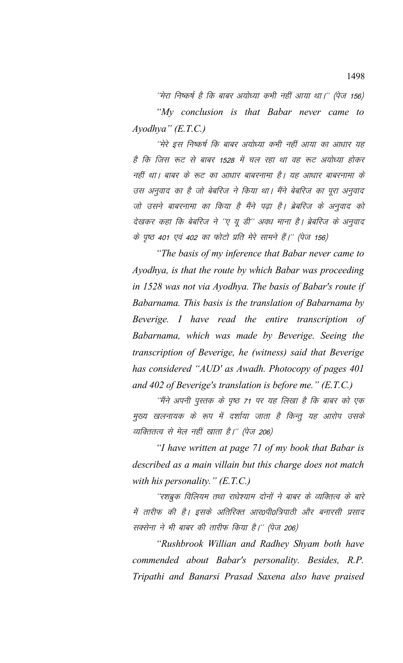$^{\prime\prime}$ मेरा निष्कर्ष है कि बाबर अयोध्या कभी नहीं आया था।'' (पेज 156) *"My conclusion is that Babar never came to Ayodhya" (E.T.C.)*

''मेरे इस निष्कर्ष कि बाबर अयोध्या कभी नहीं आया का आधार यह है कि जिस रूट से बाबर 1528 में चल रहा था वह रूट अयोध्या होकर नहीं था। बाबर के रूट का आधार बाबरनामा है। यह आधार बाबरनामा के उस अनुवाद का है जो बेबरिज ने किया था। मैंने बेबरिज का पूरा अनुवाद जो उसने बाबरनामा का किया है मैंने पढ़ा है। ब्रेबरिज के अनुवाद को देखकर कहा कि बेबरिज ने ''ए यू डी'' अवध माना है। ब्रेबरिज के अनुवाद के पृष्ठ 401 एवं 402 का फोटो प्रति मेरे सामने हैं।'' (पेज 156)

*"The basis of my inference that Babar never came to Ayodhya, is that the route by which Babar was proceeding in 1528 was not via Ayodhya. The basis of Babar's route if Babarnama. This basis is the translation of Babarnama by Beverige. I have read the entire transcription of Babarnama, which was made by Beverige. Seeing the transcription of Beverige, he (witness) said that Beverige has considered "AUD' as Awadh. Photocopy of pages 401 and 402 of Beverige's translation is before me." (E.T.C.)*

''यैंने अपनी पुस्तक के पृष्ठ 71 पर यह लिखा है कि बाबर को एक मुख्य खलनायक के रूप में दर्शाया जाता है किन्तु यह आरोप उसके व्यक्तितत्व से मेल नहीं खाता है।'' (पेज 206)

*"I have written at page 71 of my book that Babar is described as a main villain but this charge does not match with his personality." (E.T.C.)*

''रशब्रुक विलियम तथा राधेश्याम दोनों ने बाबर के व्यक्तित्व के बारे में तारीफ की है। इसके अतिरिक्त आर0पी0त्रिपाठी और बनारसी प्रसाद सक्सेना ने भी बाबर की तारीफ किया है।'' (पेज 206)

*"Rushbrook Willian and Radhey Shyam both have commended about Babar's personality. Besides, R.P. Tripathi and Banarsi Prasad Saxena also have praised*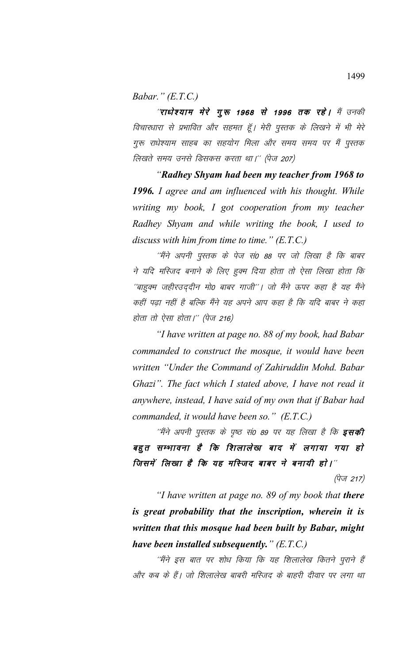*Babar." (E.T.C.)*

''**राधोश्याम मेरे गूरू 1968 से 1996 तक रहे।** मैं उनकी विचारधारा से प्रभावित और सहमत हूँ। मेरी पुस्तक के लिखने में भी मेरे गुरू राधेश्याम साहब का सहयोग मिला और समय समय पर मैं पुस्तक तिखते समय उनसे डिसकस करता था।'' (पेज 207)

*"Radhey Shyam had been my teacher from 1968 to 1996. I agree and am influenced with his thought. While writing my book, I got cooperation from my teacher Radhey Shyam and while writing the book, I used to discuss with him from time to time." (E.T.C.)*

''मैंने अपनी पुस्तक के पेज सं0 88 पर जो लिखा है कि बाबर ने यदि मस्जिद बनाने के लिए हुक्म दिया होता तो ऐसा लिखा होता कि ''बाहुक्म जहीरउद्दीन मो0 बाबर गाजी''। जो मैंने ऊपर कहा है यह मैंने कहीं पढा नहीं है बल्कि मैंने यह अपने आप कहा है कि यदि बाबर ने कहा होता तो ऐसा होता।'' (पेज 216)

*"I have written at page no. 88 of my book, had Babar commanded to construct the mosque, it would have been written "Under the Command of Zahiruddin Mohd. Babar Ghazi". The fact which I stated above, I have not read it anywhere, instead, I have said of my own that if Babar had commanded, it would have been so." (E.T.C.)*

''मैंने अपनी पुस्तक के पृष्ठ सं0 89 पर यह लिखा है कि **इसकी** बहुत सम्भावना है कि शिलालेख बाद में लगाया गया हो जिसमें लिखा है कि यह मस्जिद बाबर ने बनायी हो।"

(पेज 217)

*"I have written at page no. 89 of my book that <i>there is great probability that the inscription, wherein it is written that this mosque had been built by Babar, might have been installed subsequently." (E.T.C.)*

''मैंने इस बात पर शोध किया कि यह शिलालेख कितने पुराने हैं और कब के हैं। जो शिलालेख बाबरी मस्जिद के बाहरी दीवार पर लगा था